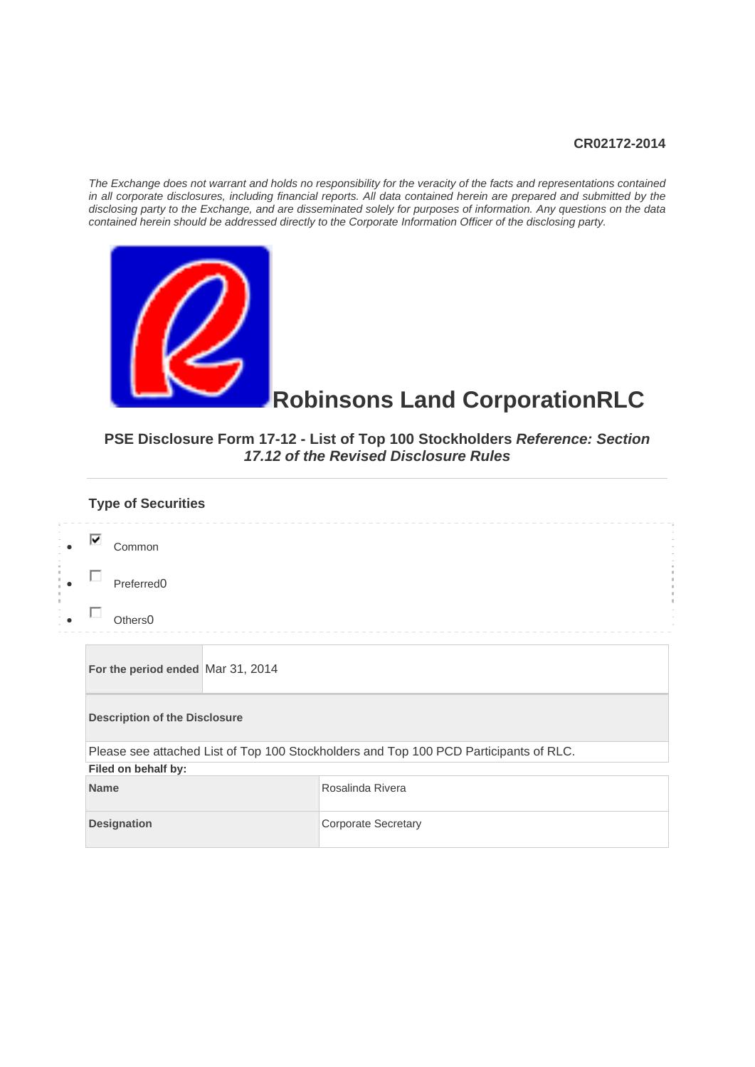#### **CR02172-2014**

*The Exchange does not warrant and holds no responsibility for the veracity of the facts and representations contained in all corporate disclosures, including financial reports. All data contained herein are prepared and submitted by the disclosing party to the Exchange, and are disseminated solely for purposes of information. Any questions on the data contained herein should be addressed directly to the Corporate Information Officer of the disclosing party.* 



#### **Robinsons Land CorporationRLC**

#### **PSE Disclosure Form 17-12 - List of Top 100 Stockholders** *Reference: Section 17.12 of the Revised Disclosure Rules*

| <b>Type of Securities</b>            |                                                                                       |  |  |  |  |
|--------------------------------------|---------------------------------------------------------------------------------------|--|--|--|--|
| ⊽<br>Common                          |                                                                                       |  |  |  |  |
| Preferred <sub>0</sub>               |                                                                                       |  |  |  |  |
| Others <sub>0</sub>                  |                                                                                       |  |  |  |  |
| For the period ended Mar 31, 2014    |                                                                                       |  |  |  |  |
| <b>Description of the Disclosure</b> |                                                                                       |  |  |  |  |
|                                      | Please see attached List of Top 100 Stockholders and Top 100 PCD Participants of RLC. |  |  |  |  |
| Filed on behalf by:                  |                                                                                       |  |  |  |  |
| <b>Name</b>                          | Rosalinda Rivera                                                                      |  |  |  |  |
| <b>Designation</b>                   | <b>Corporate Secretary</b>                                                            |  |  |  |  |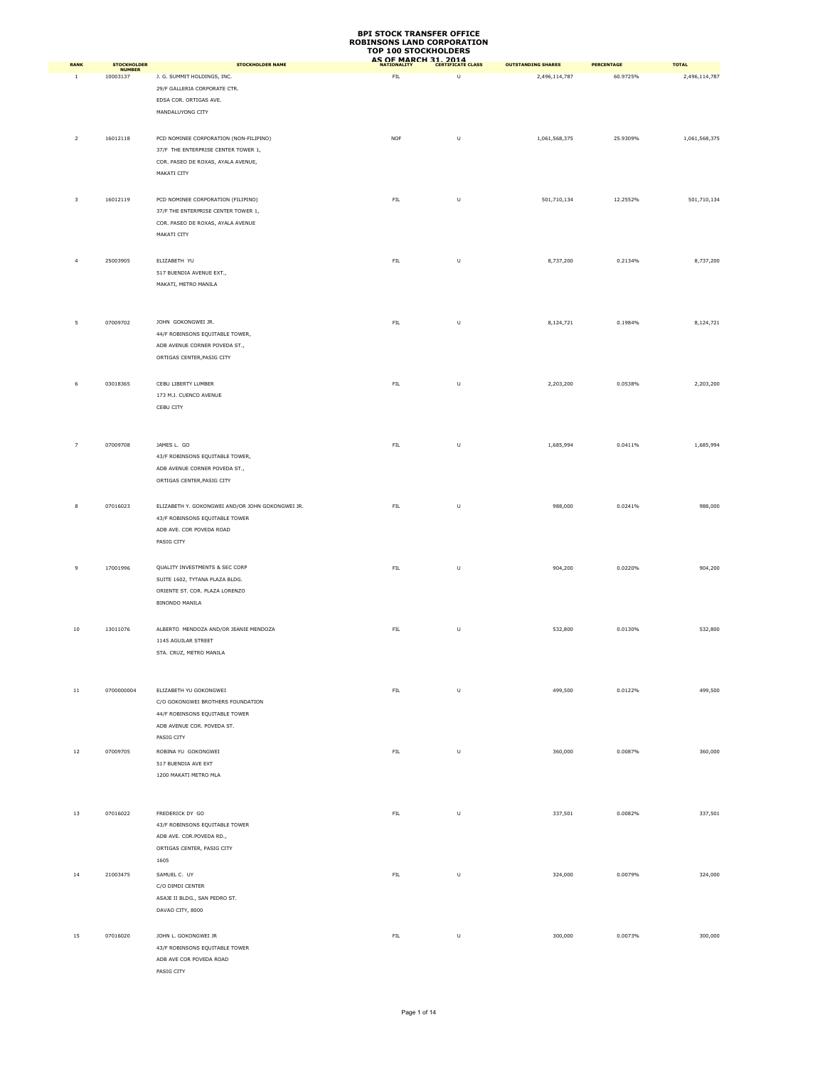| <b>RANK</b>    | <b>STOCKHOLDER</b>        | <b>STOCKHOLDER NAME</b>                                          | יש ו<br><b>TAA STACKIIALMENS</b><br>AS OF MARCH 31, 2014 |         | <b>OUTSTANDING SHARES</b> | <b>PERCENTAGE</b> | <b>TOTAL</b>  |
|----------------|---------------------------|------------------------------------------------------------------|----------------------------------------------------------|---------|---------------------------|-------------------|---------------|
| 1              | <b>NUMBER</b><br>10003137 | J. G. SUMMIT HOLDINGS, INC.                                      | ${\sf FIL}$                                              | $\sf U$ | 2,496,114,787             | 60.9725%          | 2,496,114,787 |
|                |                           | 29/F GALLERIA CORPORATE CTR.                                     |                                                          |         |                           |                   |               |
|                |                           | EDSA COR. ORTIGAS AVE.                                           |                                                          |         |                           |                   |               |
|                |                           | MANDALUYONG CITY                                                 |                                                          |         |                           |                   |               |
|                |                           |                                                                  |                                                          |         |                           |                   |               |
| $\overline{2}$ | 16012118                  | PCD NOMINEE CORPORATION (NON-FILIPINO)                           | <b>NOF</b>                                               | U       | 1,061,568,375             | 25.9309%          | 1,061,568,375 |
|                |                           | 37/F THE ENTERPRISE CENTER TOWER 1,                              |                                                          |         |                           |                   |               |
|                |                           | COR. PASEO DE ROXAS, AYALA AVENUE,                               |                                                          |         |                           |                   |               |
|                |                           | MAKATI CITY                                                      |                                                          |         |                           |                   |               |
|                |                           |                                                                  |                                                          |         |                           |                   |               |
| 3              | 16012119                  | PCD NOMINEE CORPORATION (FILIPINO)                               | ${\sf FIL}$                                              | $\sf U$ | 501,710,134               | 12.2552%          | 501,710,134   |
|                |                           | 37/F THE ENTERPRISE CENTER TOWER 1,                              |                                                          |         |                           |                   |               |
|                |                           | COR. PASEO DE ROXAS, AYALA AVENUE                                |                                                          |         |                           |                   |               |
|                |                           | MAKATI CITY                                                      |                                                          |         |                           |                   |               |
|                |                           |                                                                  |                                                          |         |                           |                   |               |
| $\overline{4}$ | 25003905                  | ELIZABETH YU<br>517 BUENDIA AVENUE EXT.,                         | ${\sf FIL}$                                              | $\sf U$ | 8,737,200                 | 0.2134%           | 8,737,200     |
|                |                           | MAKATI, METRO MANILA                                             |                                                          |         |                           |                   |               |
|                |                           |                                                                  |                                                          |         |                           |                   |               |
|                |                           |                                                                  |                                                          |         |                           |                   |               |
| 5              | 07009702                  | JOHN GOKONGWEI JR.                                               | ${\sf FIL}$                                              | U       | 8,124,721                 | 0.1984%           | 8,124,721     |
|                |                           | 44/F ROBINSONS EQUITABLE TOWER,                                  |                                                          |         |                           |                   |               |
|                |                           | ADB AVENUE CORNER POVEDA ST.,                                    |                                                          |         |                           |                   |               |
|                |                           | ORTIGAS CENTER, PASIG CITY                                       |                                                          |         |                           |                   |               |
|                |                           |                                                                  |                                                          |         |                           |                   |               |
| 6              | 03018365                  | CEBU LIBERTY LUMBER                                              | ${\sf FIL}$                                              | $\sf U$ | 2,203,200                 | 0.0538%           | 2,203,200     |
|                |                           | 173 M.J. CUENCO AVENUE                                           |                                                          |         |                           |                   |               |
|                |                           | CEBU CITY                                                        |                                                          |         |                           |                   |               |
|                |                           |                                                                  |                                                          |         |                           |                   |               |
|                |                           |                                                                  |                                                          |         |                           |                   |               |
| $\overline{7}$ | 07009708                  | JAMES L. GO                                                      | ${\sf FIL}$                                              | U       | 1,685,994                 | 0.0411%           | 1,685,994     |
|                |                           | 43/F ROBINSONS EQUITABLE TOWER,<br>ADB AVENUE CORNER POVEDA ST., |                                                          |         |                           |                   |               |
|                |                           | ORTIGAS CENTER, PASIG CITY                                       |                                                          |         |                           |                   |               |
|                |                           |                                                                  |                                                          |         |                           |                   |               |
| 8              | 07016023                  | ELIZABETH Y. GOKONGWEI AND/OR JOHN GOKONGWEI JR.                 | ${\sf FIL}$                                              | U       | 988,000                   | 0.0241%           | 988,000       |
|                |                           | 43/F ROBINSONS EQUITABLE TOWER                                   |                                                          |         |                           |                   |               |
|                |                           | ADB AVE. COR POVEDA ROAD                                         |                                                          |         |                           |                   |               |
|                |                           | PASIG CITY                                                       |                                                          |         |                           |                   |               |
|                |                           |                                                                  |                                                          |         |                           |                   |               |
| $\overline{9}$ | 17001996                  | QUALITY INVESTMENTS & SEC CORP                                   | ${\sf FIL}$                                              | $\sf U$ | 904,200                   | 0.0220%           | 904,200       |
|                |                           | SUITE 1602, TYTANA PLAZA BLDG.                                   |                                                          |         |                           |                   |               |
|                |                           | ORIENTE ST. COR. PLAZA LORENZO                                   |                                                          |         |                           |                   |               |
|                |                           | <b>BINONDO MANILA</b>                                            |                                                          |         |                           |                   |               |
|                |                           |                                                                  |                                                          |         |                           |                   |               |
| 10             | 13011076                  | ALBERTO MENDOZA AND/OR JEANIE MENDOZA                            | ${\sf FIL}$                                              | U       | 532,800                   | 0.0130%           | 532,800       |
|                |                           | 1145 AGUILAR STREET<br>STA. CRUZ, METRO MANILA                   |                                                          |         |                           |                   |               |
|                |                           |                                                                  |                                                          |         |                           |                   |               |
|                |                           |                                                                  |                                                          |         |                           |                   |               |
| $11\,$         | 0700000004                | ELIZABETH YU GOKONGWEI                                           | ${\sf FIL}$                                              | $\sf U$ | 499,500                   | 0.0122%           | 499,500       |
|                |                           | C/O GOKONGWEI BROTHERS FOUNDATION                                |                                                          |         |                           |                   |               |
|                |                           | 44/F ROBINSONS EQUITABLE TOWER                                   |                                                          |         |                           |                   |               |
|                |                           | ADB AVENUE COR. POVEDA ST.                                       |                                                          |         |                           |                   |               |
|                |                           | PASIG CITY                                                       |                                                          |         |                           |                   |               |
| 12             | 07009705                  | ROBINA YU GOKONGWEI                                              | ${\sf FIL}$                                              | U       | 360,000                   | 0.0087%           | 360,000       |
|                |                           | 517 BUENDIA AVE EXT                                              |                                                          |         |                           |                   |               |
|                |                           | 1200 MAKATI METRO MLA                                            |                                                          |         |                           |                   |               |
|                |                           |                                                                  |                                                          |         |                           |                   |               |
|                |                           |                                                                  |                                                          |         |                           |                   |               |
| 13             | 07016022                  | FREDERICK DY GO                                                  | FIL                                                      | U       | 337,501                   | 0.0082%           | 337,501       |
|                |                           | 43/F ROBINSONS EQUITABLE TOWER                                   |                                                          |         |                           |                   |               |
|                |                           | ADB AVE. COR.POVEDA RD.,                                         |                                                          |         |                           |                   |               |
|                |                           | ORTIGAS CENTER, PASIG CITY<br>1605                               |                                                          |         |                           |                   |               |
|                |                           |                                                                  |                                                          |         |                           |                   |               |
| 14             | 21003475                  | SAMUEL C. UY<br>C/O DIMDI CENTER                                 | ${\sf FIL}$                                              | $\sf U$ | 324,000                   | 0.0079%           | 324,000       |
|                |                           | ASAJE II BLDG., SAN PEDRO ST.                                    |                                                          |         |                           |                   |               |
|                |                           | DAVAO CITY, 8000                                                 |                                                          |         |                           |                   |               |
|                |                           |                                                                  |                                                          |         |                           |                   |               |
| 15             | 07016020                  | JOHN L. GOKONGWEI JR                                             | ${\sf FIL}$                                              | U       | 300,000                   | 0.0073%           | 300,000       |
|                |                           | 43/F ROBINSONS EQUITABLE TOWER                                   |                                                          |         |                           |                   |               |
|                |                           | ADB AVE COR POVEDA ROAD                                          |                                                          |         |                           |                   |               |
|                |                           | PASIG CITY                                                       |                                                          |         |                           |                   |               |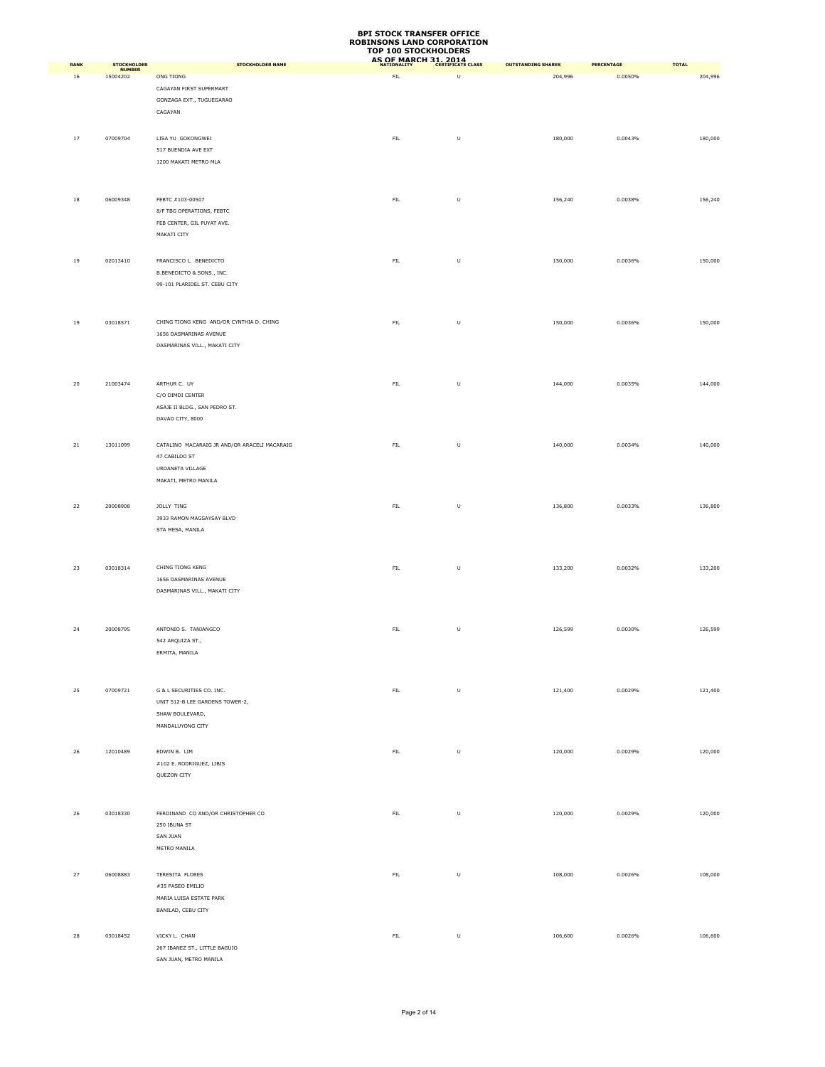| RANK | <b>STOCKHOLDER</b>        | <b>STOCKHOLDER NAME</b>                                            | AS OF MARCH 31, 2014 |         | <b>OUTSTANDING SHARES</b> | PERCENTAGE | <b>TOTAL</b> |
|------|---------------------------|--------------------------------------------------------------------|----------------------|---------|---------------------------|------------|--------------|
| 16   | <b>NUMBER</b><br>15004202 | ONG TIONG                                                          | ${\sf FIL}$          | U       | 204,996                   | 0.0050%    | 204,996      |
|      |                           | CAGAYAN FIRST SUPERMART                                            |                      |         |                           |            |              |
|      |                           | GONZAGA EXT., TUGUEGARAO                                           |                      |         |                           |            |              |
|      |                           | CAGAYAN                                                            |                      |         |                           |            |              |
|      |                           |                                                                    |                      |         |                           |            |              |
| 17   | 07009704                  | LISA YU GOKONGWEI                                                  | ${\sf FIL}$          | U       | 180,000                   | 0.0043%    | 180,000      |
|      |                           | 517 BUENDIA AVE EXT                                                |                      |         |                           |            |              |
|      |                           | 1200 MAKATI METRO MLA                                              |                      |         |                           |            |              |
|      |                           |                                                                    |                      |         |                           |            |              |
| 18   | 06009348                  | FEBTC #103-00507                                                   | FIL                  | U       | 156,240                   | 0.0038%    | 156,240      |
|      |                           | 8/F TBG OPERATIONS, FEBTC                                          |                      |         |                           |            |              |
|      |                           | FEB CENTER, GIL PUYAT AVE.                                         |                      |         |                           |            |              |
|      |                           | MAKATI CITY                                                        |                      |         |                           |            |              |
|      |                           |                                                                    |                      |         |                           |            |              |
| 19   | 02013410                  | FRANCISCO L. BENEDICTO                                             | ${\sf FIL}$          | $\sf U$ | 150,000                   | 0.0036%    | 150,000      |
|      |                           | B.BENEDICTO & SONS., INC.                                          |                      |         |                           |            |              |
|      |                           | 99-101 PLARIDEL ST. CEBU CITY                                      |                      |         |                           |            |              |
|      |                           |                                                                    |                      |         |                           |            |              |
|      |                           |                                                                    |                      |         |                           |            |              |
| 19   | 03018571                  | CHING TIONG KENG AND/OR CYNTHIA D. CHING<br>1656 DASMARINAS AVENUE | ${\sf FIL}$          | $\sf U$ | 150,000                   | 0.0036%    | 150,000      |
|      |                           | DASMARINAS VILL., MAKATI CITY                                      |                      |         |                           |            |              |
|      |                           |                                                                    |                      |         |                           |            |              |
|      |                           |                                                                    |                      |         |                           |            |              |
| 20   | 21003474                  | ARTHUR C. UY                                                       | FIL                  | $\sf U$ | 144,000                   | 0.0035%    | 144,000      |
|      |                           | C/O DIMDI CENTER                                                   |                      |         |                           |            |              |
|      |                           | ASAJE II BLDG., SAN PEDRO ST.                                      |                      |         |                           |            |              |
|      |                           | DAVAO CITY, 8000                                                   |                      |         |                           |            |              |
|      |                           |                                                                    |                      |         |                           |            |              |
| 21   | 13011099                  | CATALINO MACARAIG JR AND/OR ARACELI MACARAIG                       | ${\sf FIL}$          | $\sf U$ | 140,000                   | 0.0034%    | 140,000      |
|      |                           | 47 CABILDO ST                                                      |                      |         |                           |            |              |
|      |                           | URDANETA VILLAGE                                                   |                      |         |                           |            |              |
|      |                           | MAKATI, METRO MANILA                                               |                      |         |                           |            |              |
| 22   | 20008908                  | JOLLY TING                                                         | FIL                  | U       | 136,800                   | 0.0033%    | 136,800      |
|      |                           | 3933 RAMON MAGSAYSAY BLVD                                          |                      |         |                           |            |              |
|      |                           | STA MESA, MANILA                                                   |                      |         |                           |            |              |
|      |                           |                                                                    |                      |         |                           |            |              |
|      |                           |                                                                    |                      |         |                           |            |              |
| 23   | 03018314                  | CHING TIONG KENG                                                   | ${\sf FIL}$          | U       | 133,200                   | 0.0032%    | 133,200      |
|      |                           | 1656 DASMARINAS AVENUE                                             |                      |         |                           |            |              |
|      |                           | DASMARINAS VILL., MAKATI CITY                                      |                      |         |                           |            |              |
|      |                           |                                                                    |                      |         |                           |            |              |
| 24   | 20008795                  | ANTONIO S. TANJANGCO                                               | ${\sf FIL}$          | $\sf U$ | 126,599                   | 0.0030%    | 126,599      |
|      |                           | 542 ARQUIZA ST.,                                                   |                      |         |                           |            |              |
|      |                           | ERMITA, MANILA                                                     |                      |         |                           |            |              |
|      |                           |                                                                    |                      |         |                           |            |              |
|      |                           |                                                                    |                      |         |                           |            |              |
| 25   | 07009721                  | G & L SECURITIES CO. INC.                                          | ${\sf FIL}$          | $\sf U$ | 121,400                   | 0.0029%    | 121,400      |
|      |                           | UNIT 512-B LEE GARDENS TOWER-2,                                    |                      |         |                           |            |              |
|      |                           | SHAW BOULEVARD,                                                    |                      |         |                           |            |              |
|      |                           | MANDALUYONG CITY                                                   |                      |         |                           |            |              |
|      |                           |                                                                    |                      |         |                           |            |              |
| 26   | 12010489                  | EDWIN B. LIM<br>#102 E. RODRIGUEZ, LIBIS                           | ${\sf FIL}$          | $\sf U$ | 120,000                   | 0.0029%    | 120,000      |
|      |                           | QUEZON CITY                                                        |                      |         |                           |            |              |
|      |                           |                                                                    |                      |         |                           |            |              |
|      |                           |                                                                    |                      |         |                           |            |              |
| 26   | 03018330                  | FERDINAND CO AND/OR CHRISTOPHER CO                                 | FIL                  | $\sf U$ | 120,000                   | 0.0029%    | 120,000      |
|      |                           | 250 IBUNA ST                                                       |                      |         |                           |            |              |
|      |                           | SAN JUAN                                                           |                      |         |                           |            |              |
|      |                           | METRO MANILA                                                       |                      |         |                           |            |              |
|      |                           |                                                                    |                      |         |                           |            |              |
| 27   | 06008883                  | TERESITA FLORES                                                    | FIL                  | U       | 108,000                   | 0.0026%    | 108,000      |
|      |                           | #35 PASEO EMILIO                                                   |                      |         |                           |            |              |
|      |                           | MARIA LUISA ESTATE PARK<br>BANILAD, CEBU CITY                      |                      |         |                           |            |              |
|      |                           |                                                                    |                      |         |                           |            |              |
| 28   | 03018452                  | VICKY L. CHAN                                                      | ${\sf FIL}$          | $\sf U$ | 106,600                   | 0.0026%    | 106,600      |
|      |                           | 267 IBANEZ ST., LITTLE BAGUIO                                      |                      |         |                           |            |              |
|      |                           | SAN JUAN, METRO MANILA                                             |                      |         |                           |            |              |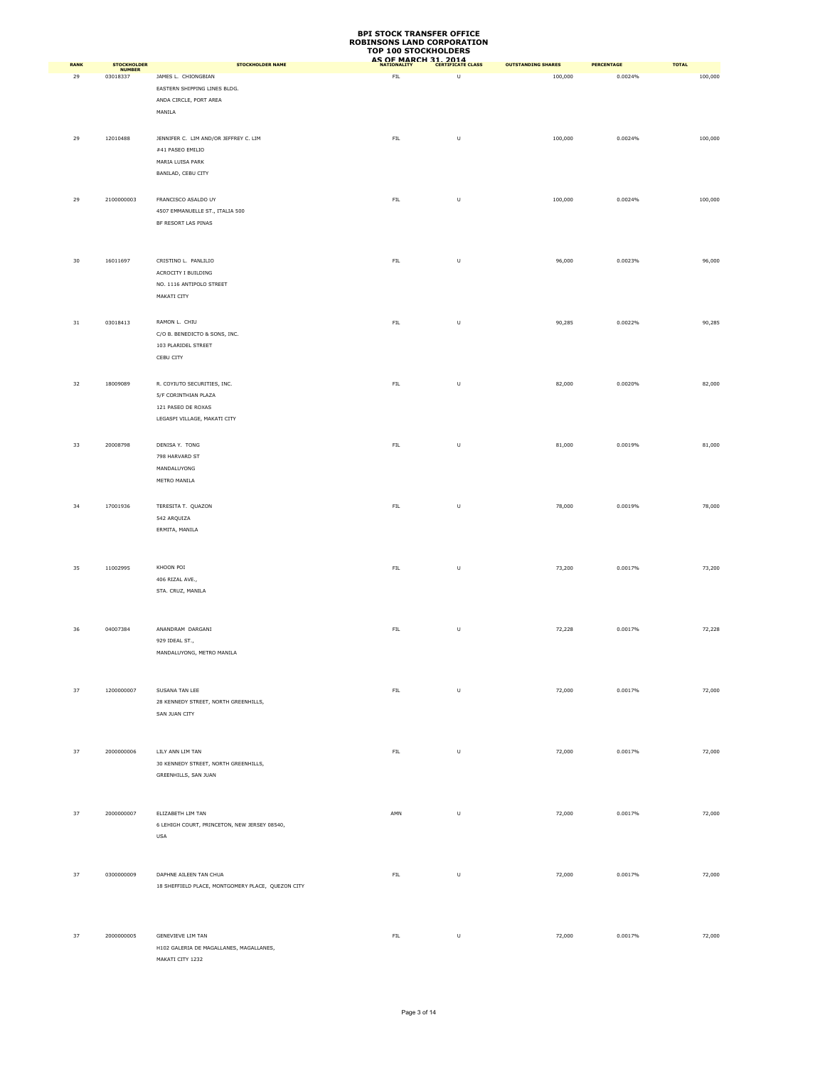| RANK   | <b>STOCKHOLDER</b>        | <b>STOCKHOLDER NAME</b>                                  | AS OF MARCH 31, 2014 |         | <b>OUTSTANDING SHARES</b> | <b>PERCENTAGE</b> | <b>TOTAL</b> |
|--------|---------------------------|----------------------------------------------------------|----------------------|---------|---------------------------|-------------------|--------------|
| 29     | <b>NUMBER</b><br>03018337 | JAMES L. CHIONGBIAN                                      | ${\sf FIL}$          | $\sf U$ | 100,000                   | 0.0024%           | 100,000      |
|        |                           | EASTERN SHIPPING LINES BLDG.                             |                      |         |                           |                   |              |
|        |                           | ANDA CIRCLE, PORT AREA                                   |                      |         |                           |                   |              |
|        |                           | MANILA                                                   |                      |         |                           |                   |              |
|        |                           |                                                          |                      |         |                           |                   |              |
| 29     | 12010488                  | JENNIFER C. LIM AND/OR JEFFREY C. LIM                    | ${\sf FIL}$          | U       | 100,000                   | 0.0024%           | 100,000      |
|        |                           | #41 PASEO EMILIO                                         |                      |         |                           |                   |              |
|        |                           | MARIA LUISA PARK<br>BANILAD, CEBU CITY                   |                      |         |                           |                   |              |
|        |                           |                                                          |                      |         |                           |                   |              |
| 29     | 2100000003                | FRANCISCO ASALDO UY                                      | ${\sf FIL}$          | $\sf U$ | 100,000                   | 0.0024%           | 100,000      |
|        |                           | 4507 EMMANUELLE ST., ITALIA 500                          |                      |         |                           |                   |              |
|        |                           | BF RESORT LAS PINAS                                      |                      |         |                           |                   |              |
|        |                           |                                                          |                      |         |                           |                   |              |
|        |                           |                                                          |                      |         |                           |                   |              |
| 30     | 16011697                  | CRISTINO L. PANLILIO                                     | FIL                  | U       | 96,000                    | 0.0023%           | 96,000       |
|        |                           | ACROCITY I BUILDING                                      |                      |         |                           |                   |              |
|        |                           | NO. 1116 ANTIPOLO STREET                                 |                      |         |                           |                   |              |
|        |                           | MAKATI CITY                                              |                      |         |                           |                   |              |
|        |                           |                                                          |                      |         |                           |                   |              |
| $31\,$ | 03018413                  | RAMON L. CHIU<br>C/O B. BENEDICTO & SONS, INC.           | ${\sf FIL}$          | $\sf U$ | 90,285                    | 0.0022%           | 90,285       |
|        |                           | 103 PLARIDEL STREET                                      |                      |         |                           |                   |              |
|        |                           | CEBU CITY                                                |                      |         |                           |                   |              |
|        |                           |                                                          |                      |         |                           |                   |              |
| 32     | 18009089                  | R. COYIUTO SECURITIES, INC.                              | ${\sf FIL}$          | $\sf U$ | 82,000                    | 0.0020%           | 82,000       |
|        |                           | 5/F CORINTHIAN PLAZA                                     |                      |         |                           |                   |              |
|        |                           | 121 PASEO DE ROXAS                                       |                      |         |                           |                   |              |
|        |                           | LEGASPI VILLAGE, MAKATI CITY                             |                      |         |                           |                   |              |
|        |                           |                                                          |                      |         |                           |                   |              |
| 33     | 20008798                  | DENISA Y. TONG                                           | ${\sf FIL}$          | U       | 81,000                    | 0.0019%           | 81,000       |
|        |                           | 798 HARVARD ST                                           |                      |         |                           |                   |              |
|        |                           | MANDALUYONG<br>METRO MANILA                              |                      |         |                           |                   |              |
|        |                           |                                                          |                      |         |                           |                   |              |
| 34     | 17001936                  | TERESITA T. QUAZON                                       | ${\sf FIL}$          | U       | 78,000                    | 0.0019%           | 78,000       |
|        |                           | 542 ARQUIZA                                              |                      |         |                           |                   |              |
|        |                           | ERMITA, MANILA                                           |                      |         |                           |                   |              |
|        |                           |                                                          |                      |         |                           |                   |              |
|        |                           |                                                          |                      |         |                           |                   |              |
| 35     | 11002995                  | KHOON POI                                                | FIL                  | U       | 73,200                    | 0.0017%           | 73,200       |
|        |                           | 406 RIZAL AVE.,                                          |                      |         |                           |                   |              |
|        |                           | STA. CRUZ, MANILA                                        |                      |         |                           |                   |              |
|        |                           |                                                          |                      |         |                           |                   |              |
| 36     | 04007384                  | ANANDRAM DARGANI                                         | ${\sf FIL}$          | $\sf U$ | 72,228                    | 0.0017%           | 72,228       |
|        |                           | 929 IDEAL ST.,                                           |                      |         |                           |                   |              |
|        |                           | MANDALUYONG, METRO MANILA                                |                      |         |                           |                   |              |
|        |                           |                                                          |                      |         |                           |                   |              |
|        |                           |                                                          |                      |         |                           |                   |              |
| 37     | 1200000007                | SUSANA TAN LEE                                           | ${\sf FIL}$          | $\sf U$ | 72,000                    | 0.0017%           | 72,000       |
|        |                           | 28 KENNEDY STREET, NORTH GREENHILLS,                     |                      |         |                           |                   |              |
|        |                           | SAN JUAN CITY                                            |                      |         |                           |                   |              |
|        |                           |                                                          |                      |         |                           |                   |              |
|        |                           |                                                          |                      |         |                           |                   |              |
| 37     | 2000000006                | LILY ANN LIM TAN<br>30 KENNEDY STREET, NORTH GREENHILLS, | ${\sf FIL}$          | $\sf U$ | 72,000                    | 0.0017%           | 72,000       |
|        |                           | GREENHILLS, SAN JUAN                                     |                      |         |                           |                   |              |
|        |                           |                                                          |                      |         |                           |                   |              |
|        |                           |                                                          |                      |         |                           |                   |              |
| 37     | 2000000007                | ELIZABETH LIM TAN                                        | AMN                  | $\sf U$ | 72,000                    | 0.0017%           | 72,000       |
|        |                           | 6 LEHIGH COURT, PRINCETON, NEW JERSEY 08540,             |                      |         |                           |                   |              |
|        |                           | USA                                                      |                      |         |                           |                   |              |
|        |                           |                                                          |                      |         |                           |                   |              |
|        |                           |                                                          |                      |         |                           |                   |              |
| 37     | 0300000009                | DAPHNE AILEEN TAN CHUA                                   | ${\sf FIL}$          | $\sf U$ | 72,000                    | 0.0017%           | 72,000       |
|        |                           | 18 SHEFFIELD PLACE, MONTGOMERY PLACE, QUEZON CITY        |                      |         |                           |                   |              |
|        |                           |                                                          |                      |         |                           |                   |              |
|        |                           |                                                          |                      |         |                           |                   |              |
| 37     | 2000000005                | GENEVIEVE LIM TAN                                        | ${\sf FIL}$          | $\sf U$ | 72,000                    | 0.0017%           | 72,000       |
|        |                           | H102 GALERIA DE MAGALLANES, MAGALLANES,                  |                      |         |                           |                   |              |
|        |                           | MAKATI CITY 1232                                         |                      |         |                           |                   |              |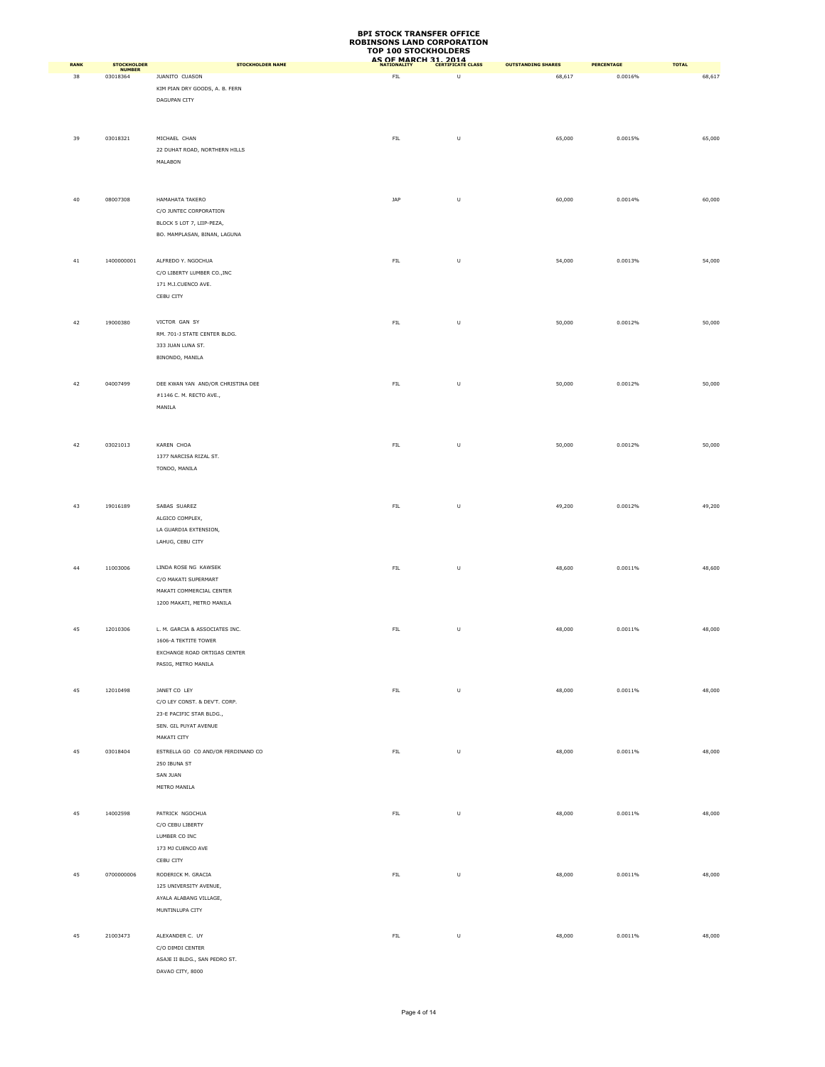| <b>RANK</b> | <b>STOCKHOLDER</b>        | <b>STOCKHOLDER NAME</b>                                                                                           | AS OF MARCH 31, 2014 |         | <b>OUTSTANDING SHARES</b> | <b>PERCENTAGE</b> | <b>TOTAL</b> |
|-------------|---------------------------|-------------------------------------------------------------------------------------------------------------------|----------------------|---------|---------------------------|-------------------|--------------|
| 38          | <b>NUMBER</b><br>03018364 | JUANITO CUASON<br>KIM PIAN DRY GOODS, A. B. FERN<br>DAGUPAN CITY                                                  | FL                   | $\sf U$ | 68,617                    | 0.0016%           | 68,617       |
| 39          | 03018321                  | MICHAEL CHAN<br>22 DUHAT ROAD, NORTHERN HILLS<br>MALABON                                                          | ${\sf FIL}$          | $\sf U$ | 65,000                    | 0.0015%           | 65,000       |
| 40          | 08007308                  | HAMAHATA TAKERO<br>C/O JUNTEC CORPORATION<br>BLOCK 5 LOT 7, LIIP-PEZA,<br>BO. MAMPLASAN, BINAN, LAGUNA            | JAP                  | $\sf U$ | 60,000                    | 0.0014%           | 60,000       |
| 41          | 1400000001                | ALFREDO Y. NGOCHUA<br>C/O LIBERTY LUMBER CO., INC<br>171 M.J.CUENCO AVE.<br>CEBU CITY                             | ${\sf FIL}$          | $\sf U$ | 54,000                    | 0.0013%           | 54,000       |
| 42          | 19000380                  | VICTOR GAN SY<br>RM. 701-J STATE CENTER BLDG.<br>333 JUAN LUNA ST.<br>BINONDO, MANILA                             | ${\sf FIL}$          | $\sf U$ | 50,000                    | 0.0012%           | 50,000       |
| 42          | 04007499                  | DEE KWAN YAN AND/OR CHRISTINA DEE<br>#1146 C. M. RECTO AVE.,<br>MANILA                                            | ${\sf FIL}$          | $\sf U$ | 50,000                    | 0.0012%           | 50,000       |
| 42          | 03021013                  | KAREN CHOA<br>1377 NARCISA RIZAL ST.<br>TONDO, MANILA                                                             | ${\sf FIL}$          | $\sf U$ | 50,000                    | 0.0012%           | 50,000       |
| 43          | 19016189                  | SABAS SUAREZ<br>ALGICO COMPLEX,<br>LA GUARDIA EXTENSION,<br>LAHUG, CEBU CITY                                      | ${\sf FIL}$          | $\sf U$ | 49,200                    | 0.0012%           | 49,200       |
| 44          | 11003006                  | LINDA ROSE NG KAWSEK<br>C/O MAKATI SUPERMART<br>MAKATI COMMERCIAL CENTER<br>1200 MAKATI, METRO MANILA             | ${\sf FIL}$          | $\sf U$ | 48,600                    | 0.0011%           | 48,600       |
| 45          | 12010306                  | L. M. GARCIA & ASSOCIATES INC.<br>1606-A TEKTITE TOWER<br>EXCHANGE ROAD ORTIGAS CENTER<br>PASIG, METRO MANILA     | ${\sf FIL}$          | $\sf U$ | 48,000                    | 0.0011%           | 48,000       |
| 45          | 12010498                  | JANET CO LEY<br>C/O LEY CONST. & DEV'T. CORP.<br>23-E PACIFIC STAR BLDG.,<br>SEN. GIL PUYAT AVENUE<br>MAKATI CITY | ${\sf FIL}$          | $\sf U$ | 48,000                    | 0.0011%           | 48,000       |
| 45          | 03018404                  | ESTRELLA GO CO AND/OR FERDINAND CO<br>250 IBUNA ST<br>SAN JUAN<br>METRO MANILA                                    | ${\sf FIL}$          | $\sf U$ | 48,000                    | 0.0011%           | 48,000       |
| 45          | 14002598                  | PATRICK NGOCHUA<br>C/O CEBU LIBERTY<br>LUMBER CO INC<br>173 MJ CUENCO AVE<br>CEBU CITY                            | ${\sf FIL}$          | $\sf U$ | 48,000                    | 0.0011%           | 48,000       |
| 45          | 0700000006                | RODERICK M. GRACIA<br>125 UNIVERSITY AVENUE,<br>AYALA ALABANG VILLAGE,<br>MUNTINLUPA CITY                         | ${\sf FIL}$          | $\sf U$ | 48,000                    | 0.0011%           | 48,000       |
| 45          | 21003473                  | ALEXANDER C. UY<br>C/O DIMDI CENTER<br>ASAJE II BLDG., SAN PEDRO ST.<br>DAVAO CITY, 8000                          | ${\sf FIL}$          | $\sf U$ | 48,000                    | 0.0011%           | 48,000       |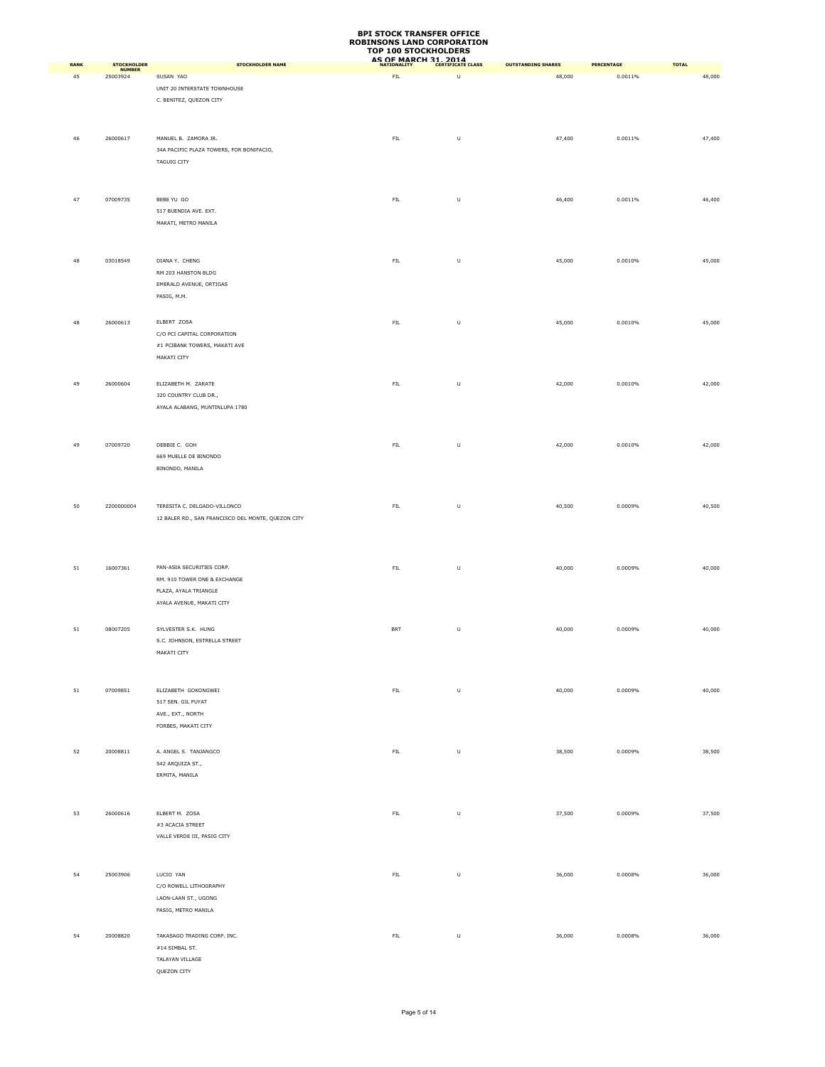|             |                           |                                                                                       | <b>ROBINSONS LAND CORPORATION</b><br><b>TOP 100 STOCKHOLDERS</b> |         |                           |                   |              |
|-------------|---------------------------|---------------------------------------------------------------------------------------|------------------------------------------------------------------|---------|---------------------------|-------------------|--------------|
| <b>RANK</b> | <b>STOCKHOLDER</b>        | <b>STOCKHOLDER NAME</b>                                                               | AS OF MARCH 31, 2014                                             |         | <b>OUTSTANDING SHARES</b> | <b>PERCENTAGE</b> | <b>TOTAL</b> |
| 45          | <b>NUMBER</b><br>25003924 | SUSAN YAO<br>UNIT 20 INTERSTATE TOWNHOUSE                                             | FIL                                                              | U       | 48,000                    | 0.0011%           | 48,000       |
|             |                           | C. BENITEZ, QUEZON CITY                                                               |                                                                  |         |                           |                   |              |
| 46          | 26000617                  | MANUEL B. ZAMORA JR.<br>34A PACIFIC PLAZA TOWERS, FOR BONIFACIO,<br>TAGUIG CITY       | ${\sf FIL}$                                                      | U       | 47,400                    | 0.0011%           | 47,400       |
| 47          | 07009735                  | BEBE YU GO<br>517 BUENDIA AVE. EXT.                                                   | FIL                                                              | U       | 46,400                    | 0.0011%           | 46,400       |
|             |                           | MAKATI, METRO MANILA                                                                  |                                                                  |         |                           |                   |              |
| 48          | 03018549                  | DIANA Y. CHENG<br>RM 203 HANSTON BLDG<br>EMERALD AVENUE, ORTIGAS<br>PASIG, M.M.       | ${\sf FIL}$                                                      | $\sf U$ | 45,000                    | 0.0010%           | 45,000       |
| 48          | 26000613                  | ELBERT ZOSA<br>C/O PCI CAPITAL CORPORATION                                            | ${\sf FIL}$                                                      | $\sf U$ | 45,000                    | 0.0010%           | 45,000       |
| 49          | 26000604                  | #1 PCIBANK TOWERS, MAKATI AVE<br>MAKATI CITY<br>ELIZABETH M. ZARATE                   | ${\sf FIL}$                                                      | U       | 42,000                    | 0.0010%           | 42,000       |
|             |                           | 320 COUNTRY CLUB DR.,<br>AYALA ALABANG, MUNTINLUPA 1780                               |                                                                  |         |                           |                   |              |
| 49          | 07009720                  | DEBBIE C. GOH<br>669 MUELLE DE BINONDO                                                | ${\sf FIL}$                                                      | $\sf U$ | 42,000                    | 0.0010%           | 42,000       |
| 50          | 2200000004                | BINONDO, MANILA<br>TERESITA C. DELGADO-VILLONCO                                       | ${\sf FIL}$                                                      | U       | 40,500                    | 0.0009%           | 40,500       |
|             |                           | 12 BALER RD., SAN FRANCISCO DEL MONTE, QUEZON CITY                                    |                                                                  |         |                           |                   |              |
| 51          | 16007361                  | PAN-ASIA SECURITIES CORP.<br>RM. 910 TOWER ONE & EXCHANGE<br>PLAZA, AYALA TRIANGLE    | ${\sf FIL}$                                                      | U       | 40,000                    | 0.0009%           | 40,000       |
| 51          | 08007205                  | AYALA AVENUE, MAKATI CITY<br>SYLVESTER S.K. HUNG<br>S.C. JOHNSON, ESTRELLA STREET     | <b>BRT</b>                                                       | $\sf U$ | 40,000                    | 0.0009%           | 40,000       |
|             |                           | MAKATI CITY                                                                           |                                                                  |         |                           |                   |              |
| 51          | 07009851                  | ELIZABETH GOKONGWEI<br>517 SEN. GIL PUYAT<br>AVE., EXT., NORTH<br>FORBES, MAKATI CITY | ${\sf FIL}$                                                      | U       | 40,000                    | 0.0009%           | 40,000       |
| 52          | 20008811                  | A. ANGEL S. TANJANGCO<br>542 ARQUIZA ST.,                                             | ${\sf FIL}$                                                      | U       | 38,500                    | 0.0009%           | 38,500       |
|             |                           | ERMITA, MANILA<br>ELBERT M. ZOSA                                                      |                                                                  |         |                           |                   |              |
| 53          | 26000616                  | $\#3$ ACACIA STREET<br>VALLE VERDE III, PASIG CITY                                    | ${\sf FIL}$                                                      | $\sf U$ | 37,500                    | 0.0009%           | 37,500       |
| 54          | 25003906                  | LUCIO YAN<br>C/O ROWELL LITHOGRAPHY                                                   | ${\sf FIL}$                                                      | U       | 36,000                    | 0.0008%           | 36,000       |
| 54          | 20008820                  | LAON-LAAN ST., UGONG<br>PASIG, METRO MANILA<br>TAKASAGO TRADING CORP. INC.            | ${\sf FIL}$                                                      | $\sf U$ | 36,000                    | 0.0008%           | 36,000       |
|             |                           | $\#14$ SIMBAL ST.<br>TALAYAN VILLAGE<br>QUEZON CITY                                   |                                                                  |         |                           |                   |              |

**BPI STOCK TRANSFER OFFICE**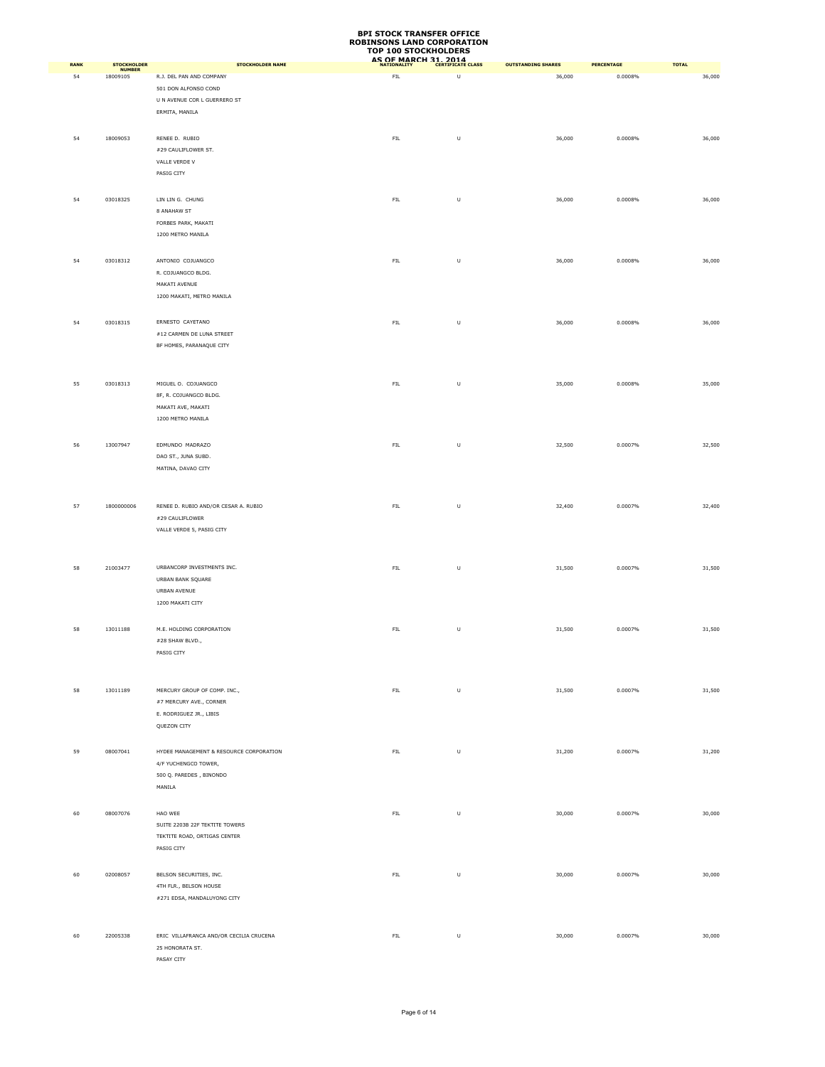|      |                                     |                                         | TOP TOO STOCKHOLDERS<br>AS OF MARCH 31, 2014 |                                                                                                            |                           |                   |              |
|------|-------------------------------------|-----------------------------------------|----------------------------------------------|------------------------------------------------------------------------------------------------------------|---------------------------|-------------------|--------------|
| RANK | <b>STOCKHOLDER</b><br><b>NUMBER</b> | <b>STOCKHOLDER NAME</b>                 |                                              |                                                                                                            | <b>OUTSTANDING SHARES</b> | <b>PERCENTAGE</b> | <b>TOTAL</b> |
| 54   | 18009105                            | R.J. DEL PAN AND COMPANY                | FIL                                          | U                                                                                                          | 36,000                    | 0.0008%           | 36,000       |
|      |                                     | 501 DON ALFONSO COND                    |                                              |                                                                                                            |                           |                   |              |
|      |                                     | U N AVENUE COR L GUERRERO ST            |                                              |                                                                                                            |                           |                   |              |
|      |                                     | ERMITA, MANILA                          |                                              |                                                                                                            |                           |                   |              |
|      |                                     |                                         |                                              |                                                                                                            |                           |                   |              |
| 54   | 18009053                            | RENEE D. RUBIO                          | ${\sf FIL}$                                  | $\sf U$                                                                                                    | 36,000                    | 0.0008%           | 36,000       |
|      |                                     | #29 CAULIFLOWER ST.                     |                                              |                                                                                                            |                           |                   |              |
|      |                                     | VALLE VERDE V                           |                                              |                                                                                                            |                           |                   |              |
|      |                                     | PASIG CITY                              |                                              |                                                                                                            |                           |                   |              |
|      |                                     |                                         |                                              |                                                                                                            |                           |                   |              |
| 54   | 03018325                            | LIN LIN G. CHUNG                        | ${\sf FIL}$                                  | U                                                                                                          | 36,000                    | 0.0008%           | 36,000       |
|      |                                     | 8 ANAHAW ST                             |                                              |                                                                                                            |                           |                   |              |
|      |                                     | FORBES PARK, MAKATI                     |                                              |                                                                                                            |                           |                   |              |
|      |                                     | 1200 METRO MANILA                       |                                              |                                                                                                            |                           |                   |              |
|      |                                     |                                         |                                              |                                                                                                            |                           |                   |              |
|      |                                     |                                         |                                              |                                                                                                            |                           |                   |              |
| 54   | 03018312                            | ANTONIO COJUANGCO                       | ${\sf FIL}$                                  | U                                                                                                          | 36,000                    | 0.0008%           | 36,000       |
|      |                                     | R. COJUANGCO BLDG.                      |                                              |                                                                                                            |                           |                   |              |
|      |                                     | MAKATI AVENUE                           |                                              |                                                                                                            |                           |                   |              |
|      |                                     | 1200 MAKATI, METRO MANILA               |                                              |                                                                                                            |                           |                   |              |
|      |                                     |                                         |                                              |                                                                                                            |                           |                   |              |
| 54   | 03018315                            | ERNESTO CAYETANO                        | ${\sf FIL}$                                  | $\mathsf{U}% _{T}=\mathsf{U}_{T}\!\left( a,b\right) ,\ \mathsf{U}_{T}=\mathsf{U}_{T}\!\left( a,b\right) ,$ | 36,000                    | 0.0008%           | 36,000       |
|      |                                     | #12 CARMEN DE LUNA STREET               |                                              |                                                                                                            |                           |                   |              |
|      |                                     | BF HOMES, PARANAQUE CITY                |                                              |                                                                                                            |                           |                   |              |
|      |                                     |                                         |                                              |                                                                                                            |                           |                   |              |
|      |                                     |                                         |                                              |                                                                                                            |                           |                   |              |
| 55   | 03018313                            | MIGUEL O. COJUANGCO                     | ${\sf FIL}$                                  | $\sf U$                                                                                                    | 35,000                    | 0.0008%           | 35,000       |
|      |                                     |                                         |                                              |                                                                                                            |                           |                   |              |
|      |                                     | 8F, R. COJUANGCO BLDG.                  |                                              |                                                                                                            |                           |                   |              |
|      |                                     | MAKATI AVE, MAKATI                      |                                              |                                                                                                            |                           |                   |              |
|      |                                     | 1200 METRO MANILA                       |                                              |                                                                                                            |                           |                   |              |
|      |                                     |                                         |                                              |                                                                                                            |                           |                   |              |
| 56   | 13007947                            | EDMUNDO MADRAZO                         | ${\sf FIL}$                                  | $\sf U$                                                                                                    | 32,500                    | 0.0007%           | 32,500       |
|      |                                     | DAO ST., JUNA SUBD.                     |                                              |                                                                                                            |                           |                   |              |
|      |                                     | MATINA, DAVAO CITY                      |                                              |                                                                                                            |                           |                   |              |
|      |                                     |                                         |                                              |                                                                                                            |                           |                   |              |
|      |                                     |                                         |                                              |                                                                                                            |                           |                   |              |
| 57   | 1800000006                          | RENEE D. RUBIO AND/OR CESAR A. RUBIO    | ${\sf FIL}$                                  | U                                                                                                          | 32,400                    | 0.0007%           | 32,400       |
|      |                                     | #29 CAULIFLOWER                         |                                              |                                                                                                            |                           |                   |              |
|      |                                     | VALLE VERDE 5, PASIG CITY               |                                              |                                                                                                            |                           |                   |              |
|      |                                     |                                         |                                              |                                                                                                            |                           |                   |              |
|      |                                     |                                         |                                              |                                                                                                            |                           |                   |              |
|      |                                     |                                         |                                              |                                                                                                            |                           |                   |              |
| 58   | 21003477                            | URBANCORP INVESTMENTS INC.              | ${\sf FIL}$                                  | U                                                                                                          | 31,500                    | 0.0007%           | 31,500       |
|      |                                     | URBAN BANK SQUARE                       |                                              |                                                                                                            |                           |                   |              |
|      |                                     | URBAN AVENUE                            |                                              |                                                                                                            |                           |                   |              |
|      |                                     | 1200 MAKATI CITY                        |                                              |                                                                                                            |                           |                   |              |
|      |                                     |                                         |                                              |                                                                                                            |                           |                   |              |
| 58   | 13011188                            | M.E. HOLDING CORPORATION                | ${\sf FIL}$                                  | $\sf U$                                                                                                    | 31,500                    | 0.0007%           | 31,500       |
|      |                                     | #28 SHAW BLVD.,                         |                                              |                                                                                                            |                           |                   |              |
|      |                                     | PASIG CITY                              |                                              |                                                                                                            |                           |                   |              |
|      |                                     |                                         |                                              |                                                                                                            |                           |                   |              |
|      |                                     |                                         |                                              |                                                                                                            |                           |                   |              |
| 58   | 13011189                            | MERCURY GROUP OF COMP. INC.,            | ${\sf FIL}$                                  | $\sf U$                                                                                                    | 31,500                    | 0.0007%           | 31,500       |
|      |                                     |                                         |                                              |                                                                                                            |                           |                   |              |
|      |                                     | #7 MERCURY AVE., CORNER                 |                                              |                                                                                                            |                           |                   |              |
|      |                                     | E. RODRIGUEZ JR., LIBIS                 |                                              |                                                                                                            |                           |                   |              |
|      |                                     | QUEZON CITY                             |                                              |                                                                                                            |                           |                   |              |
|      |                                     |                                         |                                              |                                                                                                            |                           |                   |              |
| 59   | 08007041                            | HYDEE MANAGEMENT & RESOURCE CORPORATION | ${\sf FIL}$                                  | U                                                                                                          | 31,200                    | 0.0007%           | 31,200       |
|      |                                     | 4/F YUCHENGCO TOWER,                    |                                              |                                                                                                            |                           |                   |              |
|      |                                     | 500 Q. PAREDES, BINONDO                 |                                              |                                                                                                            |                           |                   |              |
|      |                                     | MANILA                                  |                                              |                                                                                                            |                           |                   |              |
|      |                                     |                                         |                                              |                                                                                                            |                           |                   |              |
| 60   | 08007076                            | HAO WEE                                 | ${\sf FIL}$                                  | $\sf U$                                                                                                    |                           | 0.0007%           | 30,000       |
|      |                                     |                                         |                                              |                                                                                                            | 30,000                    |                   |              |
|      |                                     | SUITE 2203B 22F TEKTITE TOWERS          |                                              |                                                                                                            |                           |                   |              |
|      |                                     | TEKTITE ROAD, ORTIGAS CENTER            |                                              |                                                                                                            |                           |                   |              |
|      |                                     | PASIG CITY                              |                                              |                                                                                                            |                           |                   |              |
|      |                                     |                                         |                                              |                                                                                                            |                           |                   |              |
| 60   | 02008057                            | BELSON SECURITIES, INC.                 | ${\sf FIL}$                                  | $\sf U$                                                                                                    | 30,000                    | 0.0007%           | 30,000       |
|      |                                     | 4TH FLR., BELSON HOUSE                  |                                              |                                                                                                            |                           |                   |              |
|      |                                     | #271 EDSA, MANDALUYONG CITY             |                                              |                                                                                                            |                           |                   |              |
|      |                                     |                                         |                                              |                                                                                                            |                           |                   |              |
|      |                                     |                                         |                                              |                                                                                                            |                           |                   |              |
| 60   | 22005338                            | ERIC VILLAFRANCA AND/OR CECILIA CRUCENA | ${\sf FIL}$                                  | $\sf U$                                                                                                    | 30,000                    | 0.0007%           | 30,000       |
|      |                                     | 25 HONORATA ST.                         |                                              |                                                                                                            |                           |                   |              |
|      |                                     | PASAY CITY                              |                                              |                                                                                                            |                           |                   |              |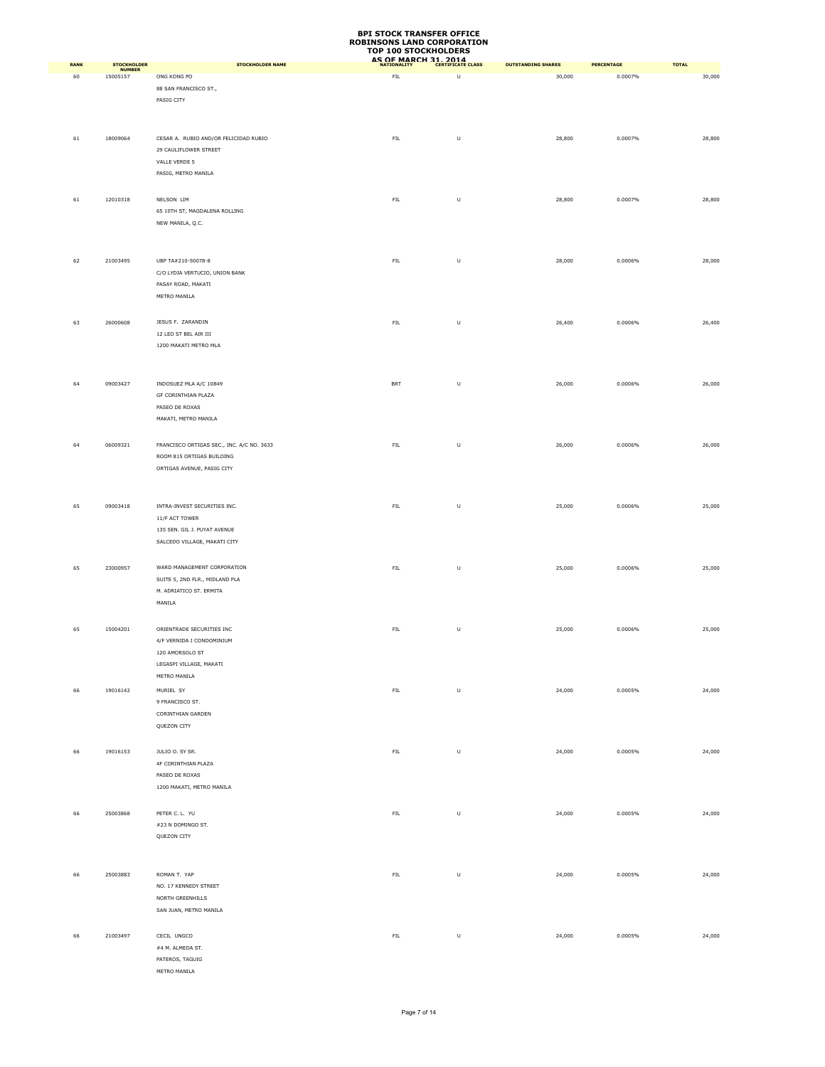| RANK |                                   | <b>STOCKHOLDER NAME</b>                                        | AS OF MARCH 31, 2014 |         | <b>OUTSTANDING SHARES</b> | PERCENTAGE | <b>TOTAL</b> |
|------|-----------------------------------|----------------------------------------------------------------|----------------------|---------|---------------------------|------------|--------------|
| 60   | STOCKHOLDER<br>NUMBER<br>15005157 | ONG KONG PO                                                    | FIL                  | U       | 30,000                    | 0.0007%    | 30,000       |
|      |                                   | 88 SAN FRANCISCO ST.,                                          |                      |         |                           |            |              |
|      |                                   | PASIG CITY                                                     |                      |         |                           |            |              |
|      |                                   |                                                                |                      |         |                           |            |              |
|      |                                   |                                                                |                      |         |                           |            |              |
|      |                                   |                                                                |                      |         |                           |            |              |
| 61   | 18009064                          | CESAR A. RUBIO AND/OR FELICIDAD RUBIO<br>29 CAULIFLOWER STREET | ${\sf FIL}$          | $\sf U$ | 28,800                    | 0.0007%    | 28,800       |
|      |                                   | VALLE VERDE 5                                                  |                      |         |                           |            |              |
|      |                                   | PASIG, METRO MANILA                                            |                      |         |                           |            |              |
|      |                                   |                                                                |                      |         |                           |            |              |
|      |                                   |                                                                |                      |         |                           |            |              |
| 61   | 12010318                          | NELSON LIM<br>65 10TH ST, MAGDALENA ROLLING                    | ${\sf FIL}$          | $\sf U$ | 28,800                    | 0.0007%    | 28,800       |
|      |                                   | NEW MANILA, Q.C.                                               |                      |         |                           |            |              |
|      |                                   |                                                                |                      |         |                           |            |              |
|      |                                   |                                                                |                      |         |                           |            |              |
|      |                                   |                                                                |                      |         |                           |            |              |
| 62   | 21003495                          | UBP TA#210-50078-8                                             | ${\sf FIL}$          | $\sf U$ | 28,000                    | 0.0006%    | 28,000       |
|      |                                   | C/O LYDIA VERTUCIO, UNION BANK                                 |                      |         |                           |            |              |
|      |                                   | PASAY ROAD, MAKATI                                             |                      |         |                           |            |              |
|      |                                   | METRO MANILA                                                   |                      |         |                           |            |              |
|      |                                   |                                                                |                      |         |                           |            |              |
| 63   | 26000608                          | JESUS F. ZARANDIN                                              | ${\sf FIL}$          | $\sf U$ | 26,400                    | 0.0006%    | 26,400       |
|      |                                   | 12 LEO ST BEL AIR III                                          |                      |         |                           |            |              |
|      |                                   | 1200 MAKATI METRO MLA                                          |                      |         |                           |            |              |
|      |                                   |                                                                |                      |         |                           |            |              |
|      |                                   |                                                                |                      |         |                           |            |              |
| 64   | 09003427                          | INDOSUEZ MLA A/C 10849                                         | BRT                  | $\sf U$ | 26,000                    | 0.0006%    | 26,000       |
|      |                                   | GF CORINTHIAN PLAZA                                            |                      |         |                           |            |              |
|      |                                   | PASEO DE ROXAS                                                 |                      |         |                           |            |              |
|      |                                   | MAKATI, METRO MANILA                                           |                      |         |                           |            |              |
|      |                                   |                                                                |                      |         |                           |            |              |
| 64   | 06009321                          | FRANCISCO ORTIGAS SEC., INC. A/C NO. 3633                      | ${\sf FIL}$          | U       | 26,000                    | 0.0006%    | 26,000       |
|      |                                   | ROOM 815 ORTIGAS BUILDING                                      |                      |         |                           |            |              |
|      |                                   | ORTIGAS AVENUE, PASIG CITY                                     |                      |         |                           |            |              |
|      |                                   |                                                                |                      |         |                           |            |              |
|      |                                   |                                                                |                      |         |                           |            |              |
| 65   | 09003418                          | INTRA-INVEST SECURITIES INC.                                   | ${\sf FIL}$          | U       | 25,000                    | 0.0006%    | 25,000       |
|      |                                   | 11/F ACT TOWER                                                 |                      |         |                           |            |              |
|      |                                   | 135 SEN. GIL J. PUYAT AVENUE                                   |                      |         |                           |            |              |
|      |                                   | SALCEDO VILLAGE, MAKATI CITY                                   |                      |         |                           |            |              |
|      |                                   |                                                                |                      |         |                           |            |              |
| 65   | 23000957                          | WARD MANAGEMENT CORPORATION                                    | FIL                  | U       | 25,000                    | 0.0006%    | 25,000       |
|      |                                   | SUITE 5, 2ND FLR., MIDLAND PLA                                 |                      |         |                           |            |              |
|      |                                   | M. ADRIATICO ST. ERMITA                                        |                      |         |                           |            |              |
|      |                                   | MANILA                                                         |                      |         |                           |            |              |
|      |                                   |                                                                |                      |         |                           |            |              |
| 65   | 15004201                          | ORIENTRADE SECURITIES INC                                      | ${\sf FIL}$          | $\sf U$ | 25,000                    | 0.0006%    | 25,000       |
|      |                                   | 4/F VERNIDA I CONDOMINIUM                                      |                      |         |                           |            |              |
|      |                                   | 120 AMORSOLO ST                                                |                      |         |                           |            |              |
|      |                                   | LEGASPI VILLAGE, MAKATI                                        |                      |         |                           |            |              |
|      |                                   | METRO MANILA                                                   |                      |         |                           |            |              |
| 66   | 19016142                          | MURIEL SY                                                      | ${\sf FIL}$          | $\sf U$ | 24,000                    | 0.0005%    | 24,000       |
|      |                                   | 9 FRANCISCO ST.                                                |                      |         |                           |            |              |
|      |                                   | CORINTHIAN GARDEN                                              |                      |         |                           |            |              |
|      |                                   | QUEZON CITY                                                    |                      |         |                           |            |              |
|      |                                   |                                                                |                      |         |                           |            |              |
| 66   | 19016153                          | JULIO O. SY SR.                                                | FIL                  | $\sf U$ | 24,000                    | 0.0005%    | 24,000       |
|      |                                   | 4F CORINTHIAN PLAZA                                            |                      |         |                           |            |              |
|      |                                   | PASEO DE ROXAS                                                 |                      |         |                           |            |              |
|      |                                   | 1200 MAKATI, METRO MANILA                                      |                      |         |                           |            |              |
|      |                                   |                                                                |                      |         |                           |            |              |
|      |                                   | PETER C. L. YU                                                 |                      |         |                           |            |              |
| 66   | 25003868                          |                                                                | ${\sf FIL}$          | $\sf U$ | 24,000                    | 0.0005%    | 24,000       |
|      |                                   | #23 N DOMINGO ST.                                              |                      |         |                           |            |              |
|      |                                   | QUEZON CITY                                                    |                      |         |                           |            |              |
|      |                                   |                                                                |                      |         |                           |            |              |
|      |                                   |                                                                |                      |         |                           |            |              |
| 66   | 25003883                          | ROMAN T. YAP                                                   | ${\sf FIL}$          | $\sf U$ | 24,000                    | 0.0005%    | 24,000       |
|      |                                   | NO. 17 KENNEDY STREET                                          |                      |         |                           |            |              |
|      |                                   | NORTH GREENHILLS                                               |                      |         |                           |            |              |
|      |                                   | SAN JUAN, METRO MANILA                                         |                      |         |                           |            |              |
|      |                                   |                                                                |                      |         |                           |            |              |
| 66   | 21003497                          | CECIL UNGCO                                                    | ${\sf FIL}$          | U       | 24,000                    | 0.0005%    | 24,000       |
|      |                                   | #4 M. ALMEDA ST.                                               |                      |         |                           |            |              |
|      |                                   | PATEROS, TAGUIG                                                |                      |         |                           |            |              |
|      |                                   | METRO MANILA                                                   |                      |         |                           |            |              |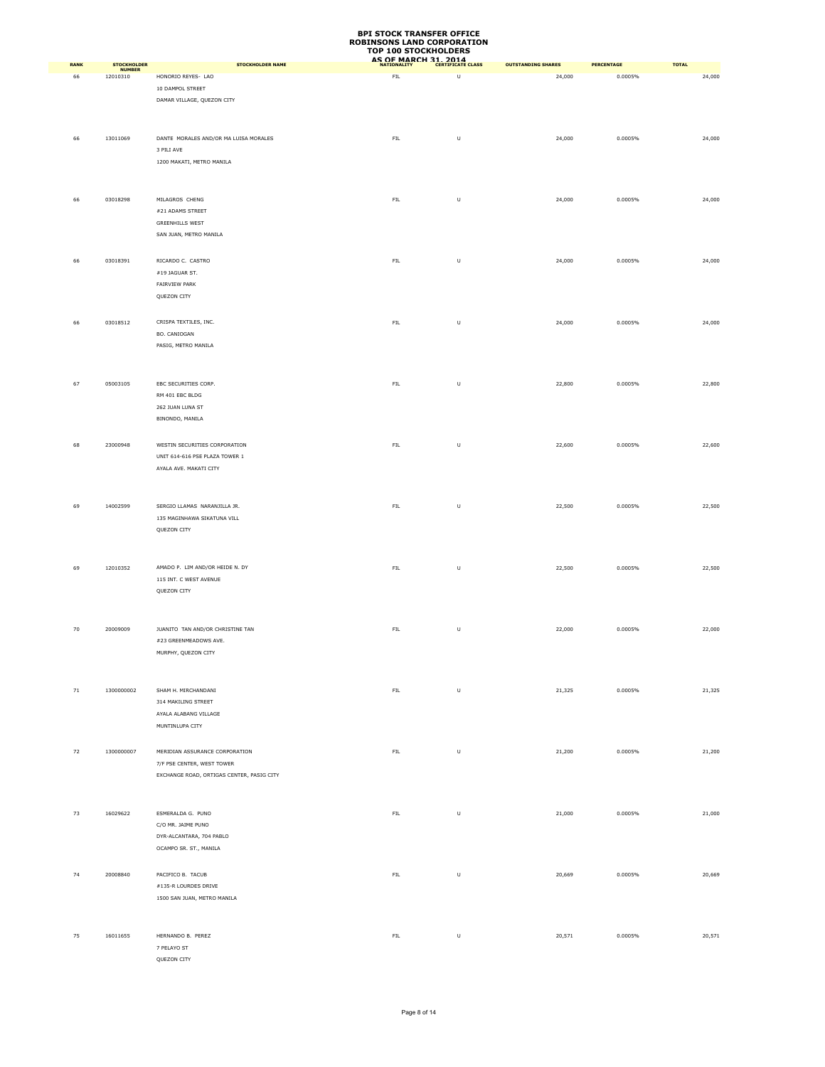| RANK   |                                   | <b>STOCKHOLDER NAME</b>                    | AS OF MARCH 31, 2014 |                                                                                                            | <b>OUTSTANDING SHARES</b> | PERCENTAGE | <b>TOTAL</b> |
|--------|-----------------------------------|--------------------------------------------|----------------------|------------------------------------------------------------------------------------------------------------|---------------------------|------------|--------------|
| 66     | STOCKHOLDER<br>NUMBER<br>12010310 | HONORIO REYES- LAO                         | ${\sf FIL}$          | $\sf U$                                                                                                    | 24,000                    | 0.0005%    | 24,000       |
|        |                                   | 10 DAMPOL STREET                           |                      |                                                                                                            |                           |            |              |
|        |                                   | DAMAR VILLAGE, QUEZON CITY                 |                      |                                                                                                            |                           |            |              |
|        |                                   |                                            |                      |                                                                                                            |                           |            |              |
|        |                                   |                                            |                      |                                                                                                            |                           |            |              |
|        |                                   | DANTE MORALES AND/OR MA LUISA MORALES      | ${\sf FIL}$          |                                                                                                            |                           | 0.0005%    |              |
| 66     | 13011069                          | 3 PILI AVE                                 |                      | $\sf U$                                                                                                    | 24,000                    |            | 24,000       |
|        |                                   | 1200 MAKATI, METRO MANILA                  |                      |                                                                                                            |                           |            |              |
|        |                                   |                                            |                      |                                                                                                            |                           |            |              |
|        |                                   |                                            |                      |                                                                                                            |                           |            |              |
|        |                                   |                                            |                      |                                                                                                            |                           |            |              |
| 66     | 03018298                          | MILAGROS CHENG                             | ${\sf FIL}$          | $\sf U$                                                                                                    | 24,000                    | 0.0005%    | 24,000       |
|        |                                   | #21 ADAMS STREET<br><b>GREENHILLS WEST</b> |                      |                                                                                                            |                           |            |              |
|        |                                   | SAN JUAN, METRO MANILA                     |                      |                                                                                                            |                           |            |              |
|        |                                   |                                            |                      |                                                                                                            |                           |            |              |
|        |                                   |                                            |                      |                                                                                                            |                           |            |              |
| 66     | 03018391                          | RICARDO C. CASTRO                          | ${\sf FIL}$          | $\sf U$                                                                                                    | 24,000                    | 0.0005%    | 24,000       |
|        |                                   | #19 JAGUAR ST.                             |                      |                                                                                                            |                           |            |              |
|        |                                   | FAIRVIEW PARK<br>QUEZON CITY               |                      |                                                                                                            |                           |            |              |
|        |                                   |                                            |                      |                                                                                                            |                           |            |              |
|        |                                   |                                            |                      |                                                                                                            |                           |            |              |
| 66     | 03018512                          | CRISPA TEXTILES, INC.                      | ${\sf FIL}$          | $\mathsf{U}% _{T}=\mathsf{U}_{T}\!\left( a,b\right) ,\ \mathsf{U}_{T}=\mathsf{U}_{T}\!\left( a,b\right) ,$ | 24,000                    | 0.0005%    | 24,000       |
|        |                                   | BO. CANIOGAN                               |                      |                                                                                                            |                           |            |              |
|        |                                   | PASIG, METRO MANILA                        |                      |                                                                                                            |                           |            |              |
|        |                                   |                                            |                      |                                                                                                            |                           |            |              |
|        |                                   |                                            |                      |                                                                                                            |                           |            |              |
| 67     | 05003105                          | EBC SECURITIES CORP.                       | ${\sf FIL}$          | $\sf U$                                                                                                    | 22,800                    | 0.0005%    | 22,800       |
|        |                                   | RM 401 EBC BLDG                            |                      |                                                                                                            |                           |            |              |
|        |                                   | 262 JUAN LUNA ST                           |                      |                                                                                                            |                           |            |              |
|        |                                   | BINONDO, MANILA                            |                      |                                                                                                            |                           |            |              |
|        |                                   |                                            |                      |                                                                                                            |                           |            |              |
| 68     | 23000948                          | WESTIN SECURITIES CORPORATION              | ${\sf FIL}$          | $\sf U$                                                                                                    | 22,600                    | 0.0005%    | 22,600       |
|        |                                   | UNIT 614-616 PSE PLAZA TOWER 1             |                      |                                                                                                            |                           |            |              |
|        |                                   | AYALA AVE. MAKATI CITY                     |                      |                                                                                                            |                           |            |              |
|        |                                   |                                            |                      |                                                                                                            |                           |            |              |
|        |                                   |                                            |                      |                                                                                                            |                           |            |              |
| 69     | 14002599                          | SERGIO LLAMAS NARANJILLA JR.               | ${\sf FIL}$          | $\sf U$                                                                                                    | 22,500                    | 0.0005%    | 22,500       |
|        |                                   | 135 MAGINHAWA SIKATUNA VILL                |                      |                                                                                                            |                           |            |              |
|        |                                   | QUEZON CITY                                |                      |                                                                                                            |                           |            |              |
|        |                                   |                                            |                      |                                                                                                            |                           |            |              |
|        |                                   |                                            |                      |                                                                                                            |                           |            |              |
| 69     | 12010352                          | AMADO P. LIM AND/OR HEIDE N. DY            | ${\sf FIL}$          | $\sf U$                                                                                                    | 22,500                    | 0.0005%    | 22,500       |
|        |                                   | 115 INT. C WEST AVENUE                     |                      |                                                                                                            |                           |            |              |
|        |                                   | QUEZON CITY                                |                      |                                                                                                            |                           |            |              |
|        |                                   |                                            |                      |                                                                                                            |                           |            |              |
|        |                                   |                                            |                      |                                                                                                            |                           |            |              |
| 70     | 20009009                          | JUANITO TAN AND/OR CHRISTINE TAN           | ${\sf FIL}$          | $\sf U$                                                                                                    | 22,000                    | 0.0005%    | 22,000       |
|        |                                   | #23 GREENMEADOWS AVE.                      |                      |                                                                                                            |                           |            |              |
|        |                                   | MURPHY, QUEZON CITY                        |                      |                                                                                                            |                           |            |              |
|        |                                   |                                            |                      |                                                                                                            |                           |            |              |
|        |                                   |                                            |                      |                                                                                                            |                           |            |              |
| $71\,$ | 1300000002                        | SHAM H. MIRCHANDANI                        | ${\sf FIL}$          | $\sf U$                                                                                                    | 21,325                    | 0.0005%    | 21,325       |
|        |                                   | 314 MAKILING STREET                        |                      |                                                                                                            |                           |            |              |
|        |                                   | AYALA ALABANG VILLAGE                      |                      |                                                                                                            |                           |            |              |
|        |                                   | MUNTINLUPA CITY                            |                      |                                                                                                            |                           |            |              |
|        |                                   |                                            |                      |                                                                                                            |                           |            |              |
| 72     | 1300000007                        | MERIDIAN ASSURANCE CORPORATION             | ${\sf FIL}$          | $\sf U$                                                                                                    | 21,200                    | 0.0005%    | 21,200       |
|        |                                   | 7/F PSE CENTER, WEST TOWER                 |                      |                                                                                                            |                           |            |              |
|        |                                   | EXCHANGE ROAD, ORTIGAS CENTER, PASIG CITY  |                      |                                                                                                            |                           |            |              |
|        |                                   |                                            |                      |                                                                                                            |                           |            |              |
|        |                                   |                                            |                      |                                                                                                            |                           |            |              |
| 73     | 16029622                          | ESMERALDA G. PUNO                          | ${\sf FIL}$          | $\mathsf{U}% _{T}=\mathsf{U}_{T}\!\left( a,b\right) ,\ \mathsf{U}_{T}=\mathsf{U}_{T}\!\left( a,b\right) ,$ | 21,000                    | 0.0005%    | 21,000       |
|        |                                   | C/O MR. JAIME PUNO                         |                      |                                                                                                            |                           |            |              |
|        |                                   | DYR-ALCANTARA, 704 PABLO                   |                      |                                                                                                            |                           |            |              |
|        |                                   | OCAMPO SR. ST., MANILA                     |                      |                                                                                                            |                           |            |              |
|        |                                   |                                            |                      |                                                                                                            |                           |            |              |
| 74     | 20008840                          | PACIFICO B. TACUB                          | ${\sf FIL}$          | $\sf U$                                                                                                    | 20,669                    | 0.0005%    | 20,669       |
|        |                                   | #135-R LOURDES DRIVE                       |                      |                                                                                                            |                           |            |              |
|        |                                   | 1500 SAN JUAN, METRO MANILA                |                      |                                                                                                            |                           |            |              |
|        |                                   |                                            |                      |                                                                                                            |                           |            |              |
|        |                                   |                                            |                      |                                                                                                            |                           |            |              |
| 75     | 16011655                          | HERNANDO B. PEREZ                          | ${\sf FIL}$          | $\sf U$                                                                                                    | 20,571                    | 0.0005%    | 20,571       |
|        |                                   | 7 PELAYO ST                                |                      |                                                                                                            |                           |            |              |
|        |                                   | QUEZON CITY                                |                      |                                                                                                            |                           |            |              |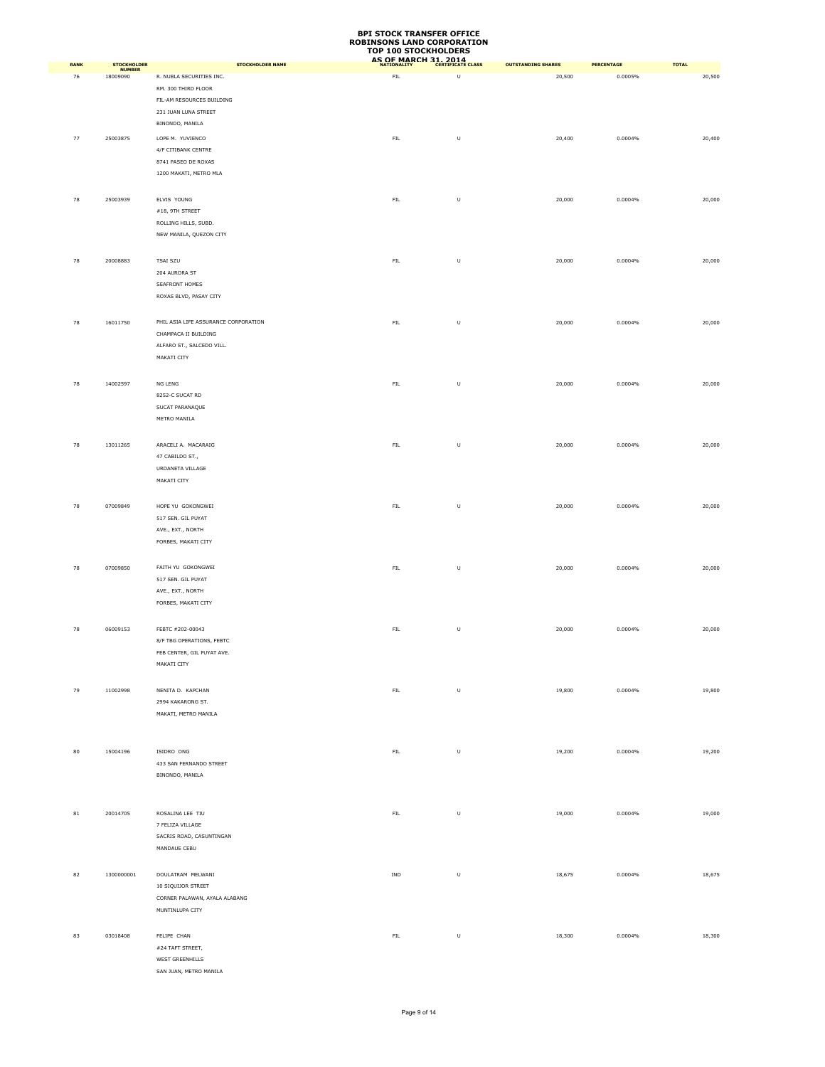|             |                                     |                                      | TOP TOO STOCKHOLDERS<br>AS OF MARCH 31, 2014 |         |                           |                   |              |
|-------------|-------------------------------------|--------------------------------------|----------------------------------------------|---------|---------------------------|-------------------|--------------|
| <b>RANK</b> | <b>STOCKHOLDER</b><br><b>NUMBER</b> | <b>STOCKHOLDER NAME</b>              |                                              |         | <b>OUTSTANDING SHARES</b> | <b>PERCENTAGE</b> | <b>TOTAL</b> |
| 76          | 18009090                            | R. NUBLA SECURITIES INC.             | ${\sf FIL}$                                  | $\sf U$ | 20,500                    | 0.0005%           | 20,500       |
|             |                                     | RM. 300 THIRD FLOOR                  |                                              |         |                           |                   |              |
|             |                                     | FIL-AM RESOURCES BUILDING            |                                              |         |                           |                   |              |
|             |                                     | 231 JUAN LUNA STREET                 |                                              |         |                           |                   |              |
|             |                                     | BINONDO, MANILA                      |                                              |         |                           |                   |              |
| 77          | 25003875                            | LOPE M. YUVIENCO                     | ${\sf FIL}$                                  | $\sf U$ | 20,400                    | 0.0004%           | 20,400       |
|             |                                     | 4/F CITIBANK CENTRE                  |                                              |         |                           |                   |              |
|             |                                     | 8741 PASEO DE ROXAS                  |                                              |         |                           |                   |              |
|             |                                     | 1200 MAKATI, METRO MLA               |                                              |         |                           |                   |              |
|             |                                     |                                      |                                              |         |                           |                   |              |
| 78          | 25003939                            | ELVIS YOUNG                          | ${\sf FIL}$                                  | $\sf U$ | 20,000                    | 0.0004%           | 20,000       |
|             |                                     | #18, 9TH STREET                      |                                              |         |                           |                   |              |
|             |                                     | ROLLING HILLS, SUBD.                 |                                              |         |                           |                   |              |
|             |                                     | NEW MANILA, QUEZON CITY              |                                              |         |                           |                   |              |
|             |                                     |                                      |                                              |         |                           |                   |              |
| 78          | 20008883                            | TSAI SZU                             | ${\sf FIL}$                                  | $\sf U$ | 20,000                    | 0.0004%           | 20,000       |
|             |                                     | 204 AURORA ST                        |                                              |         |                           |                   |              |
|             |                                     | SEAFRONT HOMES                       |                                              |         |                           |                   |              |
|             |                                     | ROXAS BLVD, PASAY CITY               |                                              |         |                           |                   |              |
|             |                                     |                                      |                                              |         |                           |                   |              |
| 78          | 16011750                            | PHIL ASIA LIFE ASSURANCE CORPORATION | ${\sf FIL}$                                  | $\sf U$ | 20,000                    | $0.0004\%$        | 20,000       |
|             |                                     | CHAMPACA II BUILDING                 |                                              |         |                           |                   |              |
|             |                                     | ALFARO ST., SALCEDO VILL.            |                                              |         |                           |                   |              |
|             |                                     | MAKATI CITY                          |                                              |         |                           |                   |              |
|             |                                     |                                      |                                              |         |                           |                   |              |
| 78          | 14002597                            | NG LENG                              | ${\sf FIL}$                                  | U       | 20,000                    | 0.0004%           | 20,000       |
|             |                                     | 8252-C SUCAT RD                      |                                              |         |                           |                   |              |
|             |                                     | SUCAT PARANAQUE                      |                                              |         |                           |                   |              |
|             |                                     | METRO MANILA                         |                                              |         |                           |                   |              |
|             |                                     |                                      |                                              |         |                           |                   |              |
| 78          | 13011265                            | ARACELI A. MACARAIG                  | ${\sf FIL}$                                  | U       | 20,000                    | 0.0004%           | 20,000       |
|             |                                     | 47 CABILDO ST.,                      |                                              |         |                           |                   |              |
|             |                                     | URDANETA VILLAGE                     |                                              |         |                           |                   |              |
|             |                                     | MAKATI CITY                          |                                              |         |                           |                   |              |
|             |                                     |                                      |                                              |         |                           |                   |              |
| 78          | 07009849                            | HOPE YU GOKONGWEI                    | ${\sf FIL}$                                  | U       | 20,000                    | 0.0004%           | 20,000       |
|             |                                     | 517 SEN. GIL PUYAT                   |                                              |         |                           |                   |              |
|             |                                     | AVE., EXT., NORTH                    |                                              |         |                           |                   |              |
|             |                                     | FORBES, MAKATI CITY                  |                                              |         |                           |                   |              |
|             |                                     |                                      |                                              |         |                           |                   |              |
| 78          | 07009850                            | FAITH YU GOKONGWEI                   | ${\sf FIL}$                                  | $\sf U$ | 20,000                    | 0.0004%           | 20,000       |
|             |                                     | 517 SEN. GIL PUYAT                   |                                              |         |                           |                   |              |
|             |                                     | AVE., EXT., NORTH                    |                                              |         |                           |                   |              |
|             |                                     | FORBES, MAKATI CITY                  |                                              |         |                           |                   |              |
|             |                                     |                                      |                                              |         |                           |                   |              |
| 78          | 06009153                            | FEBTC #202-00043                     | ${\sf FIL}$                                  | $\sf U$ | 20,000                    | 0.0004%           | 20,000       |
|             |                                     | 8/F TBG OPERATIONS, FEBTC            |                                              |         |                           |                   |              |
|             |                                     | FEB CENTER, GIL PUYAT AVE.           |                                              |         |                           |                   |              |
|             |                                     | MAKATI CITY                          |                                              |         |                           |                   |              |
|             |                                     |                                      |                                              |         |                           |                   |              |
| 79          | 11002998                            | NENITA D. KAPCHAN                    | ${\sf FIL}$                                  | $\sf U$ | 19,800                    | $0.0004\%$        | 19,800       |
|             |                                     | 2994 KAKARONG ST.                    |                                              |         |                           |                   |              |
|             |                                     | MAKATI, METRO MANILA                 |                                              |         |                           |                   |              |
|             |                                     |                                      |                                              |         |                           |                   |              |
|             |                                     |                                      |                                              |         |                           |                   |              |
|             |                                     |                                      |                                              |         |                           |                   |              |
| 80          | 15004196                            | ISIDRO ONG                           | FL                                           | $\sf U$ | 19,200                    | 0.0004%           | 19,200       |
|             |                                     | 433 SAN FERNANDO STREET              |                                              |         |                           |                   |              |
|             |                                     | BINONDO, MANILA                      |                                              |         |                           |                   |              |
|             |                                     |                                      |                                              |         |                           |                   |              |
|             |                                     |                                      |                                              |         |                           |                   |              |
| 81          | 20014705                            | ROSALINA LEE TIU                     | ${\sf FIL}$                                  | $\sf U$ | 19,000                    | $0.0004\%$        | 19,000       |
|             |                                     | 7 FELIZA VILLAGE                     |                                              |         |                           |                   |              |
|             |                                     | SACRIS ROAD, CASUNTINGAN             |                                              |         |                           |                   |              |
|             |                                     | MANDAUE CEBU                         |                                              |         |                           |                   |              |
|             |                                     |                                      |                                              |         |                           |                   |              |
| 82          | 1300000001                          | DOULATRAM MELWANI                    | IND                                          | $\sf U$ | 18,675                    | 0.0004%           | 18,675       |
|             |                                     | 10 SIQUIJOR STREET                   |                                              |         |                           |                   |              |
|             |                                     | CORNER PALAWAN, AYALA ALABANG        |                                              |         |                           |                   |              |
|             |                                     | MUNTINLUPA CITY                      |                                              |         |                           |                   |              |
|             |                                     |                                      |                                              |         |                           |                   |              |
| 83          | 03018408                            | FELIPE CHAN                          | ${\sf FIL}$                                  | U       | 18,300                    | 0.0004%           | 18,300       |
|             |                                     | #24 TAFT STREET,                     |                                              |         |                           |                   |              |
|             |                                     | WEST GREENHILLS                      |                                              |         |                           |                   |              |
|             |                                     | SAN JUAN, METRO MANILA               |                                              |         |                           |                   |              |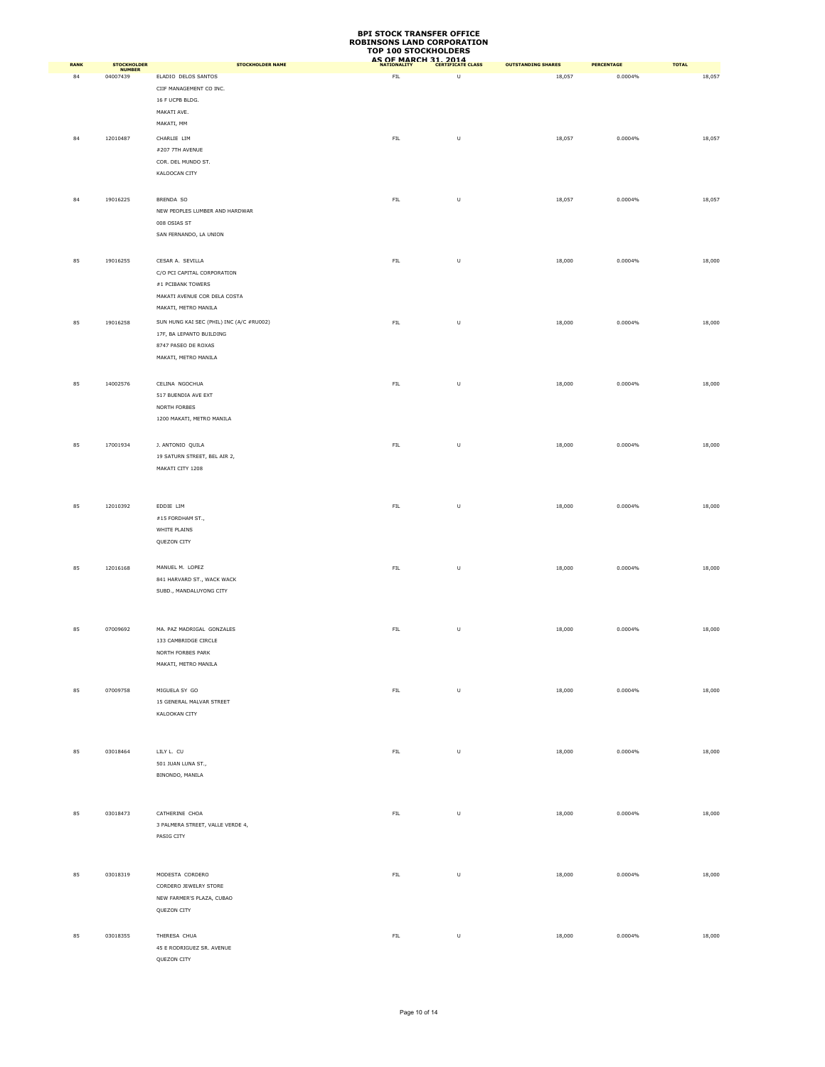| <b>RANK</b> | <b>STOCKHOLDER</b>        | <b>STOCKHOLDER NAME</b>                   | AS OF MARCH 31, 2014 |         | <b>OUTSTANDING SHARES</b> | PERCENTAGE | <b>TOTAL</b> |
|-------------|---------------------------|-------------------------------------------|----------------------|---------|---------------------------|------------|--------------|
| 84          | <b>NUMBER</b><br>04007439 | ELADIO DELOS SANTOS                       | ${\sf FIL}$          | U       | 18,057                    | 0.0004%    | 18,057       |
|             |                           | CIIF MANAGEMENT CO INC.                   |                      |         |                           |            |              |
|             |                           | 16 F UCPB BLDG.                           |                      |         |                           |            |              |
|             |                           | MAKATI AVE.                               |                      |         |                           |            |              |
|             |                           | MAKATI, MM                                |                      |         |                           |            |              |
| 84          | 12010487                  | CHARLIE LIM                               | ${\sf FIL}$          | $\sf U$ | 18,057                    | 0.0004%    | 18,057       |
|             |                           | #207 7TH AVENUE                           |                      |         |                           |            |              |
|             |                           | COR. DEL MUNDO ST.                        |                      |         |                           |            |              |
|             |                           | KALOOCAN CITY                             |                      |         |                           |            |              |
|             |                           |                                           |                      |         |                           |            |              |
| 84          | 19016225                  | BRENDA SO                                 | ${\sf FIL}$          | $\sf U$ | 18,057                    | $0.0004\%$ | 18,057       |
|             |                           | NEW PEOPLES LUMBER AND HARDWAR            |                      |         |                           |            |              |
|             |                           | 008 OSIAS ST                              |                      |         |                           |            |              |
|             |                           | SAN FERNANDO, LA UNION                    |                      |         |                           |            |              |
|             |                           |                                           |                      |         |                           |            |              |
| 85          | 19016255                  | CESAR A. SEVILLA                          | ${\sf FIL}$          | $\sf U$ | 18,000                    | 0.0004%    | 18,000       |
|             |                           | C/O PCI CAPITAL CORPORATION               |                      |         |                           |            |              |
|             |                           | $\#1$ PCIBANK TOWERS                      |                      |         |                           |            |              |
|             |                           | MAKATI AVENUE COR DELA COSTA              |                      |         |                           |            |              |
|             |                           | MAKATI, METRO MANILA                      |                      |         |                           |            |              |
| 85          | 19016258                  | SUN HUNG KAI SEC (PHIL) INC (A/C #RU002)  | ${\sf FIL}$          | $\sf U$ | 18,000                    | 0.0004%    | 18,000       |
|             |                           | 17F, BA LEPANTO BUILDING                  |                      |         |                           |            |              |
|             |                           | 8747 PASEO DE ROXAS                       |                      |         |                           |            |              |
|             |                           | MAKATI, METRO MANILA                      |                      |         |                           |            |              |
|             |                           |                                           |                      |         |                           |            |              |
| 85          | 14002576                  | CELINA NGOCHUA                            | ${\sf FIL}$          | $\sf U$ | 18,000                    | 0.0004%    | 18,000       |
|             |                           | 517 BUENDIA AVE EXT                       |                      |         |                           |            |              |
|             |                           | NORTH FORBES                              |                      |         |                           |            |              |
|             |                           | 1200 MAKATI, METRO MANILA                 |                      |         |                           |            |              |
|             |                           |                                           |                      |         |                           |            |              |
| 85          | 17001934                  | J. ANTONIO QUILA                          | ${\sf FIL}$          | $\sf U$ | 18,000                    | 0.0004%    | 18,000       |
|             |                           | 19 SATURN STREET, BEL AIR 2,              |                      |         |                           |            |              |
|             |                           | MAKATI CITY 1208                          |                      |         |                           |            |              |
|             |                           |                                           |                      |         |                           |            |              |
|             |                           |                                           |                      |         |                           |            |              |
| 85          | 12010392                  | EDDIE LIM                                 | ${\sf FIL}$          | $\sf U$ | 18,000                    | 0.0004%    | 18,000       |
|             |                           | #15 FORDHAM ST.,                          |                      |         |                           |            |              |
|             |                           | WHITE PLAINS                              |                      |         |                           |            |              |
|             |                           | QUEZON CITY                               |                      |         |                           |            |              |
|             |                           |                                           |                      |         |                           |            |              |
| 85          | 12016168                  | MANUEL M. LOPEZ                           | ${\sf FIL}$          | U       | 18,000                    | 0.0004%    | 18,000       |
|             |                           | 841 HARVARD ST., WACK WACK                |                      |         |                           |            |              |
|             |                           | SUBD., MANDALUYONG CITY                   |                      |         |                           |            |              |
|             |                           |                                           |                      |         |                           |            |              |
|             | 07009692                  | MA. PAZ MADRIGAL GONZALES                 |                      |         |                           |            |              |
| 85          |                           | 133 CAMBRIDGE CIRCLE                      | ${\sf FIL}$          | $\sf U$ | 18,000                    | 0.0004%    | 18,000       |
|             |                           | NORTH FORBES PARK                         |                      |         |                           |            |              |
|             |                           | MAKATI, METRO MANILA                      |                      |         |                           |            |              |
|             |                           |                                           |                      |         |                           |            |              |
|             | 07009758                  |                                           | ${\sf FIL}$          | $\sf U$ | 18,000                    | $0.0004\%$ |              |
| 85          |                           | MIGUELA SY GO<br>15 GENERAL MALVAR STREET |                      |         |                           |            | 18,000       |
|             |                           | KALOOKAN CITY                             |                      |         |                           |            |              |
|             |                           |                                           |                      |         |                           |            |              |
|             |                           |                                           |                      |         |                           |            |              |
| 85          | 03018464                  | LILY L. CU                                | FIL                  | $\sf U$ | 18,000                    | 0.0004%    | 18,000       |
|             |                           | 501 JUAN LUNA ST.,                        |                      |         |                           |            |              |
|             |                           | BINONDO, MANILA                           |                      |         |                           |            |              |
|             |                           |                                           |                      |         |                           |            |              |
|             |                           |                                           |                      |         |                           |            |              |
| 85          | 03018473                  | CATHERINE CHOA                            | ${\sf FIL}$          | $\sf U$ | 18,000                    | 0.0004%    | 18,000       |
|             |                           | 3 PALMERA STREET, VALLE VERDE 4,          |                      |         |                           |            |              |
|             |                           | PASIG CITY                                |                      |         |                           |            |              |
|             |                           |                                           |                      |         |                           |            |              |
|             |                           |                                           |                      |         |                           |            |              |
| 85          | 03018319                  | MODESTA CORDERO                           | ${\sf FIL}$          | $\sf U$ | 18,000                    | 0.0004%    | 18,000       |
|             |                           | CORDERO JEWELRY STORE                     |                      |         |                           |            |              |
|             |                           | NEW FARMER'S PLAZA, CUBAO                 |                      |         |                           |            |              |
|             |                           | QUEZON CITY                               |                      |         |                           |            |              |
|             |                           |                                           |                      |         |                           |            |              |
| 85          | 03018355                  | THERESA CHUA                              | ${\sf FIL}$          | $\sf U$ | 18,000                    | 0.0004%    | 18,000       |
|             |                           | 45 E RODRIGUEZ SR. AVENUE                 |                      |         |                           |            |              |
|             |                           | OUEZON CITY                               |                      |         |                           |            |              |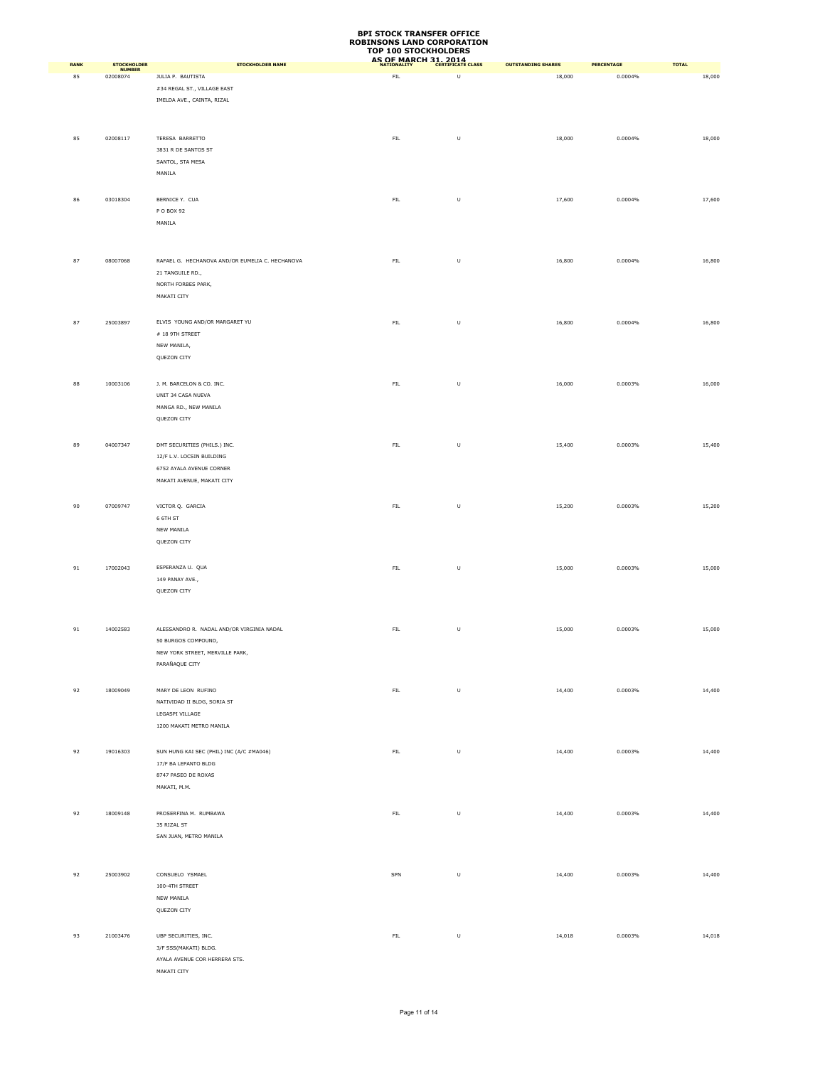|             |                           |                                                                     | <b>ROBINSONS LAND CORPORATION</b><br><b>TOP 100 STOCKHOLDERS</b> |                                                                                                            |                           |            |              |
|-------------|---------------------------|---------------------------------------------------------------------|------------------------------------------------------------------|------------------------------------------------------------------------------------------------------------|---------------------------|------------|--------------|
| <b>RANK</b> | <b>STOCKHOLDER</b>        | <b>STOCKHOLDER NAME</b>                                             | AS OF MARCH 31, 2014                                             |                                                                                                            | <b>OUTSTANDING SHARES</b> | PERCENTAGE | <b>TOTAL</b> |
| 85          | <b>NUMBER</b><br>02008074 | JULIA P. BAUTISTA                                                   | <b>FIL</b>                                                       | U                                                                                                          | 18,000                    | 0.0004%    | 18,000       |
|             |                           | #34 REGAL ST., VILLAGE EAST                                         |                                                                  |                                                                                                            |                           |            |              |
|             |                           | IMELDA AVE., CAINTA, RIZAL                                          |                                                                  |                                                                                                            |                           |            |              |
|             |                           |                                                                     |                                                                  |                                                                                                            |                           |            |              |
| 85          | 02008117                  | TERESA BARRETTO                                                     | ${\sf FIL}$                                                      | $\sf U$                                                                                                    | 18,000                    | 0.0004%    | 18,000       |
|             |                           | 3831 R DE SANTOS ST                                                 |                                                                  |                                                                                                            |                           |            |              |
|             |                           | SANTOL, STA MESA                                                    |                                                                  |                                                                                                            |                           |            |              |
|             |                           | MANILA                                                              |                                                                  |                                                                                                            |                           |            |              |
|             |                           |                                                                     |                                                                  |                                                                                                            |                           | 0.0004%    |              |
| 86          | 03018304                  | BERNICE Y. CUA<br>P O BOX 92                                        | ${\sf FIL}$                                                      | $\sf U$                                                                                                    | 17,600                    |            | 17,600       |
|             |                           | MANILA                                                              |                                                                  |                                                                                                            |                           |            |              |
|             |                           |                                                                     |                                                                  |                                                                                                            |                           |            |              |
|             |                           |                                                                     |                                                                  |                                                                                                            |                           |            |              |
| 87          | 08007068                  | RAFAEL G. HECHANOVA AND/OR EUMELIA C. HECHANOVA<br>21 TANGUILE RD., | ${\sf FIL}$                                                      | $\sf U$                                                                                                    | 16,800                    | 0.0004%    | 16,800       |
|             |                           | NORTH FORBES PARK,                                                  |                                                                  |                                                                                                            |                           |            |              |
|             |                           | MAKATI CITY                                                         |                                                                  |                                                                                                            |                           |            |              |
|             |                           |                                                                     |                                                                  |                                                                                                            |                           |            |              |
| 87          | 25003897                  | ELVIS YOUNG AND/OR MARGARET YU                                      | ${\sf FIL}$                                                      | $\sf U$                                                                                                    | 16,800                    | 0.0004%    | 16,800       |
|             |                           | $\#$ 18 9TH STREET                                                  |                                                                  |                                                                                                            |                           |            |              |
|             |                           | NEW MANILA,<br>QUEZON CITY                                          |                                                                  |                                                                                                            |                           |            |              |
|             |                           |                                                                     |                                                                  |                                                                                                            |                           |            |              |
| 88          | 10003106                  | J. M. BARCELON & CO. INC.                                           | ${\sf FIL}$                                                      | $\sf U$                                                                                                    | 16,000                    | 0.0003%    | 16,000       |
|             |                           | UNIT 34 CASA NUEVA                                                  |                                                                  |                                                                                                            |                           |            |              |
|             |                           | MANGA RD., NEW MANILA                                               |                                                                  |                                                                                                            |                           |            |              |
|             |                           | QUEZON CITY                                                         |                                                                  |                                                                                                            |                           |            |              |
| 89          | 04007347                  | DMT SECURITIES (PHILS.) INC.                                        | ${\sf FIL}$                                                      | $\sf U$                                                                                                    | 15,400                    | 0.0003%    | 15,400       |
|             |                           | 12/F L.V. LOCSIN BUILDING                                           |                                                                  |                                                                                                            |                           |            |              |
|             |                           | 6752 AYALA AVENUE CORNER                                            |                                                                  |                                                                                                            |                           |            |              |
|             |                           | MAKATI AVENUE, MAKATI CITY                                          |                                                                  |                                                                                                            |                           |            |              |
| 90          | 07009747                  | VICTOR Q. GARCIA                                                    | ${\sf FIL}$                                                      | $\sf U$                                                                                                    | 15,200                    | 0.0003%    | 15,200       |
|             |                           | 6 6TH ST                                                            |                                                                  |                                                                                                            |                           |            |              |
|             |                           | NEW MANILA                                                          |                                                                  |                                                                                                            |                           |            |              |
|             |                           | QUEZON CITY                                                         |                                                                  |                                                                                                            |                           |            |              |
|             |                           |                                                                     |                                                                  |                                                                                                            |                           |            |              |
| 91          | 17002043                  | ESPERANZA U. QUA<br>149 PANAY AVE.,                                 | ${\sf FIL}$                                                      | $\sf U$                                                                                                    | 15,000                    | 0.0003%    | 15,000       |
|             |                           | QUEZON CITY                                                         |                                                                  |                                                                                                            |                           |            |              |
|             |                           |                                                                     |                                                                  |                                                                                                            |                           |            |              |
|             |                           |                                                                     |                                                                  |                                                                                                            |                           |            |              |
| 91          | 14002583                  | ALESSANDRO R. NADAL AND/OR VIRGINIA NADAL                           | FIL.                                                             | $\sf U$                                                                                                    | 15,000                    | 0.0003%    | 15,000       |
|             |                           | 50 BURGOS COMPOUND,<br>NEW YORK STREET, MERVILLE PARK,              |                                                                  |                                                                                                            |                           |            |              |
|             |                           | PARAÑAQUE CITY                                                      |                                                                  |                                                                                                            |                           |            |              |
|             |                           |                                                                     |                                                                  |                                                                                                            |                           |            |              |
| 92          | 18009049                  | MARY DE LEON RUFINO                                                 | ${\sf FIL}$                                                      | $\sf U$                                                                                                    | 14,400                    | 0.0003%    | 14,400       |
|             |                           | NATIVIDAD II BLDG, SORIA ST                                         |                                                                  |                                                                                                            |                           |            |              |
|             |                           | LEGASPI VILLAGE<br>1200 MAKATI METRO MANILA                         |                                                                  |                                                                                                            |                           |            |              |
|             |                           |                                                                     |                                                                  |                                                                                                            |                           |            |              |
| 92          | 19016303                  | SUN HUNG KAI SEC (PHIL) INC (A/C #MA046)                            | ${\sf FIL}$                                                      | $\mathsf{U}% _{T}=\mathsf{U}_{T}\!\left( a,b\right) ,\ \mathsf{U}_{T}=\mathsf{U}_{T}\!\left( a,b\right) ,$ | 14,400                    | 0.0003%    | 14,400       |
|             |                           | 17/F BA LEPANTO BLDG                                                |                                                                  |                                                                                                            |                           |            |              |
|             |                           | 8747 PASEO DE ROXAS                                                 |                                                                  |                                                                                                            |                           |            |              |
|             |                           | MAKATI, M.M.                                                        |                                                                  |                                                                                                            |                           |            |              |
| 92          | 18009148                  | PROSERFINA M. RUMBAWA                                               | ${\sf FIL}$                                                      | $\sf U$                                                                                                    | 14,400                    | 0.0003%    | 14,400       |
|             |                           | 35 RIZAL ST                                                         |                                                                  |                                                                                                            |                           |            |              |
|             |                           | SAN JUAN, METRO MANILA                                              |                                                                  |                                                                                                            |                           |            |              |
|             |                           |                                                                     |                                                                  |                                                                                                            |                           |            |              |
|             |                           |                                                                     |                                                                  |                                                                                                            |                           |            |              |
| 92          | 25003902                  | CONSUELO YSMAEL<br>100-4TH STREET                                   | SPN                                                              | U                                                                                                          | 14,400                    | 0.0003%    | 14,400       |
|             |                           | NEW MANILA                                                          |                                                                  |                                                                                                            |                           |            |              |
|             |                           | QUEZON CITY                                                         |                                                                  |                                                                                                            |                           |            |              |
|             |                           |                                                                     |                                                                  |                                                                                                            |                           |            |              |
| 93          | 21003476                  | UBP SECURITIES, INC.                                                | ${\sf FIL}$                                                      | U                                                                                                          | 14,018                    | 0.0003%    | 14,018       |
|             |                           | 3/F SSS(MAKATI) BLDG.<br>AYALA AVENUE COR HERRERA STS.              |                                                                  |                                                                                                            |                           |            |              |
|             |                           | MAKATI CITY                                                         |                                                                  |                                                                                                            |                           |            |              |

**BPI STOCK TRANSFER OFFICE**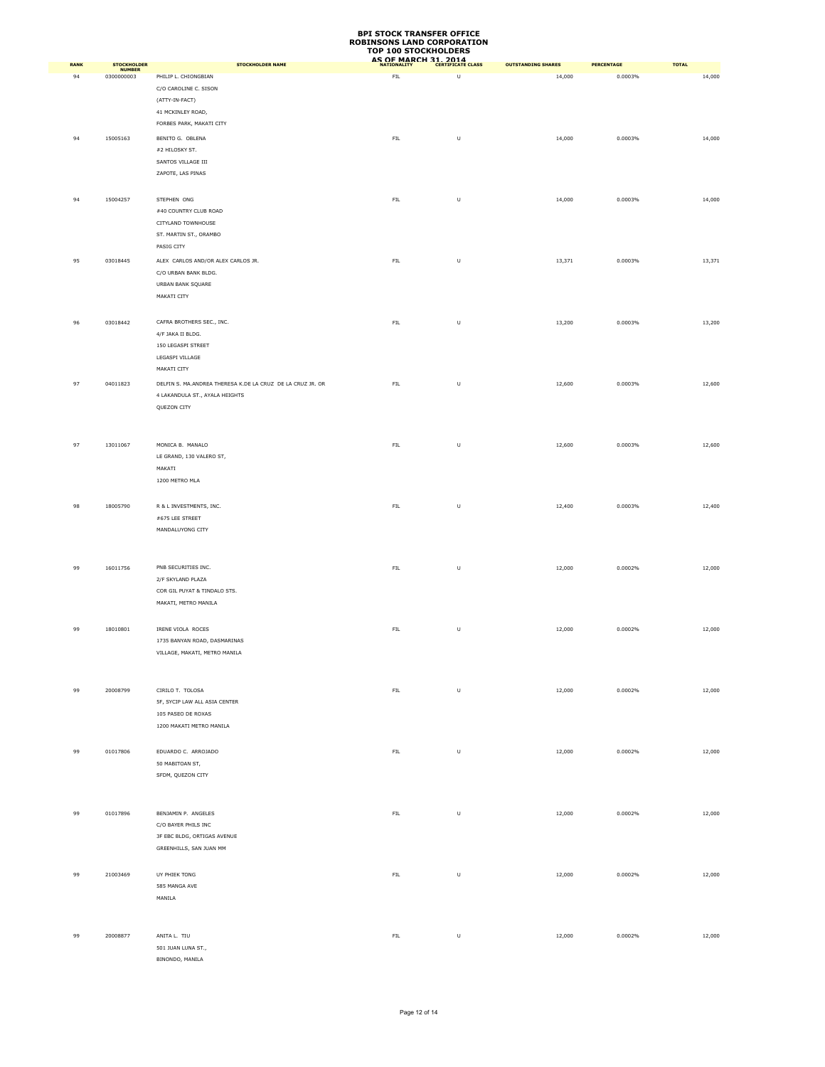|             |                       |                                                            | TOP TOO STOCKHOLDERS<br>AS OF MARCH 31, 2014 |                                                                                                            |                           |                   |              |
|-------------|-----------------------|------------------------------------------------------------|----------------------------------------------|------------------------------------------------------------------------------------------------------------|---------------------------|-------------------|--------------|
| <b>RANK</b> | STOCKHOLDER<br>NUMBER | <b>STOCKHOLDER NAME</b>                                    |                                              |                                                                                                            | <b>OUTSTANDING SHARES</b> | <b>PERCENTAGE</b> | <b>TOTAL</b> |
| 94          | 0300000003            | PHILIP L. CHIONGBIAN                                       | FIL                                          | U                                                                                                          | 14,000                    | 0.0003%           | 14,000       |
|             |                       | C/O CAROLINE C. SISON                                      |                                              |                                                                                                            |                           |                   |              |
|             |                       | (ATTY-IN-FACT)                                             |                                              |                                                                                                            |                           |                   |              |
|             |                       | 41 MCKINLEY ROAD,                                          |                                              |                                                                                                            |                           |                   |              |
|             |                       | FORBES PARK, MAKATI CITY                                   |                                              |                                                                                                            |                           |                   |              |
| 94          | 15005163              | BENITO G. OBLENA                                           | ${\sf FIL}$                                  | $\mathsf{U}% _{T}=\mathsf{U}_{T}\!\left( a,b\right) ,\ \mathsf{U}_{T}=\mathsf{U}_{T}\!\left( a,b\right) ,$ | 14,000                    | 0.0003%           | 14,000       |
|             |                       | #2 HILOSKY ST.                                             |                                              |                                                                                                            |                           |                   |              |
|             |                       | SANTOS VILLAGE III                                         |                                              |                                                                                                            |                           |                   |              |
|             |                       | ZAPOTE, LAS PINAS                                          |                                              |                                                                                                            |                           |                   |              |
|             |                       |                                                            |                                              |                                                                                                            |                           |                   |              |
| 94          | 15004257              | STEPHEN ONG                                                | ${\sf FIL}$                                  | $\sf U$                                                                                                    | 14,000                    | 0.0003%           | 14,000       |
|             |                       | #40 COUNTRY CLUB ROAD                                      |                                              |                                                                                                            |                           |                   |              |
|             |                       | CITYLAND TOWNHOUSE                                         |                                              |                                                                                                            |                           |                   |              |
|             |                       | ST. MARTIN ST., ORAMBO                                     |                                              |                                                                                                            |                           |                   |              |
|             |                       | PASIG CITY                                                 |                                              |                                                                                                            |                           |                   |              |
| 95          | 03018445              | ALEX CARLOS AND/OR ALEX CARLOS JR.                         | ${\sf FIL}$                                  | $\sf U$                                                                                                    | 13,371                    | 0.0003%           | 13,371       |
|             |                       |                                                            |                                              |                                                                                                            |                           |                   |              |
|             |                       | C/O URBAN BANK BLDG.                                       |                                              |                                                                                                            |                           |                   |              |
|             |                       | URBAN BANK SQUARE<br>MAKATI CITY                           |                                              |                                                                                                            |                           |                   |              |
|             |                       |                                                            |                                              |                                                                                                            |                           |                   |              |
|             |                       |                                                            |                                              |                                                                                                            |                           |                   |              |
| 96          | 03018442              | CAFRA BROTHERS SEC., INC.                                  | <b>FIL</b>                                   | $\sf U$                                                                                                    | 13,200                    | 0.0003%           | 13,200       |
|             |                       | 4/F JAKA II BLDG.                                          |                                              |                                                                                                            |                           |                   |              |
|             |                       | 150 LEGASPI STREET                                         |                                              |                                                                                                            |                           |                   |              |
|             |                       | LEGASPI VILLAGE                                            |                                              |                                                                                                            |                           |                   |              |
|             |                       | MAKATI CITY                                                |                                              |                                                                                                            |                           |                   |              |
| 97          | 04011823              | DELFIN S. MA.ANDREA THERESA K.DE LA CRUZ DE LA CRUZ JR. OR | ${\sf FIL}$                                  | $\sf U$                                                                                                    | 12,600                    | 0.0003%           | 12,600       |
|             |                       | 4 LAKANDULA ST., AYALA HEIGHTS                             |                                              |                                                                                                            |                           |                   |              |
|             |                       | QUEZON CITY                                                |                                              |                                                                                                            |                           |                   |              |
|             |                       |                                                            |                                              |                                                                                                            |                           |                   |              |
|             |                       |                                                            |                                              |                                                                                                            |                           |                   |              |
| 97          | 13011067              | MONICA B. MANALO                                           | ${\sf FIL}$                                  | $\sf U$                                                                                                    | 12,600                    | 0.0003%           | 12,600       |
|             |                       | LE GRAND, 130 VALERO ST,                                   |                                              |                                                                                                            |                           |                   |              |
|             |                       | MAKATI                                                     |                                              |                                                                                                            |                           |                   |              |
|             |                       | 1200 METRO MLA                                             |                                              |                                                                                                            |                           |                   |              |
|             |                       |                                                            |                                              |                                                                                                            |                           |                   |              |
| 98          | 18005790              | R & L INVESTMENTS, INC.                                    | <b>FIL</b>                                   | $\sf U$                                                                                                    | 12,400                    | 0.0003%           | 12,400       |
|             |                       | #675 LEE STREET                                            |                                              |                                                                                                            |                           |                   |              |
|             |                       | MANDALUYONG CITY                                           |                                              |                                                                                                            |                           |                   |              |
|             |                       |                                                            |                                              |                                                                                                            |                           |                   |              |
|             |                       |                                                            |                                              |                                                                                                            |                           |                   |              |
| 99          | 16011756              | PNB SECURITIES INC.                                        | FIL                                          | U                                                                                                          | 12,000                    | 0.0002%           | 12,000       |
|             |                       | 2/F SKYLAND PLAZA                                          |                                              |                                                                                                            |                           |                   |              |
|             |                       | COR GIL PUYAT & TINDALO STS.                               |                                              |                                                                                                            |                           |                   |              |
|             |                       | MAKATI, METRO MANILA                                       |                                              |                                                                                                            |                           |                   |              |
|             |                       |                                                            |                                              |                                                                                                            |                           |                   |              |
| 99          | 18010801              |                                                            | ${\sf FIL}$                                  |                                                                                                            |                           | 0.0002%           | 12,000       |
|             |                       | IRENE VIOLA ROCES<br>1735 BANYAN ROAD, DASMARINAS          |                                              | $\sf U$                                                                                                    | 12,000                    |                   |              |
|             |                       |                                                            |                                              |                                                                                                            |                           |                   |              |
|             |                       | VILLAGE, MAKATI, METRO MANILA                              |                                              |                                                                                                            |                           |                   |              |
|             |                       |                                                            |                                              |                                                                                                            |                           |                   |              |
|             |                       |                                                            |                                              |                                                                                                            |                           |                   |              |
| 99          | 20008799              | CIRILO T. TOLOSA                                           | ${\sf FIL}$                                  | $\sf U$                                                                                                    | 12,000                    | 0.0002%           | 12,000       |
|             |                       | 5F, SYCIP LAW ALL ASIA CENTER                              |                                              |                                                                                                            |                           |                   |              |
|             |                       | 105 PASEO DE ROXAS                                         |                                              |                                                                                                            |                           |                   |              |
|             |                       | 1200 MAKATI METRO MANILA                                   |                                              |                                                                                                            |                           |                   |              |
|             |                       |                                                            |                                              |                                                                                                            |                           |                   |              |
| 99          | 01017806              | EDUARDO C. ARROJADO                                        | ${\sf FIL}$                                  | $\sf U$                                                                                                    | 12,000                    | 0.0002%           | 12,000       |
|             |                       | 50 MABITOAN ST,                                            |                                              |                                                                                                            |                           |                   |              |
|             |                       | SFDM, QUEZON CITY                                          |                                              |                                                                                                            |                           |                   |              |
|             |                       |                                                            |                                              |                                                                                                            |                           |                   |              |
|             |                       |                                                            |                                              |                                                                                                            |                           |                   |              |
| 99          | 01017896              | BENJAMIN P. ANGELES                                        | ${\sf FIL}$                                  | $\mathsf{U}% _{T}=\mathsf{U}_{T}\!\left( a,b\right) ,\ \mathsf{U}_{T}=\mathsf{U}_{T}\!\left( a,b\right) ,$ | 12,000                    | 0.0002%           | 12,000       |
|             |                       | C/O BAYER PHILS INC                                        |                                              |                                                                                                            |                           |                   |              |
|             |                       | 3F EBC BLDG, ORTIGAS AVENUE                                |                                              |                                                                                                            |                           |                   |              |
|             |                       | GREENHILLS, SAN JUAN MM                                    |                                              |                                                                                                            |                           |                   |              |
|             |                       |                                                            |                                              |                                                                                                            |                           |                   |              |
| 99          | 21003469              | UY PHIEK TONG                                              | ${\sf FIL}$                                  | $\sf U$                                                                                                    | 12,000                    | 0.0002%           | 12,000       |
|             |                       | 585 MANGA AVE                                              |                                              |                                                                                                            |                           |                   |              |
|             |                       | MANILA                                                     |                                              |                                                                                                            |                           |                   |              |
|             |                       |                                                            |                                              |                                                                                                            |                           |                   |              |
|             |                       |                                                            |                                              |                                                                                                            |                           |                   |              |
| 99          | 20008877              | ANITA L. TIU                                               | ${\sf FIL}$                                  | $\sf U$                                                                                                    | 12,000                    | 0.0002%           | 12,000       |
|             |                       | 501 JUAN LUNA ST.,                                         |                                              |                                                                                                            |                           |                   |              |
|             |                       | BINONDO, MANILA                                            |                                              |                                                                                                            |                           |                   |              |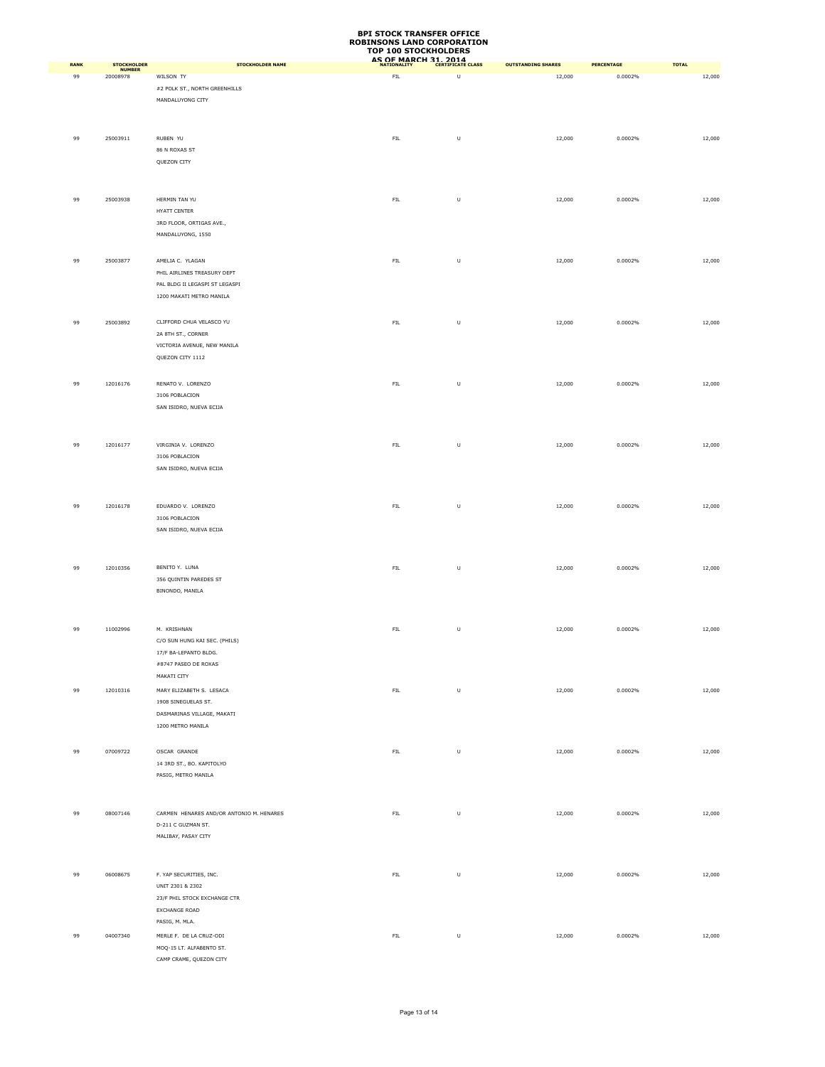|             | <b>STOCKHOLDER</b> |                                                                                                               | TOP TOO STOCKHOLDERS | AS OF MARCH 31, 2014                                                                                       |                           |                   |              |
|-------------|--------------------|---------------------------------------------------------------------------------------------------------------|----------------------|------------------------------------------------------------------------------------------------------------|---------------------------|-------------------|--------------|
| <b>RANK</b> | <b>NUMBER</b>      | STOCKHOLDER NAME                                                                                              |                      |                                                                                                            | <b>OUTSTANDING SHARES</b> | <b>PERCENTAGE</b> | <b>TOTAL</b> |
| 99          | 20008978           | WILSON TY<br>#2 POLK ST., NORTH GREENHILLS<br>MANDALUYONG CITY                                                | ${\sf FIL}$          | $\sf U$                                                                                                    | 12,000                    | 0.0002%           | 12,000       |
| 99          | 25003911           | RUBEN YU                                                                                                      | ${\sf FIL}$          | $\sf U$                                                                                                    | 12,000                    | 0.0002%           | 12,000       |
|             |                    | 86 N ROXAS ST<br>QUEZON CITY                                                                                  |                      |                                                                                                            |                           |                   |              |
| 99          | 25003938           | HERMIN TAN YU<br>HYATT CENTER<br>3RD FLOOR, ORTIGAS AVE.,<br>MANDALUYONG, 1550                                | ${\sf FIL}$          | $\mathsf{U}% _{T}=\mathsf{U}_{T}\!\left( a,b\right) ,\ \mathsf{U}_{T}=\mathsf{U}_{T}\!\left( a,b\right) ,$ | 12,000                    | 0.0002%           | 12,000       |
| 99          | 25003877           | AMELIA C. YLAGAN<br>PHIL AIRLINES TREASURY DEPT<br>PAL BLDG II LEGASPI ST LEGASPI<br>1200 MAKATI METRO MANILA | FIL                  | $\sf U$                                                                                                    | 12,000                    | 0.0002%           | 12,000       |
| 99          | 25003892           | CLIFFORD CHUA VELASCO YU<br>2A 8TH ST., CORNER<br>VICTORIA AVENUE, NEW MANILA<br>QUEZON CITY 1112             | ${\sf FIL}$          | $\sf U$                                                                                                    | 12,000                    | 0.0002%           | 12,000       |
| 99          | 12016176           | RENATO V. LORENZO<br>3106 POBLACION<br>SAN ISIDRO, NUEVA ECIJA                                                | ${\sf FIL}$          | $\sf U$                                                                                                    | 12,000                    | 0.0002%           | 12,000       |
| 99          | 12016177           | VIRGINIA V. LORENZO<br>3106 POBLACION<br>SAN ISIDRO, NUEVA ECIJA                                              | FIL                  | $\sf U$                                                                                                    | 12,000                    | 0.0002%           | 12,000       |
| 99          | 12016178           | EDUARDO V. LORENZO<br>3106 POBLACION<br>SAN ISIDRO, NUEVA ECIJA                                               | ${\sf FIL}$          | $\sf U$                                                                                                    | 12,000                    | 0.0002%           | 12,000       |
| 99          | 12010356           | BENITO Y. LUNA<br>356 QUINTIN PAREDES ST<br>BINONDO, MANILA                                                   | ${\sf FIL}$          | $\sf U$                                                                                                    | 12,000                    | 0.0002%           | 12,000       |
| 99          | 11002996           | M. KRISHNAN<br>C/O SUN HUNG KAI SEC. (PHILS)<br>17/F BA-LEPANTO BLDG.                                         | ${\sf FIL}$          | $\sf U$                                                                                                    | 12,000                    | 0.0002%           | 12,000       |
| 99          | 12010316           | #8747 PASEO DE ROXAS<br>MAKATI CITY<br>MARY ELIZABETH S. LESACA                                               | ${\sf FIL}$          | $\mathsf{U}$                                                                                               | 12,000                    | 0.0002%           | 12,000       |
|             |                    | 1908 SINEGUELAS ST.<br>DASMARINAS VILLAGE, MAKATI<br>1200 METRO MANILA                                        |                      |                                                                                                            |                           |                   |              |
| 99          | 07009722           | OSCAR GRANDE<br>14 3RD ST., BO. KAPITOLYO<br>PASIG, METRO MANILA                                              | ${\sf FIL}$          | $\sf U$                                                                                                    | 12,000                    | 0.0002%           | 12,000       |
| 99          | 08007146           | CARMEN HENARES AND/OR ANTONIO M. HENARES<br>D-211 C GUZMAN ST.<br>MALIBAY, PASAY CITY                         | ${\sf FIL}$          | $\sf U$                                                                                                    | 12,000                    | 0.0002%           | 12,000       |
| 99          | 06008675           | F. YAP SECURITIES, INC.<br>UNIT 2301 & 2302<br>23/F PHIL STOCK EXCHANGE CTR<br>EXCHANGE ROAD                  | ${\sf FIL}$          | $\cup$                                                                                                     | 12,000                    | 0.0002%           | 12,000       |
| 99          | 04007340           | PASIG, M. MLA.<br>MERLE F. DE LA CRUZ-ODI<br>MOQ-15 LT. ALFABENTO ST.<br>CAMP CRAME, OUEZON CITY              | ${\sf FIL}$          | $\sf U$                                                                                                    | 12,000                    | 0.0002%           | 12,000       |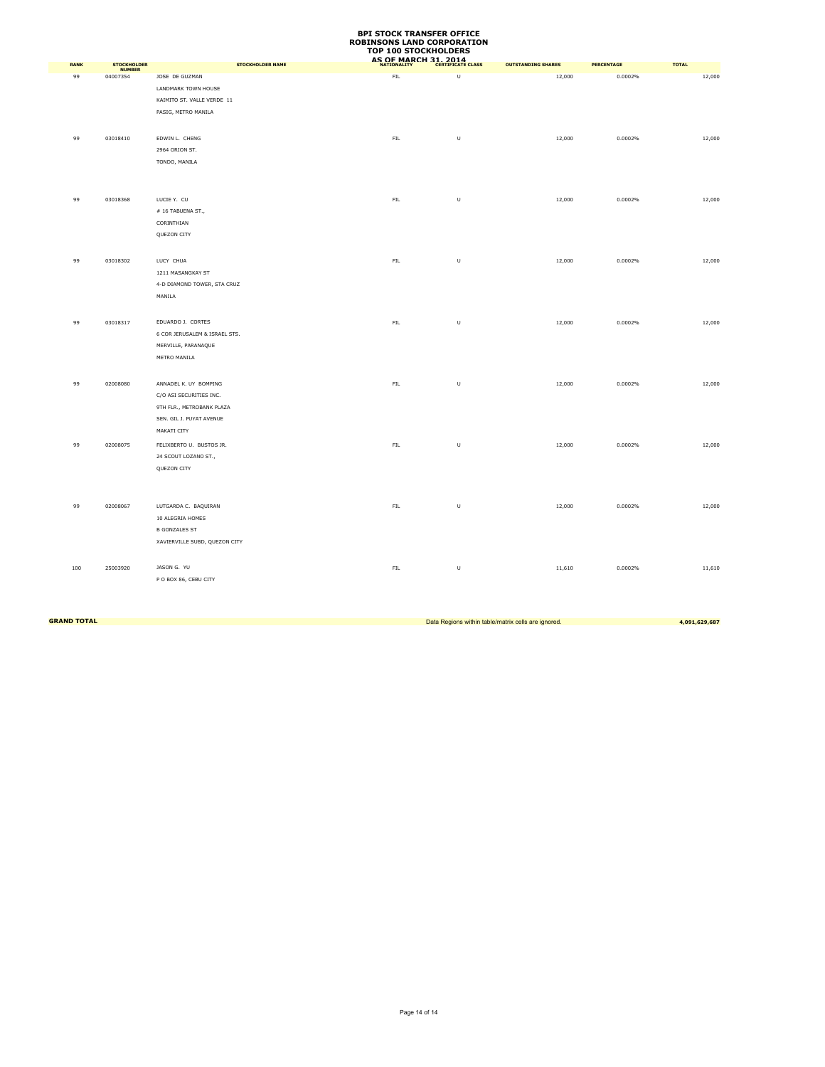|      |                                     |                               | TOP TOO STOCKHOLDERS<br><b>AS OF MARCH 31, 2014</b> |                          |                           |                   |              |
|------|-------------------------------------|-------------------------------|-----------------------------------------------------|--------------------------|---------------------------|-------------------|--------------|
| RANK | <b>STOCKHOLDER</b><br><b>NUMBER</b> | <b>STOCKHOLDER NAME</b>       | <b>NATIONALITY</b>                                  | <b>CERTIFICATE CLASS</b> | <b>OUTSTANDING SHARES</b> | <b>PERCENTAGE</b> | <b>TOTAL</b> |
| 99   | 04007354                            | JOSE DE GUZMAN                | ${\sf FIL}$                                         | U                        | 12,000                    | 0.0002%           | 12,000       |
|      |                                     | LANDMARK TOWN HOUSE           |                                                     |                          |                           |                   |              |
|      |                                     | KAIMITO ST. VALLE VERDE 11    |                                                     |                          |                           |                   |              |
|      |                                     | PASIG, METRO MANILA           |                                                     |                          |                           |                   |              |
|      |                                     |                               |                                                     |                          |                           |                   |              |
| 99   | 03018410                            | EDWIN L. CHENG                | ${\sf FIL}$                                         | $\sf U$                  | 12,000                    | 0.0002%           | 12,000       |
|      |                                     | 2964 ORION ST.                |                                                     |                          |                           |                   |              |
|      |                                     | TONDO, MANILA                 |                                                     |                          |                           |                   |              |
|      |                                     |                               |                                                     |                          |                           |                   |              |
|      |                                     |                               |                                                     |                          |                           |                   |              |
|      |                                     |                               |                                                     |                          |                           |                   |              |
| 99   | 03018368                            | LUCIE Y. CU                   | ${\sf FIL}$                                         | $\sf U$                  | 12,000                    | 0.0002%           | 12,000       |
|      |                                     | # 16 TABUENA ST.,             |                                                     |                          |                           |                   |              |
|      |                                     | CORINTHIAN                    |                                                     |                          |                           |                   |              |
|      |                                     | QUEZON CITY                   |                                                     |                          |                           |                   |              |
|      |                                     |                               |                                                     |                          |                           |                   |              |
| 99   | 03018302                            | LUCY CHUA                     | FIL                                                 | $\cup$                   | 12,000                    | 0.0002%           | 12,000       |
|      |                                     | 1211 MASANGKAY ST             |                                                     |                          |                           |                   |              |
|      |                                     | 4-D DIAMOND TOWER, STA CRUZ   |                                                     |                          |                           |                   |              |
|      |                                     | MANILA                        |                                                     |                          |                           |                   |              |
|      |                                     |                               |                                                     |                          |                           |                   |              |
| 99   | 03018317                            | EDUARDO J. CORTES             | ${\sf FIL}$                                         | U                        | 12,000                    | 0.0002%           | 12,000       |
|      |                                     | 6 COR JERUSALEM & ISRAEL STS. |                                                     |                          |                           |                   |              |
|      |                                     | MERVILLE, PARANAQUE           |                                                     |                          |                           |                   |              |
|      |                                     | METRO MANILA                  |                                                     |                          |                           |                   |              |
|      |                                     |                               |                                                     |                          |                           |                   |              |
| 99   | 02008080                            | ANNADEL K. UY BOMPING         | ${\sf FIL}$                                         | U                        | 12,000                    | 0.0002%           | 12,000       |
|      |                                     | C/O ASI SECURITIES INC.       |                                                     |                          |                           |                   |              |
|      |                                     | 9TH FLR., METROBANK PLAZA     |                                                     |                          |                           |                   |              |
|      |                                     | SEN. GIL J. PUYAT AVENUE      |                                                     |                          |                           |                   |              |
|      |                                     | MAKATI CITY                   |                                                     |                          |                           |                   |              |
| 99   | 02008075                            | FELIXBERTO U. BUSTOS JR.      | ${\sf FIL}$                                         | $\cup$                   | 12,000                    | 0.0002%           | 12,000       |
|      |                                     | 24 SCOUT LOZANO ST.,          |                                                     |                          |                           |                   |              |
|      |                                     | QUEZON CITY                   |                                                     |                          |                           |                   |              |
|      |                                     |                               |                                                     |                          |                           |                   |              |
|      |                                     |                               |                                                     |                          |                           |                   |              |
| 99   | 02008067                            | LUTGARDA C. BAQUIRAN          | ${\sf FIL}$                                         | $\sf U$                  | 12,000                    | 0.0002%           | 12,000       |
|      |                                     | 10 ALEGRIA HOMES              |                                                     |                          |                           |                   |              |
|      |                                     | <b>B GONZALES ST</b>          |                                                     |                          |                           |                   |              |
|      |                                     | XAVIERVILLE SUBD, QUEZON CITY |                                                     |                          |                           |                   |              |
|      |                                     |                               |                                                     |                          |                           |                   |              |
| 100  | 25003920                            | JASON G. YU                   | FIL                                                 | $\cup$                   | 11,610                    | 0.0002%           | 11,610       |
|      |                                     | P O BOX 86, CEBU CITY         |                                                     |                          |                           |                   |              |
|      |                                     |                               |                                                     |                          |                           |                   |              |

**GRAND TOTAL** 2008. The contract of the contract of the contract of the contract of the contract of the contract of the contract of the contract of the contract of the contract of the contract of the contract of the contra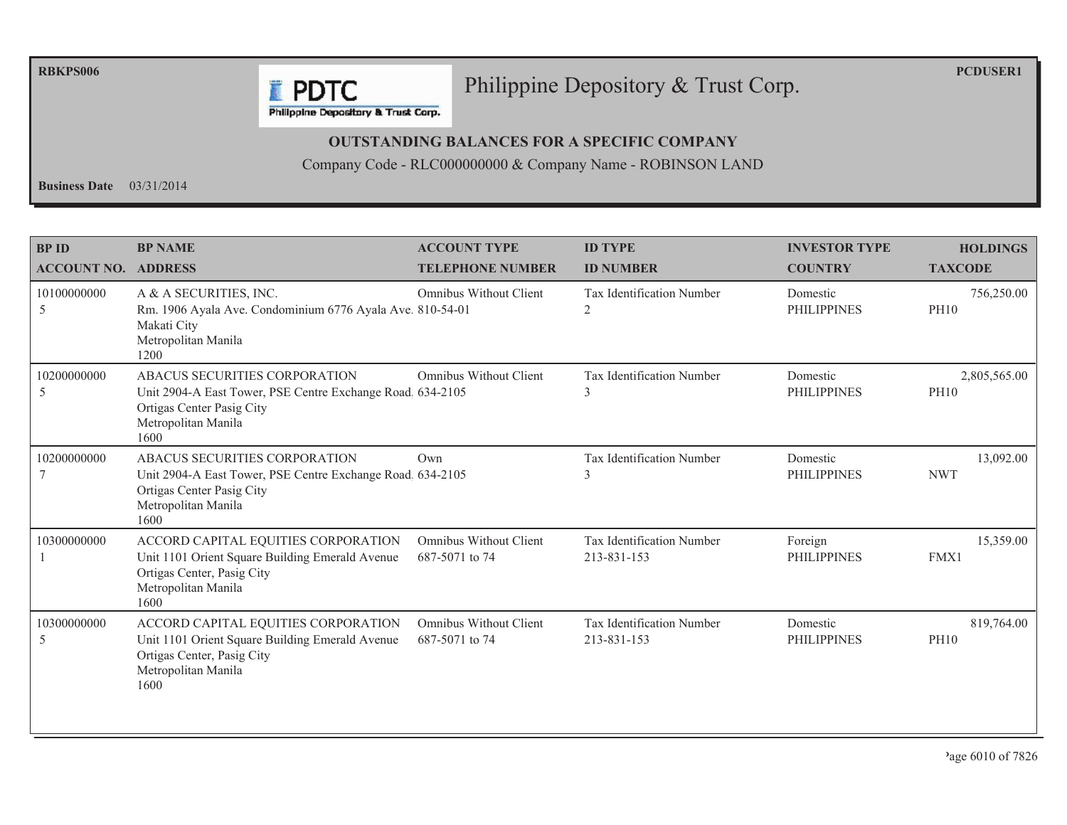**RBKPS006** 

#### Philippine Depository & Trust Corp.

**PCDUSER1** 

Philippine Depository & Trust Corp.

**F** PDTC

#### **OUTSTANDING BALANCES FOR A SPECIFIC COMPANY**

Company Code - RLC000000000 & Company Name - ROBINSON LAND

Business Date  $03/31/2014$ 

| <b>BP ID</b><br><b>ACCOUNT NO. ADDRESS</b> | <b>BP NAME</b>                                                                                                                                          | <b>ACCOUNT TYPE</b><br><b>TELEPHONE NUMBER</b>  | <b>ID TYPE</b><br><b>ID NUMBER</b>       | <b>INVESTOR TYPE</b><br><b>COUNTRY</b> | <b>HOLDINGS</b><br><b>TAXCODE</b> |
|--------------------------------------------|---------------------------------------------------------------------------------------------------------------------------------------------------------|-------------------------------------------------|------------------------------------------|----------------------------------------|-----------------------------------|
| 10100000000<br>5                           | A & A SECURITIES, INC.<br>Rm. 1906 Ayala Ave. Condominium 6776 Ayala Ave. 810-54-01<br>Makati City<br>Metropolitan Manila<br>1200                       | <b>Omnibus Without Client</b>                   | <b>Tax Identification Number</b><br>2    | Domestic<br><b>PHILIPPINES</b>         | 756,250.00<br><b>PH10</b>         |
| 10200000000<br>5                           | ABACUS SECURITIES CORPORATION<br>Unit 2904-A East Tower, PSE Centre Exchange Road. 634-2105<br>Ortigas Center Pasig City<br>Metropolitan Manila<br>1600 | Omnibus Without Client                          | <b>Tax Identification Number</b><br>3    | Domestic<br><b>PHILIPPINES</b>         | 2,805,565.00<br><b>PH10</b>       |
| 10200000000                                | ABACUS SECURITIES CORPORATION<br>Unit 2904-A East Tower, PSE Centre Exchange Road 634-2105<br>Ortigas Center Pasig City<br>Metropolitan Manila<br>1600  | Own                                             | Tax Identification Number<br>3           | Domestic<br><b>PHILIPPINES</b>         | 13,092.00<br><b>NWT</b>           |
| 10300000000                                | ACCORD CAPITAL EQUITIES CORPORATION<br>Unit 1101 Orient Square Building Emerald Avenue<br>Ortigas Center, Pasig City<br>Metropolitan Manila<br>1600     | <b>Omnibus Without Client</b><br>687-5071 to 74 | Tax Identification Number<br>213-831-153 | Foreign<br><b>PHILIPPINES</b>          | 15,359.00<br>FMX1                 |
| 10300000000<br>5                           | ACCORD CAPITAL EQUITIES CORPORATION<br>Unit 1101 Orient Square Building Emerald Avenue<br>Ortigas Center, Pasig City<br>Metropolitan Manila<br>1600     | Omnibus Without Client<br>687-5071 to 74        | Tax Identification Number<br>213-831-153 | Domestic<br><b>PHILIPPINES</b>         | 819,764.00<br><b>PH10</b>         |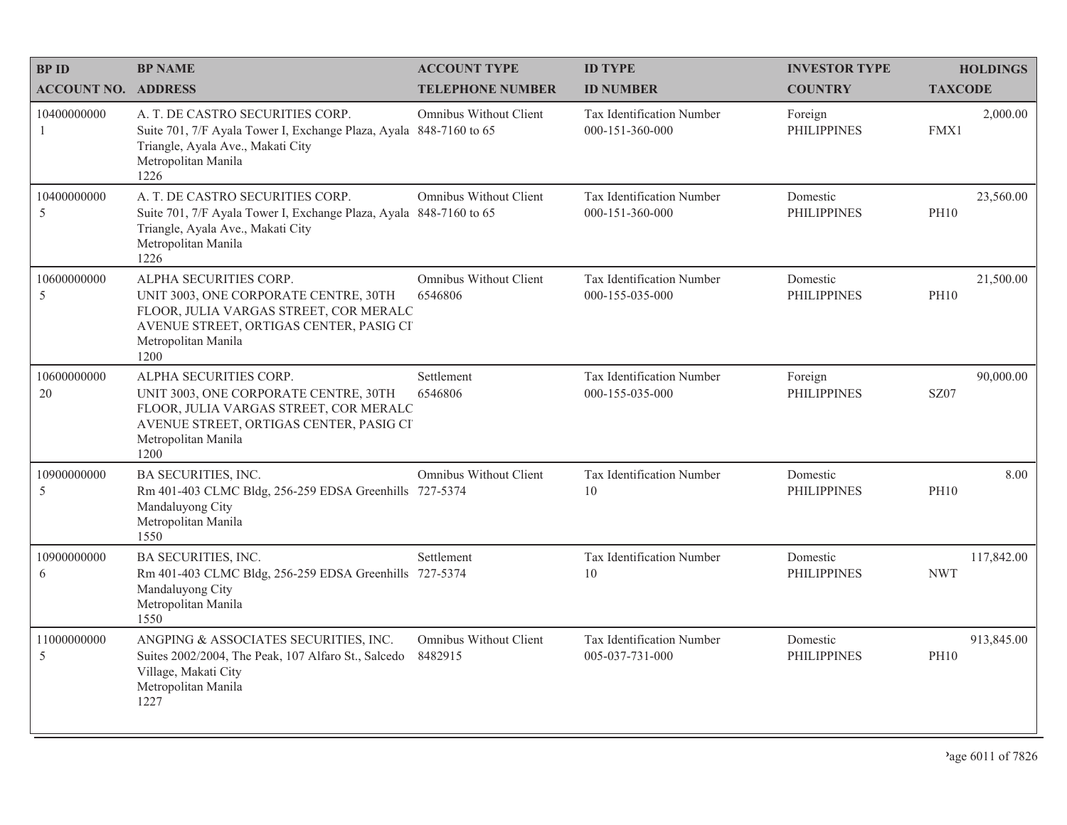| <b>BPID</b>                | <b>BP NAME</b>                                                                                                                                                                      | <b>ACCOUNT TYPE</b>                      | <b>ID TYPE</b>                               | <b>INVESTOR TYPE</b>           | <b>HOLDINGS</b>           |
|----------------------------|-------------------------------------------------------------------------------------------------------------------------------------------------------------------------------------|------------------------------------------|----------------------------------------------|--------------------------------|---------------------------|
| <b>ACCOUNT NO. ADDRESS</b> |                                                                                                                                                                                     | <b>TELEPHONE NUMBER</b>                  | <b>ID NUMBER</b>                             | <b>COUNTRY</b>                 | <b>TAXCODE</b>            |
| 10400000000<br>-1          | A. T. DE CASTRO SECURITIES CORP.<br>Suite 701, 7/F Ayala Tower I, Exchange Plaza, Ayala 848-7160 to 65<br>Triangle, Ayala Ave., Makati City<br>Metropolitan Manila<br>1226          | Omnibus Without Client                   | Tax Identification Number<br>000-151-360-000 | Foreign<br><b>PHILIPPINES</b>  | 2,000.00<br>FMX1          |
| 10400000000<br>5           | A. T. DE CASTRO SECURITIES CORP.<br>Suite 701, 7/F Ayala Tower I, Exchange Plaza, Ayala 848-7160 to 65<br>Triangle, Ayala Ave., Makati City<br>Metropolitan Manila<br>1226          | Omnibus Without Client                   | Tax Identification Number<br>000-151-360-000 | Domestic<br><b>PHILIPPINES</b> | 23,560.00<br><b>PH10</b>  |
| 10600000000<br>5           | ALPHA SECURITIES CORP.<br>UNIT 3003, ONE CORPORATE CENTRE, 30TH<br>FLOOR, JULIA VARGAS STREET, COR MERALC<br>AVENUE STREET, ORTIGAS CENTER, PASIG CI<br>Metropolitan Manila<br>1200 | Omnibus Without Client<br>6546806        | Tax Identification Number<br>000-155-035-000 | Domestic<br><b>PHILIPPINES</b> | 21,500.00<br><b>PH10</b>  |
| 10600000000<br>20          | ALPHA SECURITIES CORP.<br>UNIT 3003, ONE CORPORATE CENTRE, 30TH<br>FLOOR, JULIA VARGAS STREET, COR MERALC<br>AVENUE STREET, ORTIGAS CENTER, PASIG CI<br>Metropolitan Manila<br>1200 | Settlement<br>6546806                    | Tax Identification Number<br>000-155-035-000 | Foreign<br><b>PHILIPPINES</b>  | 90,000.00<br><b>SZ07</b>  |
| 10900000000<br>5           | BA SECURITIES, INC.<br>Rm 401-403 CLMC Bldg, 256-259 EDSA Greenhills 727-5374<br>Mandaluyong City<br>Metropolitan Manila<br>1550                                                    | Omnibus Without Client                   | Tax Identification Number<br>10              | Domestic<br><b>PHILIPPINES</b> | 8.00<br><b>PH10</b>       |
| 10900000000<br>6           | <b>BA SECURITIES, INC.</b><br>Rm 401-403 CLMC Bldg, 256-259 EDSA Greenhills 727-5374<br>Mandaluyong City<br>Metropolitan Manila<br>1550                                             | Settlement                               | Tax Identification Number<br>10              | Domestic<br><b>PHILIPPINES</b> | 117,842.00<br><b>NWT</b>  |
| 11000000000<br>5           | ANGPING & ASSOCIATES SECURITIES, INC.<br>Suites 2002/2004, The Peak, 107 Alfaro St., Salcedo<br>Village, Makati City<br>Metropolitan Manila<br>1227                                 | <b>Omnibus Without Client</b><br>8482915 | Tax Identification Number<br>005-037-731-000 | Domestic<br><b>PHILIPPINES</b> | 913,845.00<br><b>PH10</b> |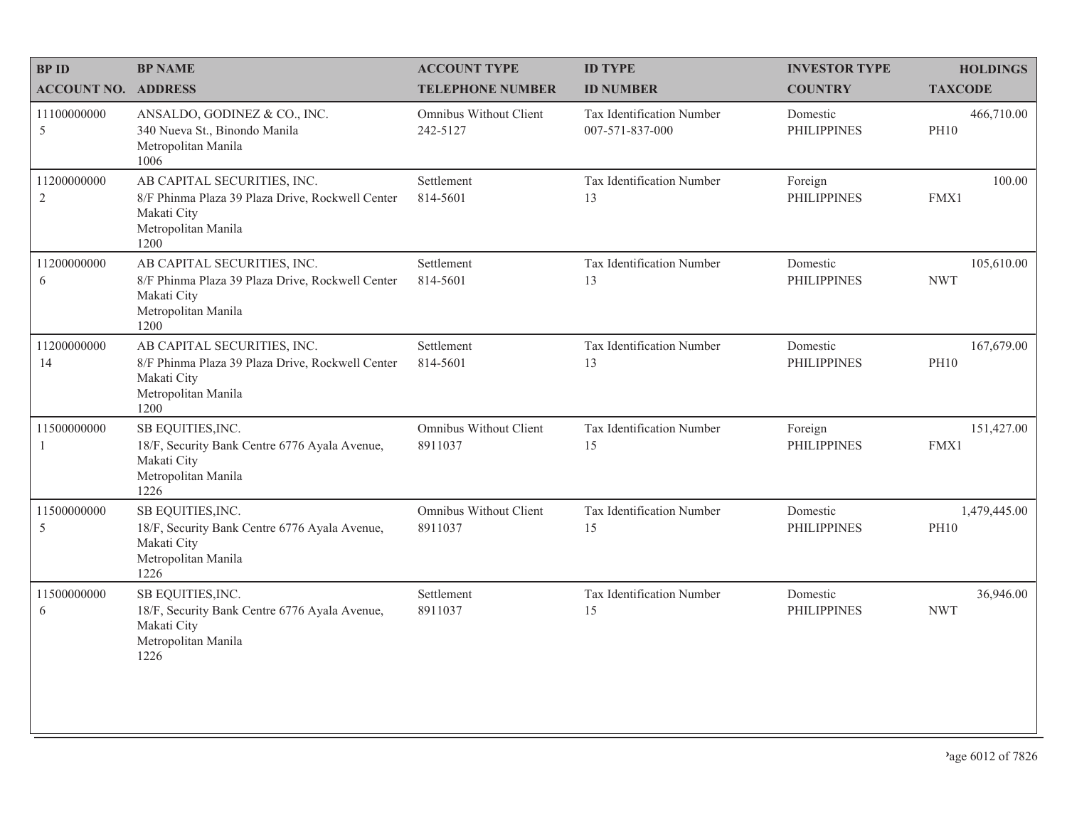| <b>BPID</b>                   | <b>BP NAME</b>                                                                                                                | <b>ACCOUNT TYPE</b>                | <b>ID TYPE</b>                               | <b>INVESTOR TYPE</b>           | <b>HOLDINGS</b>             |
|-------------------------------|-------------------------------------------------------------------------------------------------------------------------------|------------------------------------|----------------------------------------------|--------------------------------|-----------------------------|
| <b>ACCOUNT NO. ADDRESS</b>    |                                                                                                                               | <b>TELEPHONE NUMBER</b>            | <b>ID NUMBER</b>                             | <b>COUNTRY</b>                 | <b>TAXCODE</b>              |
| 11100000000<br>5              | ANSALDO, GODINEZ & CO., INC.<br>340 Nueva St., Binondo Manila<br>Metropolitan Manila<br>1006                                  | Omnibus Without Client<br>242-5127 | Tax Identification Number<br>007-571-837-000 | Domestic<br><b>PHILIPPINES</b> | 466,710.00<br><b>PH10</b>   |
| 11200000000<br>$\overline{2}$ | AB CAPITAL SECURITIES, INC.<br>8/F Phinma Plaza 39 Plaza Drive, Rockwell Center<br>Makati City<br>Metropolitan Manila<br>1200 | Settlement<br>814-5601             | Tax Identification Number<br>13              | Foreign<br><b>PHILIPPINES</b>  | 100.00<br>FMX1              |
| 11200000000<br>6              | AB CAPITAL SECURITIES, INC.<br>8/F Phinma Plaza 39 Plaza Drive, Rockwell Center<br>Makati City<br>Metropolitan Manila<br>1200 | Settlement<br>814-5601             | Tax Identification Number<br>13              | Domestic<br><b>PHILIPPINES</b> | 105,610.00<br><b>NWT</b>    |
| 11200000000<br>14             | AB CAPITAL SECURITIES, INC.<br>8/F Phinma Plaza 39 Plaza Drive, Rockwell Center<br>Makati City<br>Metropolitan Manila<br>1200 | Settlement<br>814-5601             | Tax Identification Number<br>13              | Domestic<br><b>PHILIPPINES</b> | 167,679.00<br><b>PH10</b>   |
| 11500000000<br>1              | SB EQUITIES, INC.<br>18/F, Security Bank Centre 6776 Ayala Avenue,<br>Makati City<br>Metropolitan Manila<br>1226              | Omnibus Without Client<br>8911037  | Tax Identification Number<br>15              | Foreign<br><b>PHILIPPINES</b>  | 151,427.00<br>FMX1          |
| 11500000000<br>5              | SB EQUITIES, INC.<br>18/F, Security Bank Centre 6776 Ayala Avenue,<br>Makati City<br>Metropolitan Manila<br>1226              | Omnibus Without Client<br>8911037  | Tax Identification Number<br>15              | Domestic<br><b>PHILIPPINES</b> | 1,479,445.00<br><b>PH10</b> |
| 11500000000<br>6              | SB EQUITIES, INC.<br>18/F, Security Bank Centre 6776 Ayala Avenue,<br>Makati City<br>Metropolitan Manila<br>1226              | Settlement<br>8911037              | Tax Identification Number<br>15              | Domestic<br><b>PHILIPPINES</b> | 36,946.00<br><b>NWT</b>     |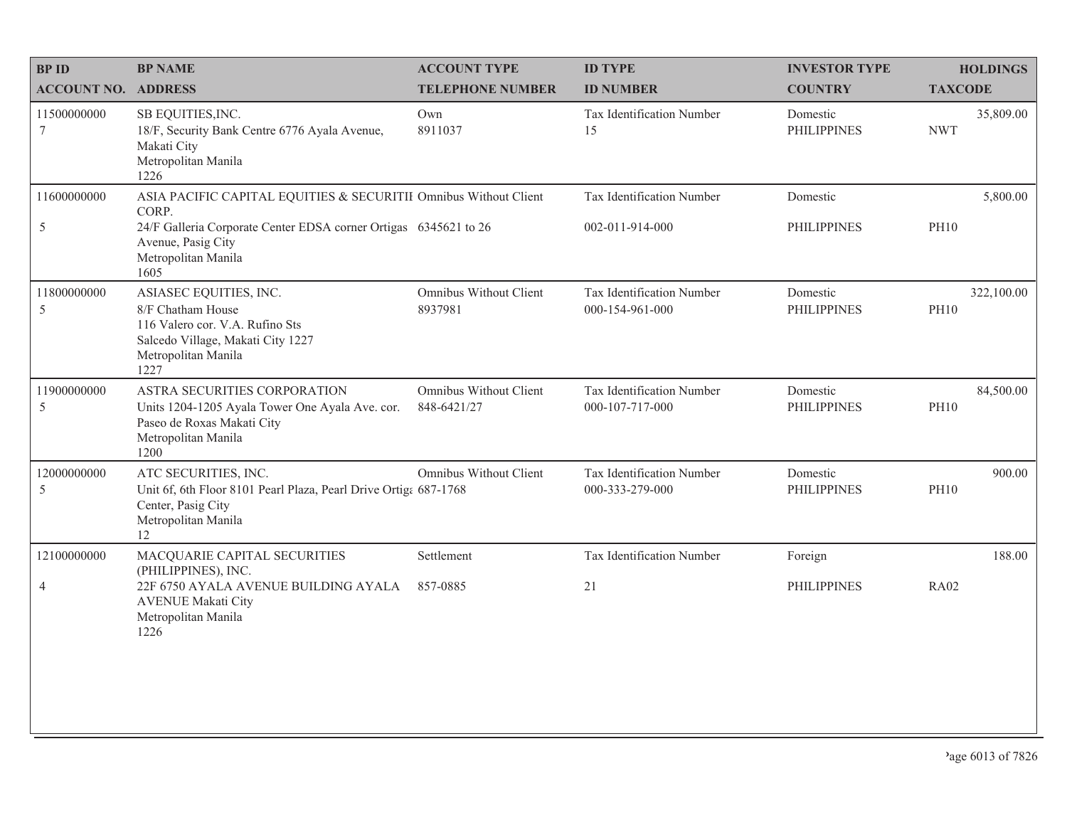| <b>BPID</b>                  | <b>BP NAME</b>                                                                                                                                                                                     | <b>ACCOUNT TYPE</b>                   | <b>ID TYPE</b>                               | <b>INVESTOR TYPE</b>           | <b>HOLDINGS</b>           |
|------------------------------|----------------------------------------------------------------------------------------------------------------------------------------------------------------------------------------------------|---------------------------------------|----------------------------------------------|--------------------------------|---------------------------|
| <b>ACCOUNT NO. ADDRESS</b>   |                                                                                                                                                                                                    | <b>TELEPHONE NUMBER</b>               | <b>ID NUMBER</b>                             | <b>COUNTRY</b>                 | <b>TAXCODE</b>            |
| 11500000000<br>7             | SB EQUITIES, INC.<br>18/F, Security Bank Centre 6776 Ayala Avenue,<br>Makati City<br>Metropolitan Manila<br>1226                                                                                   | Own<br>8911037                        | Tax Identification Number<br>15              | Domestic<br><b>PHILIPPINES</b> | 35,809.00<br><b>NWT</b>   |
| 11600000000<br>$\mathfrak s$ | ASIA PACIFIC CAPITAL EQUITIES & SECURITII Omnibus Without Client<br>CORP.<br>24/F Galleria Corporate Center EDSA corner Ortigas 6345621 to 26<br>Avenue, Pasig City<br>Metropolitan Manila<br>1605 |                                       | Tax Identification Number<br>002-011-914-000 | Domestic<br><b>PHILIPPINES</b> | 5,800.00<br><b>PH10</b>   |
| 11800000000<br>5             | ASIASEC EQUITIES, INC.<br>8/F Chatham House<br>116 Valero cor. V.A. Rufino Sts<br>Salcedo Village, Makati City 1227<br>Metropolitan Manila<br>1227                                                 | Omnibus Without Client<br>8937981     | Tax Identification Number<br>000-154-961-000 | Domestic<br><b>PHILIPPINES</b> | 322,100.00<br><b>PH10</b> |
| 11900000000<br>5             | ASTRA SECURITIES CORPORATION<br>Units 1204-1205 Ayala Tower One Ayala Ave. cor.<br>Paseo de Roxas Makati City<br>Metropolitan Manila<br>1200                                                       | Omnibus Without Client<br>848-6421/27 | Tax Identification Number<br>000-107-717-000 | Domestic<br><b>PHILIPPINES</b> | 84,500.00<br><b>PH10</b>  |
| 12000000000<br>5             | ATC SECURITIES, INC.<br>Unit 6f, 6th Floor 8101 Pearl Plaza, Pearl Drive Ortiga 687-1768<br>Center, Pasig City<br>Metropolitan Manila<br>12                                                        | Omnibus Without Client                | Tax Identification Number<br>000-333-279-000 | Domestic<br><b>PHILIPPINES</b> | 900.00<br><b>PH10</b>     |
| 12100000000                  | MACQUARIE CAPITAL SECURITIES<br>(PHILIPPINES), INC.                                                                                                                                                | Settlement                            | Tax Identification Number                    | Foreign                        | 188.00                    |
| $\overline{4}$               | 22F 6750 AYALA AVENUE BUILDING AYALA<br><b>AVENUE Makati City</b><br>Metropolitan Manila<br>1226                                                                                                   | 857-0885                              | 21                                           | <b>PHILIPPINES</b>             | <b>RA02</b>               |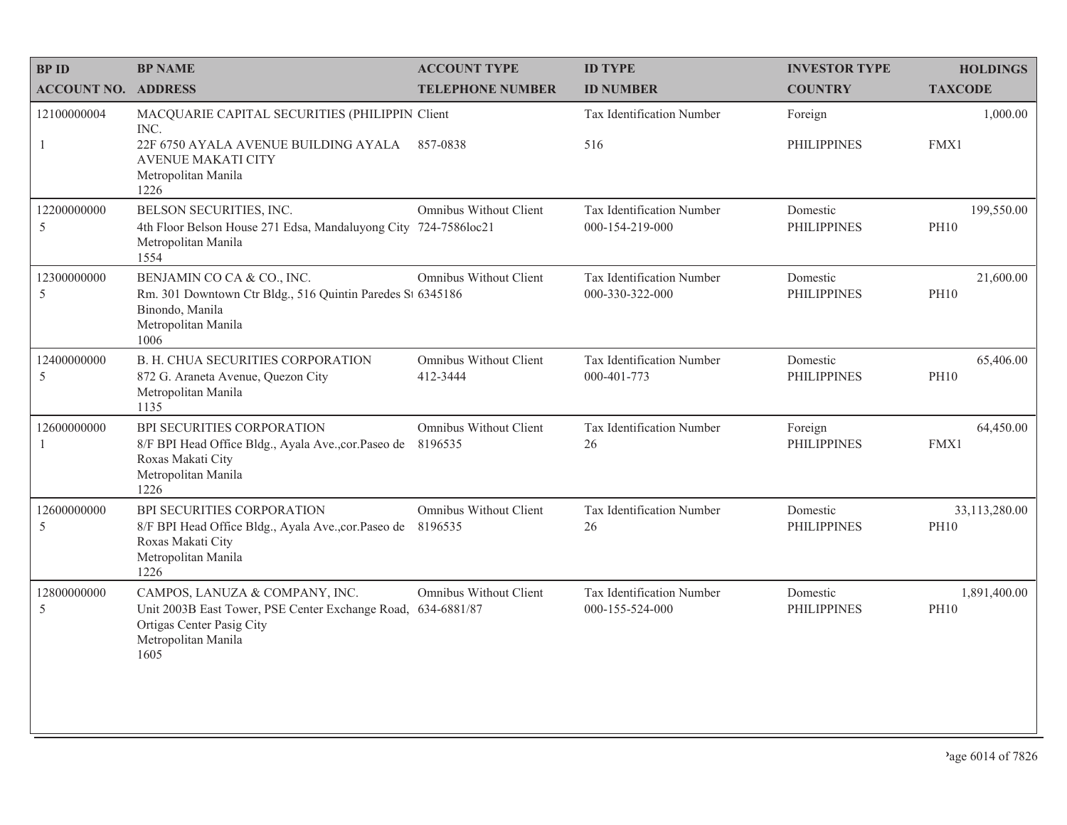| <b>BPID</b>                 | <b>BP NAME</b>                                                                                                                                             | <b>ACCOUNT TYPE</b>                       | <b>ID TYPE</b>                               | <b>INVESTOR TYPE</b>           | <b>HOLDINGS</b>              |
|-----------------------------|------------------------------------------------------------------------------------------------------------------------------------------------------------|-------------------------------------------|----------------------------------------------|--------------------------------|------------------------------|
| <b>ACCOUNT NO. ADDRESS</b>  |                                                                                                                                                            | <b>TELEPHONE NUMBER</b>                   | <b>ID NUMBER</b>                             | <b>COUNTRY</b>                 | <b>TAXCODE</b>               |
| 12100000004<br>-1           | MACQUARIE CAPITAL SECURITIES (PHILIPPIN Client<br>INC.<br>22F 6750 AYALA AVENUE BUILDING AYALA<br><b>AVENUE MAKATI CITY</b><br>Metropolitan Manila         | 857-0838                                  | Tax Identification Number<br>516             | Foreign<br><b>PHILIPPINES</b>  | 1,000.00<br>FMX1             |
| 12200000000<br>5            | 1226<br>BELSON SECURITIES, INC.<br>4th Floor Belson House 271 Edsa, Mandaluyong City 724-7586loc21<br>Metropolitan Manila<br>1554                          | Omnibus Without Client                    | Tax Identification Number<br>000-154-219-000 | Domestic<br><b>PHILIPPINES</b> | 199,550.00<br><b>PH10</b>    |
| 12300000000<br>5            | BENJAMIN CO CA & CO., INC.<br>Rm. 301 Downtown Ctr Bldg., 516 Quintin Paredes St 6345186<br>Binondo, Manila<br>Metropolitan Manila<br>1006                 | Omnibus Without Client                    | Tax Identification Number<br>000-330-322-000 | Domestic<br><b>PHILIPPINES</b> | 21,600.00<br><b>PH10</b>     |
| 12400000000<br>5            | B. H. CHUA SECURITIES CORPORATION<br>872 G. Araneta Avenue, Quezon City<br>Metropolitan Manila<br>1135                                                     | <b>Omnibus Without Client</b><br>412-3444 | Tax Identification Number<br>000-401-773     | Domestic<br><b>PHILIPPINES</b> | 65,406.00<br><b>PH10</b>     |
| 12600000000<br>$\mathbf{1}$ | BPI SECURITIES CORPORATION<br>8/F BPI Head Office Bldg., Ayala Ave., cor. Paseo de<br>Roxas Makati City<br>Metropolitan Manila<br>1226                     | Omnibus Without Client<br>8196535         | Tax Identification Number<br>26              | Foreign<br><b>PHILIPPINES</b>  | 64,450.00<br>FMX1            |
| 12600000000<br>5            | BPI SECURITIES CORPORATION<br>8/F BPI Head Office Bldg., Ayala Ave., cor. Paseo de 8196535<br>Roxas Makati City<br>Metropolitan Manila<br>1226             | Omnibus Without Client                    | Tax Identification Number<br>26              | Domestic<br><b>PHILIPPINES</b> | 33,113,280.00<br><b>PH10</b> |
| 12800000000<br>5            | CAMPOS, LANUZA & COMPANY, INC.<br>Unit 2003B East Tower, PSE Center Exchange Road, 634-6881/87<br>Ortigas Center Pasig City<br>Metropolitan Manila<br>1605 | Omnibus Without Client                    | Tax Identification Number<br>000-155-524-000 | Domestic<br><b>PHILIPPINES</b> | 1,891,400.00<br><b>PH10</b>  |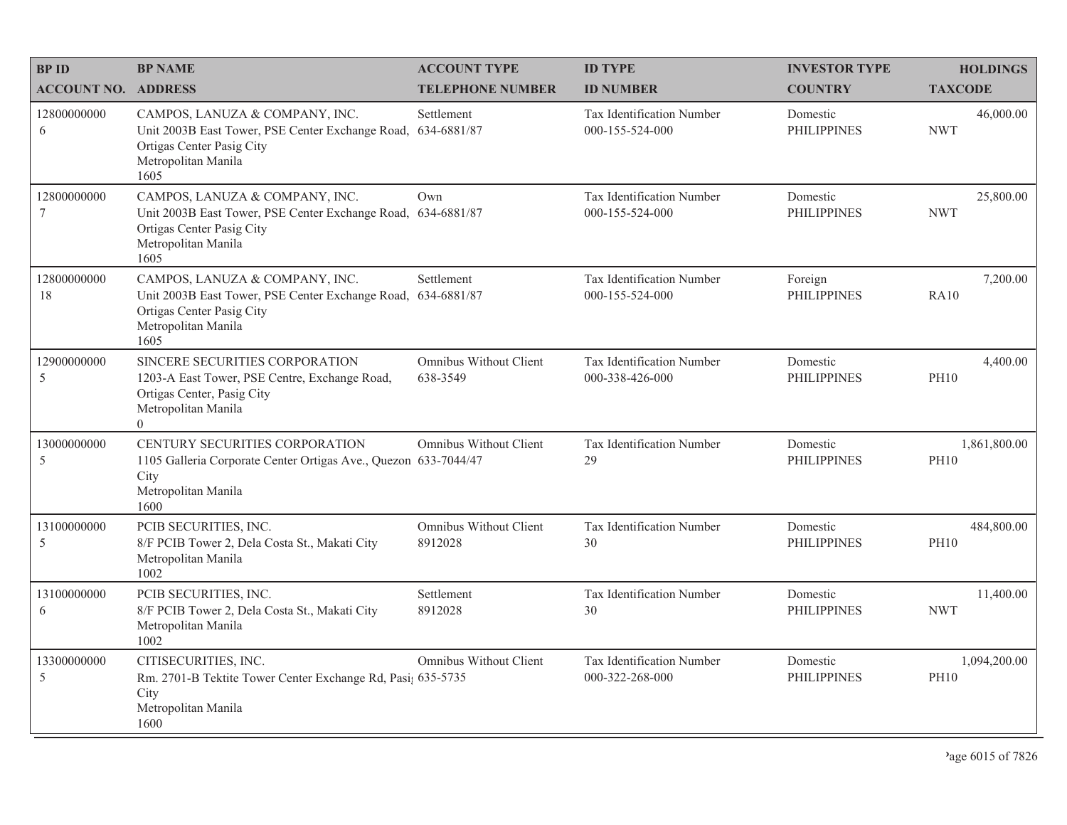| <b>BP ID</b>                   | <b>BP NAME</b>                                                                                                                                             | <b>ACCOUNT TYPE</b>                | <b>ID TYPE</b>                                      | <b>INVESTOR TYPE</b>           | <b>HOLDINGS</b>             |
|--------------------------------|------------------------------------------------------------------------------------------------------------------------------------------------------------|------------------------------------|-----------------------------------------------------|--------------------------------|-----------------------------|
| <b>ACCOUNT NO. ADDRESS</b>     |                                                                                                                                                            | <b>TELEPHONE NUMBER</b>            | <b>ID NUMBER</b>                                    | <b>COUNTRY</b>                 | <b>TAXCODE</b>              |
| 12800000000<br>6               | CAMPOS, LANUZA & COMPANY, INC.<br>Unit 2003B East Tower, PSE Center Exchange Road,<br>Ortigas Center Pasig City<br>Metropolitan Manila<br>1605             | Settlement<br>634-6881/87          | <b>Tax Identification Number</b><br>000-155-524-000 | Domestic<br><b>PHILIPPINES</b> | 46,000.00<br><b>NWT</b>     |
| 12800000000<br>$7\phantom{.0}$ | CAMPOS, LANUZA & COMPANY, INC.<br>Unit 2003B East Tower, PSE Center Exchange Road, 634-6881/87<br>Ortigas Center Pasig City<br>Metropolitan Manila<br>1605 | Own                                | <b>Tax Identification Number</b><br>000-155-524-000 | Domestic<br><b>PHILIPPINES</b> | 25,800.00<br><b>NWT</b>     |
| 12800000000<br>18              | CAMPOS, LANUZA & COMPANY, INC.<br>Unit 2003B East Tower, PSE Center Exchange Road, 634-6881/87<br>Ortigas Center Pasig City<br>Metropolitan Manila<br>1605 | Settlement                         | Tax Identification Number<br>000-155-524-000        | Foreign<br><b>PHILIPPINES</b>  | 7,200.00<br><b>RA10</b>     |
| 12900000000<br>5               | SINCERE SECURITIES CORPORATION<br>1203-A East Tower, PSE Centre, Exchange Road,<br>Ortigas Center, Pasig City<br>Metropolitan Manila<br>$\Omega$           | Omnibus Without Client<br>638-3549 | Tax Identification Number<br>000-338-426-000        | Domestic<br><b>PHILIPPINES</b> | 4,400.00<br><b>PH10</b>     |
| 13000000000<br>5               | CENTURY SECURITIES CORPORATION<br>1105 Galleria Corporate Center Ortigas Ave., Quezon 633-7044/47<br>City<br>Metropolitan Manila<br>1600                   | Omnibus Without Client             | Tax Identification Number<br>29                     | Domestic<br><b>PHILIPPINES</b> | 1,861,800.00<br><b>PH10</b> |
| 13100000000<br>5               | PCIB SECURITIES, INC.<br>8/F PCIB Tower 2, Dela Costa St., Makati City<br>Metropolitan Manila<br>1002                                                      | Omnibus Without Client<br>8912028  | Tax Identification Number<br>30                     | Domestic<br><b>PHILIPPINES</b> | 484,800.00<br><b>PH10</b>   |
| 13100000000<br>6               | PCIB SECURITIES, INC.<br>8/F PCIB Tower 2, Dela Costa St., Makati City<br>Metropolitan Manila<br>1002                                                      | Settlement<br>8912028              | Tax Identification Number<br>30                     | Domestic<br><b>PHILIPPINES</b> | 11,400.00<br><b>NWT</b>     |
| 13300000000<br>5               | CITISECURITIES, INC.<br>Rm. 2701-B Tektite Tower Center Exchange Rd, Pasi; 635-5735<br>City<br>Metropolitan Manila<br>1600                                 | Omnibus Without Client             | Tax Identification Number<br>000-322-268-000        | Domestic<br><b>PHILIPPINES</b> | 1,094,200.00<br><b>PH10</b> |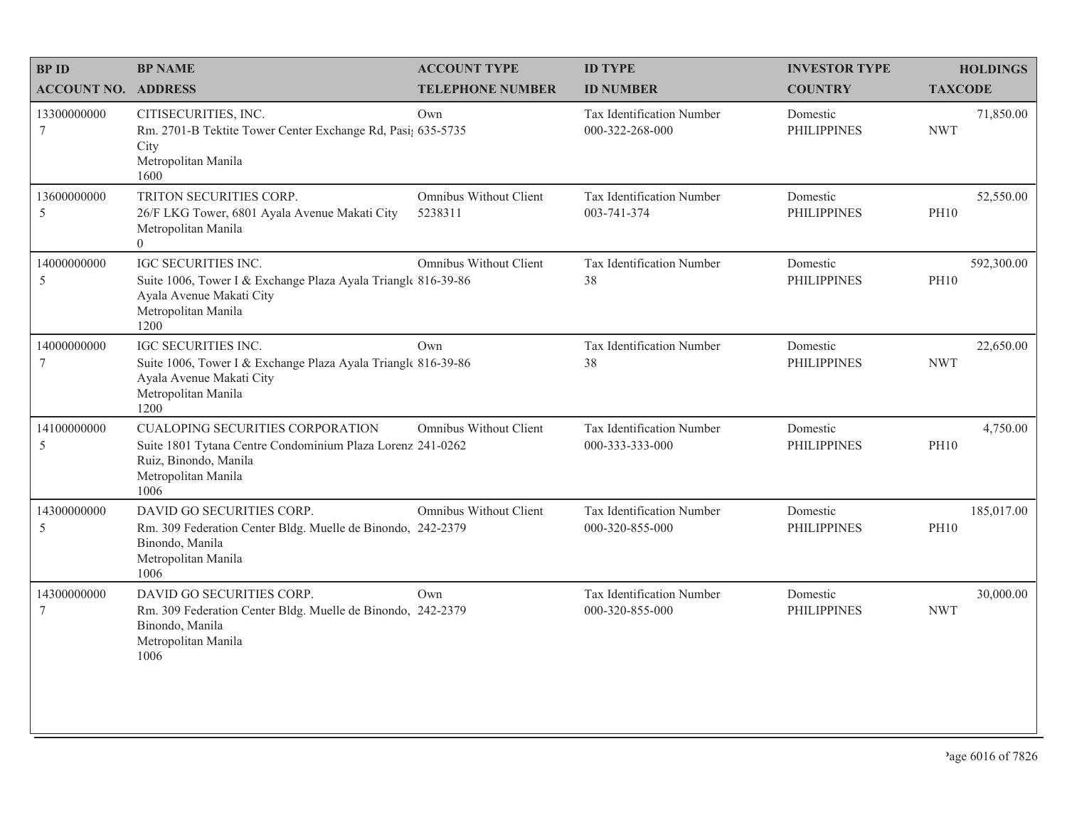| <b>BPID</b>                    | <b>BP NAME</b>                                                                                                                                                | <b>ACCOUNT TYPE</b>               | <b>ID TYPE</b>                               | <b>INVESTOR TYPE</b>           | <b>HOLDINGS</b>           |
|--------------------------------|---------------------------------------------------------------------------------------------------------------------------------------------------------------|-----------------------------------|----------------------------------------------|--------------------------------|---------------------------|
| <b>ACCOUNT NO. ADDRESS</b>     |                                                                                                                                                               | <b>TELEPHONE NUMBER</b>           | <b>ID NUMBER</b>                             | <b>COUNTRY</b>                 | <b>TAXCODE</b>            |
| 13300000000<br>7               | CITISECURITIES, INC.<br>Rm. 2701-B Tektite Tower Center Exchange Rd, Pasi; 635-5735<br>City<br>Metropolitan Manila<br>1600                                    | Own                               | Tax Identification Number<br>000-322-268-000 | Domestic<br><b>PHILIPPINES</b> | 71,850.00<br><b>NWT</b>   |
| 13600000000<br>5               | TRITON SECURITIES CORP.<br>26/F LKG Tower, 6801 Ayala Avenue Makati City<br>Metropolitan Manila<br>$\theta$                                                   | Omnibus Without Client<br>5238311 | Tax Identification Number<br>003-741-374     | Domestic<br><b>PHILIPPINES</b> | 52,550.00<br><b>PH10</b>  |
| 14000000000<br>5               | IGC SECURITIES INC.<br>Suite 1006, Tower I & Exchange Plaza Ayala Triangle 816-39-86<br>Ayala Avenue Makati City<br>Metropolitan Manila<br>1200               | Omnibus Without Client            | Tax Identification Number<br>38              | Domestic<br><b>PHILIPPINES</b> | 592,300.00<br><b>PH10</b> |
| 14000000000<br>$7\phantom{.0}$ | IGC SECURITIES INC.<br>Suite 1006, Tower I & Exchange Plaza Ayala Triangle 816-39-86<br>Ayala Avenue Makati City<br>Metropolitan Manila<br>1200               | Own                               | Tax Identification Number<br>38              | Domestic<br><b>PHILIPPINES</b> | 22,650.00<br><b>NWT</b>   |
| 14100000000<br>5               | <b>CUALOPING SECURITIES CORPORATION</b><br>Suite 1801 Tytana Centre Condominium Plaza Lorenz 241-0262<br>Ruiz, Binondo, Manila<br>Metropolitan Manila<br>1006 | Omnibus Without Client            | Tax Identification Number<br>000-333-333-000 | Domestic<br><b>PHILIPPINES</b> | 4,750.00<br><b>PH10</b>   |
| 14300000000<br>5               | DAVID GO SECURITIES CORP.<br>Rm. 309 Federation Center Bldg. Muelle de Binondo, 242-2379<br>Binondo, Manila<br>Metropolitan Manila<br>1006                    | Omnibus Without Client            | Tax Identification Number<br>000-320-855-000 | Domestic<br><b>PHILIPPINES</b> | 185,017.00<br><b>PH10</b> |
| 14300000000<br>$7\phantom{.0}$ | DAVID GO SECURITIES CORP.<br>Rm. 309 Federation Center Bldg. Muelle de Binondo, 242-2379<br>Binondo, Manila<br>Metropolitan Manila<br>1006                    | Own                               | Tax Identification Number<br>000-320-855-000 | Domestic<br><b>PHILIPPINES</b> | 30,000.00<br><b>NWT</b>   |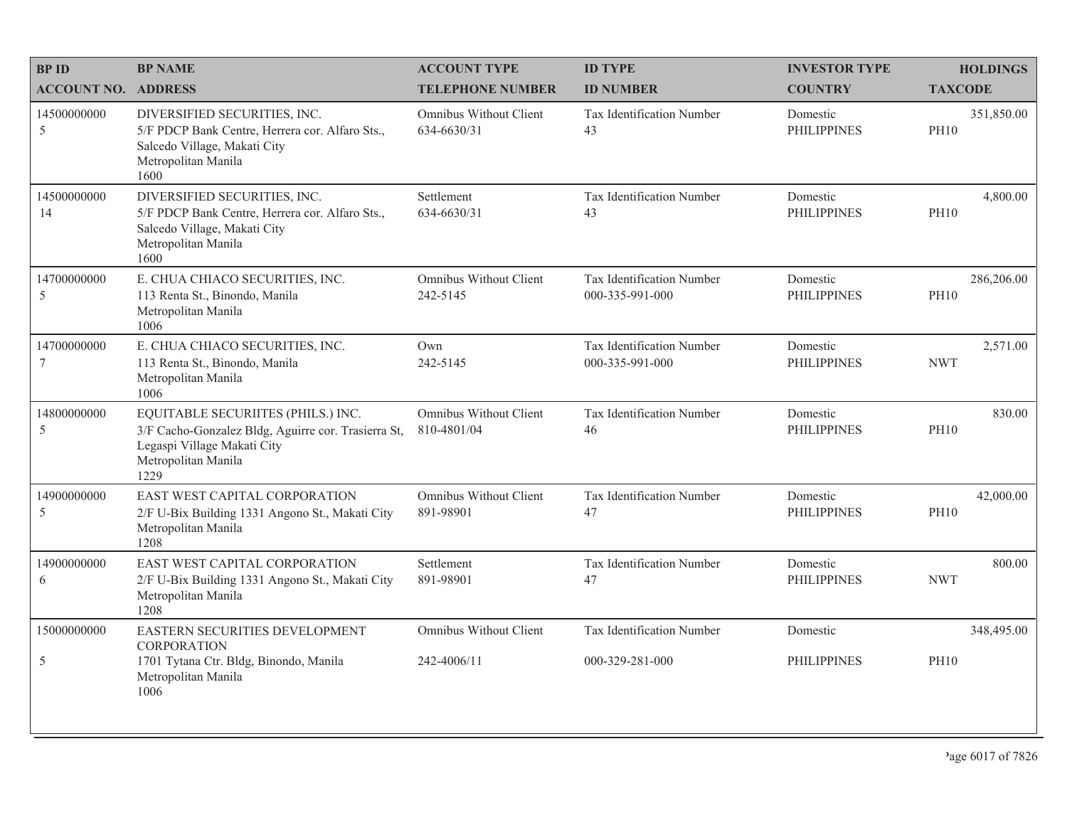| <b>BPID</b>                | <b>BP NAME</b>                                                                                                                                          | <b>ACCOUNT TYPE</b>                          | <b>ID TYPE</b>                                      | <b>INVESTOR TYPE</b>           | <b>HOLDINGS</b>           |
|----------------------------|---------------------------------------------------------------------------------------------------------------------------------------------------------|----------------------------------------------|-----------------------------------------------------|--------------------------------|---------------------------|
| <b>ACCOUNT NO. ADDRESS</b> |                                                                                                                                                         | <b>TELEPHONE NUMBER</b>                      | <b>ID NUMBER</b>                                    | <b>COUNTRY</b>                 | <b>TAXCODE</b>            |
| 14500000000<br>5           | DIVERSIFIED SECURITIES, INC.<br>5/F PDCP Bank Centre, Herrera cor. Alfaro Sts.,<br>Salcedo Village, Makati City<br>Metropolitan Manila<br>1600          | Omnibus Without Client<br>634-6630/31        | Tax Identification Number<br>43                     | Domestic<br><b>PHILIPPINES</b> | 351,850.00<br><b>PH10</b> |
| 14500000000<br>14          | DIVERSIFIED SECURITIES, INC.<br>5/F PDCP Bank Centre, Herrera cor. Alfaro Sts.,<br>Salcedo Village, Makati City<br>Metropolitan Manila<br>1600          | Settlement<br>634-6630/31                    | Tax Identification Number<br>43                     | Domestic<br><b>PHILIPPINES</b> | 4,800.00<br><b>PH10</b>   |
| 14700000000<br>5           | E. CHUA CHIACO SECURITIES, INC.<br>113 Renta St., Binondo, Manila<br>Metropolitan Manila<br>1006                                                        | <b>Omnibus Without Client</b><br>242-5145    | Tax Identification Number<br>000-335-991-000        | Domestic<br><b>PHILIPPINES</b> | 286,206.00<br><b>PH10</b> |
| 14700000000<br>7           | E. CHUA CHIACO SECURITIES, INC.<br>113 Renta St., Binondo, Manila<br>Metropolitan Manila<br>1006                                                        | Own<br>242-5145                              | <b>Tax Identification Number</b><br>000-335-991-000 | Domestic<br><b>PHILIPPINES</b> | 2,571.00<br><b>NWT</b>    |
| 14800000000<br>5           | EQUITABLE SECURIITES (PHILS.) INC.<br>3/F Cacho-Gonzalez Bldg, Aguirre cor. Trasierra St,<br>Legaspi Village Makati City<br>Metropolitan Manila<br>1229 | Omnibus Without Client<br>810-4801/04        | Tax Identification Number<br>46                     | Domestic<br><b>PHILIPPINES</b> | 830.00<br><b>PH10</b>     |
| 14900000000<br>5           | EAST WEST CAPITAL CORPORATION<br>2/F U-Bix Building 1331 Angono St., Makati City<br>Metropolitan Manila<br>1208                                         | Omnibus Without Client<br>891-98901          | Tax Identification Number<br>47                     | Domestic<br><b>PHILIPPINES</b> | 42,000.00<br><b>PH10</b>  |
| 14900000000<br>6           | EAST WEST CAPITAL CORPORATION<br>2/F U-Bix Building 1331 Angono St., Makati City<br>Metropolitan Manila<br>1208                                         | Settlement<br>891-98901                      | Tax Identification Number<br>47                     | Domestic<br><b>PHILIPPINES</b> | 800.00<br><b>NWT</b>      |
| 15000000000<br>5           | EASTERN SECURITIES DEVELOPMENT<br>CORPORATION<br>1701 Tytana Ctr. Bldg, Binondo, Manila<br>Metropolitan Manila                                          | <b>Omnibus Without Client</b><br>242-4006/11 | Tax Identification Number<br>000-329-281-000        | Domestic<br><b>PHILIPPINES</b> | 348,495.00<br><b>PH10</b> |
|                            | 1006                                                                                                                                                    |                                              |                                                     |                                |                           |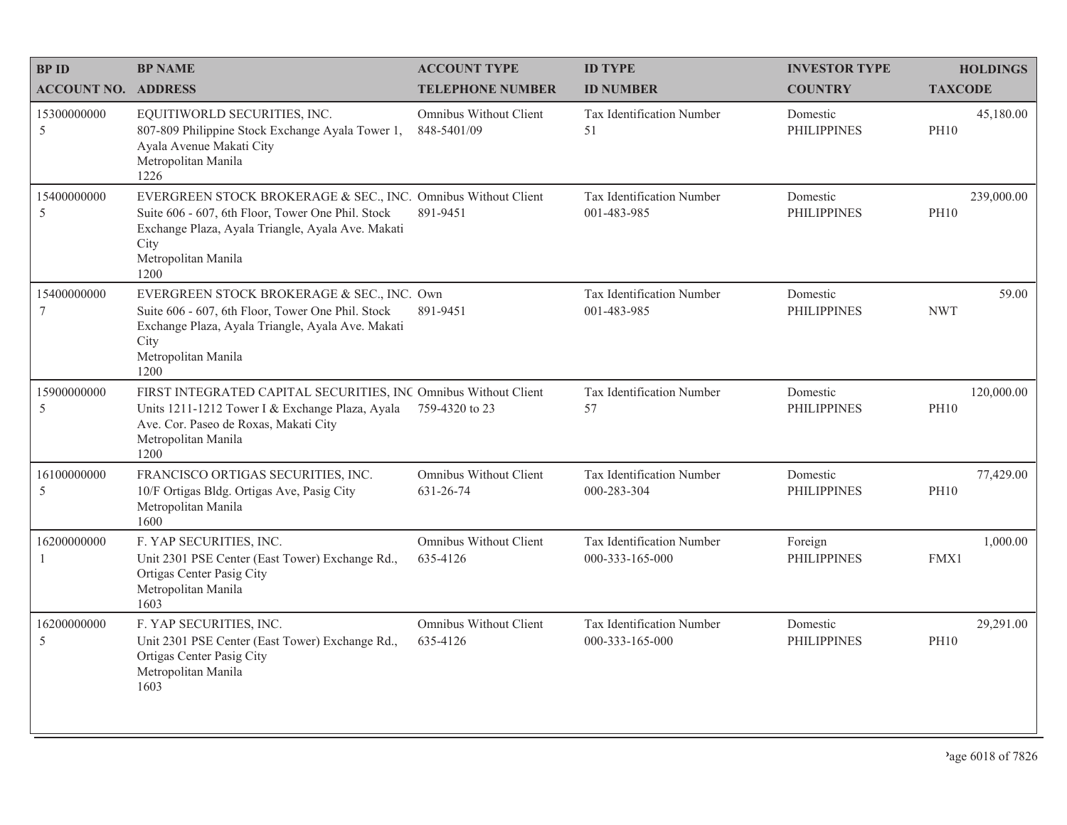| <b>BPID</b>                  | <b>BP NAME</b>                                                                                                                                                                                                 | <b>ACCOUNT TYPE</b>                        | <b>ID TYPE</b>                               | <b>INVESTOR TYPE</b>           | <b>HOLDINGS</b>           |
|------------------------------|----------------------------------------------------------------------------------------------------------------------------------------------------------------------------------------------------------------|--------------------------------------------|----------------------------------------------|--------------------------------|---------------------------|
| <b>ACCOUNT NO. ADDRESS</b>   |                                                                                                                                                                                                                | <b>TELEPHONE NUMBER</b>                    | <b>ID NUMBER</b>                             | <b>COUNTRY</b>                 | <b>TAXCODE</b>            |
| 15300000000<br>$\mathfrak s$ | EQUITIWORLD SECURITIES, INC.<br>807-809 Philippine Stock Exchange Ayala Tower 1,<br>Ayala Avenue Makati City<br>Metropolitan Manila<br>1226                                                                    | Omnibus Without Client<br>848-5401/09      | Tax Identification Number<br>51              | Domestic<br><b>PHILIPPINES</b> | 45,180.00<br><b>PH10</b>  |
| 15400000000<br>5             | EVERGREEN STOCK BROKERAGE & SEC., INC. Omnibus Without Client<br>Suite 606 - 607, 6th Floor, Tower One Phil. Stock<br>Exchange Plaza, Ayala Triangle, Ayala Ave. Makati<br>City<br>Metropolitan Manila<br>1200 | 891-9451                                   | Tax Identification Number<br>001-483-985     | Domestic<br><b>PHILIPPINES</b> | 239,000.00<br><b>PH10</b> |
| 15400000000<br>$\tau$        | EVERGREEN STOCK BROKERAGE & SEC., INC. Own<br>Suite 606 - 607, 6th Floor, Tower One Phil. Stock<br>Exchange Plaza, Ayala Triangle, Ayala Ave. Makati<br>City<br>Metropolitan Manila<br>1200                    | 891-9451                                   | Tax Identification Number<br>001-483-985     | Domestic<br><b>PHILIPPINES</b> | 59.00<br><b>NWT</b>       |
| 15900000000<br>5             | FIRST INTEGRATED CAPITAL SECURITIES, INC Omnibus Without Client<br>Units 1211-1212 Tower I & Exchange Plaza, Ayala<br>Ave. Cor. Paseo de Roxas, Makati City<br>Metropolitan Manila<br>1200                     | 759-4320 to 23                             | Tax Identification Number<br>57              | Domestic<br><b>PHILIPPINES</b> | 120,000.00<br><b>PH10</b> |
| 16100000000<br>5             | FRANCISCO ORTIGAS SECURITIES, INC.<br>10/F Ortigas Bldg. Ortigas Ave, Pasig City<br>Metropolitan Manila<br>1600                                                                                                | <b>Omnibus Without Client</b><br>631-26-74 | Tax Identification Number<br>000-283-304     | Domestic<br><b>PHILIPPINES</b> | 77,429.00<br><b>PH10</b>  |
| 16200000000<br>1             | F. YAP SECURITIES, INC.<br>Unit 2301 PSE Center (East Tower) Exchange Rd.,<br>Ortigas Center Pasig City<br>Metropolitan Manila<br>1603                                                                         | Omnibus Without Client<br>635-4126         | Tax Identification Number<br>000-333-165-000 | Foreign<br><b>PHILIPPINES</b>  | 1,000.00<br>FMX1          |
| 16200000000<br>5             | F. YAP SECURITIES, INC.<br>Unit 2301 PSE Center (East Tower) Exchange Rd.,<br>Ortigas Center Pasig City<br>Metropolitan Manila<br>1603                                                                         | Omnibus Without Client<br>635-4126         | Tax Identification Number<br>000-333-165-000 | Domestic<br><b>PHILIPPINES</b> | 29,291.00<br><b>PH10</b>  |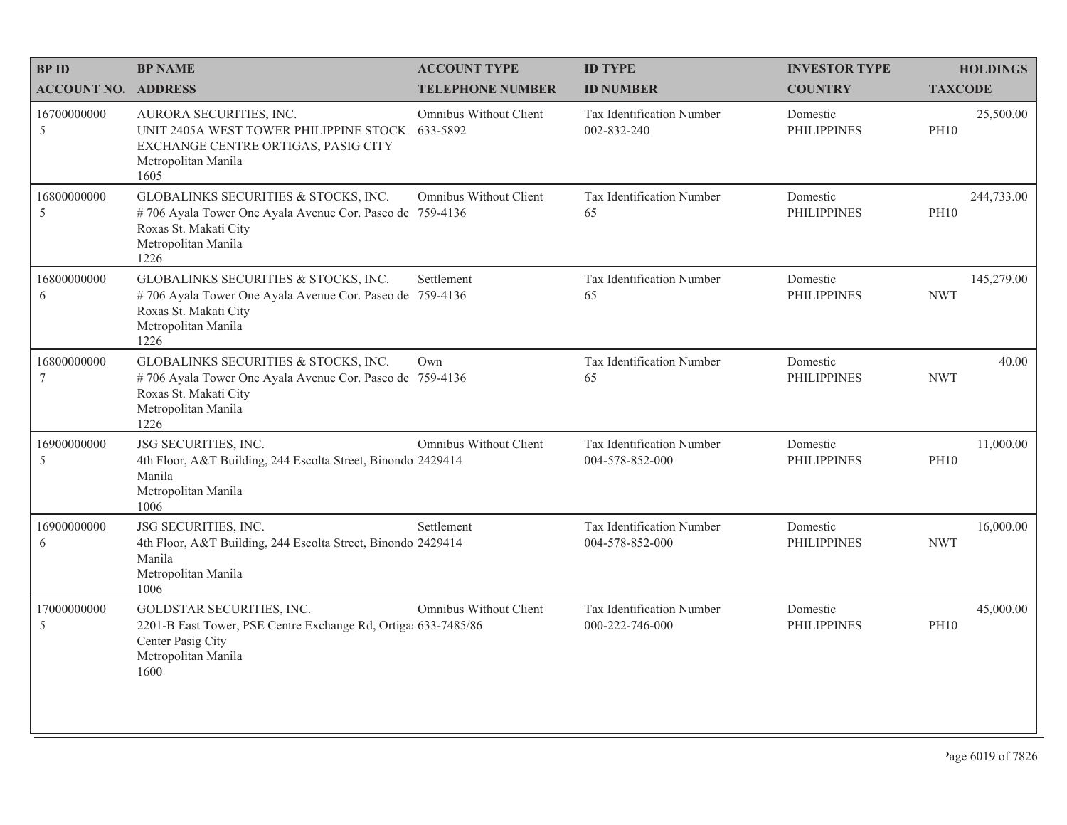| <b>BPID</b>                | <b>BP NAME</b>                                                                                                                                           | <b>ACCOUNT TYPE</b>     | <b>ID TYPE</b>                               | <b>INVESTOR TYPE</b>           | <b>HOLDINGS</b>           |
|----------------------------|----------------------------------------------------------------------------------------------------------------------------------------------------------|-------------------------|----------------------------------------------|--------------------------------|---------------------------|
| <b>ACCOUNT NO. ADDRESS</b> |                                                                                                                                                          | <b>TELEPHONE NUMBER</b> | <b>ID NUMBER</b>                             | <b>COUNTRY</b>                 | <b>TAXCODE</b>            |
| 16700000000<br>5           | AURORA SECURITIES, INC.<br>UNIT 2405A WEST TOWER PHILIPPINE STOCK 633-5892<br>EXCHANGE CENTRE ORTIGAS, PASIG CITY<br>Metropolitan Manila<br>1605         | Omnibus Without Client  | Tax Identification Number<br>002-832-240     | Domestic<br><b>PHILIPPINES</b> | 25,500.00<br><b>PH10</b>  |
| 16800000000<br>5           | GLOBALINKS SECURITIES & STOCKS, INC.<br>#706 Ayala Tower One Ayala Avenue Cor. Paseo de 759-4136<br>Roxas St. Makati City<br>Metropolitan Manila<br>1226 | Omnibus Without Client  | Tax Identification Number<br>65              | Domestic<br><b>PHILIPPINES</b> | 244,733.00<br><b>PH10</b> |
| 16800000000<br>6           | GLOBALINKS SECURITIES & STOCKS, INC.<br>#706 Ayala Tower One Ayala Avenue Cor. Paseo de 759-4136<br>Roxas St. Makati City<br>Metropolitan Manila<br>1226 | Settlement              | Tax Identification Number<br>65              | Domestic<br><b>PHILIPPINES</b> | 145,279.00<br><b>NWT</b>  |
| 16800000000<br>$\tau$      | GLOBALINKS SECURITIES & STOCKS, INC.<br>#706 Ayala Tower One Ayala Avenue Cor. Paseo de 759-4136<br>Roxas St. Makati City<br>Metropolitan Manila<br>1226 | Own                     | Tax Identification Number<br>65              | Domestic<br><b>PHILIPPINES</b> | 40.00<br><b>NWT</b>       |
| 16900000000<br>5           | JSG SECURITIES, INC.<br>4th Floor, A&T Building, 244 Escolta Street, Binondo 2429414<br>Manila<br>Metropolitan Manila<br>1006                            | Omnibus Without Client  | Tax Identification Number<br>004-578-852-000 | Domestic<br><b>PHILIPPINES</b> | 11,000.00<br><b>PH10</b>  |
| 16900000000<br>6           | JSG SECURITIES, INC.<br>4th Floor, A&T Building, 244 Escolta Street, Binondo 2429414<br>Manila<br>Metropolitan Manila<br>1006                            | Settlement              | Tax Identification Number<br>004-578-852-000 | Domestic<br><b>PHILIPPINES</b> | 16,000.00<br><b>NWT</b>   |
| 17000000000<br>5           | GOLDSTAR SECURITIES, INC.<br>2201-B East Tower, PSE Centre Exchange Rd, Ortiga 633-7485/86<br>Center Pasig City<br>Metropolitan Manila<br>1600           | Omnibus Without Client  | Tax Identification Number<br>000-222-746-000 | Domestic<br><b>PHILIPPINES</b> | 45,000.00<br><b>PH10</b>  |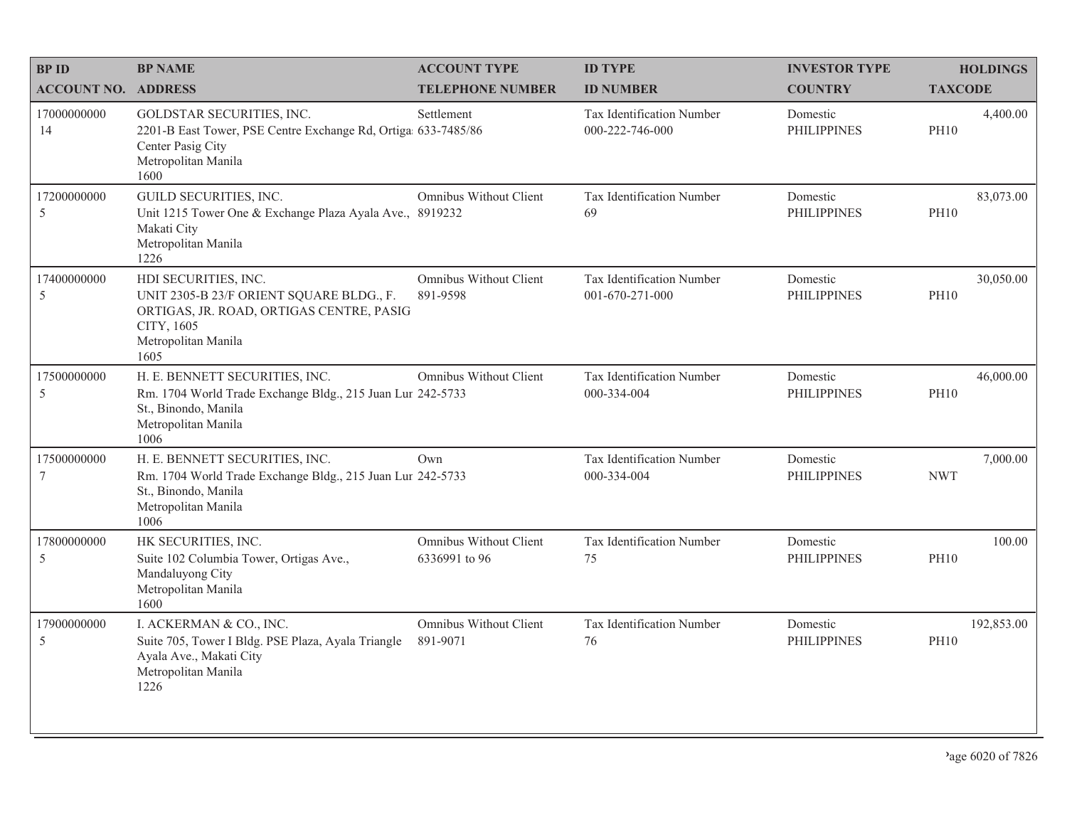| <b>BPID</b>                | <b>BP NAME</b>                                                                                                                                            | <b>ACCOUNT TYPE</b>                     | <b>ID TYPE</b>                               | <b>INVESTOR TYPE</b>           | <b>HOLDINGS</b>           |
|----------------------------|-----------------------------------------------------------------------------------------------------------------------------------------------------------|-----------------------------------------|----------------------------------------------|--------------------------------|---------------------------|
| <b>ACCOUNT NO. ADDRESS</b> |                                                                                                                                                           | <b>TELEPHONE NUMBER</b>                 | <b>ID NUMBER</b>                             | <b>COUNTRY</b>                 | <b>TAXCODE</b>            |
| 17000000000<br>14          | GOLDSTAR SECURITIES, INC.<br>2201-B East Tower, PSE Centre Exchange Rd, Ortiga 633-7485/86<br>Center Pasig City<br>Metropolitan Manila<br>1600            | Settlement                              | Tax Identification Number<br>000-222-746-000 | Domestic<br><b>PHILIPPINES</b> | 4,400.00<br><b>PH10</b>   |
| 17200000000<br>5           | <b>GUILD SECURITIES, INC.</b><br>Unit 1215 Tower One & Exchange Plaza Ayala Ave., 8919232<br>Makati City<br>Metropolitan Manila<br>1226                   | Omnibus Without Client                  | Tax Identification Number<br>69              | Domestic<br><b>PHILIPPINES</b> | 83,073.00<br><b>PH10</b>  |
| 17400000000<br>5           | HDI SECURITIES, INC.<br>UNIT 2305-B 23/F ORIENT SQUARE BLDG., F.<br>ORTIGAS, JR. ROAD, ORTIGAS CENTRE, PASIG<br>CITY, 1605<br>Metropolitan Manila<br>1605 | Omnibus Without Client<br>891-9598      | Tax Identification Number<br>001-670-271-000 | Domestic<br><b>PHILIPPINES</b> | 30,050.00<br><b>PH10</b>  |
| 17500000000<br>5           | H. E. BENNETT SECURITIES, INC.<br>Rm. 1704 World Trade Exchange Bldg., 215 Juan Lur 242-5733<br>St., Binondo, Manila<br>Metropolitan Manila<br>1006       | Omnibus Without Client                  | Tax Identification Number<br>000-334-004     | Domestic<br><b>PHILIPPINES</b> | 46,000.00<br><b>PH10</b>  |
| 17500000000<br>7           | H. E. BENNETT SECURITIES, INC.<br>Rm. 1704 World Trade Exchange Bldg., 215 Juan Lur 242-5733<br>St., Binondo, Manila<br>Metropolitan Manila<br>1006       | Own                                     | Tax Identification Number<br>000-334-004     | Domestic<br><b>PHILIPPINES</b> | 7,000.00<br><b>NWT</b>    |
| 17800000000<br>5           | HK SECURITIES, INC.<br>Suite 102 Columbia Tower, Ortigas Ave.,<br>Mandaluyong City<br>Metropolitan Manila<br>1600                                         | Omnibus Without Client<br>6336991 to 96 | Tax Identification Number<br>75              | Domestic<br><b>PHILIPPINES</b> | 100.00<br><b>PH10</b>     |
| 17900000000<br>5           | I. ACKERMAN & CO., INC.<br>Suite 705, Tower I Bldg. PSE Plaza, Ayala Triangle<br>Ayala Ave., Makati City<br>Metropolitan Manila<br>1226                   | Omnibus Without Client<br>891-9071      | Tax Identification Number<br>76              | Domestic<br><b>PHILIPPINES</b> | 192,853.00<br><b>PH10</b> |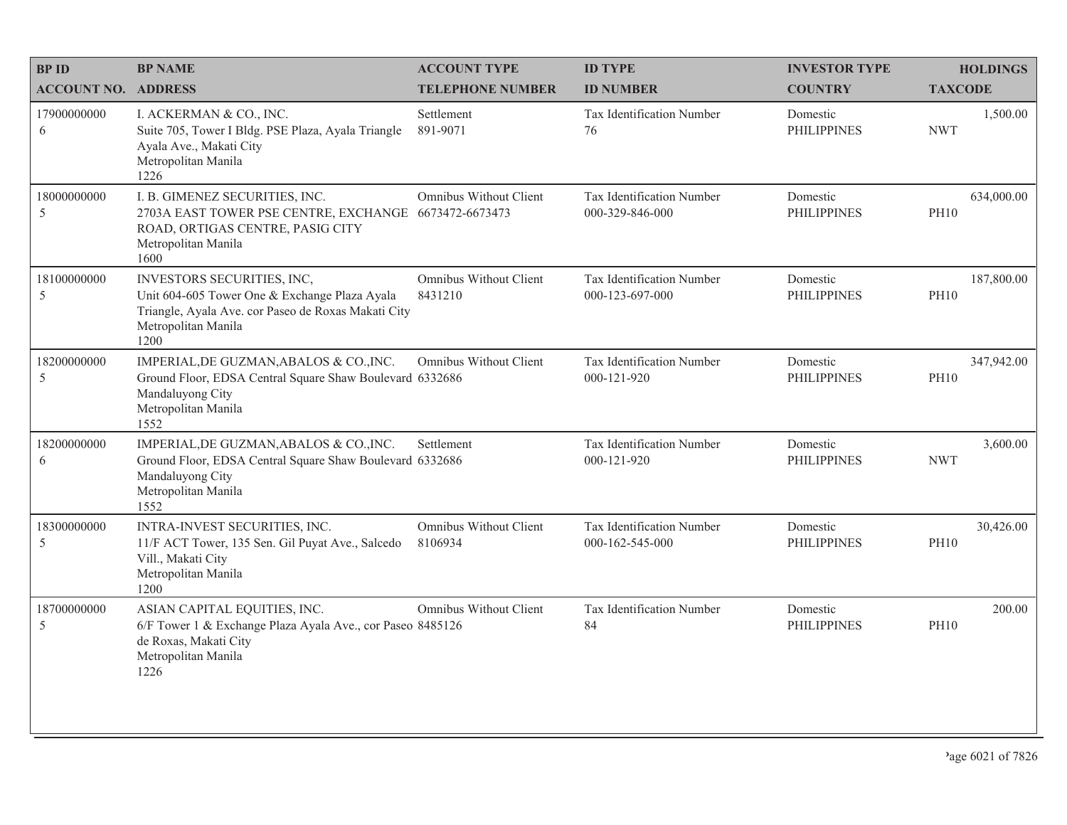| <b>BPID</b>                   | <b>BP NAME</b>                                                                                                                                                    | <b>ACCOUNT TYPE</b>               | <b>ID TYPE</b>                               | <b>INVESTOR TYPE</b>           | <b>HOLDINGS</b>           |
|-------------------------------|-------------------------------------------------------------------------------------------------------------------------------------------------------------------|-----------------------------------|----------------------------------------------|--------------------------------|---------------------------|
| <b>ACCOUNT NO. ADDRESS</b>    |                                                                                                                                                                   | <b>TELEPHONE NUMBER</b>           | <b>ID NUMBER</b>                             | <b>COUNTRY</b>                 | <b>TAXCODE</b>            |
| 17900000000<br>6              | I. ACKERMAN & CO., INC.<br>Suite 705, Tower I Bldg. PSE Plaza, Ayala Triangle<br>Ayala Ave., Makati City<br>Metropolitan Manila<br>1226                           | Settlement<br>891-9071            | <b>Tax Identification Number</b><br>76       | Domestic<br><b>PHILIPPINES</b> | 1,500.00<br><b>NWT</b>    |
| 18000000000<br>5              | I. B. GIMENEZ SECURITIES, INC.<br>2703A EAST TOWER PSE CENTRE, EXCHANGE 6673472-6673473<br>ROAD, ORTIGAS CENTRE, PASIG CITY<br>Metropolitan Manila<br>1600        | Omnibus Without Client            | Tax Identification Number<br>000-329-846-000 | Domestic<br><b>PHILIPPINES</b> | 634,000.00<br><b>PH10</b> |
| 18100000000<br>5              | INVESTORS SECURITIES, INC,<br>Unit 604-605 Tower One & Exchange Plaza Ayala<br>Triangle, Ayala Ave. cor Paseo de Roxas Makati City<br>Metropolitan Manila<br>1200 | Omnibus Without Client<br>8431210 | Tax Identification Number<br>000-123-697-000 | Domestic<br><b>PHILIPPINES</b> | 187,800.00<br><b>PH10</b> |
| 18200000000<br>5              | IMPERIAL, DE GUZMAN, ABALOS & CO., INC.<br>Ground Floor, EDSA Central Square Shaw Boulevard 6332686<br>Mandaluyong City<br>Metropolitan Manila<br>1552            | Omnibus Without Client            | Tax Identification Number<br>000-121-920     | Domestic<br><b>PHILIPPINES</b> | 347,942.00<br><b>PH10</b> |
| 18200000000<br>6              | IMPERIAL, DE GUZMAN, ABALOS & CO., INC.<br>Ground Floor, EDSA Central Square Shaw Boulevard 6332686<br>Mandaluyong City<br>Metropolitan Manila<br>1552            | Settlement                        | Tax Identification Number<br>000-121-920     | Domestic<br><b>PHILIPPINES</b> | 3,600.00<br><b>NWT</b>    |
| 18300000000<br>$\overline{5}$ | INTRA-INVEST SECURITIES, INC.<br>11/F ACT Tower, 135 Sen. Gil Puyat Ave., Salcedo<br>Vill., Makati City<br>Metropolitan Manila<br>1200                            | Omnibus Without Client<br>8106934 | Tax Identification Number<br>000-162-545-000 | Domestic<br><b>PHILIPPINES</b> | 30,426.00<br><b>PH10</b>  |
| 18700000000<br>$\overline{5}$ | ASIAN CAPITAL EQUITIES, INC.<br>6/F Tower 1 & Exchange Plaza Ayala Ave., cor Paseo 8485126<br>de Roxas, Makati City<br>Metropolitan Manila<br>1226                | Omnibus Without Client            | Tax Identification Number<br>84              | Domestic<br><b>PHILIPPINES</b> | 200.00<br><b>PH10</b>     |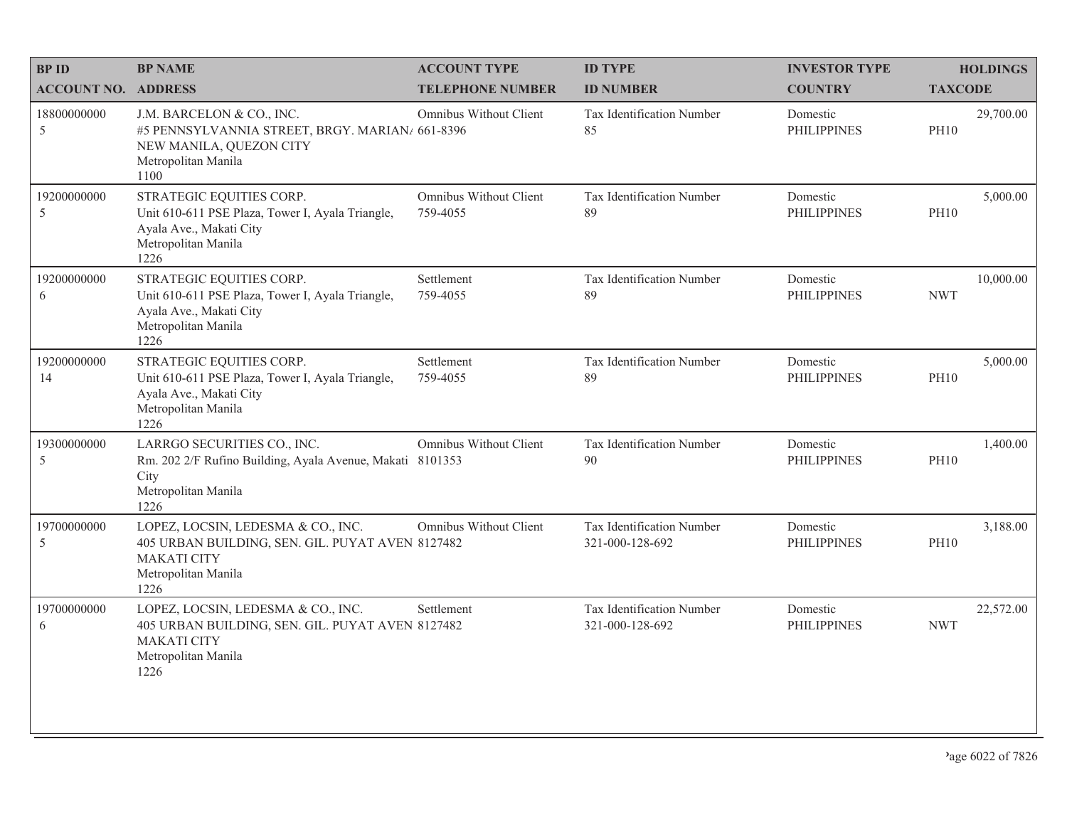| <b>BPID</b>                | <b>BP NAME</b>                                                                                                                              | <b>ACCOUNT TYPE</b>                | <b>ID TYPE</b>                               | <b>INVESTOR TYPE</b>           | <b>HOLDINGS</b>          |
|----------------------------|---------------------------------------------------------------------------------------------------------------------------------------------|------------------------------------|----------------------------------------------|--------------------------------|--------------------------|
| <b>ACCOUNT NO. ADDRESS</b> |                                                                                                                                             | <b>TELEPHONE NUMBER</b>            | <b>ID NUMBER</b>                             | <b>COUNTRY</b>                 | <b>TAXCODE</b>           |
| 18800000000<br>5           | J.M. BARCELON & CO., INC.<br>#5 PENNSYLVANNIA STREET, BRGY. MARIAN/ 661-8396<br>NEW MANILA, QUEZON CITY<br>Metropolitan Manila<br>1100      | Omnibus Without Client             | Tax Identification Number<br>85              | Domestic<br><b>PHILIPPINES</b> | 29,700.00<br><b>PH10</b> |
| 19200000000<br>5           | STRATEGIC EQUITIES CORP.<br>Unit 610-611 PSE Plaza, Tower I, Ayala Triangle,<br>Ayala Ave., Makati City<br>Metropolitan Manila<br>1226      | Omnibus Without Client<br>759-4055 | Tax Identification Number<br>89              | Domestic<br><b>PHILIPPINES</b> | 5,000.00<br><b>PH10</b>  |
| 19200000000<br>6           | STRATEGIC EQUITIES CORP.<br>Unit 610-611 PSE Plaza, Tower I, Ayala Triangle,<br>Ayala Ave., Makati City<br>Metropolitan Manila<br>1226      | Settlement<br>759-4055             | Tax Identification Number<br>89              | Domestic<br><b>PHILIPPINES</b> | 10,000.00<br><b>NWT</b>  |
| 19200000000<br>14          | STRATEGIC EQUITIES CORP.<br>Unit 610-611 PSE Plaza, Tower I, Ayala Triangle,<br>Ayala Ave., Makati City<br>Metropolitan Manila<br>1226      | Settlement<br>759-4055             | Tax Identification Number<br>89              | Domestic<br><b>PHILIPPINES</b> | 5,000.00<br><b>PH10</b>  |
| 19300000000<br>5           | LARRGO SECURITIES CO., INC.<br>Rm. 202 2/F Rufino Building, Ayala Avenue, Makati 8101353<br>City<br>Metropolitan Manila<br>1226             | Omnibus Without Client             | Tax Identification Number<br>90              | Domestic<br><b>PHILIPPINES</b> | 1,400.00<br><b>PH10</b>  |
| 19700000000<br>5           | LOPEZ, LOCSIN, LEDESMA & CO., INC.<br>405 URBAN BUILDING, SEN. GIL. PUYAT AVEN 8127482<br><b>MAKATI CITY</b><br>Metropolitan Manila<br>1226 | Omnibus Without Client             | Tax Identification Number<br>321-000-128-692 | Domestic<br><b>PHILIPPINES</b> | 3,188.00<br><b>PH10</b>  |
| 19700000000<br>6           | LOPEZ, LOCSIN, LEDESMA & CO., INC.<br>405 URBAN BUILDING, SEN. GIL. PUYAT AVEN 8127482<br><b>MAKATI CITY</b><br>Metropolitan Manila<br>1226 | Settlement                         | Tax Identification Number<br>321-000-128-692 | Domestic<br><b>PHILIPPINES</b> | 22,572.00<br><b>NWT</b>  |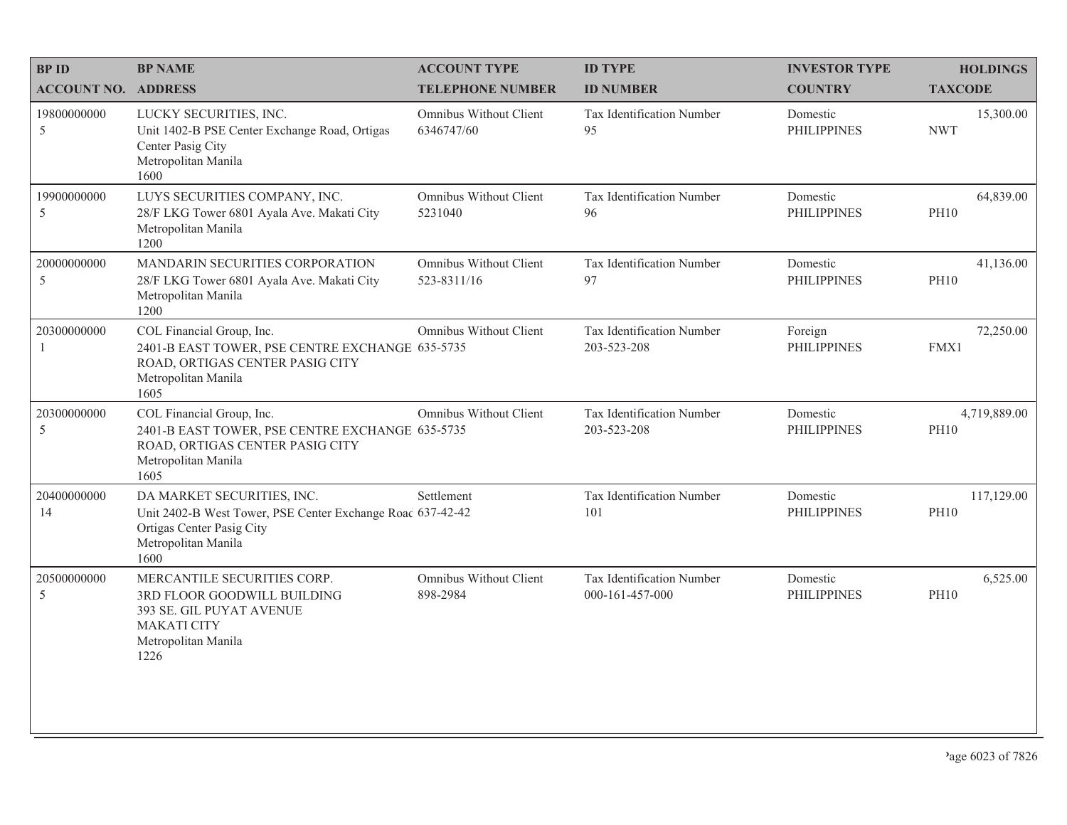| <b>BPID</b>                 | <b>BP NAME</b>                                                                                                                                       | <b>ACCOUNT TYPE</b>                          | <b>ID TYPE</b>                               | <b>INVESTOR TYPE</b>           | <b>HOLDINGS</b>             |
|-----------------------------|------------------------------------------------------------------------------------------------------------------------------------------------------|----------------------------------------------|----------------------------------------------|--------------------------------|-----------------------------|
| <b>ACCOUNT NO. ADDRESS</b>  |                                                                                                                                                      | <b>TELEPHONE NUMBER</b>                      | <b>ID NUMBER</b>                             | <b>COUNTRY</b>                 | <b>TAXCODE</b>              |
| 19800000000<br>5            | LUCKY SECURITIES, INC.<br>Unit 1402-B PSE Center Exchange Road, Ortigas<br>Center Pasig City<br>Metropolitan Manila<br>1600                          | Omnibus Without Client<br>6346747/60         | Tax Identification Number<br>95              | Domestic<br><b>PHILIPPINES</b> | 15,300.00<br><b>NWT</b>     |
| 19900000000<br>5            | LUYS SECURITIES COMPANY, INC.<br>28/F LKG Tower 6801 Ayala Ave. Makati City<br>Metropolitan Manila<br>1200                                           | Omnibus Without Client<br>5231040            | Tax Identification Number<br>96              | Domestic<br><b>PHILIPPINES</b> | 64,839.00<br><b>PH10</b>    |
| 20000000000<br>5            | MANDARIN SECURITIES CORPORATION<br>28/F LKG Tower 6801 Ayala Ave. Makati City<br>Metropolitan Manila<br>1200                                         | <b>Omnibus Without Client</b><br>523-8311/16 | Tax Identification Number<br>97              | Domestic<br><b>PHILIPPINES</b> | 41,136.00<br><b>PH10</b>    |
| 20300000000<br>$\mathbf{1}$ | COL Financial Group, Inc.<br>2401-B EAST TOWER, PSE CENTRE EXCHANGE 635-5735<br>ROAD, ORTIGAS CENTER PASIG CITY<br>Metropolitan Manila<br>1605       | Omnibus Without Client                       | Tax Identification Number<br>203-523-208     | Foreign<br><b>PHILIPPINES</b>  | 72,250.00<br>FMX1           |
| 20300000000<br>5            | COL Financial Group, Inc.<br>2401-B EAST TOWER, PSE CENTRE EXCHANGE 635-5735<br>ROAD, ORTIGAS CENTER PASIG CITY<br>Metropolitan Manila<br>1605       | Omnibus Without Client                       | Tax Identification Number<br>203-523-208     | Domestic<br><b>PHILIPPINES</b> | 4,719,889.00<br><b>PH10</b> |
| 20400000000<br>14           | DA MARKET SECURITIES, INC.<br>Unit 2402-B West Tower, PSE Center Exchange Roac 637-42-42<br>Ortigas Center Pasig City<br>Metropolitan Manila<br>1600 | Settlement                                   | Tax Identification Number<br>101             | Domestic<br><b>PHILIPPINES</b> | 117,129.00<br><b>PH10</b>   |
| 20500000000<br>5            | MERCANTILE SECURITIES CORP.<br>3RD FLOOR GOODWILL BUILDING<br>393 SE. GIL PUYAT AVENUE<br><b>MAKATI CITY</b><br>Metropolitan Manila<br>1226          | Omnibus Without Client<br>898-2984           | Tax Identification Number<br>000-161-457-000 | Domestic<br><b>PHILIPPINES</b> | 6,525.00<br><b>PH10</b>     |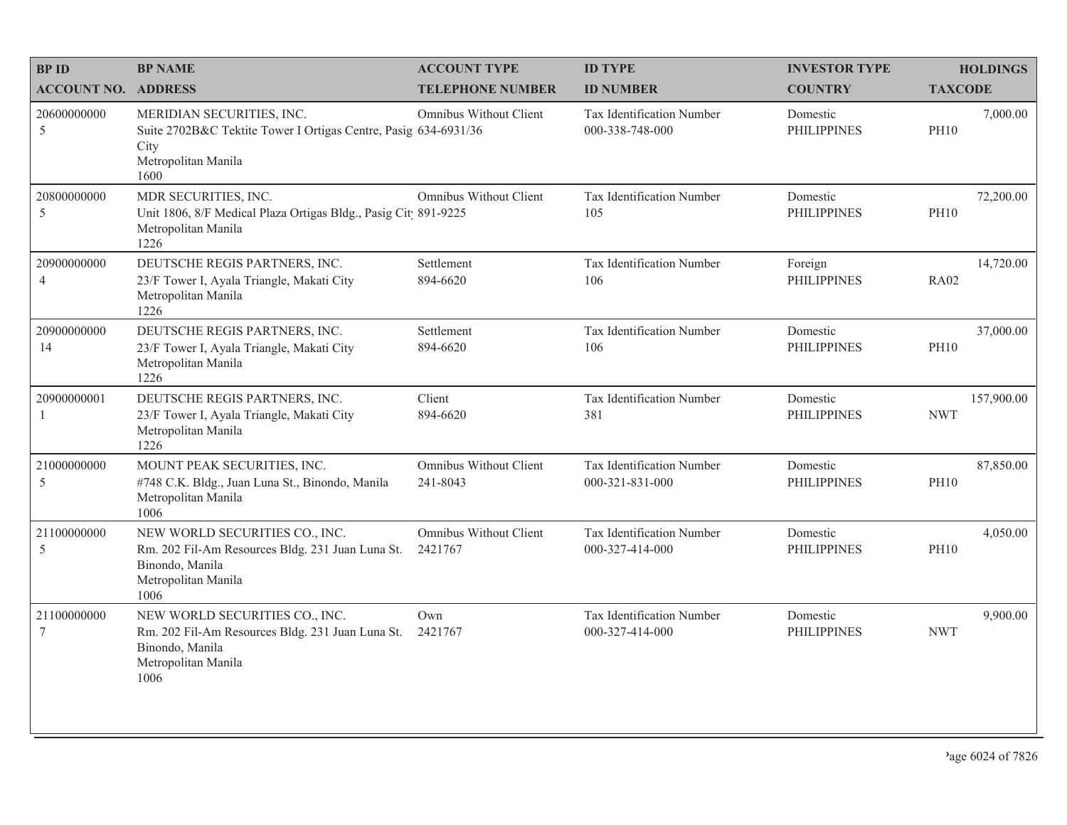| <b>BPID</b>                   | <b>BP NAME</b>                                                                                                                       | <b>ACCOUNT TYPE</b>                      | <b>ID TYPE</b>                               | <b>INVESTOR TYPE</b>           | <b>HOLDINGS</b>          |
|-------------------------------|--------------------------------------------------------------------------------------------------------------------------------------|------------------------------------------|----------------------------------------------|--------------------------------|--------------------------|
| <b>ACCOUNT NO. ADDRESS</b>    |                                                                                                                                      | <b>TELEPHONE NUMBER</b>                  | <b>ID NUMBER</b>                             | <b>COUNTRY</b>                 | <b>TAXCODE</b>           |
| 20600000000<br>5              | MERIDIAN SECURITIES, INC.<br>Suite 2702B&C Tektite Tower I Ortigas Centre, Pasig 634-6931/36<br>City<br>Metropolitan Manila<br>1600  | Omnibus Without Client                   | Tax Identification Number<br>000-338-748-000 | Domestic<br><b>PHILIPPINES</b> | 7,000.00<br><b>PH10</b>  |
| 20800000000<br>5              | MDR SECURITIES, INC.<br>Unit 1806, 8/F Medical Plaza Ortigas Bldg., Pasig Cit 891-9225<br>Metropolitan Manila<br>1226                | Omnibus Without Client                   | Tax Identification Number<br>105             | Domestic<br><b>PHILIPPINES</b> | 72,200.00<br><b>PH10</b> |
| 20900000000<br>$\overline{4}$ | DEUTSCHE REGIS PARTNERS, INC.<br>23/F Tower I, Ayala Triangle, Makati City<br>Metropolitan Manila<br>1226                            | Settlement<br>894-6620                   | Tax Identification Number<br>106             | Foreign<br><b>PHILIPPINES</b>  | 14,720.00<br><b>RA02</b> |
| 20900000000<br>14             | DEUTSCHE REGIS PARTNERS, INC.<br>23/F Tower I, Ayala Triangle, Makati City<br>Metropolitan Manila<br>1226                            | Settlement<br>894-6620                   | Tax Identification Number<br>106             | Domestic<br><b>PHILIPPINES</b> | 37,000.00<br><b>PH10</b> |
| 20900000001<br>1              | DEUTSCHE REGIS PARTNERS, INC.<br>23/F Tower I, Ayala Triangle, Makati City<br>Metropolitan Manila<br>1226                            | Client<br>894-6620                       | Tax Identification Number<br>381             | Domestic<br><b>PHILIPPINES</b> | 157,900.00<br><b>NWT</b> |
| 21000000000<br>5              | MOUNT PEAK SECURITIES, INC.<br>#748 C.K. Bldg., Juan Luna St., Binondo, Manila<br>Metropolitan Manila<br>1006                        | Omnibus Without Client<br>241-8043       | Tax Identification Number<br>000-321-831-000 | Domestic<br><b>PHILIPPINES</b> | 87,850.00<br><b>PH10</b> |
| 21100000000<br>5              | NEW WORLD SECURITIES CO., INC.<br>Rm. 202 Fil-Am Resources Bldg. 231 Juan Luna St.<br>Binondo, Manila<br>Metropolitan Manila<br>1006 | <b>Omnibus Without Client</b><br>2421767 | Tax Identification Number<br>000-327-414-000 | Domestic<br><b>PHILIPPINES</b> | 4,050.00<br><b>PH10</b>  |
| 21100000000<br>$\overline{7}$ | NEW WORLD SECURITIES CO., INC.<br>Rm. 202 Fil-Am Resources Bldg. 231 Juan Luna St.<br>Binondo, Manila<br>Metropolitan Manila<br>1006 | Own<br>2421767                           | Tax Identification Number<br>000-327-414-000 | Domestic<br><b>PHILIPPINES</b> | 9,900.00<br><b>NWT</b>   |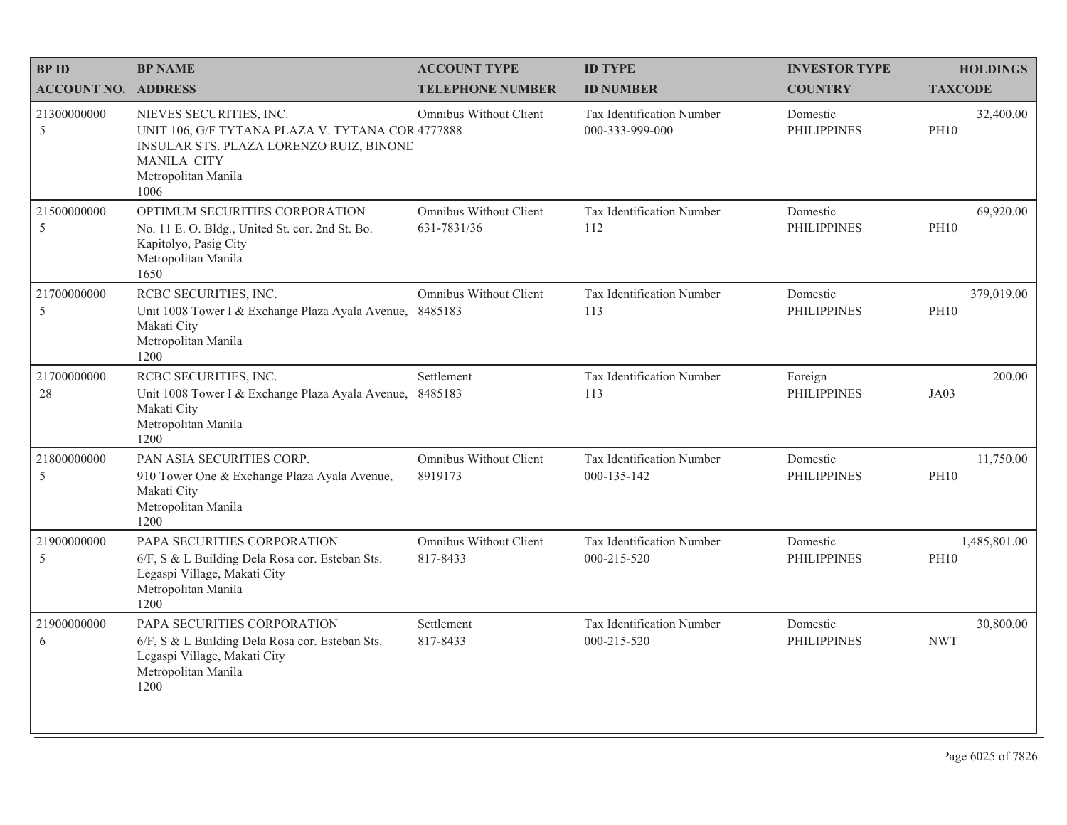| <b>BPID</b>                | <b>BP NAME</b>                                                                                                                                                              | <b>ACCOUNT TYPE</b>                   | <b>ID TYPE</b>                               | <b>INVESTOR TYPE</b>           | <b>HOLDINGS</b>             |
|----------------------------|-----------------------------------------------------------------------------------------------------------------------------------------------------------------------------|---------------------------------------|----------------------------------------------|--------------------------------|-----------------------------|
| <b>ACCOUNT NO. ADDRESS</b> |                                                                                                                                                                             | <b>TELEPHONE NUMBER</b>               | <b>ID NUMBER</b>                             | <b>COUNTRY</b>                 | <b>TAXCODE</b>              |
| 21300000000<br>5           | NIEVES SECURITIES, INC.<br>UNIT 106, G/F TYTANA PLAZA V. TYTANA COR 4777888<br>INSULAR STS. PLAZA LORENZO RUIZ, BINONE<br><b>MANILA CITY</b><br>Metropolitan Manila<br>1006 | Omnibus Without Client                | Tax Identification Number<br>000-333-999-000 | Domestic<br><b>PHILIPPINES</b> | 32,400.00<br><b>PH10</b>    |
| 21500000000<br>5           | OPTIMUM SECURITIES CORPORATION<br>No. 11 E. O. Bldg., United St. cor. 2nd St. Bo.<br>Kapitolyo, Pasig City<br>Metropolitan Manila<br>1650                                   | Omnibus Without Client<br>631-7831/36 | Tax Identification Number<br>112             | Domestic<br><b>PHILIPPINES</b> | 69,920.00<br><b>PH10</b>    |
| 21700000000<br>5           | RCBC SECURITIES, INC.<br>Unit 1008 Tower I & Exchange Plaza Ayala Avenue, 8485183<br>Makati City<br>Metropolitan Manila<br>1200                                             | Omnibus Without Client                | Tax Identification Number<br>113             | Domestic<br><b>PHILIPPINES</b> | 379,019.00<br><b>PH10</b>   |
| 21700000000<br>28          | RCBC SECURITIES, INC.<br>Unit 1008 Tower I & Exchange Plaza Ayala Avenue, 8485183<br>Makati City<br>Metropolitan Manila<br>1200                                             | Settlement                            | Tax Identification Number<br>113             | Foreign<br><b>PHILIPPINES</b>  | 200.00<br>JA03              |
| 21800000000<br>5           | PAN ASIA SECURITIES CORP.<br>910 Tower One & Exchange Plaza Ayala Avenue,<br>Makati City<br>Metropolitan Manila<br>1200                                                     | Omnibus Without Client<br>8919173     | Tax Identification Number<br>000-135-142     | Domestic<br><b>PHILIPPINES</b> | 11,750.00<br><b>PH10</b>    |
| 21900000000<br>5           | PAPA SECURITIES CORPORATION<br>6/F, S & L Building Dela Rosa cor. Esteban Sts.<br>Legaspi Village, Makati City<br>Metropolitan Manila<br>1200                               | Omnibus Without Client<br>817-8433    | Tax Identification Number<br>000-215-520     | Domestic<br><b>PHILIPPINES</b> | 1,485,801.00<br><b>PH10</b> |
| 21900000000<br>6           | PAPA SECURITIES CORPORATION<br>6/F, S & L Building Dela Rosa cor. Esteban Sts.<br>Legaspi Village, Makati City<br>Metropolitan Manila<br>1200                               | Settlement<br>817-8433                | Tax Identification Number<br>000-215-520     | Domestic<br><b>PHILIPPINES</b> | 30,800.00<br><b>NWT</b>     |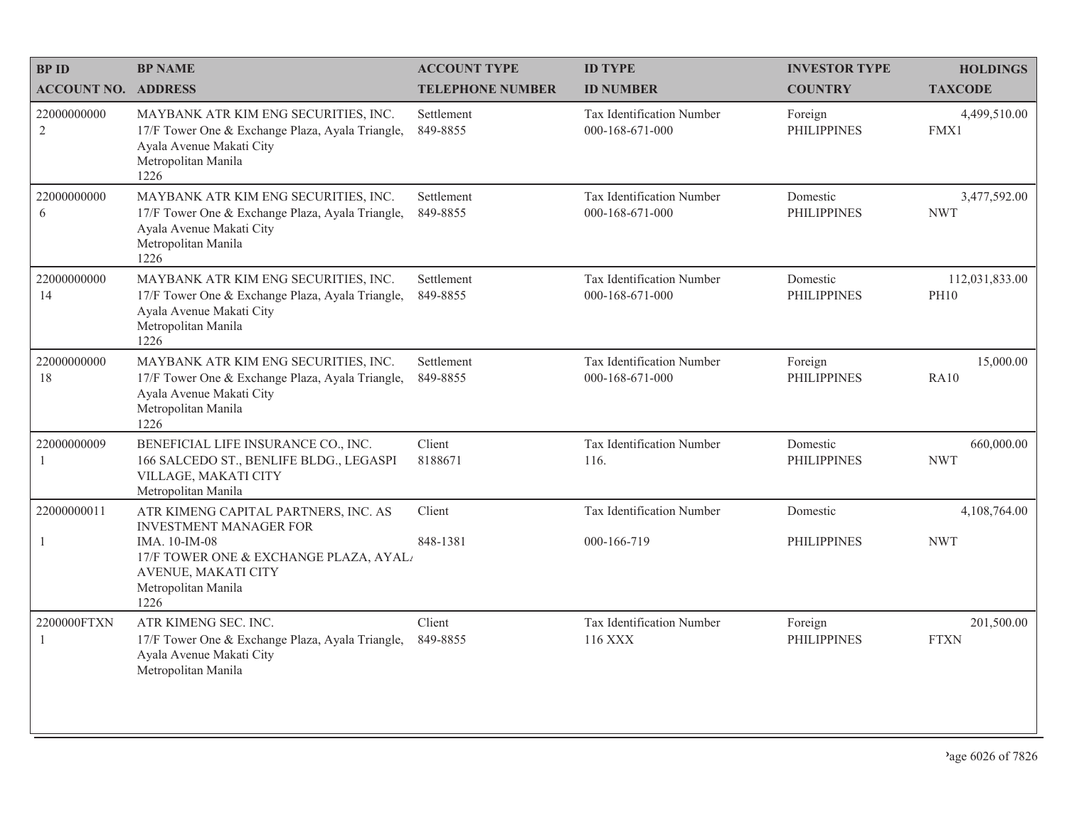| <b>BPID</b>                   | <b>BP NAME</b>                                                                                                                                      | <b>ACCOUNT TYPE</b>     | <b>ID TYPE</b>                               | <b>INVESTOR TYPE</b>           | <b>HOLDINGS</b>               |
|-------------------------------|-----------------------------------------------------------------------------------------------------------------------------------------------------|-------------------------|----------------------------------------------|--------------------------------|-------------------------------|
| <b>ACCOUNT NO. ADDRESS</b>    |                                                                                                                                                     | <b>TELEPHONE NUMBER</b> | <b>ID NUMBER</b>                             | <b>COUNTRY</b>                 | <b>TAXCODE</b>                |
| 22000000000<br>$\overline{2}$ | MAYBANK ATR KIM ENG SECURITIES, INC.<br>17/F Tower One & Exchange Plaza, Ayala Triangle,<br>Ayala Avenue Makati City<br>Metropolitan Manila<br>1226 | Settlement<br>849-8855  | Tax Identification Number<br>000-168-671-000 | Foreign<br><b>PHILIPPINES</b>  | 4,499,510.00<br>FMX1          |
| 22000000000<br>6              | MAYBANK ATR KIM ENG SECURITIES, INC.<br>17/F Tower One & Exchange Plaza, Ayala Triangle,<br>Ayala Avenue Makati City<br>Metropolitan Manila<br>1226 | Settlement<br>849-8855  | Tax Identification Number<br>000-168-671-000 | Domestic<br><b>PHILIPPINES</b> | 3,477,592.00<br><b>NWT</b>    |
| 22000000000<br>14             | MAYBANK ATR KIM ENG SECURITIES, INC.<br>17/F Tower One & Exchange Plaza, Ayala Triangle,<br>Ayala Avenue Makati City<br>Metropolitan Manila<br>1226 | Settlement<br>849-8855  | Tax Identification Number<br>000-168-671-000 | Domestic<br><b>PHILIPPINES</b> | 112,031,833.00<br><b>PH10</b> |
| 22000000000<br>18             | MAYBANK ATR KIM ENG SECURITIES, INC.<br>17/F Tower One & Exchange Plaza, Ayala Triangle,<br>Ayala Avenue Makati City<br>Metropolitan Manila<br>1226 | Settlement<br>849-8855  | Tax Identification Number<br>000-168-671-000 | Foreign<br><b>PHILIPPINES</b>  | 15,000.00<br><b>RA10</b>      |
| 22000000009<br>1              | BENEFICIAL LIFE INSURANCE CO., INC.<br>166 SALCEDO ST., BENLIFE BLDG., LEGASPI<br>VILLAGE, MAKATI CITY<br>Metropolitan Manila                       | Client<br>8188671       | Tax Identification Number<br>116.            | Domestic<br><b>PHILIPPINES</b> | 660,000.00<br><b>NWT</b>      |
| 22000000011                   | ATR KIMENG CAPITAL PARTNERS, INC. AS<br><b>INVESTMENT MANAGER FOR</b>                                                                               | Client                  | Tax Identification Number                    | Domestic                       | 4,108,764.00                  |
| $\mathbf{1}$                  | IMA. 10-IM-08<br>17/F TOWER ONE & EXCHANGE PLAZA, AYAL<br>AVENUE, MAKATI CITY<br>Metropolitan Manila<br>1226                                        | 848-1381                | 000-166-719                                  | <b>PHILIPPINES</b>             | <b>NWT</b>                    |
| 2200000FTXN<br>$\mathbf{1}$   | ATR KIMENG SEC. INC.<br>17/F Tower One & Exchange Plaza, Ayala Triangle,<br>Ayala Avenue Makati City<br>Metropolitan Manila                         | Client<br>849-8855      | Tax Identification Number<br>116 XXX         | Foreign<br><b>PHILIPPINES</b>  | 201,500.00<br><b>FTXN</b>     |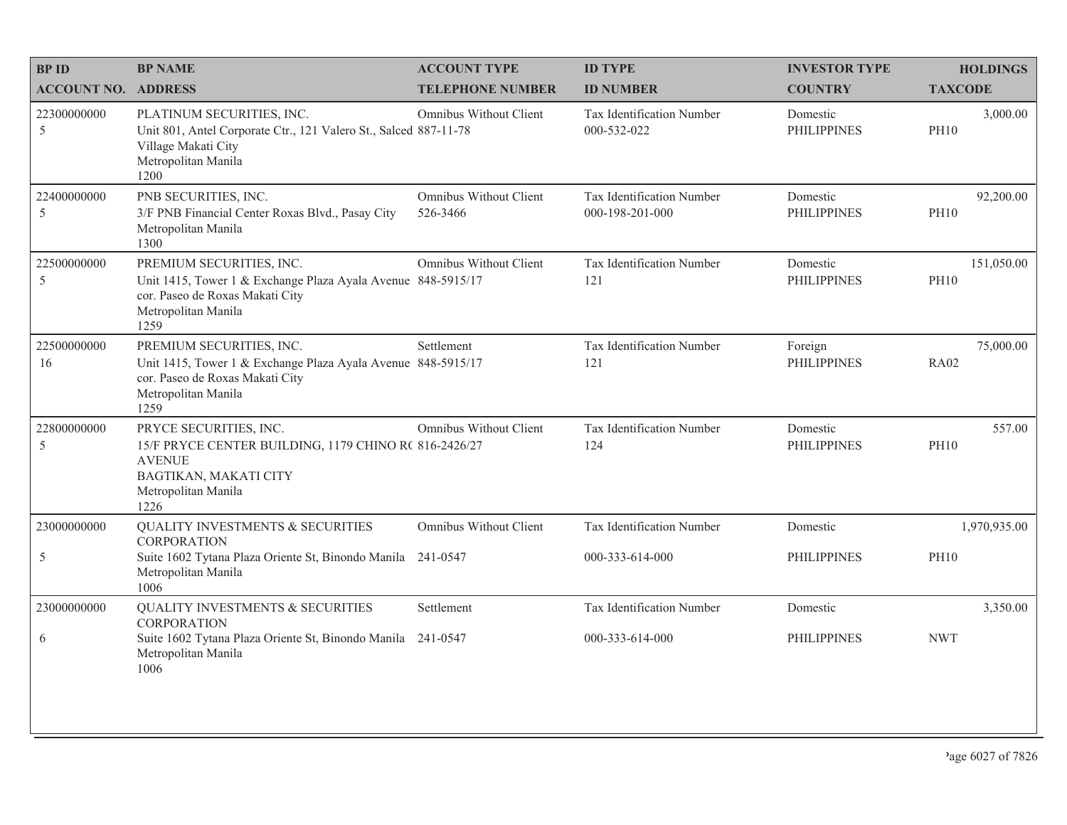| <b>BPID</b>                | <b>BP NAME</b>                                                                                                                                             | <b>ACCOUNT TYPE</b>                | <b>ID TYPE</b>                               | <b>INVESTOR TYPE</b>           | <b>HOLDINGS</b>           |
|----------------------------|------------------------------------------------------------------------------------------------------------------------------------------------------------|------------------------------------|----------------------------------------------|--------------------------------|---------------------------|
| <b>ACCOUNT NO. ADDRESS</b> |                                                                                                                                                            | <b>TELEPHONE NUMBER</b>            | <b>ID NUMBER</b>                             | <b>COUNTRY</b>                 | <b>TAXCODE</b>            |
| 22300000000<br>5           | PLATINUM SECURITIES, INC.<br>Unit 801, Antel Corporate Ctr., 121 Valero St., Salced 887-11-78<br>Village Makati City<br>Metropolitan Manila<br>1200        | Omnibus Without Client             | Tax Identification Number<br>000-532-022     | Domestic<br><b>PHILIPPINES</b> | 3,000.00<br><b>PH10</b>   |
| 22400000000<br>5           | PNB SECURITIES, INC.<br>3/F PNB Financial Center Roxas Blvd., Pasay City<br>Metropolitan Manila<br>1300                                                    | Omnibus Without Client<br>526-3466 | Tax Identification Number<br>000-198-201-000 | Domestic<br><b>PHILIPPINES</b> | 92,200.00<br><b>PH10</b>  |
| 22500000000<br>5           | PREMIUM SECURITIES, INC.<br>Unit 1415, Tower 1 & Exchange Plaza Ayala Avenue 848-5915/17<br>cor. Paseo de Roxas Makati City<br>Metropolitan Manila<br>1259 | Omnibus Without Client             | Tax Identification Number<br>121             | Domestic<br><b>PHILIPPINES</b> | 151,050.00<br><b>PH10</b> |
| 22500000000<br>16          | PREMIUM SECURITIES, INC.<br>Unit 1415, Tower 1 & Exchange Plaza Ayala Avenue 848-5915/17<br>cor. Paseo de Roxas Makati City<br>Metropolitan Manila<br>1259 | Settlement                         | Tax Identification Number<br>121             | Foreign<br><b>PHILIPPINES</b>  | 75,000.00<br><b>RA02</b>  |
| 22800000000<br>5           | PRYCE SECURITIES, INC.<br>15/F PRYCE CENTER BUILDING, 1179 CHINO R( 816-2426/27<br><b>AVENUE</b><br>BAGTIKAN, MAKATI CITY<br>Metropolitan Manila<br>1226   | Omnibus Without Client             | Tax Identification Number<br>124             | Domestic<br><b>PHILIPPINES</b> | 557.00<br><b>PH10</b>     |
| 23000000000                | <b>QUALITY INVESTMENTS &amp; SECURITIES</b><br><b>CORPORATION</b>                                                                                          | Omnibus Without Client             | Tax Identification Number                    | Domestic                       | 1,970,935.00              |
| $\sqrt{5}$                 | Suite 1602 Tytana Plaza Oriente St, Binondo Manila 241-0547<br>Metropolitan Manila<br>1006                                                                 |                                    | 000-333-614-000                              | <b>PHILIPPINES</b>             | <b>PH10</b>               |
| 23000000000                | QUALITY INVESTMENTS & SECURITIES<br><b>CORPORATION</b>                                                                                                     | Settlement                         | Tax Identification Number                    | Domestic                       | 3,350.00                  |
| 6                          | Suite 1602 Tytana Plaza Oriente St, Binondo Manila 241-0547<br>Metropolitan Manila<br>1006                                                                 |                                    | 000-333-614-000                              | <b>PHILIPPINES</b>             | <b>NWT</b>                |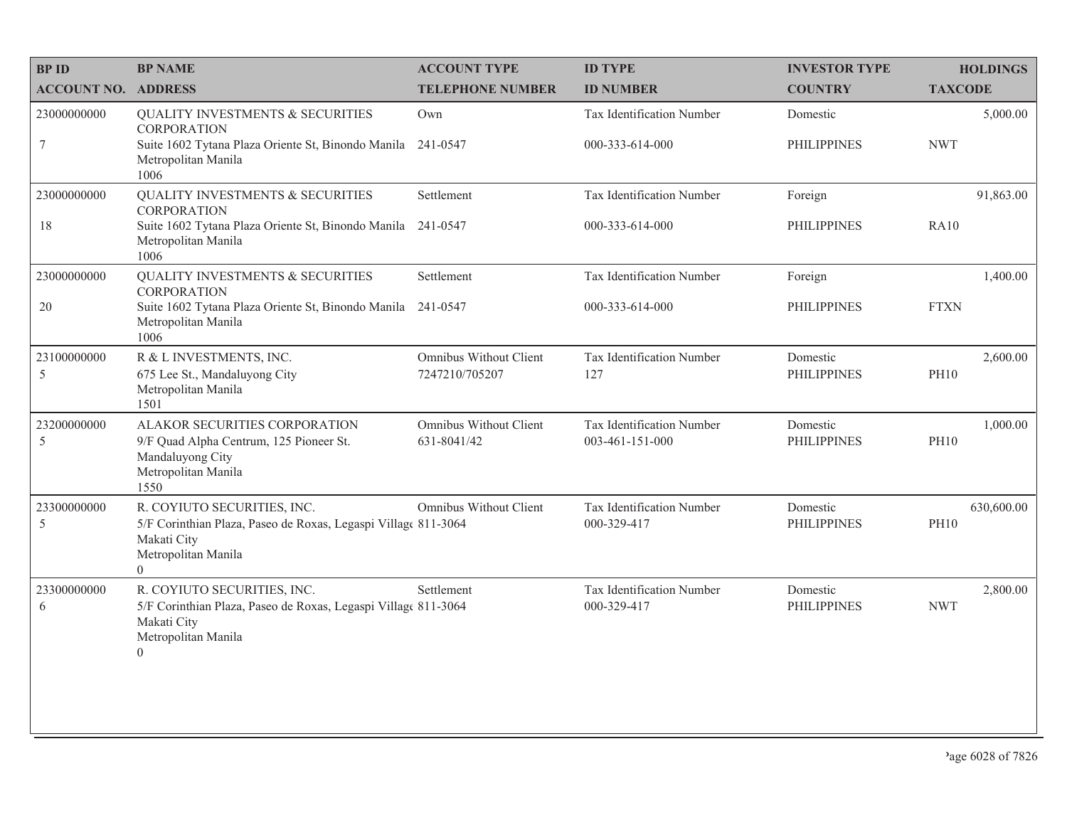| <b>BPID</b>                | <b>BP NAME</b>                                                                                                                                        | <b>ACCOUNT TYPE</b>                      | <b>ID TYPE</b>                               | <b>INVESTOR TYPE</b>           | <b>HOLDINGS</b>           |
|----------------------------|-------------------------------------------------------------------------------------------------------------------------------------------------------|------------------------------------------|----------------------------------------------|--------------------------------|---------------------------|
| <b>ACCOUNT NO. ADDRESS</b> |                                                                                                                                                       | <b>TELEPHONE NUMBER</b>                  | <b>ID NUMBER</b>                             | <b>COUNTRY</b>                 | <b>TAXCODE</b>            |
| 23000000000                | QUALITY INVESTMENTS & SECURITIES<br><b>CORPORATION</b>                                                                                                | Own                                      | Tax Identification Number                    | Domestic                       | 5,000.00                  |
| $\overline{7}$             | Suite 1602 Tytana Plaza Oriente St, Binondo Manila<br>Metropolitan Manila<br>1006                                                                     | 241-0547                                 | 000-333-614-000                              | <b>PHILIPPINES</b>             | <b>NWT</b>                |
| 23000000000                | QUALITY INVESTMENTS & SECURITIES<br><b>CORPORATION</b>                                                                                                | Settlement                               | Tax Identification Number                    | Foreign                        | 91,863.00                 |
| 18                         | Suite 1602 Tytana Plaza Oriente St, Binondo Manila<br>Metropolitan Manila<br>1006                                                                     | 241-0547                                 | 000-333-614-000                              | <b>PHILIPPINES</b>             | <b>RA10</b>               |
| 23000000000                | <b>QUALITY INVESTMENTS &amp; SECURITIES</b><br><b>CORPORATION</b>                                                                                     | Settlement                               | Tax Identification Number                    | Foreign                        | 1,400.00                  |
| $20\,$                     | Suite 1602 Tytana Plaza Oriente St, Binondo Manila 241-0547<br>Metropolitan Manila<br>1006                                                            |                                          | 000-333-614-000                              | <b>PHILIPPINES</b>             | <b>FTXN</b>               |
| 23100000000<br>$\sqrt{5}$  | R & L INVESTMENTS, INC.<br>675 Lee St., Mandaluyong City<br>Metropolitan Manila<br>1501                                                               | Omnibus Without Client<br>7247210/705207 | Tax Identification Number<br>127             | Domestic<br><b>PHILIPPINES</b> | 2,600.00<br><b>PH10</b>   |
| 23200000000<br>5           | ALAKOR SECURITIES CORPORATION<br>9/F Quad Alpha Centrum, 125 Pioneer St.<br>Mandaluyong City<br>Metropolitan Manila<br>1550                           | Omnibus Without Client<br>631-8041/42    | Tax Identification Number<br>003-461-151-000 | Domestic<br><b>PHILIPPINES</b> | 1,000.00<br><b>PH10</b>   |
| 23300000000<br>$\sqrt{5}$  | R. COYIUTO SECURITIES, INC.<br>5/F Corinthian Plaza, Paseo de Roxas, Legaspi Village 811-3064<br>Makati City<br>Metropolitan Manila<br>$\Omega$       | Omnibus Without Client                   | Tax Identification Number<br>000-329-417     | Domestic<br><b>PHILIPPINES</b> | 630,600.00<br><b>PH10</b> |
| 23300000000<br>6           | R. COYIUTO SECURITIES, INC.<br>5/F Corinthian Plaza, Paseo de Roxas, Legaspi Village 811-3064<br>Makati City<br>Metropolitan Manila<br>$\overline{0}$ | Settlement                               | Tax Identification Number<br>000-329-417     | Domestic<br><b>PHILIPPINES</b> | 2,800.00<br><b>NWT</b>    |
|                            |                                                                                                                                                       |                                          |                                              |                                |                           |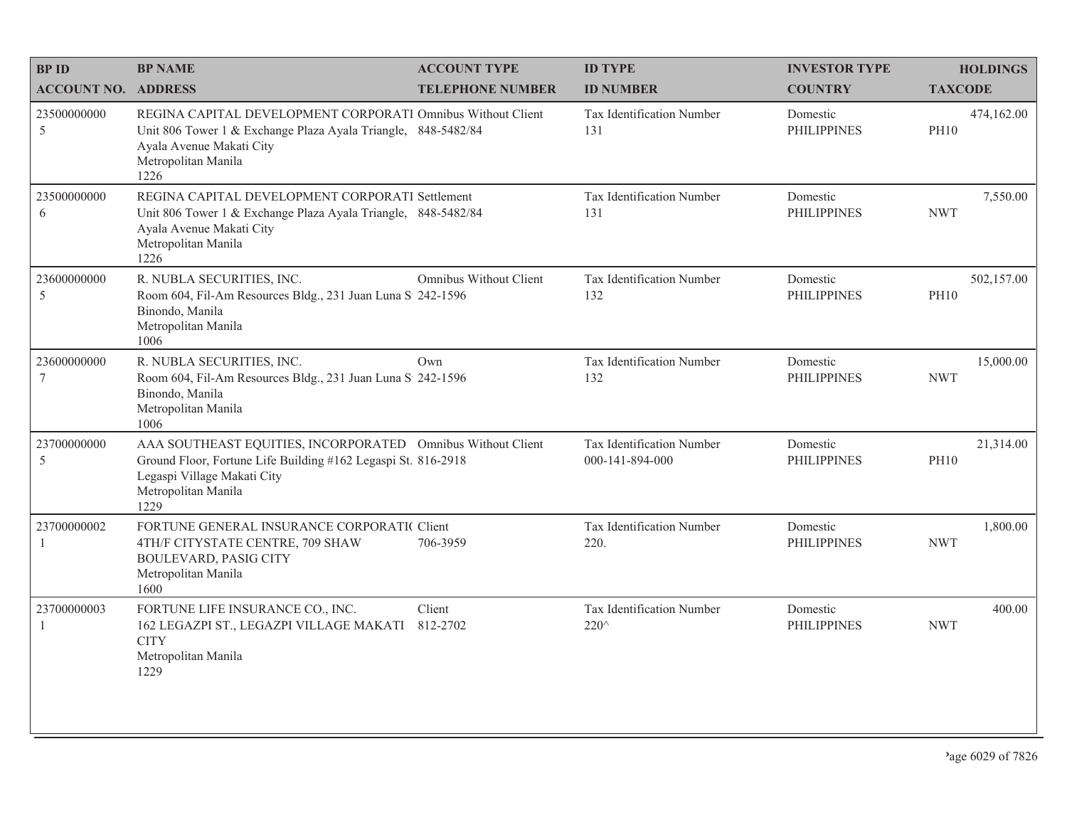| <b>BP ID</b>                   | <b>BP NAME</b>                                                                                                                                                                             | <b>ACCOUNT TYPE</b>     | <b>ID TYPE</b>                               | <b>INVESTOR TYPE</b>           | <b>HOLDINGS</b>           |
|--------------------------------|--------------------------------------------------------------------------------------------------------------------------------------------------------------------------------------------|-------------------------|----------------------------------------------|--------------------------------|---------------------------|
| <b>ACCOUNT NO. ADDRESS</b>     |                                                                                                                                                                                            | <b>TELEPHONE NUMBER</b> | <b>ID NUMBER</b>                             | <b>COUNTRY</b>                 | <b>TAXCODE</b>            |
| 23500000000<br>5               | REGINA CAPITAL DEVELOPMENT CORPORATI Omnibus Without Client<br>Unit 806 Tower 1 & Exchange Plaza Ayala Triangle, 848-5482/84<br>Ayala Avenue Makati City<br>Metropolitan Manila<br>1226    |                         | <b>Tax Identification Number</b><br>131      | Domestic<br><b>PHILIPPINES</b> | 474,162.00<br><b>PH10</b> |
| 23500000000<br>6               | REGINA CAPITAL DEVELOPMENT CORPORATI Settlement<br>Unit 806 Tower 1 & Exchange Plaza Ayala Triangle, 848-5482/84<br>Ayala Avenue Makati City<br>Metropolitan Manila<br>1226                |                         | Tax Identification Number<br>131             | Domestic<br><b>PHILIPPINES</b> | 7,550.00<br><b>NWT</b>    |
| 23600000000<br>5               | R. NUBLA SECURITIES, INC.<br>Room 604, Fil-Am Resources Bldg., 231 Juan Luna S 242-1596<br>Binondo, Manila<br>Metropolitan Manila<br>1006                                                  | Omnibus Without Client  | Tax Identification Number<br>132             | Domestic<br><b>PHILIPPINES</b> | 502,157.00<br><b>PH10</b> |
| 23600000000<br>$7\phantom{.0}$ | R. NUBLA SECURITIES, INC.<br>Room 604, Fil-Am Resources Bldg., 231 Juan Luna S 242-1596<br>Binondo, Manila<br>Metropolitan Manila<br>1006                                                  | Own                     | Tax Identification Number<br>132             | Domestic<br><b>PHILIPPINES</b> | 15,000.00<br><b>NWT</b>   |
| 23700000000<br>5               | AAA SOUTHEAST EQUITIES, INCORPORATED Omnibus Without Client<br>Ground Floor, Fortune Life Building #162 Legaspi St. 816-2918<br>Legaspi Village Makati City<br>Metropolitan Manila<br>1229 |                         | Tax Identification Number<br>000-141-894-000 | Domestic<br><b>PHILIPPINES</b> | 21,314.00<br><b>PH10</b>  |
| 23700000002<br>-1              | FORTUNE GENERAL INSURANCE CORPORATIC Client<br>4TH/F CITYSTATE CENTRE, 709 SHAW<br><b>BOULEVARD, PASIG CITY</b><br>Metropolitan Manila<br>1600                                             | 706-3959                | Tax Identification Number<br>220.            | Domestic<br><b>PHILIPPINES</b> | 1,800.00<br><b>NWT</b>    |
| 23700000003<br>$\overline{1}$  | FORTUNE LIFE INSURANCE CO., INC.<br>162 LEGAZPI ST., LEGAZPI VILLAGE MAKATI<br><b>CITY</b><br>Metropolitan Manila<br>1229                                                                  | Client<br>812-2702      | Tax Identification Number<br>$220^{\circ}$   | Domestic<br><b>PHILIPPINES</b> | 400.00<br><b>NWT</b>      |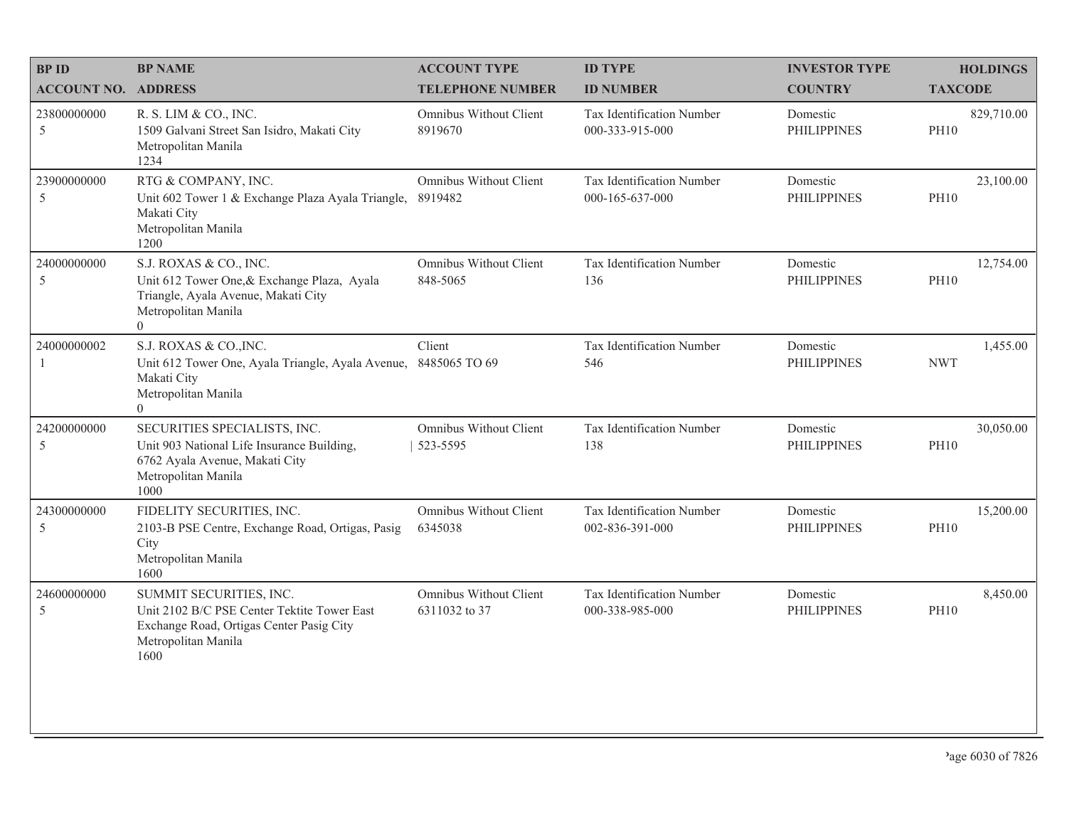| <b>BPID</b>                  | <b>BP NAME</b>                                                                                                                                    | <b>ACCOUNT TYPE</b>                      | <b>ID TYPE</b>                               | <b>INVESTOR TYPE</b>           | <b>HOLDINGS</b>           |
|------------------------------|---------------------------------------------------------------------------------------------------------------------------------------------------|------------------------------------------|----------------------------------------------|--------------------------------|---------------------------|
| <b>ACCOUNT NO. ADDRESS</b>   |                                                                                                                                                   | <b>TELEPHONE NUMBER</b>                  | <b>ID NUMBER</b>                             | <b>COUNTRY</b>                 | <b>TAXCODE</b>            |
| 23800000000<br>$\mathfrak s$ | R. S. LIM & CO., INC.<br>1509 Galvani Street San Isidro, Makati City<br>Metropolitan Manila<br>1234                                               | Omnibus Without Client<br>8919670        | Tax Identification Number<br>000-333-915-000 | Domestic<br><b>PHILIPPINES</b> | 829,710.00<br><b>PH10</b> |
| 23900000000<br>5             | RTG & COMPANY, INC.<br>Unit 602 Tower 1 & Exchange Plaza Ayala Triangle,<br>Makati City<br>Metropolitan Manila<br>1200                            | Omnibus Without Client<br>8919482        | Tax Identification Number<br>000-165-637-000 | Domestic<br><b>PHILIPPINES</b> | 23,100.00<br><b>PH10</b>  |
| 24000000000<br>5             | S.J. ROXAS & CO., INC.<br>Unit 612 Tower One, & Exchange Plaza, Ayala<br>Triangle, Ayala Avenue, Makati City<br>Metropolitan Manila<br>$\Omega$   | Omnibus Without Client<br>848-5065       | Tax Identification Number<br>136             | Domestic<br><b>PHILIPPINES</b> | 12,754.00<br><b>PH10</b>  |
| 24000000002<br>$\mathbf{1}$  | S.J. ROXAS & CO., INC.<br>Unit 612 Tower One, Ayala Triangle, Ayala Avenue,<br>Makati City<br>Metropolitan Manila<br>$\Omega$                     | Client<br>8485065 TO 69                  | Tax Identification Number<br>546             | Domestic<br><b>PHILIPPINES</b> | 1,455.00<br><b>NWT</b>    |
| 24200000000<br>5             | SECURITIES SPECIALISTS, INC.<br>Unit 903 National Life Insurance Building,<br>6762 Ayala Avenue, Makati City<br>Metropolitan Manila<br>1000       | Omnibus Without Client<br>523-5595       | Tax Identification Number<br>138             | Domestic<br><b>PHILIPPINES</b> | 30,050.00<br><b>PH10</b>  |
| 24300000000<br>5             | FIDELITY SECURITIES, INC.<br>2103-B PSE Centre, Exchange Road, Ortigas, Pasig<br>City<br>Metropolitan Manila<br>1600                              | <b>Omnibus Without Client</b><br>6345038 | Tax Identification Number<br>002-836-391-000 | Domestic<br><b>PHILIPPINES</b> | 15,200.00<br><b>PH10</b>  |
| 24600000000<br>5             | SUMMIT SECURITIES, INC.<br>Unit 2102 B/C PSE Center Tektite Tower East<br>Exchange Road, Ortigas Center Pasig City<br>Metropolitan Manila<br>1600 | Omnibus Without Client<br>6311032 to 37  | Tax Identification Number<br>000-338-985-000 | Domestic<br><b>PHILIPPINES</b> | 8,450.00<br><b>PH10</b>   |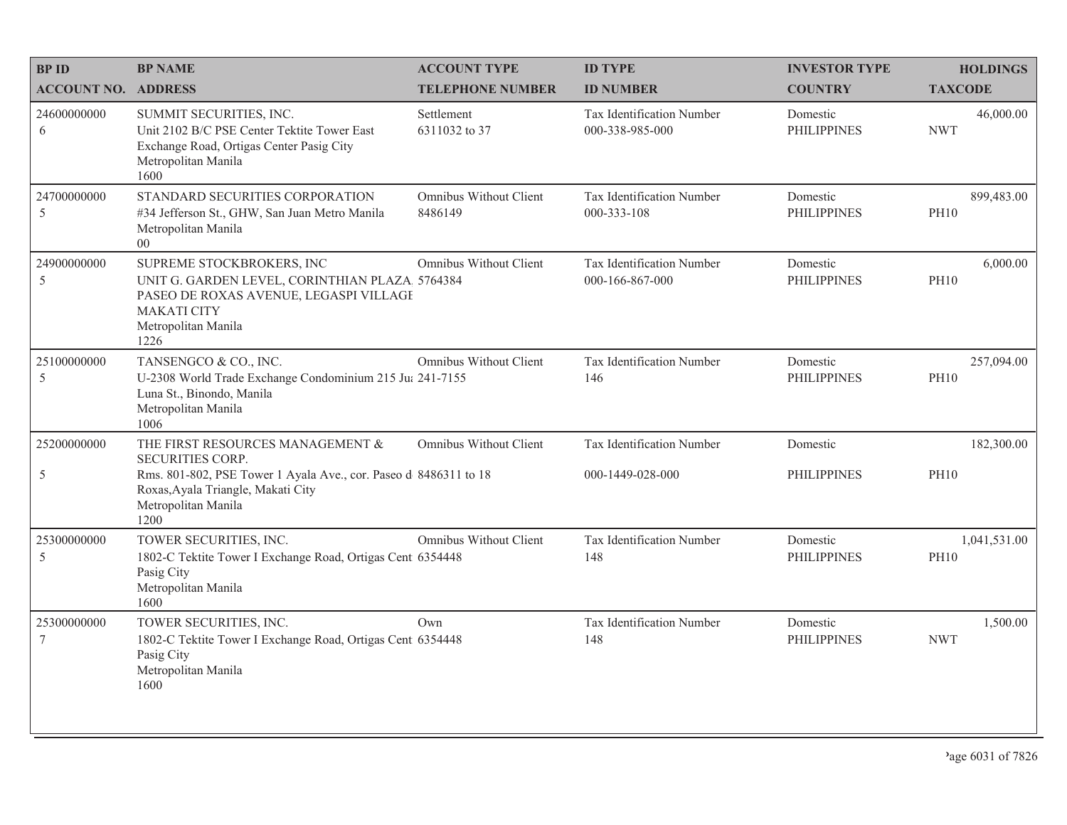| <b>BPID</b>                    | <b>BP NAME</b>                                                                                                                                                             | <b>ACCOUNT TYPE</b>               | <b>ID TYPE</b>                               | <b>INVESTOR TYPE</b>           | <b>HOLDINGS</b>             |
|--------------------------------|----------------------------------------------------------------------------------------------------------------------------------------------------------------------------|-----------------------------------|----------------------------------------------|--------------------------------|-----------------------------|
| <b>ACCOUNT NO. ADDRESS</b>     |                                                                                                                                                                            | <b>TELEPHONE NUMBER</b>           | <b>ID NUMBER</b>                             | <b>COUNTRY</b>                 | <b>TAXCODE</b>              |
| 24600000000<br>6               | SUMMIT SECURITIES, INC.<br>Unit 2102 B/C PSE Center Tektite Tower East<br>Exchange Road, Ortigas Center Pasig City<br>Metropolitan Manila<br>1600                          | Settlement<br>6311032 to 37       | Tax Identification Number<br>000-338-985-000 | Domestic<br><b>PHILIPPINES</b> | 46,000.00<br><b>NWT</b>     |
| 24700000000<br>5               | STANDARD SECURITIES CORPORATION<br>#34 Jefferson St., GHW, San Juan Metro Manila<br>Metropolitan Manila<br>0 <sup>0</sup>                                                  | Omnibus Without Client<br>8486149 | Tax Identification Number<br>000-333-108     | Domestic<br><b>PHILIPPINES</b> | 899,483.00<br><b>PH10</b>   |
| 24900000000<br>5               | SUPREME STOCKBROKERS, INC<br>UNIT G. GARDEN LEVEL, CORINTHIAN PLAZA 5764384<br>PASEO DE ROXAS AVENUE, LEGASPI VILLAGE<br><b>MAKATI CITY</b><br>Metropolitan Manila<br>1226 | Omnibus Without Client            | Tax Identification Number<br>000-166-867-000 | Domestic<br><b>PHILIPPINES</b> | 6,000.00<br><b>PH10</b>     |
| 25100000000<br>5               | TANSENGCO & CO., INC.<br>U-2308 World Trade Exchange Condominium 215 Jul 241-7155<br>Luna St., Binondo, Manila<br>Metropolitan Manila<br>1006                              | Omnibus Without Client            | Tax Identification Number<br>146             | Domestic<br><b>PHILIPPINES</b> | 257,094.00<br><b>PH10</b>   |
| 25200000000                    | THE FIRST RESOURCES MANAGEMENT &<br><b>SECURITIES CORP.</b>                                                                                                                | Omnibus Without Client            | Tax Identification Number                    | Domestic                       | 182,300.00                  |
| 5                              | Rms. 801-802, PSE Tower 1 Ayala Ave., cor. Paseo d 8486311 to 18<br>Roxas, Ayala Triangle, Makati City<br>Metropolitan Manila<br>1200                                      |                                   | 000-1449-028-000                             | <b>PHILIPPINES</b>             | <b>PH10</b>                 |
| 25300000000<br>5               | TOWER SECURITIES, INC.<br>1802-C Tektite Tower I Exchange Road, Ortigas Cent 6354448<br>Pasig City<br>Metropolitan Manila<br>1600                                          | Omnibus Without Client            | Tax Identification Number<br>148             | Domestic<br><b>PHILIPPINES</b> | 1,041,531.00<br><b>PH10</b> |
| 25300000000<br>$7\phantom{.0}$ | TOWER SECURITIES, INC.<br>1802-C Tektite Tower I Exchange Road, Ortigas Cent 6354448<br>Pasig City<br>Metropolitan Manila<br>1600                                          | Own                               | Tax Identification Number<br>148             | Domestic<br><b>PHILIPPINES</b> | 1,500.00<br><b>NWT</b>      |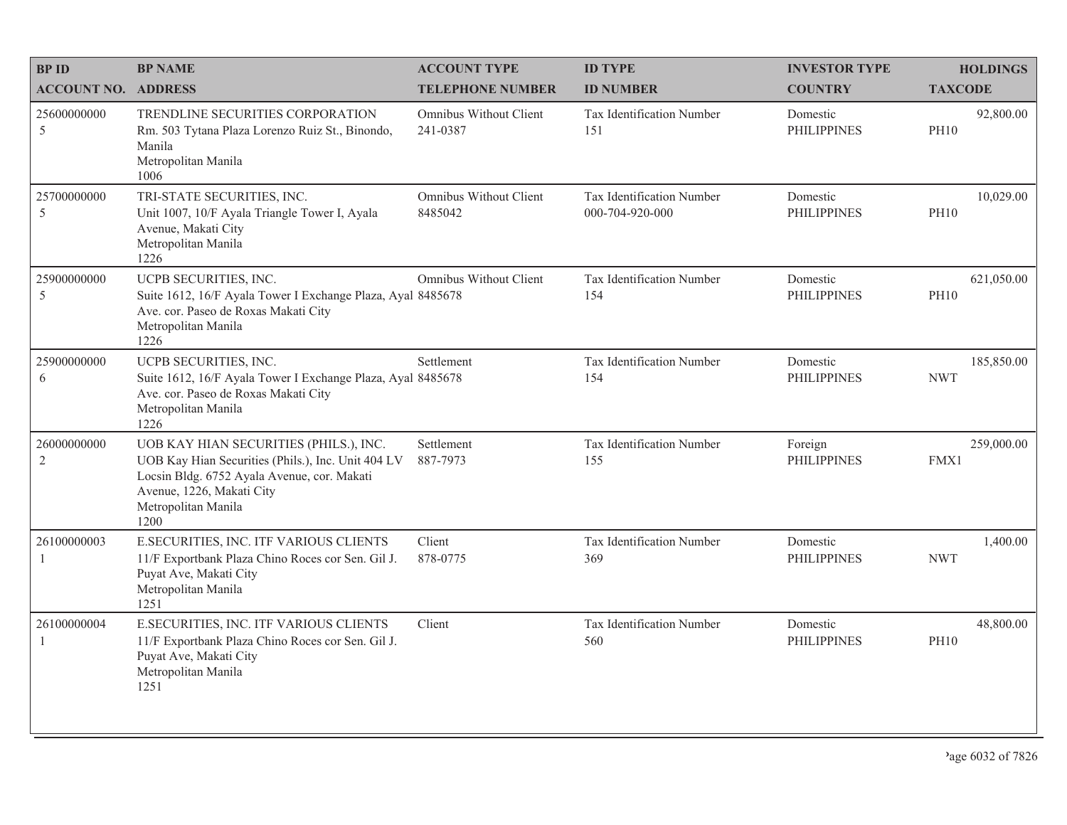| <b>BPID</b>                | <b>BP NAME</b>                                                                                                                                                                                          | <b>ACCOUNT TYPE</b>                | <b>ID TYPE</b>                               | <b>INVESTOR TYPE</b>           | <b>HOLDINGS</b>           |
|----------------------------|---------------------------------------------------------------------------------------------------------------------------------------------------------------------------------------------------------|------------------------------------|----------------------------------------------|--------------------------------|---------------------------|
| <b>ACCOUNT NO. ADDRESS</b> |                                                                                                                                                                                                         | <b>TELEPHONE NUMBER</b>            | <b>ID NUMBER</b>                             | <b>COUNTRY</b>                 | <b>TAXCODE</b>            |
| 25600000000<br>5           | TRENDLINE SECURITIES CORPORATION<br>Rm. 503 Tytana Plaza Lorenzo Ruiz St., Binondo,<br>Manila<br>Metropolitan Manila<br>1006                                                                            | Omnibus Without Client<br>241-0387 | Tax Identification Number<br>151             | Domestic<br><b>PHILIPPINES</b> | 92,800.00<br><b>PH10</b>  |
| 25700000000<br>5           | TRI-STATE SECURITIES, INC.<br>Unit 1007, 10/F Ayala Triangle Tower I, Ayala<br>Avenue, Makati City<br>Metropolitan Manila<br>1226                                                                       | Omnibus Without Client<br>8485042  | Tax Identification Number<br>000-704-920-000 | Domestic<br><b>PHILIPPINES</b> | 10,029.00<br><b>PH10</b>  |
| 25900000000<br>5           | UCPB SECURITIES, INC.<br>Suite 1612, 16/F Ayala Tower I Exchange Plaza, Ayal 8485678<br>Ave. cor. Paseo de Roxas Makati City<br>Metropolitan Manila<br>1226                                             | <b>Omnibus Without Client</b>      | Tax Identification Number<br>154             | Domestic<br><b>PHILIPPINES</b> | 621,050.00<br><b>PH10</b> |
| 25900000000<br>6           | UCPB SECURITIES, INC.<br>Suite 1612, 16/F Ayala Tower I Exchange Plaza, Ayal 8485678<br>Ave. cor. Paseo de Roxas Makati City<br>Metropolitan Manila<br>1226                                             | Settlement                         | Tax Identification Number<br>154             | Domestic<br><b>PHILIPPINES</b> | 185,850.00<br><b>NWT</b>  |
| 26000000000<br>2           | UOB KAY HIAN SECURITIES (PHILS.), INC.<br>UOB Kay Hian Securities (Phils.), Inc. Unit 404 LV<br>Locsin Bldg. 6752 Ayala Avenue, cor. Makati<br>Avenue, 1226, Makati City<br>Metropolitan Manila<br>1200 | Settlement<br>887-7973             | Tax Identification Number<br>155             | Foreign<br><b>PHILIPPINES</b>  | 259,000.00<br>FMX1        |
| 26100000003<br>-1          | E.SECURITIES, INC. ITF VARIOUS CLIENTS<br>11/F Exportbank Plaza Chino Roces cor Sen. Gil J.<br>Puyat Ave, Makati City<br>Metropolitan Manila<br>1251                                                    | Client<br>878-0775                 | Tax Identification Number<br>369             | Domestic<br><b>PHILIPPINES</b> | 1,400.00<br><b>NWT</b>    |
| 26100000004                | E.SECURITIES, INC. ITF VARIOUS CLIENTS<br>11/F Exportbank Plaza Chino Roces cor Sen. Gil J.<br>Puyat Ave, Makati City<br>Metropolitan Manila<br>1251                                                    | Client                             | Tax Identification Number<br>560             | Domestic<br><b>PHILIPPINES</b> | 48,800.00<br><b>PH10</b>  |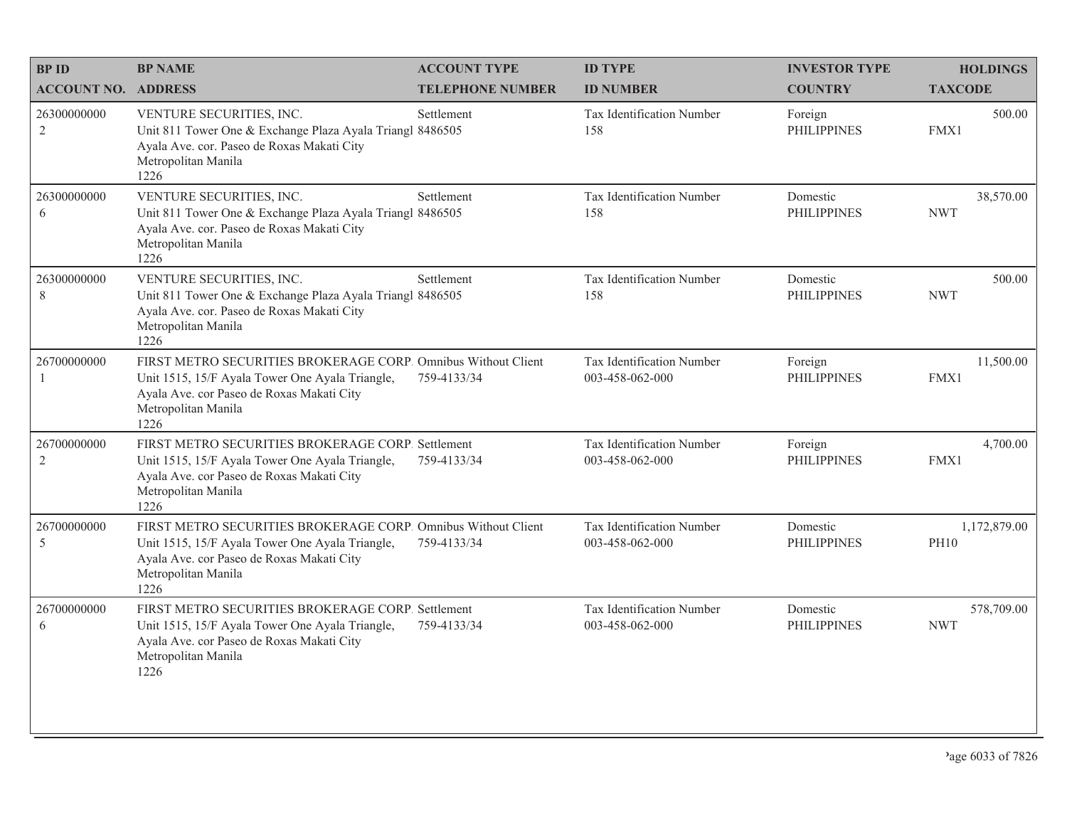| <b>BPID</b>                   | <b>BP NAME</b>                                                                                                                                                                               | <b>ACCOUNT TYPE</b>     | <b>ID TYPE</b>                               | <b>INVESTOR TYPE</b>           | <b>HOLDINGS</b>             |
|-------------------------------|----------------------------------------------------------------------------------------------------------------------------------------------------------------------------------------------|-------------------------|----------------------------------------------|--------------------------------|-----------------------------|
| <b>ACCOUNT NO. ADDRESS</b>    |                                                                                                                                                                                              | <b>TELEPHONE NUMBER</b> | <b>ID NUMBER</b>                             | <b>COUNTRY</b>                 | <b>TAXCODE</b>              |
| 26300000000<br>$\overline{2}$ | VENTURE SECURITIES, INC.<br>Unit 811 Tower One & Exchange Plaza Ayala Triangl 8486505<br>Ayala Ave. cor. Paseo de Roxas Makati City<br>Metropolitan Manila<br>1226                           | Settlement              | Tax Identification Number<br>158             | Foreign<br><b>PHILIPPINES</b>  | 500.00<br>FMX1              |
| 26300000000<br>6              | VENTURE SECURITIES, INC.<br>Unit 811 Tower One & Exchange Plaza Ayala Triangl 8486505<br>Ayala Ave. cor. Paseo de Roxas Makati City<br>Metropolitan Manila<br>1226                           | Settlement              | Tax Identification Number<br>158             | Domestic<br><b>PHILIPPINES</b> | 38,570.00<br><b>NWT</b>     |
| 26300000000<br>8              | VENTURE SECURITIES, INC.<br>Unit 811 Tower One & Exchange Plaza Ayala Triangl 8486505<br>Ayala Ave. cor. Paseo de Roxas Makati City<br>Metropolitan Manila<br>1226                           | Settlement              | Tax Identification Number<br>158             | Domestic<br><b>PHILIPPINES</b> | 500.00<br><b>NWT</b>        |
| 26700000000<br>1              | FIRST METRO SECURITIES BROKERAGE CORP. Omnibus Without Client<br>Unit 1515, 15/F Ayala Tower One Ayala Triangle,<br>Ayala Ave. cor Paseo de Roxas Makati City<br>Metropolitan Manila<br>1226 | 759-4133/34             | Tax Identification Number<br>003-458-062-000 | Foreign<br><b>PHILIPPINES</b>  | 11,500.00<br>FMX1           |
| 26700000000<br>$\overline{2}$ | FIRST METRO SECURITIES BROKERAGE CORP. Settlement<br>Unit 1515, 15/F Ayala Tower One Ayala Triangle,<br>Ayala Ave. cor Paseo de Roxas Makati City<br>Metropolitan Manila<br>1226             | 759-4133/34             | Tax Identification Number<br>003-458-062-000 | Foreign<br><b>PHILIPPINES</b>  | 4,700.00<br>FMX1            |
| 26700000000<br>5              | FIRST METRO SECURITIES BROKERAGE CORP. Omnibus Without Client<br>Unit 1515, 15/F Ayala Tower One Ayala Triangle,<br>Ayala Ave. cor Paseo de Roxas Makati City<br>Metropolitan Manila<br>1226 | 759-4133/34             | Tax Identification Number<br>003-458-062-000 | Domestic<br><b>PHILIPPINES</b> | 1,172,879.00<br><b>PH10</b> |
| 26700000000<br>6              | FIRST METRO SECURITIES BROKERAGE CORP. Settlement<br>Unit 1515, 15/F Ayala Tower One Ayala Triangle,<br>Ayala Ave. cor Paseo de Roxas Makati City<br>Metropolitan Manila<br>1226             | 759-4133/34             | Tax Identification Number<br>003-458-062-000 | Domestic<br><b>PHILIPPINES</b> | 578,709.00<br><b>NWT</b>    |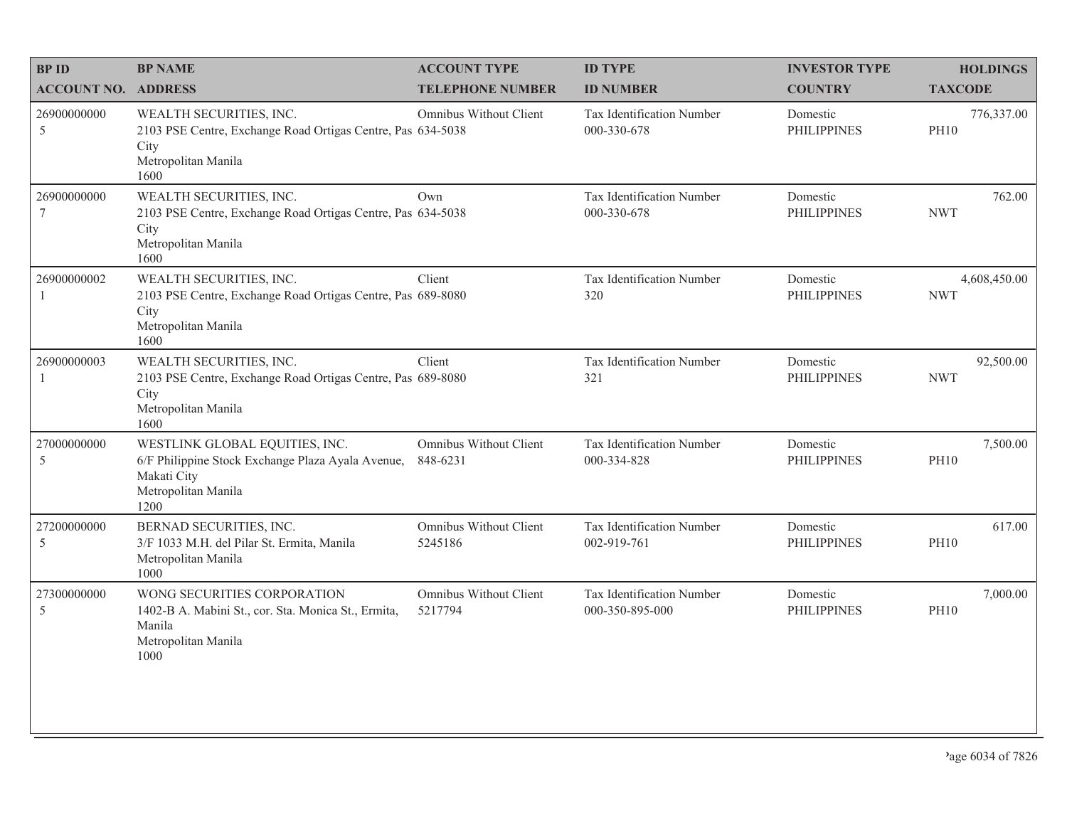| <b>BP ID</b>                   | <b>BP NAME</b>                                                                                                                    | <b>ACCOUNT TYPE</b>                       | <b>ID TYPE</b>                                  | <b>INVESTOR TYPE</b>           | <b>HOLDINGS</b>            |
|--------------------------------|-----------------------------------------------------------------------------------------------------------------------------------|-------------------------------------------|-------------------------------------------------|--------------------------------|----------------------------|
| <b>ACCOUNT NO. ADDRESS</b>     |                                                                                                                                   | <b>TELEPHONE NUMBER</b>                   | <b>ID NUMBER</b>                                | <b>COUNTRY</b>                 | <b>TAXCODE</b>             |
| 26900000000<br>5               | WEALTH SECURITIES, INC.<br>2103 PSE Centre, Exchange Road Ortigas Centre, Pas 634-5038<br>City<br>Metropolitan Manila<br>1600     | <b>Omnibus Without Client</b>             | <b>Tax Identification Number</b><br>000-330-678 | Domestic<br><b>PHILIPPINES</b> | 776,337.00<br><b>PH10</b>  |
| 26900000000<br>$7\phantom{.0}$ | WEALTH SECURITIES, INC.<br>2103 PSE Centre, Exchange Road Ortigas Centre, Pas 634-5038<br>City<br>Metropolitan Manila<br>1600     | Own                                       | Tax Identification Number<br>000-330-678        | Domestic<br><b>PHILIPPINES</b> | 762.00<br><b>NWT</b>       |
| 26900000002                    | WEALTH SECURITIES, INC.<br>2103 PSE Centre, Exchange Road Ortigas Centre, Pas 689-8080<br>City<br>Metropolitan Manila<br>1600     | Client                                    | Tax Identification Number<br>320                | Domestic<br><b>PHILIPPINES</b> | 4,608,450.00<br><b>NWT</b> |
| 26900000003<br>$\overline{1}$  | WEALTH SECURITIES, INC.<br>2103 PSE Centre, Exchange Road Ortigas Centre, Pas 689-8080<br>City<br>Metropolitan Manila<br>1600     | Client                                    | Tax Identification Number<br>321                | Domestic<br><b>PHILIPPINES</b> | 92,500.00<br><b>NWT</b>    |
| 27000000000<br>5               | WESTLINK GLOBAL EQUITIES, INC.<br>6/F Philippine Stock Exchange Plaza Ayala Avenue,<br>Makati City<br>Metropolitan Manila<br>1200 | <b>Omnibus Without Client</b><br>848-6231 | Tax Identification Number<br>000-334-828        | Domestic<br><b>PHILIPPINES</b> | 7,500.00<br><b>PH10</b>    |
| 27200000000<br>$\overline{5}$  | BERNAD SECURITIES, INC.<br>3/F 1033 M.H. del Pilar St. Ermita, Manila<br>Metropolitan Manila<br>1000                              | Omnibus Without Client<br>5245186         | Tax Identification Number<br>002-919-761        | Domestic<br><b>PHILIPPINES</b> | 617.00<br><b>PH10</b>      |
| 27300000000<br>5               | WONG SECURITIES CORPORATION<br>1402-B A. Mabini St., cor. Sta. Monica St., Ermita,<br>Manila<br>Metropolitan Manila<br>1000       | Omnibus Without Client<br>5217794         | Tax Identification Number<br>000-350-895-000    | Domestic<br><b>PHILIPPINES</b> | 7,000.00<br><b>PH10</b>    |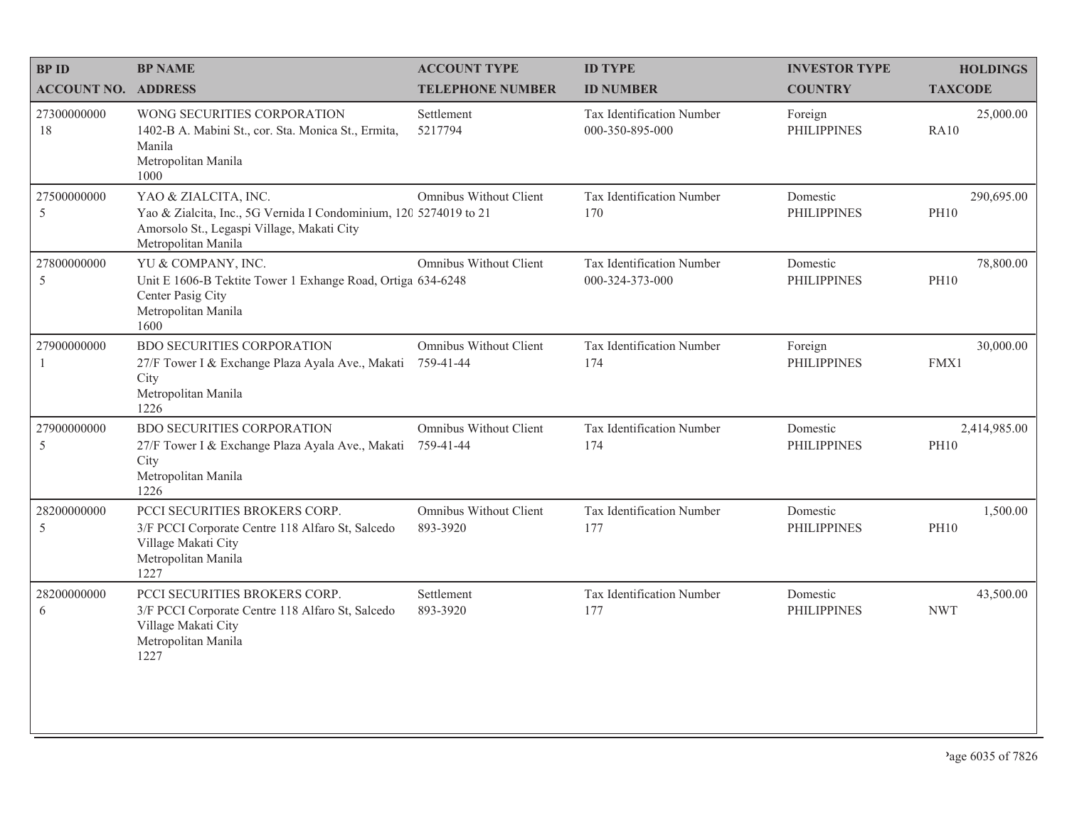| <b>BPID</b>                | <b>BP NAME</b>                                                                                                                                                 | <b>ACCOUNT TYPE</b>                        | <b>ID TYPE</b>                               | <b>INVESTOR TYPE</b>           | <b>HOLDINGS</b>             |
|----------------------------|----------------------------------------------------------------------------------------------------------------------------------------------------------------|--------------------------------------------|----------------------------------------------|--------------------------------|-----------------------------|
| <b>ACCOUNT NO. ADDRESS</b> |                                                                                                                                                                | <b>TELEPHONE NUMBER</b>                    | <b>ID NUMBER</b>                             | <b>COUNTRY</b>                 | <b>TAXCODE</b>              |
| 27300000000<br>18          | WONG SECURITIES CORPORATION<br>1402-B A. Mabini St., cor. Sta. Monica St., Ermita,<br>Manila<br>Metropolitan Manila<br>1000                                    | Settlement<br>5217794                      | Tax Identification Number<br>000-350-895-000 | Foreign<br><b>PHILIPPINES</b>  | 25,000.00<br><b>RA10</b>    |
| 27500000000<br>5           | YAO & ZIALCITA, INC.<br>Yao & Zialcita, Inc., 5G Vernida I Condominium, 120 5274019 to 21<br>Amorsolo St., Legaspi Village, Makati City<br>Metropolitan Manila | Omnibus Without Client                     | Tax Identification Number<br>170             | Domestic<br><b>PHILIPPINES</b> | 290,695.00<br><b>PH10</b>   |
| 27800000000<br>5           | YU & COMPANY, INC.<br>Unit E 1606-B Tektite Tower 1 Exhange Road, Ortiga 634-6248<br>Center Pasig City<br>Metropolitan Manila<br>1600                          | <b>Omnibus Without Client</b>              | Tax Identification Number<br>000-324-373-000 | Domestic<br><b>PHILIPPINES</b> | 78,800.00<br><b>PH10</b>    |
| 27900000000<br>1           | <b>BDO SECURITIES CORPORATION</b><br>27/F Tower I & Exchange Plaza Ayala Ave., Makati<br>City<br>Metropolitan Manila<br>1226                                   | <b>Omnibus Without Client</b><br>759-41-44 | Tax Identification Number<br>174             | Foreign<br><b>PHILIPPINES</b>  | 30,000.00<br>FMX1           |
| 27900000000<br>5           | <b>BDO SECURITIES CORPORATION</b><br>27/F Tower I & Exchange Plaza Ayala Ave., Makati<br>City<br>Metropolitan Manila<br>1226                                   | Omnibus Without Client<br>759-41-44        | Tax Identification Number<br>174             | Domestic<br><b>PHILIPPINES</b> | 2,414,985.00<br><b>PH10</b> |
| 28200000000<br>5           | PCCI SECURITIES BROKERS CORP.<br>3/F PCCI Corporate Centre 118 Alfaro St, Salcedo<br>Village Makati City<br>Metropolitan Manila<br>1227                        | <b>Omnibus Without Client</b><br>893-3920  | Tax Identification Number<br>177             | Domestic<br><b>PHILIPPINES</b> | 1,500.00<br><b>PH10</b>     |
| 28200000000<br>6           | PCCI SECURITIES BROKERS CORP.<br>3/F PCCI Corporate Centre 118 Alfaro St, Salcedo<br>Village Makati City<br>Metropolitan Manila<br>1227                        | Settlement<br>893-3920                     | Tax Identification Number<br>177             | Domestic<br><b>PHILIPPINES</b> | 43,500.00<br><b>NWT</b>     |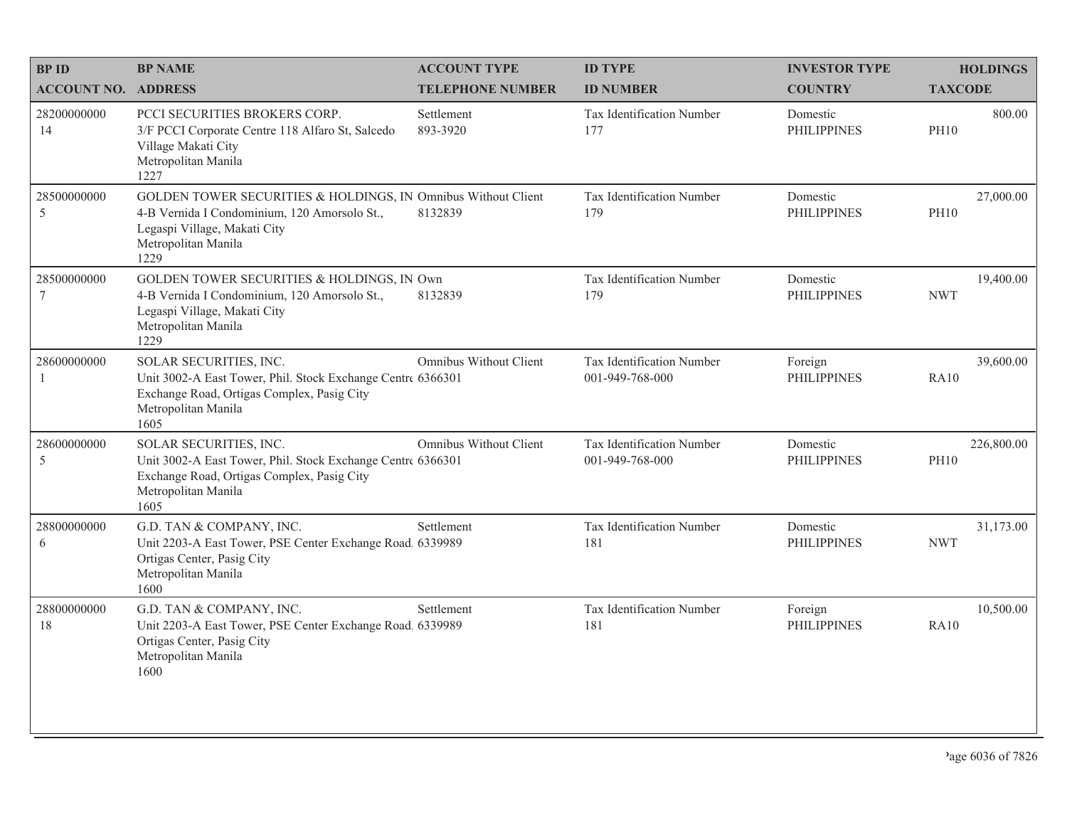| <b>BPID</b>                   | <b>BP NAME</b>                                                                                                                                                               | <b>ACCOUNT TYPE</b>           | <b>ID TYPE</b>                               | <b>INVESTOR TYPE</b>           | <b>HOLDINGS</b>           |
|-------------------------------|------------------------------------------------------------------------------------------------------------------------------------------------------------------------------|-------------------------------|----------------------------------------------|--------------------------------|---------------------------|
| <b>ACCOUNT NO. ADDRESS</b>    |                                                                                                                                                                              | <b>TELEPHONE NUMBER</b>       | <b>ID NUMBER</b>                             | <b>COUNTRY</b>                 | <b>TAXCODE</b>            |
| 28200000000<br>14             | PCCI SECURITIES BROKERS CORP.<br>3/F PCCI Corporate Centre 118 Alfaro St, Salcedo<br>Village Makati City<br>Metropolitan Manila<br>1227                                      | Settlement<br>893-3920        | Tax Identification Number<br>177             | Domestic<br><b>PHILIPPINES</b> | 800.00<br><b>PH10</b>     |
| 28500000000<br>5              | GOLDEN TOWER SECURITIES & HOLDINGS, IN Omnibus Without Client<br>4-B Vernida I Condominium, 120 Amorsolo St.,<br>Legaspi Village, Makati City<br>Metropolitan Manila<br>1229 | 8132839                       | Tax Identification Number<br>179             | Domestic<br><b>PHILIPPINES</b> | 27,000.00<br><b>PH10</b>  |
| 28500000000<br>$\overline{7}$ | GOLDEN TOWER SECURITIES & HOLDINGS, IN Own<br>4-B Vernida I Condominium, 120 Amorsolo St.,<br>Legaspi Village, Makati City<br>Metropolitan Manila<br>1229                    | 8132839                       | Tax Identification Number<br>179             | Domestic<br><b>PHILIPPINES</b> | 19,400.00<br><b>NWT</b>   |
| 28600000000<br>1              | SOLAR SECURITIES, INC.<br>Unit 3002-A East Tower, Phil. Stock Exchange Centre 6366301<br>Exchange Road, Ortigas Complex, Pasig City<br>Metropolitan Manila<br>1605           | Omnibus Without Client        | Tax Identification Number<br>001-949-768-000 | Foreign<br><b>PHILIPPINES</b>  | 39,600.00<br><b>RA10</b>  |
| 28600000000<br>5              | SOLAR SECURITIES, INC.<br>Unit 3002-A East Tower, Phil. Stock Exchange Centre 6366301<br>Exchange Road, Ortigas Complex, Pasig City<br>Metropolitan Manila<br>1605           | <b>Omnibus Without Client</b> | Tax Identification Number<br>001-949-768-000 | Domestic<br><b>PHILIPPINES</b> | 226,800.00<br><b>PH10</b> |
| 28800000000<br>6              | G.D. TAN & COMPANY, INC.<br>Unit 2203-A East Tower, PSE Center Exchange Road, 6339989<br>Ortigas Center, Pasig City<br>Metropolitan Manila<br>1600                           | Settlement                    | Tax Identification Number<br>181             | Domestic<br><b>PHILIPPINES</b> | 31,173.00<br><b>NWT</b>   |
| 28800000000<br>18             | G.D. TAN & COMPANY, INC.<br>Unit 2203-A East Tower, PSE Center Exchange Road, 6339989<br>Ortigas Center, Pasig City<br>Metropolitan Manila<br>1600                           | Settlement                    | Tax Identification Number<br>181             | Foreign<br><b>PHILIPPINES</b>  | 10,500.00<br><b>RA10</b>  |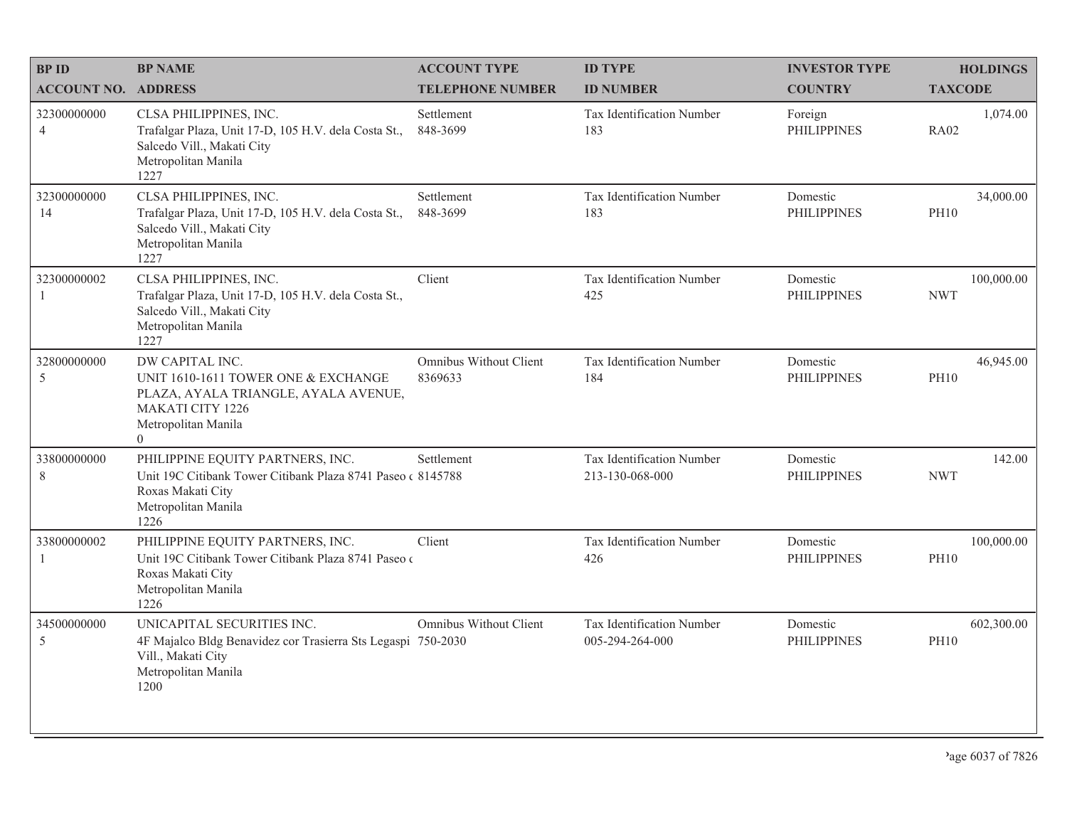| <b>BPID</b>                   | <b>BP NAME</b>                                                                                                                                                     | <b>ACCOUNT TYPE</b>               | <b>ID TYPE</b>                               | <b>INVESTOR TYPE</b>           | <b>HOLDINGS</b>           |
|-------------------------------|--------------------------------------------------------------------------------------------------------------------------------------------------------------------|-----------------------------------|----------------------------------------------|--------------------------------|---------------------------|
| <b>ACCOUNT NO. ADDRESS</b>    |                                                                                                                                                                    | <b>TELEPHONE NUMBER</b>           | <b>ID NUMBER</b>                             | <b>COUNTRY</b>                 | <b>TAXCODE</b>            |
| 32300000000<br>$\overline{4}$ | CLSA PHILIPPINES, INC.<br>Trafalgar Plaza, Unit 17-D, 105 H.V. dela Costa St.,<br>Salcedo Vill., Makati City<br>Metropolitan Manila<br>1227                        | Settlement<br>848-3699            | Tax Identification Number<br>183             | Foreign<br><b>PHILIPPINES</b>  | 1,074.00<br><b>RA02</b>   |
| 32300000000<br>14             | CLSA PHILIPPINES, INC.<br>Trafalgar Plaza, Unit 17-D, 105 H.V. dela Costa St.,<br>Salcedo Vill., Makati City<br>Metropolitan Manila<br>1227                        | Settlement<br>848-3699            | Tax Identification Number<br>183             | Domestic<br><b>PHILIPPINES</b> | 34,000.00<br><b>PH10</b>  |
| 32300000002                   | CLSA PHILIPPINES, INC.<br>Trafalgar Plaza, Unit 17-D, 105 H.V. dela Costa St.,<br>Salcedo Vill., Makati City<br>Metropolitan Manila<br>1227                        | Client                            | Tax Identification Number<br>425             | Domestic<br><b>PHILIPPINES</b> | 100,000.00<br><b>NWT</b>  |
| 32800000000<br>5              | DW CAPITAL INC.<br>UNIT 1610-1611 TOWER ONE & EXCHANGE<br>PLAZA, AYALA TRIANGLE, AYALA AVENUE,<br><b>MAKATI CITY 1226</b><br>Metropolitan Manila<br>$\overline{0}$ | Omnibus Without Client<br>8369633 | Tax Identification Number<br>184             | Domestic<br><b>PHILIPPINES</b> | 46,945.00<br><b>PH10</b>  |
| 33800000000<br>8              | PHILIPPINE EQUITY PARTNERS, INC.<br>Unit 19C Citibank Tower Citibank Plaza 8741 Paseo (8145788)<br>Roxas Makati City<br>Metropolitan Manila<br>1226                | Settlement                        | Tax Identification Number<br>213-130-068-000 | Domestic<br><b>PHILIPPINES</b> | 142.00<br><b>NWT</b>      |
| 33800000002<br>1              | PHILIPPINE EQUITY PARTNERS, INC.<br>Unit 19C Citibank Tower Citibank Plaza 8741 Paseo<br>Roxas Makati City<br>Metropolitan Manila<br>1226                          | Client                            | Tax Identification Number<br>426             | Domestic<br><b>PHILIPPINES</b> | 100,000.00<br><b>PH10</b> |
| 34500000000<br>5              | UNICAPITAL SECURITIES INC.<br>4F Majalco Bldg Benavidez cor Trasierra Sts Legaspi 750-2030<br>Vill., Makati City<br>Metropolitan Manila<br>1200                    | Omnibus Without Client            | Tax Identification Number<br>005-294-264-000 | Domestic<br><b>PHILIPPINES</b> | 602,300.00<br><b>PH10</b> |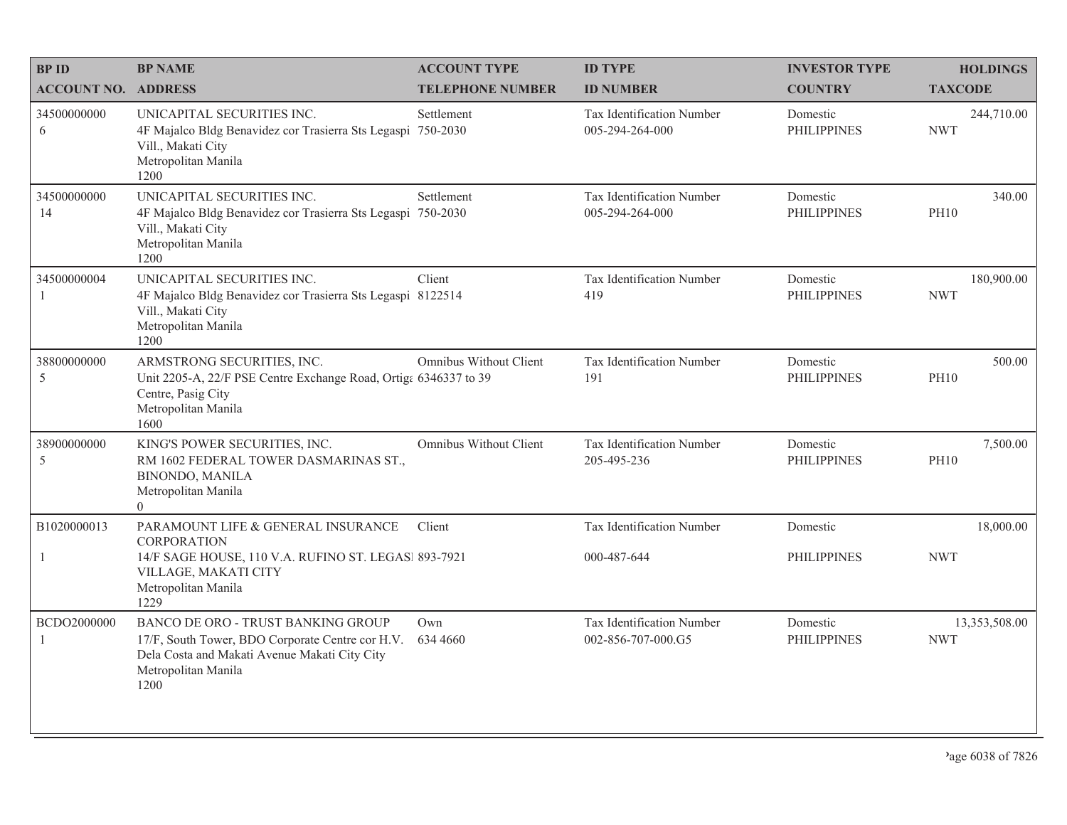| <b>BP ID</b>               | <b>BP NAME</b>                                                                                                                                                         | <b>ACCOUNT TYPE</b>     | <b>ID TYPE</b>                                  | <b>INVESTOR TYPE</b>           | <b>HOLDINGS</b>             |
|----------------------------|------------------------------------------------------------------------------------------------------------------------------------------------------------------------|-------------------------|-------------------------------------------------|--------------------------------|-----------------------------|
| <b>ACCOUNT NO. ADDRESS</b> |                                                                                                                                                                        | <b>TELEPHONE NUMBER</b> | <b>ID NUMBER</b>                                | <b>COUNTRY</b>                 | <b>TAXCODE</b>              |
| 34500000000<br>6           | UNICAPITAL SECURITIES INC.<br>4F Majalco Bldg Benavidez cor Trasierra Sts Legaspi 750-2030<br>Vill., Makati City<br>Metropolitan Manila<br>1200                        | Settlement              | Tax Identification Number<br>005-294-264-000    | Domestic<br><b>PHILIPPINES</b> | 244,710.00<br><b>NWT</b>    |
| 34500000000<br>14          | UNICAPITAL SECURITIES INC.<br>4F Majalco Bldg Benavidez cor Trasierra Sts Legaspi 750-2030<br>Vill., Makati City<br>Metropolitan Manila<br>1200                        | Settlement              | Tax Identification Number<br>005-294-264-000    | Domestic<br><b>PHILIPPINES</b> | 340.00<br><b>PH10</b>       |
| 34500000004<br>-1          | UNICAPITAL SECURITIES INC.<br>4F Majalco Bldg Benavidez cor Trasierra Sts Legaspi 8122514<br>Vill., Makati City<br>Metropolitan Manila<br>1200                         | Client                  | Tax Identification Number<br>419                | Domestic<br><b>PHILIPPINES</b> | 180,900.00<br><b>NWT</b>    |
| 38800000000<br>5           | ARMSTRONG SECURITIES, INC.<br>Unit 2205-A, 22/F PSE Centre Exchange Road, Ortiga 6346337 to 39<br>Centre, Pasig City<br>Metropolitan Manila<br>1600                    | Omnibus Without Client  | Tax Identification Number<br>191                | Domestic<br><b>PHILIPPINES</b> | 500.00<br><b>PH10</b>       |
| 38900000000<br>5           | KING'S POWER SECURITIES, INC.<br>RM 1602 FEDERAL TOWER DASMARINAS ST.,<br><b>BINONDO, MANILA</b><br>Metropolitan Manila<br>$\overline{0}$                              | Omnibus Without Client  | <b>Tax Identification Number</b><br>205-495-236 | Domestic<br><b>PHILIPPINES</b> | 7,500.00<br><b>PH10</b>     |
| B1020000013                | PARAMOUNT LIFE & GENERAL INSURANCE<br>CORPORATION                                                                                                                      | Client                  | Tax Identification Number                       | Domestic                       | 18,000.00                   |
| 1                          | 14/F SAGE HOUSE, 110 V.A. RUFINO ST. LEGAS  893-7921<br>VILLAGE, MAKATI CITY<br>Metropolitan Manila<br>1229                                                            |                         | 000-487-644                                     | <b>PHILIPPINES</b>             | <b>NWT</b>                  |
| BCDO2000000                | BANCO DE ORO - TRUST BANKING GROUP<br>17/F, South Tower, BDO Corporate Centre cor H.V.<br>Dela Costa and Makati Avenue Makati City City<br>Metropolitan Manila<br>1200 | Own<br>634 4660         | Tax Identification Number<br>002-856-707-000.G5 | Domestic<br><b>PHILIPPINES</b> | 13,353,508.00<br><b>NWT</b> |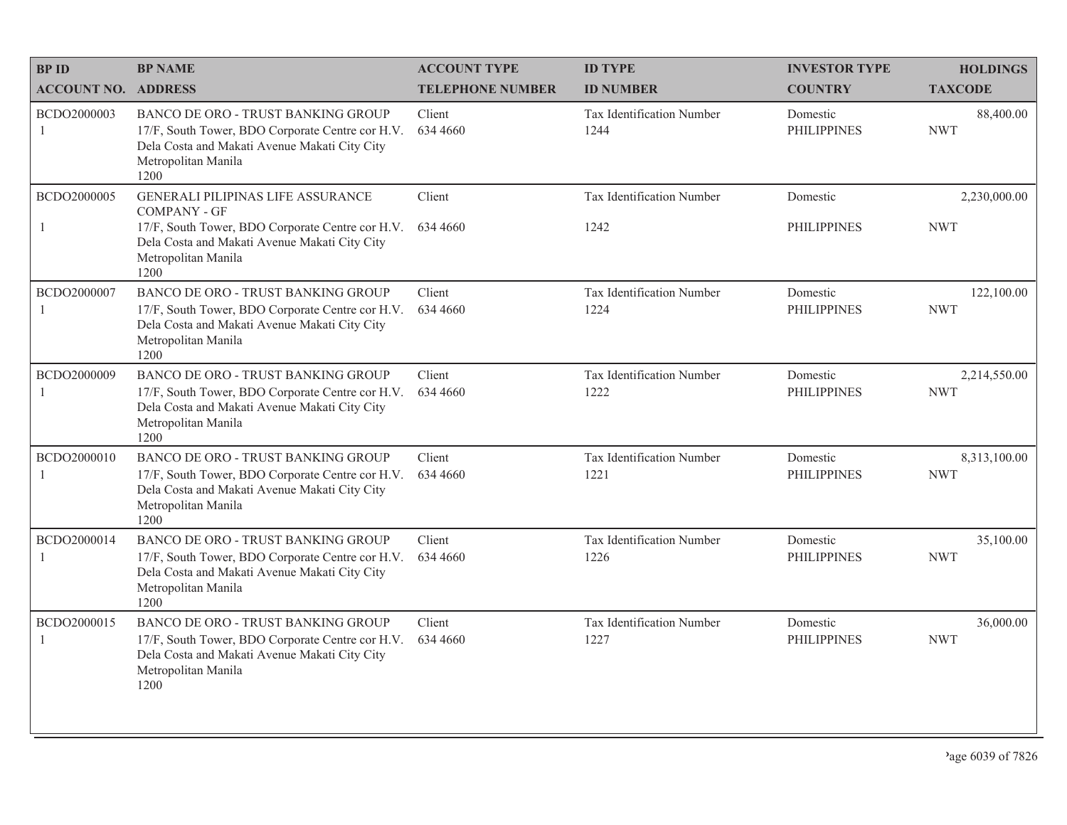| <b>BPID</b>                 | <b>BP NAME</b>                                                                                                                                                                               | <b>ACCOUNT TYPE</b>     | <b>ID TYPE</b>                    | <b>INVESTOR TYPE</b>           | <b>HOLDINGS</b>            |
|-----------------------------|----------------------------------------------------------------------------------------------------------------------------------------------------------------------------------------------|-------------------------|-----------------------------------|--------------------------------|----------------------------|
| <b>ACCOUNT NO. ADDRESS</b>  |                                                                                                                                                                                              | <b>TELEPHONE NUMBER</b> | <b>ID NUMBER</b>                  | <b>COUNTRY</b>                 | <b>TAXCODE</b>             |
| BCDO2000003<br>1            | BANCO DE ORO - TRUST BANKING GROUP<br>17/F, South Tower, BDO Corporate Centre cor H.V.<br>Dela Costa and Makati Avenue Makati City City<br>Metropolitan Manila<br>1200                       | Client<br>634 4660      | Tax Identification Number<br>1244 | Domestic<br><b>PHILIPPINES</b> | 88,400.00<br><b>NWT</b>    |
| BCDO2000005<br>1            | GENERALI PILIPINAS LIFE ASSURANCE<br><b>COMPANY - GF</b><br>17/F, South Tower, BDO Corporate Centre cor H.V.<br>Dela Costa and Makati Avenue Makati City City<br>Metropolitan Manila<br>1200 | Client<br>634 4660      | Tax Identification Number<br>1242 | Domestic<br><b>PHILIPPINES</b> | 2,230,000.00<br><b>NWT</b> |
| BCDO2000007<br>1            | BANCO DE ORO - TRUST BANKING GROUP<br>17/F, South Tower, BDO Corporate Centre cor H.V.<br>Dela Costa and Makati Avenue Makati City City<br>Metropolitan Manila<br>1200                       | Client<br>634 4660      | Tax Identification Number<br>1224 | Domestic<br><b>PHILIPPINES</b> | 122,100.00<br><b>NWT</b>   |
| BCDO2000009<br>$\mathbf{1}$ | <b>BANCO DE ORO - TRUST BANKING GROUP</b><br>17/F, South Tower, BDO Corporate Centre cor H.V.<br>Dela Costa and Makati Avenue Makati City City<br>Metropolitan Manila<br>1200                | Client<br>634 4660      | Tax Identification Number<br>1222 | Domestic<br><b>PHILIPPINES</b> | 2,214,550.00<br><b>NWT</b> |
| BCDO2000010                 | BANCO DE ORO - TRUST BANKING GROUP<br>17/F, South Tower, BDO Corporate Centre cor H.V.<br>Dela Costa and Makati Avenue Makati City City<br>Metropolitan Manila<br>1200                       | Client<br>634 4660      | Tax Identification Number<br>1221 | Domestic<br><b>PHILIPPINES</b> | 8,313,100.00<br><b>NWT</b> |
| BCDO2000014<br>1            | BANCO DE ORO - TRUST BANKING GROUP<br>17/F, South Tower, BDO Corporate Centre cor H.V.<br>Dela Costa and Makati Avenue Makati City City<br>Metropolitan Manila<br>1200                       | Client<br>634 4660      | Tax Identification Number<br>1226 | Domestic<br><b>PHILIPPINES</b> | 35,100.00<br><b>NWT</b>    |
| BCDO2000015                 | BANCO DE ORO - TRUST BANKING GROUP<br>17/F, South Tower, BDO Corporate Centre cor H.V.<br>Dela Costa and Makati Avenue Makati City City<br>Metropolitan Manila<br>1200                       | Client<br>634 4660      | Tax Identification Number<br>1227 | Domestic<br><b>PHILIPPINES</b> | 36,000.00<br><b>NWT</b>    |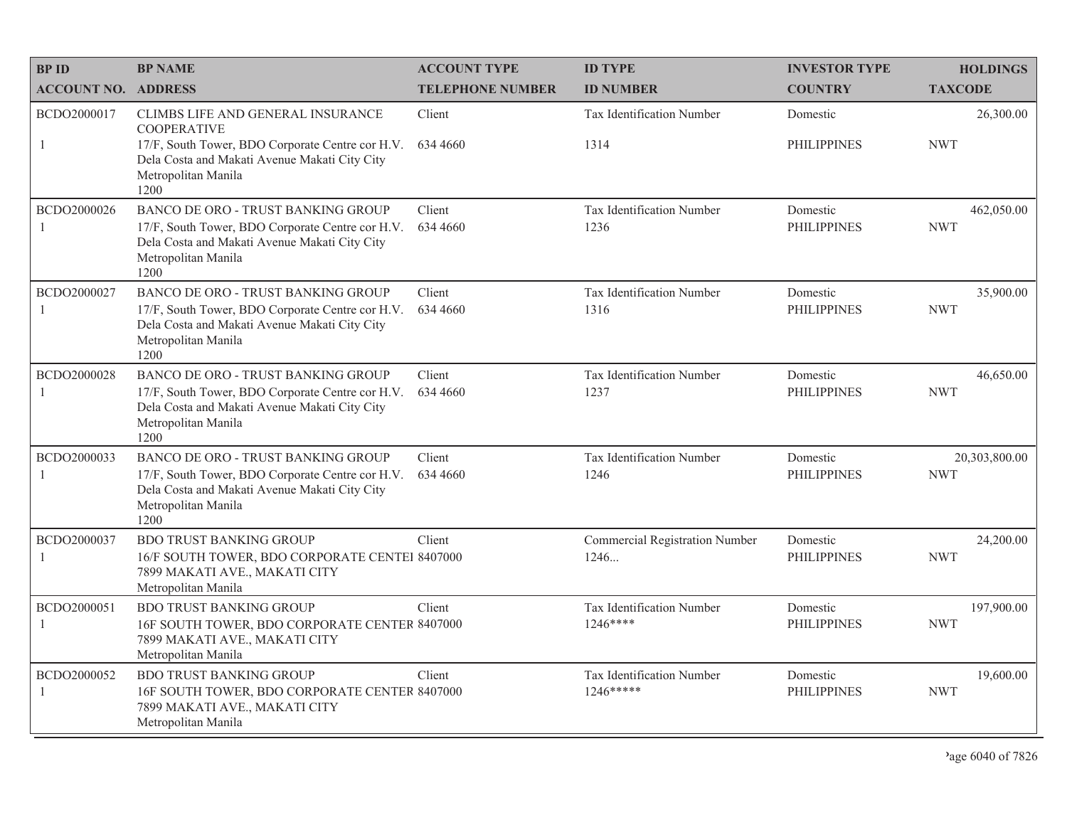| <b>BPID</b>                   | <b>BP NAME</b>                                                                                                                                                                              | <b>ACCOUNT TYPE</b>     | <b>ID TYPE</b>                                | <b>INVESTOR TYPE</b>           | <b>HOLDINGS</b>             |
|-------------------------------|---------------------------------------------------------------------------------------------------------------------------------------------------------------------------------------------|-------------------------|-----------------------------------------------|--------------------------------|-----------------------------|
| <b>ACCOUNT NO. ADDRESS</b>    |                                                                                                                                                                                             | <b>TELEPHONE NUMBER</b> | <b>ID NUMBER</b>                              | <b>COUNTRY</b>                 | <b>TAXCODE</b>              |
| BCDO2000017<br>-1             | CLIMBS LIFE AND GENERAL INSURANCE<br><b>COOPERATIVE</b><br>17/F, South Tower, BDO Corporate Centre cor H.V.<br>Dela Costa and Makati Avenue Makati City City<br>Metropolitan Manila<br>1200 | Client<br>634 4660      | Tax Identification Number<br>1314             | Domestic<br><b>PHILIPPINES</b> | 26,300.00<br><b>NWT</b>     |
| BCDO2000026<br>$\overline{1}$ | BANCO DE ORO - TRUST BANKING GROUP<br>17/F, South Tower, BDO Corporate Centre cor H.V.<br>Dela Costa and Makati Avenue Makati City City<br>Metropolitan Manila<br>1200                      | Client<br>634 4660      | Tax Identification Number<br>1236             | Domestic<br><b>PHILIPPINES</b> | 462,050.00<br><b>NWT</b>    |
| BCDO2000027<br>-1             | BANCO DE ORO - TRUST BANKING GROUP<br>17/F, South Tower, BDO Corporate Centre cor H.V.<br>Dela Costa and Makati Avenue Makati City City<br>Metropolitan Manila<br>1200                      | Client<br>634 4660      | Tax Identification Number<br>1316             | Domestic<br><b>PHILIPPINES</b> | 35,900.00<br><b>NWT</b>     |
| BCDO2000028<br>-1             | BANCO DE ORO - TRUST BANKING GROUP<br>17/F, South Tower, BDO Corporate Centre cor H.V.<br>Dela Costa and Makati Avenue Makati City City<br>Metropolitan Manila<br>1200                      | Client<br>634 4660      | Tax Identification Number<br>1237             | Domestic<br><b>PHILIPPINES</b> | 46,650.00<br><b>NWT</b>     |
| BCDO2000033<br>$\mathbf{1}$   | BANCO DE ORO - TRUST BANKING GROUP<br>17/F, South Tower, BDO Corporate Centre cor H.V.<br>Dela Costa and Makati Avenue Makati City City<br>Metropolitan Manila<br>1200                      | Client<br>634 4660      | Tax Identification Number<br>1246             | Domestic<br><b>PHILIPPINES</b> | 20,303,800.00<br><b>NWT</b> |
| BCDO2000037<br>-1             | <b>BDO TRUST BANKING GROUP</b><br>16/F SOUTH TOWER, BDO CORPORATE CENTEI 8407000<br>7899 MAKATI AVE., MAKATI CITY<br>Metropolitan Manila                                                    | Client                  | <b>Commercial Registration Number</b><br>1246 | Domestic<br><b>PHILIPPINES</b> | 24,200.00<br><b>NWT</b>     |
| BCDO2000051<br>$\overline{1}$ | <b>BDO TRUST BANKING GROUP</b><br>16F SOUTH TOWER, BDO CORPORATE CENTER 8407000<br>7899 MAKATI AVE., MAKATI CITY<br>Metropolitan Manila                                                     | Client                  | Tax Identification Number<br>$1246***$        | Domestic<br><b>PHILIPPINES</b> | 197,900.00<br><b>NWT</b>    |
| BCDO2000052<br>-1             | <b>BDO TRUST BANKING GROUP</b><br>16F SOUTH TOWER, BDO CORPORATE CENTER 8407000<br>7899 MAKATI AVE., MAKATI CITY<br>Metropolitan Manila                                                     | Client                  | Tax Identification Number<br>1246*****        | Domestic<br><b>PHILIPPINES</b> | 19,600.00<br><b>NWT</b>     |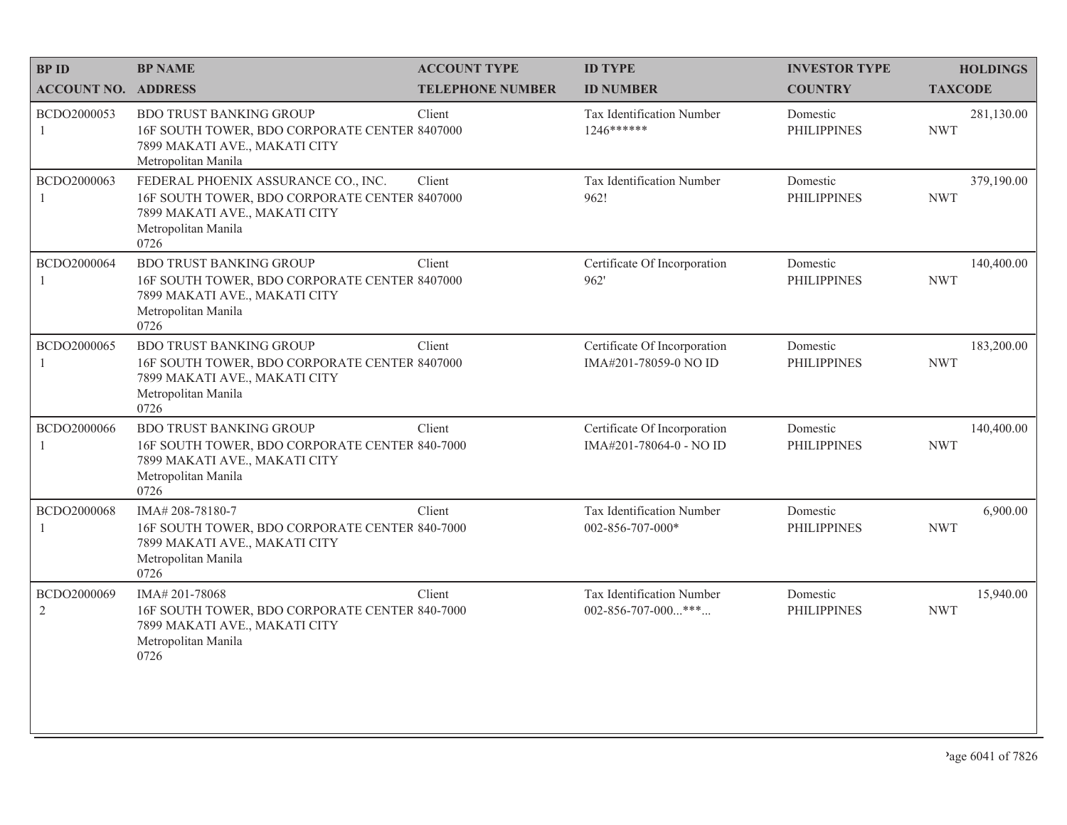| <b>BPID</b>                | <b>BP NAME</b>                                                                                                                                       | <b>ACCOUNT TYPE</b>     | <b>ID TYPE</b>                                          | <b>INVESTOR TYPE</b>           | <b>HOLDINGS</b>          |
|----------------------------|------------------------------------------------------------------------------------------------------------------------------------------------------|-------------------------|---------------------------------------------------------|--------------------------------|--------------------------|
| <b>ACCOUNT NO. ADDRESS</b> |                                                                                                                                                      | <b>TELEPHONE NUMBER</b> | <b>ID NUMBER</b>                                        | <b>COUNTRY</b>                 | <b>TAXCODE</b>           |
| BCDO2000053<br>1           | <b>BDO TRUST BANKING GROUP</b><br>16F SOUTH TOWER, BDO CORPORATE CENTER 8407000<br>7899 MAKATI AVE., MAKATI CITY<br>Metropolitan Manila              | Client                  | Tax Identification Number<br>1246******                 | Domestic<br><b>PHILIPPINES</b> | 281,130.00<br><b>NWT</b> |
| BCDO2000063                | FEDERAL PHOENIX ASSURANCE CO., INC.<br>16F SOUTH TOWER, BDO CORPORATE CENTER 8407000<br>7899 MAKATI AVE., MAKATI CITY<br>Metropolitan Manila<br>0726 | Client                  | Tax Identification Number<br>962!                       | Domestic<br><b>PHILIPPINES</b> | 379,190.00<br><b>NWT</b> |
| BCDO2000064                | <b>BDO TRUST BANKING GROUP</b><br>16F SOUTH TOWER, BDO CORPORATE CENTER 8407000<br>7899 MAKATI AVE., MAKATI CITY<br>Metropolitan Manila<br>0726      | Client                  | Certificate Of Incorporation<br>962'                    | Domestic<br><b>PHILIPPINES</b> | 140,400.00<br><b>NWT</b> |
| BCDO2000065                | <b>BDO TRUST BANKING GROUP</b><br>16F SOUTH TOWER, BDO CORPORATE CENTER 8407000<br>7899 MAKATI AVE., MAKATI CITY<br>Metropolitan Manila<br>0726      | Client                  | Certificate Of Incorporation<br>IMA#201-78059-0 NO ID   | Domestic<br><b>PHILIPPINES</b> | 183,200.00<br><b>NWT</b> |
| BCDO2000066                | <b>BDO TRUST BANKING GROUP</b><br>16F SOUTH TOWER, BDO CORPORATE CENTER 840-7000<br>7899 MAKATI AVE., MAKATI CITY<br>Metropolitan Manila<br>0726     | Client                  | Certificate Of Incorporation<br>IMA#201-78064-0 - NO ID | Domestic<br><b>PHILIPPINES</b> | 140,400.00<br><b>NWT</b> |
| BCDO2000068                | IMA#208-78180-7<br>16F SOUTH TOWER, BDO CORPORATE CENTER 840-7000<br>7899 MAKATI AVE., MAKATI CITY<br>Metropolitan Manila<br>0726                    | Client                  | Tax Identification Number<br>002-856-707-000*           | Domestic<br><b>PHILIPPINES</b> | 6,900.00<br><b>NWT</b>   |
| BCDO2000069<br>2           | IMA# 201-78068<br>16F SOUTH TOWER, BDO CORPORATE CENTER 840-7000<br>7899 MAKATI AVE., MAKATI CITY<br>Metropolitan Manila<br>0726                     | Client                  | Tax Identification Number<br>002-856-707-000***         | Domestic<br><b>PHILIPPINES</b> | 15,940.00<br><b>NWT</b>  |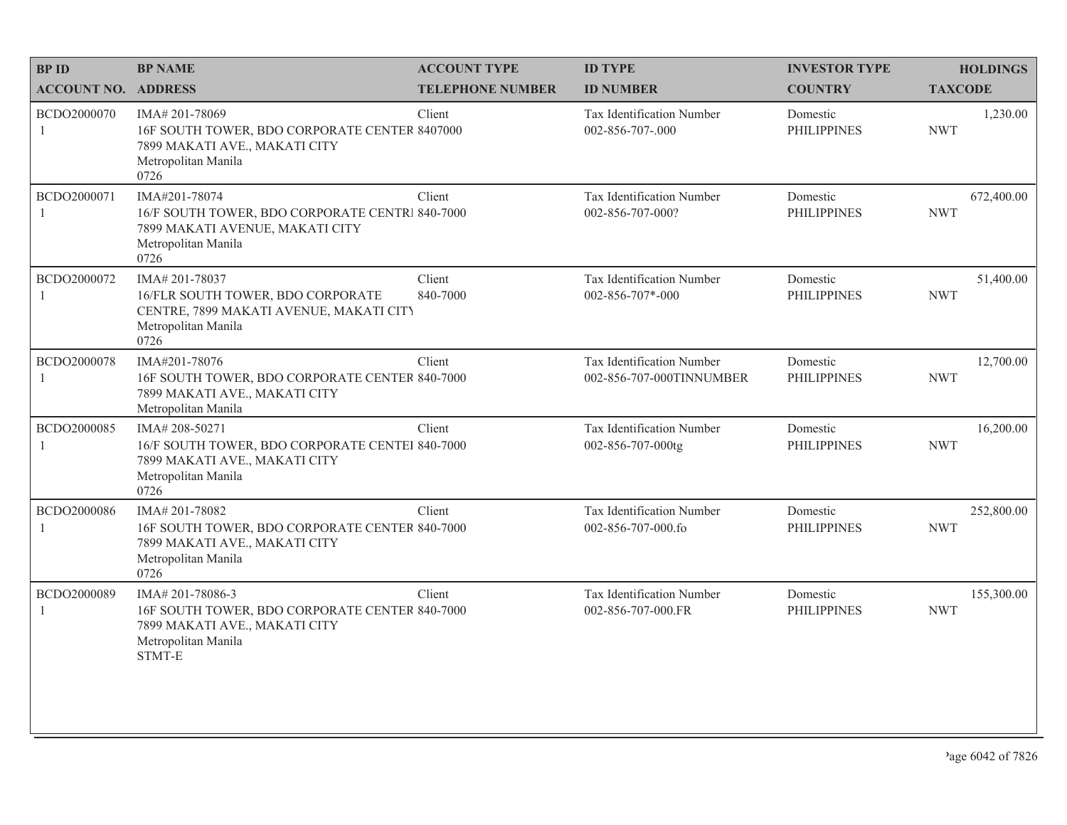| <b>BPID</b>                 | <b>BP NAME</b>                                                                                                                             | <b>ACCOUNT TYPE</b>     | <b>ID TYPE</b>                                        | <b>INVESTOR TYPE</b>           | <b>HOLDINGS</b>          |
|-----------------------------|--------------------------------------------------------------------------------------------------------------------------------------------|-------------------------|-------------------------------------------------------|--------------------------------|--------------------------|
| <b>ACCOUNT NO. ADDRESS</b>  |                                                                                                                                            | <b>TELEPHONE NUMBER</b> | <b>ID NUMBER</b>                                      | <b>COUNTRY</b>                 | <b>TAXCODE</b>           |
| BCDO2000070<br>-1           | IMA# 201-78069<br>16F SOUTH TOWER, BDO CORPORATE CENTER 8407000<br>7899 MAKATI AVE., MAKATI CITY<br>Metropolitan Manila<br>0726            | Client                  | Tax Identification Number<br>002-856-707-.000         | Domestic<br><b>PHILIPPINES</b> | 1,230.00<br><b>NWT</b>   |
| BCDO2000071<br>$\mathbf{1}$ | IMA#201-78074<br>16/F SOUTH TOWER, BDO CORPORATE CENTRI 840-7000<br>7899 MAKATI AVENUE, MAKATI CITY<br>Metropolitan Manila<br>0726         | Client                  | Tax Identification Number<br>002-856-707-000?         | Domestic<br><b>PHILIPPINES</b> | 672,400.00<br><b>NWT</b> |
| BCDO2000072                 | IMA#201-78037<br>16/FLR SOUTH TOWER, BDO CORPORATE<br>CENTRE, 7899 MAKATI AVENUE, MAKATI CITY<br>Metropolitan Manila<br>0726               | Client<br>840-7000      | Tax Identification Number<br>$002 - 856 - 707 - 000$  | Domestic<br><b>PHILIPPINES</b> | 51,400.00<br><b>NWT</b>  |
| BCDO2000078                 | IMA#201-78076<br>16F SOUTH TOWER, BDO CORPORATE CENTER 840-7000<br>7899 MAKATI AVE., MAKATI CITY<br>Metropolitan Manila                    | Client                  | Tax Identification Number<br>002-856-707-000TINNUMBER | Domestic<br><b>PHILIPPINES</b> | 12,700.00<br><b>NWT</b>  |
| BCDO2000085                 | IMA#208-50271<br>16/F SOUTH TOWER, BDO CORPORATE CENTEI 840-7000<br>7899 MAKATI AVE., MAKATI CITY<br>Metropolitan Manila<br>0726           | Client                  | Tax Identification Number<br>002-856-707-000tg        | Domestic<br><b>PHILIPPINES</b> | 16,200.00<br><b>NWT</b>  |
| BCDO2000086<br>-1           | IMA#201-78082<br>16F SOUTH TOWER, BDO CORPORATE CENTER 840-7000<br>7899 MAKATI AVE., MAKATI CITY<br>Metropolitan Manila<br>0726            | Client                  | Tax Identification Number<br>002-856-707-000.fo       | Domestic<br><b>PHILIPPINES</b> | 252,800.00<br><b>NWT</b> |
| BCDO2000089                 | IMA#201-78086-3<br>16F SOUTH TOWER, BDO CORPORATE CENTER 840-7000<br>7899 MAKATI AVE., MAKATI CITY<br>Metropolitan Manila<br><b>STMT-E</b> | Client                  | Tax Identification Number<br>002-856-707-000.FR       | Domestic<br><b>PHILIPPINES</b> | 155,300.00<br><b>NWT</b> |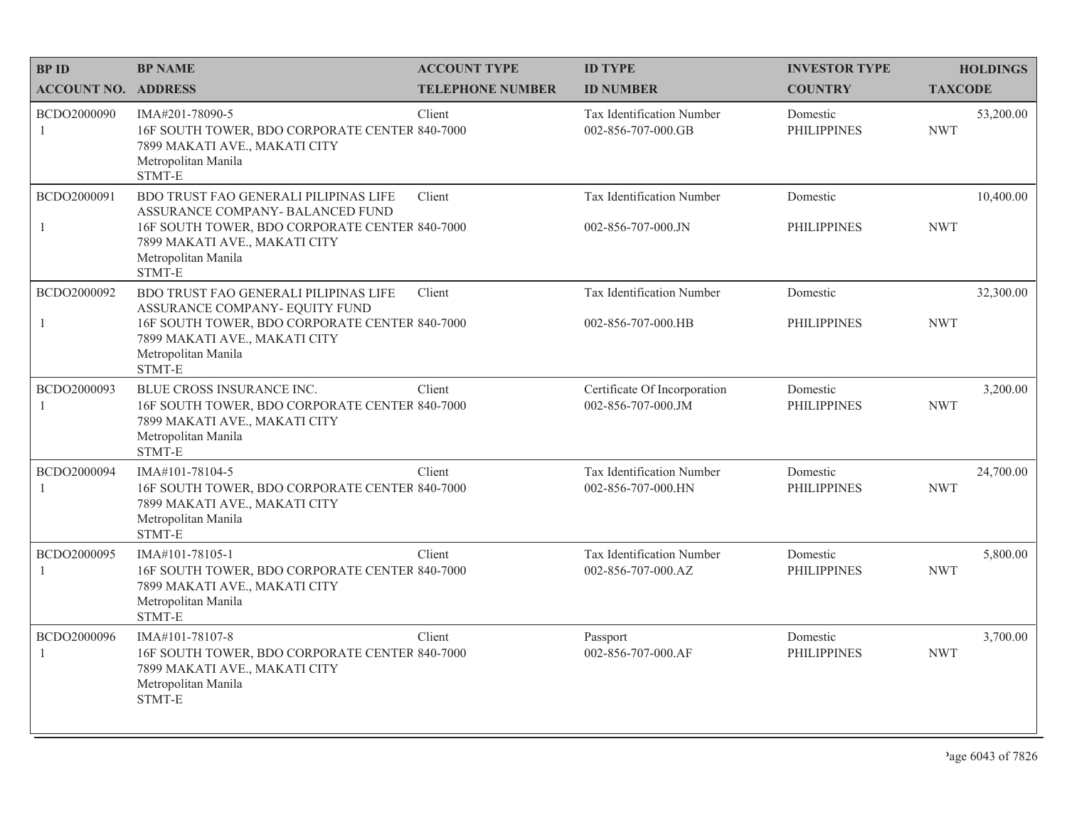| <b>BPID</b>                | <b>BP NAME</b>                                                                                                                                                                                | <b>ACCOUNT TYPE</b>     | <b>ID TYPE</b>                                     | <b>INVESTOR TYPE</b>           | <b>HOLDINGS</b>         |
|----------------------------|-----------------------------------------------------------------------------------------------------------------------------------------------------------------------------------------------|-------------------------|----------------------------------------------------|--------------------------------|-------------------------|
| <b>ACCOUNT NO. ADDRESS</b> |                                                                                                                                                                                               | <b>TELEPHONE NUMBER</b> | <b>ID NUMBER</b>                                   | <b>COUNTRY</b>                 | <b>TAXCODE</b>          |
| BCDO2000090<br>1           | IMA#201-78090-5<br>16F SOUTH TOWER, BDO CORPORATE CENTER 840-7000<br>7899 MAKATI AVE., MAKATI CITY<br>Metropolitan Manila<br>STMT-E                                                           | Client                  | Tax Identification Number<br>002-856-707-000.GB    | Domestic<br><b>PHILIPPINES</b> | 53,200.00<br><b>NWT</b> |
| BCDO2000091<br>1           | BDO TRUST FAO GENERALI PILIPINAS LIFE<br>ASSURANCE COMPANY- BALANCED FUND<br>16F SOUTH TOWER, BDO CORPORATE CENTER 840-7000<br>7899 MAKATI AVE., MAKATI CITY<br>Metropolitan Manila<br>STMT-E | Client                  | Tax Identification Number<br>002-856-707-000.JN    | Domestic<br><b>PHILIPPINES</b> | 10,400.00<br><b>NWT</b> |
| BCDO2000092<br>1           | BDO TRUST FAO GENERALI PILIPINAS LIFE<br>ASSURANCE COMPANY- EQUITY FUND<br>16F SOUTH TOWER, BDO CORPORATE CENTER 840-7000<br>7899 MAKATI AVE., MAKATI CITY<br>Metropolitan Manila<br>STMT-E   | Client                  | Tax Identification Number<br>002-856-707-000.HB    | Domestic<br><b>PHILIPPINES</b> | 32,300.00<br><b>NWT</b> |
| BCDO2000093<br>1           | BLUE CROSS INSURANCE INC.<br>16F SOUTH TOWER, BDO CORPORATE CENTER 840-7000<br>7899 MAKATI AVE., MAKATI CITY<br>Metropolitan Manila<br>STMT-E                                                 | Client                  | Certificate Of Incorporation<br>002-856-707-000.JM | Domestic<br><b>PHILIPPINES</b> | 3,200.00<br><b>NWT</b>  |
| BCDO2000094<br>1           | IMA#101-78104-5<br>16F SOUTH TOWER, BDO CORPORATE CENTER 840-7000<br>7899 MAKATI AVE., MAKATI CITY<br>Metropolitan Manila<br>STMT-E                                                           | Client                  | Tax Identification Number<br>002-856-707-000.HN    | Domestic<br><b>PHILIPPINES</b> | 24,700.00<br><b>NWT</b> |
| BCDO2000095<br>1           | IMA#101-78105-1<br>16F SOUTH TOWER, BDO CORPORATE CENTER 840-7000<br>7899 MAKATI AVE., MAKATI CITY<br>Metropolitan Manila<br>STMT-E                                                           | Client                  | Tax Identification Number<br>002-856-707-000.AZ    | Domestic<br><b>PHILIPPINES</b> | 5,800.00<br><b>NWT</b>  |
| BCDO2000096<br>1           | IMA#101-78107-8<br>16F SOUTH TOWER, BDO CORPORATE CENTER 840-7000<br>7899 MAKATI AVE., MAKATI CITY<br>Metropolitan Manila<br><b>STMT-E</b>                                                    | Client                  | Passport<br>002-856-707-000.AF                     | Domestic<br><b>PHILIPPINES</b> | 3,700.00<br><b>NWT</b>  |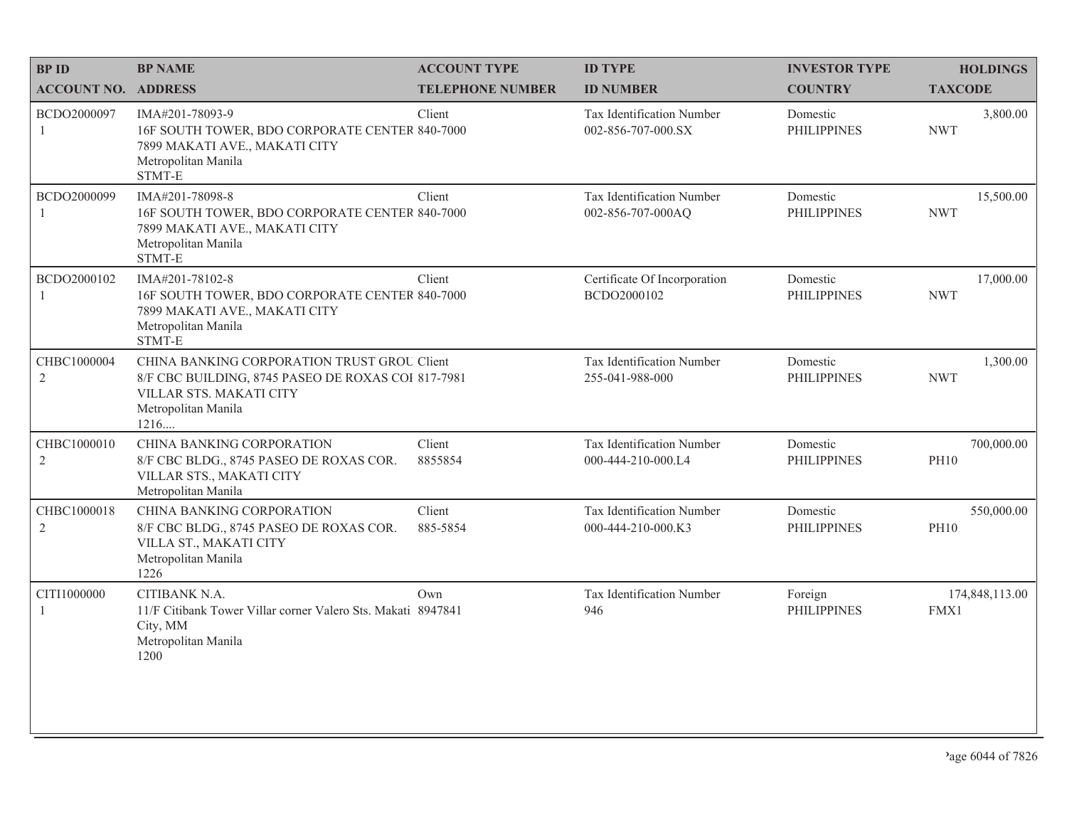| <b>BPID</b>                | <b>BP NAME</b>                                                                                                                                              | <b>ACCOUNT TYPE</b>     | <b>ID TYPE</b>                                  | <b>INVESTOR TYPE</b>           | <b>HOLDINGS</b>           |
|----------------------------|-------------------------------------------------------------------------------------------------------------------------------------------------------------|-------------------------|-------------------------------------------------|--------------------------------|---------------------------|
| <b>ACCOUNT NO. ADDRESS</b> |                                                                                                                                                             | <b>TELEPHONE NUMBER</b> | <b>ID NUMBER</b>                                | <b>COUNTRY</b>                 | <b>TAXCODE</b>            |
| BCDO2000097<br>1           | IMA#201-78093-9<br>16F SOUTH TOWER, BDO CORPORATE CENTER 840-7000<br>7899 MAKATI AVE., MAKATI CITY<br>Metropolitan Manila<br>STMT-E                         | Client                  | Tax Identification Number<br>002-856-707-000.SX | Domestic<br><b>PHILIPPINES</b> | 3,800.00<br><b>NWT</b>    |
| BCDO2000099                | IMA#201-78098-8<br>16F SOUTH TOWER, BDO CORPORATE CENTER 840-7000<br>7899 MAKATI AVE., MAKATI CITY<br>Metropolitan Manila<br>STMT-E                         | Client                  | Tax Identification Number<br>002-856-707-000AQ  | Domestic<br><b>PHILIPPINES</b> | 15,500.00<br><b>NWT</b>   |
| BCDO2000102<br>1           | IMA#201-78102-8<br>16F SOUTH TOWER, BDO CORPORATE CENTER 840-7000<br>7899 MAKATI AVE., MAKATI CITY<br>Metropolitan Manila<br>STMT-E                         | Client                  | Certificate Of Incorporation<br>BCDO2000102     | Domestic<br><b>PHILIPPINES</b> | 17,000.00<br><b>NWT</b>   |
| CHBC1000004<br>2           | CHINA BANKING CORPORATION TRUST GROU Client<br>8/F CBC BUILDING, 8745 PASEO DE ROXAS COI 817-7981<br>VILLAR STS. MAKATI CITY<br>Metropolitan Manila<br>1216 |                         | Tax Identification Number<br>255-041-988-000    | Domestic<br><b>PHILIPPINES</b> | 1,300.00<br><b>NWT</b>    |
| CHBC1000010<br>2           | CHINA BANKING CORPORATION<br>8/F CBC BLDG., 8745 PASEO DE ROXAS COR.<br>VILLAR STS., MAKATI CITY<br>Metropolitan Manila                                     | Client<br>8855854       | Tax Identification Number<br>000-444-210-000.L4 | Domestic<br><b>PHILIPPINES</b> | 700,000.00<br><b>PH10</b> |
| CHBC1000018<br>2           | CHINA BANKING CORPORATION<br>8/F CBC BLDG., 8745 PASEO DE ROXAS COR.<br>VILLA ST., MAKATI CITY<br>Metropolitan Manila<br>1226                               | Client<br>885-5854      | Tax Identification Number<br>000-444-210-000.K3 | Domestic<br><b>PHILIPPINES</b> | 550,000.00<br><b>PH10</b> |
| CITI1000000                | CITIBANK N.A.<br>11/F Citibank Tower Villar corner Valero Sts. Makati 8947841<br>City, MM<br>Metropolitan Manila<br>1200                                    | Own                     | Tax Identification Number<br>946                | Foreign<br><b>PHILIPPINES</b>  | 174,848,113.00<br>FMX1    |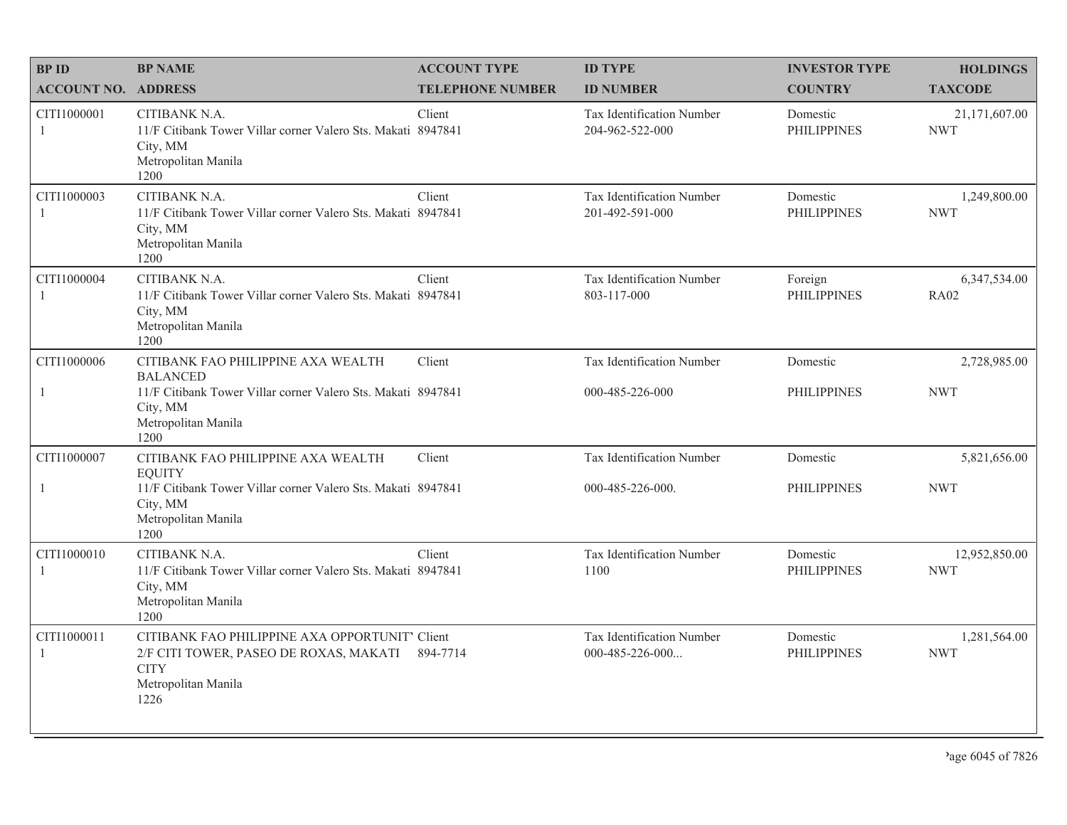| <b>BPID</b>                   | <b>BP NAME</b>                                                                                                                         | <b>ACCOUNT TYPE</b>     | <b>ID TYPE</b>                                 | <b>INVESTOR TYPE</b>           | <b>HOLDINGS</b>             |
|-------------------------------|----------------------------------------------------------------------------------------------------------------------------------------|-------------------------|------------------------------------------------|--------------------------------|-----------------------------|
| <b>ACCOUNT NO. ADDRESS</b>    |                                                                                                                                        | <b>TELEPHONE NUMBER</b> | <b>ID NUMBER</b>                               | <b>COUNTRY</b>                 | <b>TAXCODE</b>              |
| CITI1000001<br>-1             | CITIBANK N.A.<br>11/F Citibank Tower Villar corner Valero Sts. Makati 8947841<br>City, MM<br>Metropolitan Manila<br>1200               | Client                  | Tax Identification Number<br>204-962-522-000   | Domestic<br><b>PHILIPPINES</b> | 21,171,607.00<br><b>NWT</b> |
| CITI1000003<br>$\overline{1}$ | CITIBANK N.A.<br>11/F Citibank Tower Villar corner Valero Sts. Makati 8947841<br>City, MM<br>Metropolitan Manila<br>1200               | Client                  | Tax Identification Number<br>201-492-591-000   | Domestic<br><b>PHILIPPINES</b> | 1,249,800.00<br><b>NWT</b>  |
| CITI1000004<br>$\overline{1}$ | CITIBANK N.A.<br>11/F Citibank Tower Villar corner Valero Sts. Makati 8947841<br>City, MM<br>Metropolitan Manila<br>1200               | Client                  | Tax Identification Number<br>803-117-000       | Foreign<br><b>PHILIPPINES</b>  | 6,347,534.00<br><b>RA02</b> |
| CITI1000006                   | CITIBANK FAO PHILIPPINE AXA WEALTH<br><b>BALANCED</b>                                                                                  | Client                  | Tax Identification Number                      | Domestic                       | 2,728,985.00                |
| $\mathbf{1}$                  | 11/F Citibank Tower Villar corner Valero Sts. Makati 8947841<br>City, MM<br>Metropolitan Manila<br>1200                                |                         | 000-485-226-000                                | <b>PHILIPPINES</b>             | <b>NWT</b>                  |
| CITI1000007                   | CITIBANK FAO PHILIPPINE AXA WEALTH<br><b>EQUITY</b>                                                                                    | Client                  | Tax Identification Number                      | Domestic                       | 5,821,656.00                |
| $\mathbf{1}$                  | 11/F Citibank Tower Villar corner Valero Sts. Makati 8947841<br>City, MM<br>Metropolitan Manila<br>1200                                |                         | 000-485-226-000.                               | <b>PHILIPPINES</b>             | <b>NWT</b>                  |
| CITI1000010<br>-1             | CITIBANK N.A.<br>11/F Citibank Tower Villar corner Valero Sts. Makati 8947841<br>City, MM<br>Metropolitan Manila<br>1200               | Client                  | Tax Identification Number<br>1100              | Domestic<br><b>PHILIPPINES</b> | 12,952,850.00<br><b>NWT</b> |
| CITI1000011<br>$\mathbf{1}$   | CITIBANK FAO PHILIPPINE AXA OPPORTUNIT' Client<br>2/F CITI TOWER, PASEO DE ROXAS, MAKATI<br><b>CITY</b><br>Metropolitan Manila<br>1226 | 894-7714                | Tax Identification Number<br>$000-485-226-000$ | Domestic<br><b>PHILIPPINES</b> | 1,281,564.00<br><b>NWT</b>  |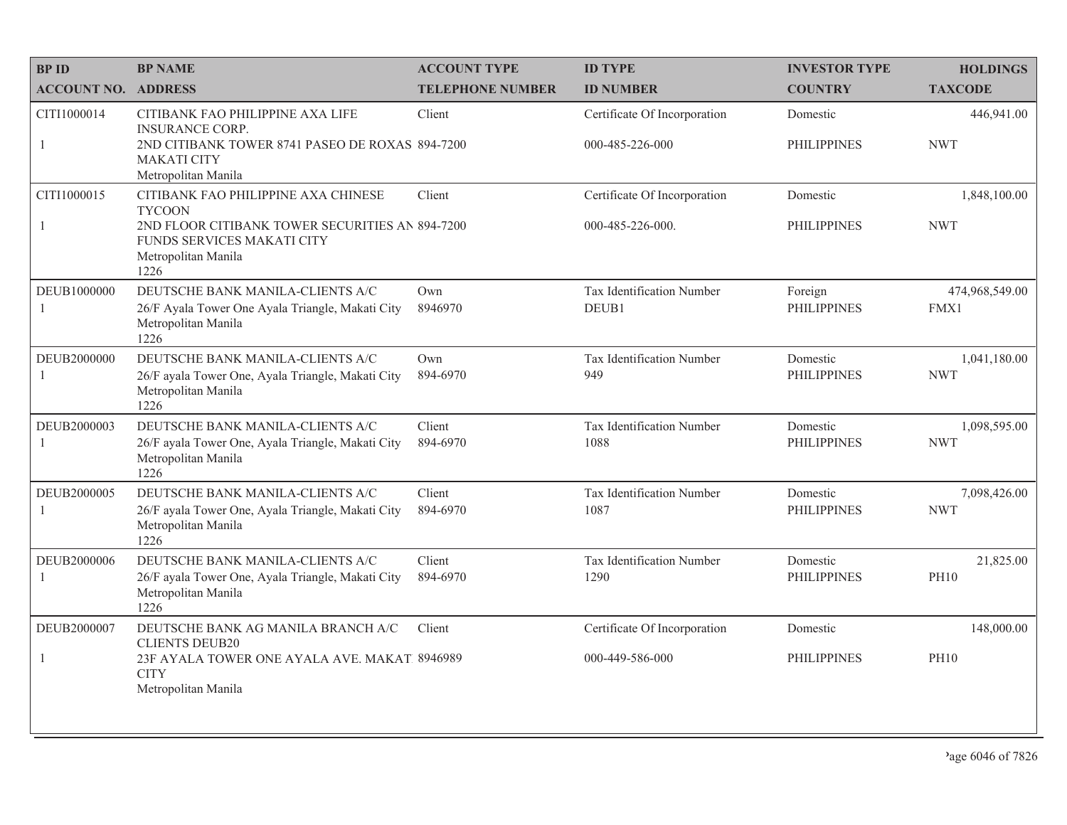| <b>BPID</b>                   | <b>BP NAME</b>                                                                                                       | <b>ACCOUNT TYPE</b>     | <b>ID TYPE</b>                     | <b>INVESTOR TYPE</b>           | <b>HOLDINGS</b>            |
|-------------------------------|----------------------------------------------------------------------------------------------------------------------|-------------------------|------------------------------------|--------------------------------|----------------------------|
| <b>ACCOUNT NO. ADDRESS</b>    |                                                                                                                      | <b>TELEPHONE NUMBER</b> | <b>ID NUMBER</b>                   | <b>COUNTRY</b>                 | <b>TAXCODE</b>             |
| CITI1000014                   | CITIBANK FAO PHILIPPINE AXA LIFE<br><b>INSURANCE CORP.</b>                                                           | Client                  | Certificate Of Incorporation       | Domestic                       | 446,941.00                 |
| 1                             | 2ND CITIBANK TOWER 8741 PASEO DE ROXAS 894-7200<br><b>MAKATI CITY</b><br>Metropolitan Manila                         |                         | 000-485-226-000                    | <b>PHILIPPINES</b>             | <b>NWT</b>                 |
| CITI1000015                   | CITIBANK FAO PHILIPPINE AXA CHINESE<br><b>TYCOON</b>                                                                 | Client                  | Certificate Of Incorporation       | Domestic                       | 1,848,100.00               |
| $\overline{1}$                | 2ND FLOOR CITIBANK TOWER SECURITIES AN 894-7200<br>FUNDS SERVICES MAKATI CITY<br>Metropolitan Manila<br>1226         |                         | 000-485-226-000.                   | <b>PHILIPPINES</b>             | <b>NWT</b>                 |
| DEUB1000000<br>-1             | DEUTSCHE BANK MANILA-CLIENTS A/C<br>26/F Ayala Tower One Ayala Triangle, Makati City<br>Metropolitan Manila<br>1226  | Own<br>8946970          | Tax Identification Number<br>DEUB1 | Foreign<br><b>PHILIPPINES</b>  | 474,968,549.00<br>FMX1     |
| DEUB2000000<br>-1             | DEUTSCHE BANK MANILA-CLIENTS A/C<br>26/F ayala Tower One, Ayala Triangle, Makati City<br>Metropolitan Manila<br>1226 | Own<br>894-6970         | Tax Identification Number<br>949   | Domestic<br><b>PHILIPPINES</b> | 1,041,180.00<br><b>NWT</b> |
| DEUB2000003<br>$\overline{1}$ | DEUTSCHE BANK MANILA-CLIENTS A/C<br>26/F ayala Tower One, Ayala Triangle, Makati City<br>Metropolitan Manila<br>1226 | Client<br>894-6970      | Tax Identification Number<br>1088  | Domestic<br><b>PHILIPPINES</b> | 1,098,595.00<br><b>NWT</b> |
| DEUB2000005<br>$\overline{1}$ | DEUTSCHE BANK MANILA-CLIENTS A/C<br>26/F ayala Tower One, Ayala Triangle, Makati City<br>Metropolitan Manila<br>1226 | Client<br>894-6970      | Tax Identification Number<br>1087  | Domestic<br><b>PHILIPPINES</b> | 7,098,426.00<br><b>NWT</b> |
| DEUB2000006<br>$\overline{1}$ | DEUTSCHE BANK MANILA-CLIENTS A/C<br>26/F ayala Tower One, Ayala Triangle, Makati City<br>Metropolitan Manila<br>1226 | Client<br>894-6970      | Tax Identification Number<br>1290  | Domestic<br><b>PHILIPPINES</b> | 21,825.00<br><b>PH10</b>   |
| DEUB2000007                   | DEUTSCHE BANK AG MANILA BRANCH A/C<br><b>CLIENTS DEUB20</b>                                                          | Client                  | Certificate Of Incorporation       | Domestic                       | 148,000.00                 |
| $\mathbf{1}$                  | 23F AYALA TOWER ONE AYALA AVE. MAKAT. 8946989<br><b>CITY</b><br>Metropolitan Manila                                  |                         | 000-449-586-000                    | <b>PHILIPPINES</b>             | <b>PH10</b>                |
|                               |                                                                                                                      |                         |                                    |                                |                            |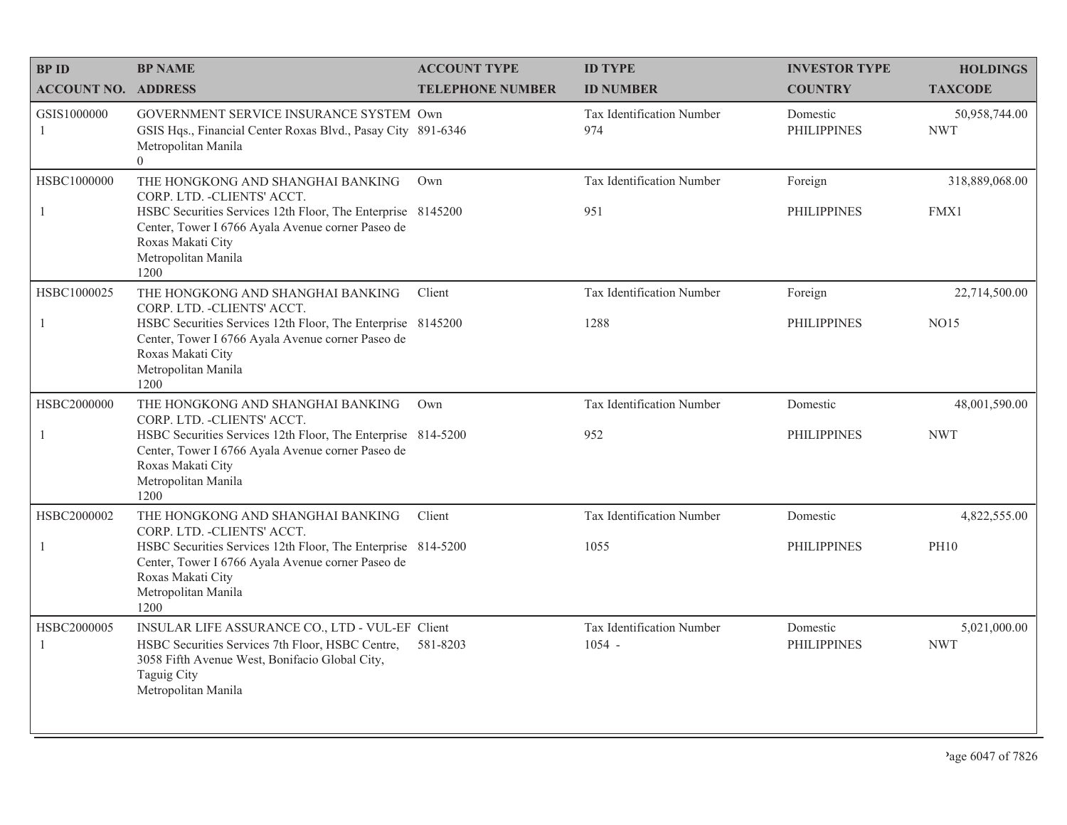| <b>BPID</b>                 | <b>BP NAME</b>                                                                                                                                                                                                                            | <b>ACCOUNT TYPE</b>     | <b>ID TYPE</b>                        | <b>INVESTOR TYPE</b>           | <b>HOLDINGS</b>              |
|-----------------------------|-------------------------------------------------------------------------------------------------------------------------------------------------------------------------------------------------------------------------------------------|-------------------------|---------------------------------------|--------------------------------|------------------------------|
| <b>ACCOUNT NO. ADDRESS</b>  |                                                                                                                                                                                                                                           | <b>TELEPHONE NUMBER</b> | <b>ID NUMBER</b>                      | <b>COUNTRY</b>                 | <b>TAXCODE</b>               |
| GSIS1000000<br>1            | GOVERNMENT SERVICE INSURANCE SYSTEM Own<br>GSIS Hqs., Financial Center Roxas Blvd., Pasay City 891-6346<br>Metropolitan Manila<br>$\overline{0}$                                                                                          |                         | Tax Identification Number<br>974      | Domestic<br><b>PHILIPPINES</b> | 50,958,744.00<br><b>NWT</b>  |
| HSBC1000000<br>$\mathbf{1}$ | THE HONGKONG AND SHANGHAI BANKING<br>CORP. LTD. - CLIENTS' ACCT.<br>HSBC Securities Services 12th Floor, The Enterprise 8145200<br>Center, Tower I 6766 Ayala Avenue corner Paseo de<br>Roxas Makati City<br>Metropolitan Manila<br>1200  | Own                     | Tax Identification Number<br>951      | Foreign<br><b>PHILIPPINES</b>  | 318,889,068.00<br>FMX1       |
| HSBC1000025<br>$\mathbf{1}$ | THE HONGKONG AND SHANGHAI BANKING<br>CORP. LTD. - CLIENTS' ACCT.<br>HSBC Securities Services 12th Floor, The Enterprise 8145200<br>Center, Tower I 6766 Ayala Avenue corner Paseo de<br>Roxas Makati City<br>Metropolitan Manila<br>1200  | Client                  | Tax Identification Number<br>1288     | Foreign<br><b>PHILIPPINES</b>  | 22,714,500.00<br><b>NO15</b> |
| HSBC2000000<br>$\mathbf{1}$ | THE HONGKONG AND SHANGHAI BANKING<br>CORP. LTD. - CLIENTS' ACCT.<br>HSBC Securities Services 12th Floor, The Enterprise 814-5200<br>Center, Tower I 6766 Ayala Avenue corner Paseo de<br>Roxas Makati City<br>Metropolitan Manila<br>1200 | Own                     | Tax Identification Number<br>952      | Domestic<br><b>PHILIPPINES</b> | 48,001,590.00<br><b>NWT</b>  |
| HSBC2000002<br>1            | THE HONGKONG AND SHANGHAI BANKING<br>CORP. LTD. - CLIENTS' ACCT.<br>HSBC Securities Services 12th Floor, The Enterprise 814-5200<br>Center, Tower I 6766 Ayala Avenue corner Paseo de<br>Roxas Makati City<br>Metropolitan Manila<br>1200 | Client                  | Tax Identification Number<br>1055     | Domestic<br><b>PHILIPPINES</b> | 4,822,555.00<br><b>PH10</b>  |
| HSBC2000005<br>1            | INSULAR LIFE ASSURANCE CO., LTD - VUL-EF Client<br>HSBC Securities Services 7th Floor, HSBC Centre,<br>3058 Fifth Avenue West, Bonifacio Global City,<br><b>Taguig City</b><br>Metropolitan Manila                                        | 581-8203                | Tax Identification Number<br>$1054 -$ | Domestic<br><b>PHILIPPINES</b> | 5,021,000.00<br><b>NWT</b>   |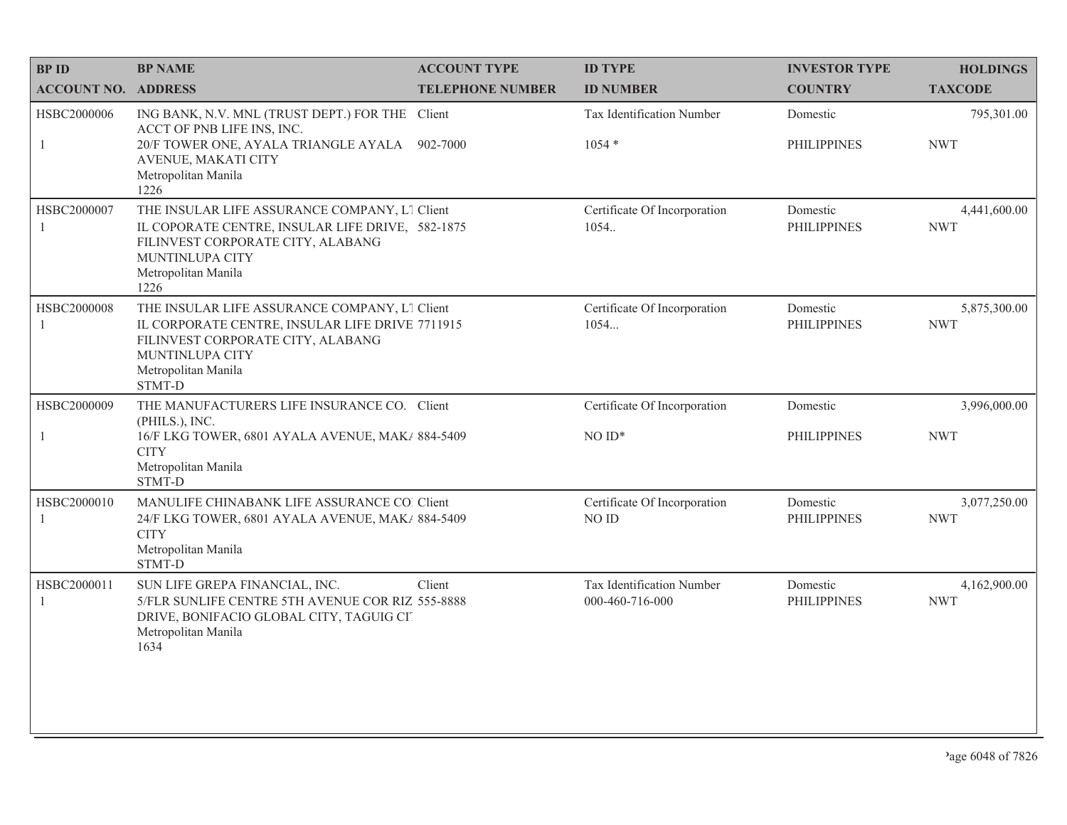| <b>BP ID</b>                  | <b>BP NAME</b>                                                                                                                                                                                   | <b>ACCOUNT TYPE</b>     | <b>ID TYPE</b>                               | <b>INVESTOR TYPE</b>           | <b>HOLDINGS</b>            |
|-------------------------------|--------------------------------------------------------------------------------------------------------------------------------------------------------------------------------------------------|-------------------------|----------------------------------------------|--------------------------------|----------------------------|
| <b>ACCOUNT NO. ADDRESS</b>    |                                                                                                                                                                                                  | <b>TELEPHONE NUMBER</b> | <b>ID NUMBER</b>                             | <b>COUNTRY</b>                 | <b>TAXCODE</b>             |
| HSBC2000006<br>$\mathbf{1}$   | ING BANK, N.V. MNL (TRUST DEPT.) FOR THE Client<br>ACCT OF PNB LIFE INS, INC.<br>20/F TOWER ONE, AYALA TRIANGLE AYALA<br>AVENUE, MAKATI CITY<br>Metropolitan Manila                              | 902-7000                | Tax Identification Number<br>$1054*$         | Domestic<br><b>PHILIPPINES</b> | 795,301.00<br><b>NWT</b>   |
| HSBC2000007<br>1              | 1226<br>THE INSULAR LIFE ASSURANCE COMPANY, L1 Client<br>IL COPORATE CENTRE, INSULAR LIFE DRIVE, 582-1875<br>FILINVEST CORPORATE CITY, ALABANG<br>MUNTINLUPA CITY<br>Metropolitan Manila<br>1226 |                         | Certificate Of Incorporation<br>1054.        | Domestic<br><b>PHILIPPINES</b> | 4,441,600.00<br><b>NWT</b> |
| HSBC2000008<br>$\overline{1}$ | THE INSULAR LIFE ASSURANCE COMPANY, L1 Client<br>IL CORPORATE CENTRE, INSULAR LIFE DRIVE 7711915<br>FILINVEST CORPORATE CITY, ALABANG<br>MUNTINLUPA CITY<br>Metropolitan Manila<br>STMT-D        |                         | Certificate Of Incorporation<br>1054         | Domestic<br><b>PHILIPPINES</b> | 5,875,300.00<br><b>NWT</b> |
| HSBC2000009<br>$\mathbf{1}$   | THE MANUFACTURERS LIFE INSURANCE CO. Client<br>(PHILS.), INC.<br>16/F LKG TOWER, 6801 AYALA AVENUE, MAK/ 884-5409<br><b>CITY</b><br>Metropolitan Manila<br>STMT-D                                |                         | Certificate Of Incorporation<br>$NOID*$      | Domestic<br><b>PHILIPPINES</b> | 3,996,000.00<br><b>NWT</b> |
| HSBC2000010<br>-1             | MANULIFE CHINABANK LIFE ASSURANCE CO. Client<br>24/F LKG TOWER, 6801 AYALA AVENUE, MAK/ 884-5409<br><b>CITY</b><br>Metropolitan Manila<br>STMT-D                                                 |                         | Certificate Of Incorporation<br>NO ID        | Domestic<br><b>PHILIPPINES</b> | 3,077,250.00<br><b>NWT</b> |
| HSBC2000011<br>1              | SUN LIFE GREPA FINANCIAL, INC.<br>5/FLR SUNLIFE CENTRE 5TH AVENUE COR RIZ 555-8888<br>DRIVE, BONIFACIO GLOBAL CITY, TAGUIG CIT<br>Metropolitan Manila<br>1634                                    | Client                  | Tax Identification Number<br>000-460-716-000 | Domestic<br><b>PHILIPPINES</b> | 4,162,900.00<br><b>NWT</b> |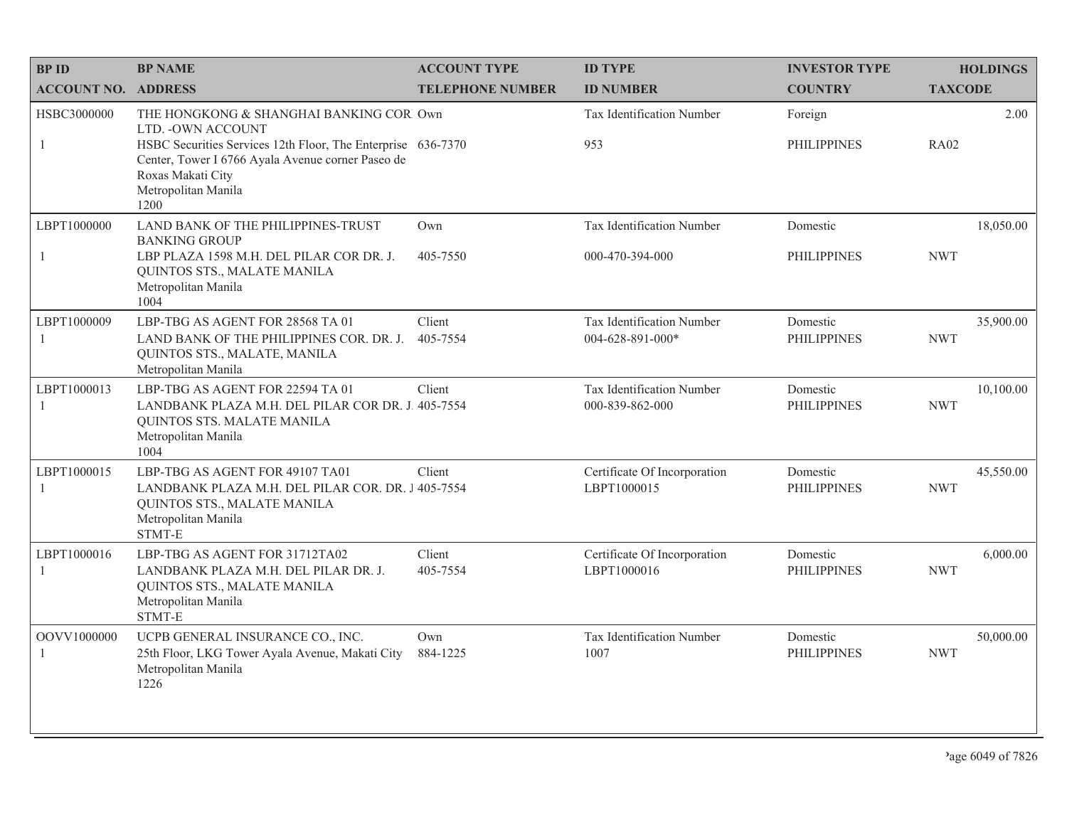| <b>BPID</b>                   | <b>BP NAME</b>                                                                                                                                                                                                                         | <b>ACCOUNT TYPE</b>     | <b>ID TYPE</b>                                | <b>INVESTOR TYPE</b>           | <b>HOLDINGS</b>         |
|-------------------------------|----------------------------------------------------------------------------------------------------------------------------------------------------------------------------------------------------------------------------------------|-------------------------|-----------------------------------------------|--------------------------------|-------------------------|
| <b>ACCOUNT NO. ADDRESS</b>    |                                                                                                                                                                                                                                        | <b>TELEPHONE NUMBER</b> | <b>ID NUMBER</b>                              | <b>COUNTRY</b>                 | <b>TAXCODE</b>          |
| HSBC3000000<br>-1             | THE HONGKONG & SHANGHAI BANKING COR Own<br>LTD. - OWN ACCOUNT<br>HSBC Securities Services 12th Floor, The Enterprise 636-7370<br>Center, Tower I 6766 Ayala Avenue corner Paseo de<br>Roxas Makati City<br>Metropolitan Manila<br>1200 |                         | Tax Identification Number<br>953              | Foreign<br><b>PHILIPPINES</b>  | 2.00<br><b>RA02</b>     |
| LBPT1000000                   | LAND BANK OF THE PHILIPPINES-TRUST<br><b>BANKING GROUP</b>                                                                                                                                                                             | Own                     | Tax Identification Number                     | Domestic                       | 18,050.00               |
| 1                             | LBP PLAZA 1598 M.H. DEL PILAR COR DR. J.<br>QUINTOS STS., MALATE MANILA<br>Metropolitan Manila<br>1004                                                                                                                                 | 405-7550                | 000-470-394-000                               | <b>PHILIPPINES</b>             | <b>NWT</b>              |
| LBPT1000009<br>-1             | LBP-TBG AS AGENT FOR 28568 TA 01<br>LAND BANK OF THE PHILIPPINES COR. DR. J.<br>QUINTOS STS., MALATE, MANILA<br>Metropolitan Manila                                                                                                    | Client<br>405-7554      | Tax Identification Number<br>004-628-891-000* | Domestic<br><b>PHILIPPINES</b> | 35,900.00<br><b>NWT</b> |
| LBPT1000013<br>-1             | LBP-TBG AS AGENT FOR 22594 TA 01<br>LANDBANK PLAZA M.H. DEL PILAR COR DR. J. 405-7554<br>QUINTOS STS. MALATE MANILA<br>Metropolitan Manila<br>1004                                                                                     | Client                  | Tax Identification Number<br>000-839-862-000  | Domestic<br><b>PHILIPPINES</b> | 10,100.00<br><b>NWT</b> |
| LBPT1000015<br>-1             | LBP-TBG AS AGENT FOR 49107 TA01<br>LANDBANK PLAZA M.H. DEL PILAR COR. DR. J 405-7554<br>QUINTOS STS., MALATE MANILA<br>Metropolitan Manila<br>STMT-E                                                                                   | Client                  | Certificate Of Incorporation<br>LBPT1000015   | Domestic<br><b>PHILIPPINES</b> | 45,550.00<br><b>NWT</b> |
| LBPT1000016<br>$\overline{1}$ | LBP-TBG AS AGENT FOR 31712TA02<br>LANDBANK PLAZA M.H. DEL PILAR DR. J.<br>QUINTOS STS., MALATE MANILA<br>Metropolitan Manila<br>STMT-E                                                                                                 | Client<br>405-7554      | Certificate Of Incorporation<br>LBPT1000016   | Domestic<br><b>PHILIPPINES</b> | 6,000.00<br><b>NWT</b>  |
| OOVV1000000<br>-1             | UCPB GENERAL INSURANCE CO., INC.<br>25th Floor, LKG Tower Ayala Avenue, Makati City<br>Metropolitan Manila<br>1226                                                                                                                     | Own<br>884-1225         | Tax Identification Number<br>1007             | Domestic<br><b>PHILIPPINES</b> | 50,000.00<br><b>NWT</b> |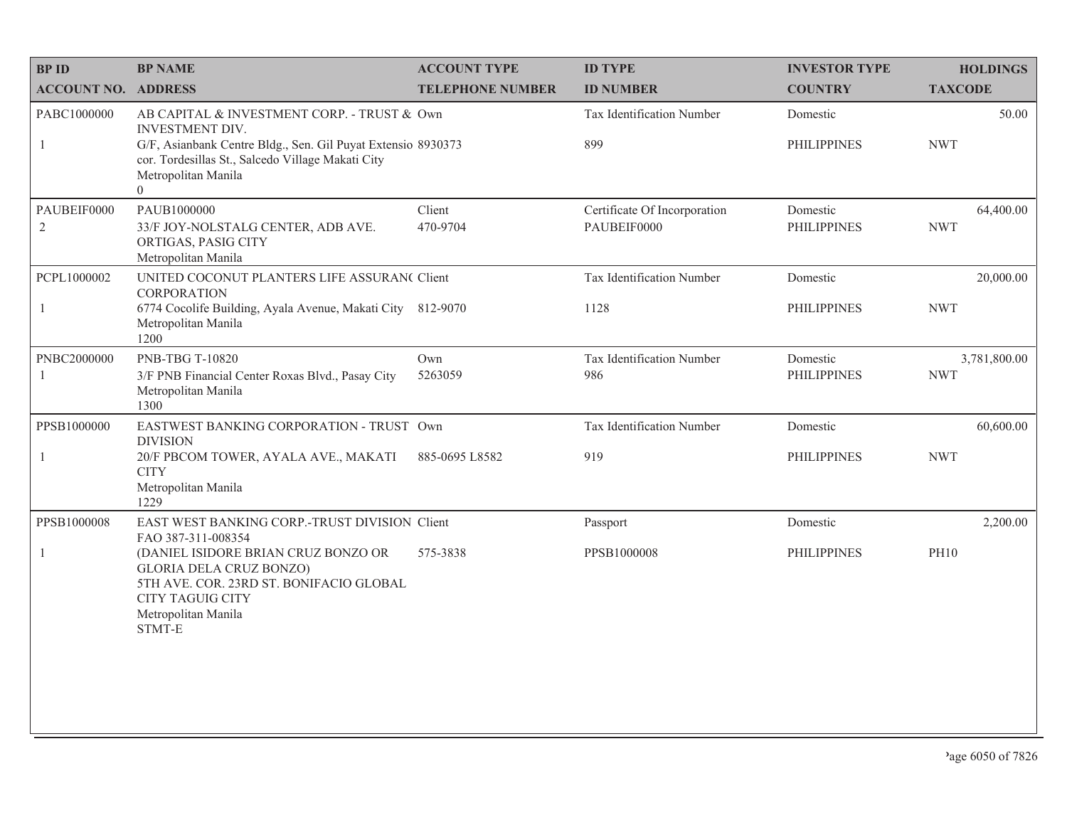| <b>BPID</b>                   | <b>BP NAME</b>                                                                                                                                                                                                         | <b>ACCOUNT TYPE</b>     | <b>ID TYPE</b>                              | <b>INVESTOR TYPE</b>           | <b>HOLDINGS</b>            |
|-------------------------------|------------------------------------------------------------------------------------------------------------------------------------------------------------------------------------------------------------------------|-------------------------|---------------------------------------------|--------------------------------|----------------------------|
| <b>ACCOUNT NO. ADDRESS</b>    |                                                                                                                                                                                                                        | <b>TELEPHONE NUMBER</b> | <b>ID NUMBER</b>                            | <b>COUNTRY</b>                 | <b>TAXCODE</b>             |
| PABC1000000<br>1              | AB CAPITAL & INVESTMENT CORP. - TRUST & Own<br>INVESTMENT DIV.<br>G/F, Asianbank Centre Bldg., Sen. Gil Puyat Extensio 8930373<br>cor. Tordesillas St., Salcedo Village Makati City<br>Metropolitan Manila<br>$\Omega$ |                         | Tax Identification Number<br>899            | Domestic<br><b>PHILIPPINES</b> | 50.00<br><b>NWT</b>        |
| PAUBEIF0000<br>$\overline{2}$ | PAUB1000000<br>33/F JOY-NOLSTALG CENTER, ADB AVE.<br>ORTIGAS, PASIG CITY<br>Metropolitan Manila                                                                                                                        | Client<br>470-9704      | Certificate Of Incorporation<br>PAUBEIF0000 | Domestic<br><b>PHILIPPINES</b> | 64,400.00<br><b>NWT</b>    |
| PCPL1000002<br>$\mathbf{1}$   | UNITED COCONUT PLANTERS LIFE ASSURAN( Client<br><b>CORPORATION</b><br>6774 Cocolife Building, Ayala Avenue, Makati City 812-9070<br>Metropolitan Manila<br>1200                                                        |                         | Tax Identification Number<br>1128           | Domestic<br><b>PHILIPPINES</b> | 20,000.00<br><b>NWT</b>    |
| PNBC2000000                   | PNB-TBG T-10820<br>3/F PNB Financial Center Roxas Blvd., Pasay City<br>Metropolitan Manila<br>1300                                                                                                                     | Own<br>5263059          | Tax Identification Number<br>986            | Domestic<br><b>PHILIPPINES</b> | 3,781,800.00<br><b>NWT</b> |
| PPSB1000000                   | EASTWEST BANKING CORPORATION - TRUST Own<br><b>DIVISION</b>                                                                                                                                                            |                         | Tax Identification Number                   | Domestic                       | 60,600.00                  |
| $\mathbf{1}$                  | 20/F PBCOM TOWER, AYALA AVE., MAKATI<br><b>CITY</b><br>Metropolitan Manila<br>1229                                                                                                                                     | 885-0695 L8582          | 919                                         | <b>PHILIPPINES</b>             | <b>NWT</b>                 |
| PPSB1000008                   | EAST WEST BANKING CORP.-TRUST DIVISION Client<br>FAO 387-311-008354                                                                                                                                                    |                         | Passport                                    | Domestic                       | 2,200.00                   |
| $\mathbf{1}$                  | (DANIEL ISIDORE BRIAN CRUZ BONZO OR<br><b>GLORIA DELA CRUZ BONZO)</b><br>5TH AVE. COR. 23RD ST. BONIFACIO GLOBAL<br><b>CITY TAGUIG CITY</b><br>Metropolitan Manila<br>STMT-E                                           | 575-3838                | PPSB1000008                                 | <b>PHILIPPINES</b>             | <b>PH10</b>                |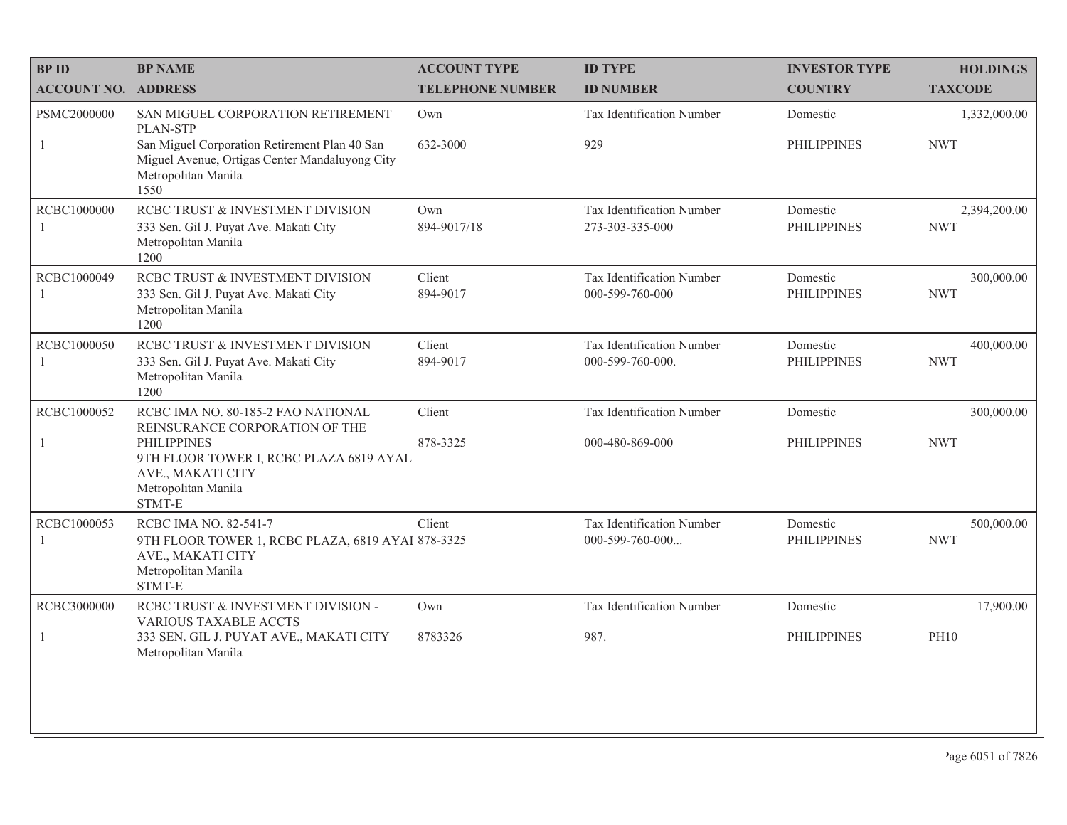| <b>BPID</b>                   | <b>BP NAME</b>                                                                                                                                                                              | <b>ACCOUNT TYPE</b>     | <b>ID TYPE</b>                                 | <b>INVESTOR TYPE</b>           | <b>HOLDINGS</b>            |
|-------------------------------|---------------------------------------------------------------------------------------------------------------------------------------------------------------------------------------------|-------------------------|------------------------------------------------|--------------------------------|----------------------------|
| <b>ACCOUNT NO. ADDRESS</b>    |                                                                                                                                                                                             | <b>TELEPHONE NUMBER</b> | <b>ID NUMBER</b>                               | <b>COUNTRY</b>                 | <b>TAXCODE</b>             |
| PSMC2000000<br>1              | SAN MIGUEL CORPORATION RETIREMENT<br>PLAN-STP<br>San Miguel Corporation Retirement Plan 40 San<br>Miguel Avenue, Ortigas Center Mandaluyong City<br>Metropolitan Manila<br>1550             | Own<br>632-3000         | Tax Identification Number<br>929               | Domestic<br><b>PHILIPPINES</b> | 1,332,000.00<br><b>NWT</b> |
| RCBC1000000<br>$\overline{1}$ | RCBC TRUST & INVESTMENT DIVISION<br>333 Sen. Gil J. Puyat Ave. Makati City<br>Metropolitan Manila<br>1200                                                                                   | Own<br>894-9017/18      | Tax Identification Number<br>273-303-335-000   | Domestic<br><b>PHILIPPINES</b> | 2,394,200.00<br><b>NWT</b> |
| RCBC1000049<br>$\overline{1}$ | RCBC TRUST & INVESTMENT DIVISION<br>333 Sen. Gil J. Puyat Ave. Makati City<br>Metropolitan Manila<br>1200                                                                                   | Client<br>894-9017      | Tax Identification Number<br>000-599-760-000   | Domestic<br><b>PHILIPPINES</b> | 300,000.00<br><b>NWT</b>   |
| RCBC1000050<br>-1             | RCBC TRUST & INVESTMENT DIVISION<br>333 Sen. Gil J. Puyat Ave. Makati City<br>Metropolitan Manila<br>1200                                                                                   | Client<br>894-9017      | Tax Identification Number<br>000-599-760-000.  | Domestic<br><b>PHILIPPINES</b> | 400,000.00<br><b>NWT</b>   |
| RCBC1000052<br>-1             | RCBC IMA NO. 80-185-2 FAO NATIONAL<br>REINSURANCE CORPORATION OF THE<br><b>PHILIPPINES</b><br>9TH FLOOR TOWER I, RCBC PLAZA 6819 AYAL<br>AVE., MAKATI CITY<br>Metropolitan Manila<br>STMT-E | Client<br>878-3325      | Tax Identification Number<br>000-480-869-000   | Domestic<br><b>PHILIPPINES</b> | 300,000.00<br><b>NWT</b>   |
| RCBC1000053                   | RCBC IMA NO. 82-541-7<br>9TH FLOOR TOWER 1, RCBC PLAZA, 6819 AYAI 878-3325<br>AVE., MAKATI CITY<br>Metropolitan Manila<br>STMT-E                                                            | Client                  | Tax Identification Number<br>$000-599-760-000$ | Domestic<br><b>PHILIPPINES</b> | 500,000.00<br><b>NWT</b>   |
| RCBC3000000<br>-1             | RCBC TRUST & INVESTMENT DIVISION -<br><b>VARIOUS TAXABLE ACCTS</b><br>333 SEN. GIL J. PUYAT AVE., MAKATI CITY<br>Metropolitan Manila                                                        | Own<br>8783326          | Tax Identification Number<br>987.              | Domestic<br><b>PHILIPPINES</b> | 17,900.00<br><b>PH10</b>   |
|                               |                                                                                                                                                                                             |                         |                                                |                                |                            |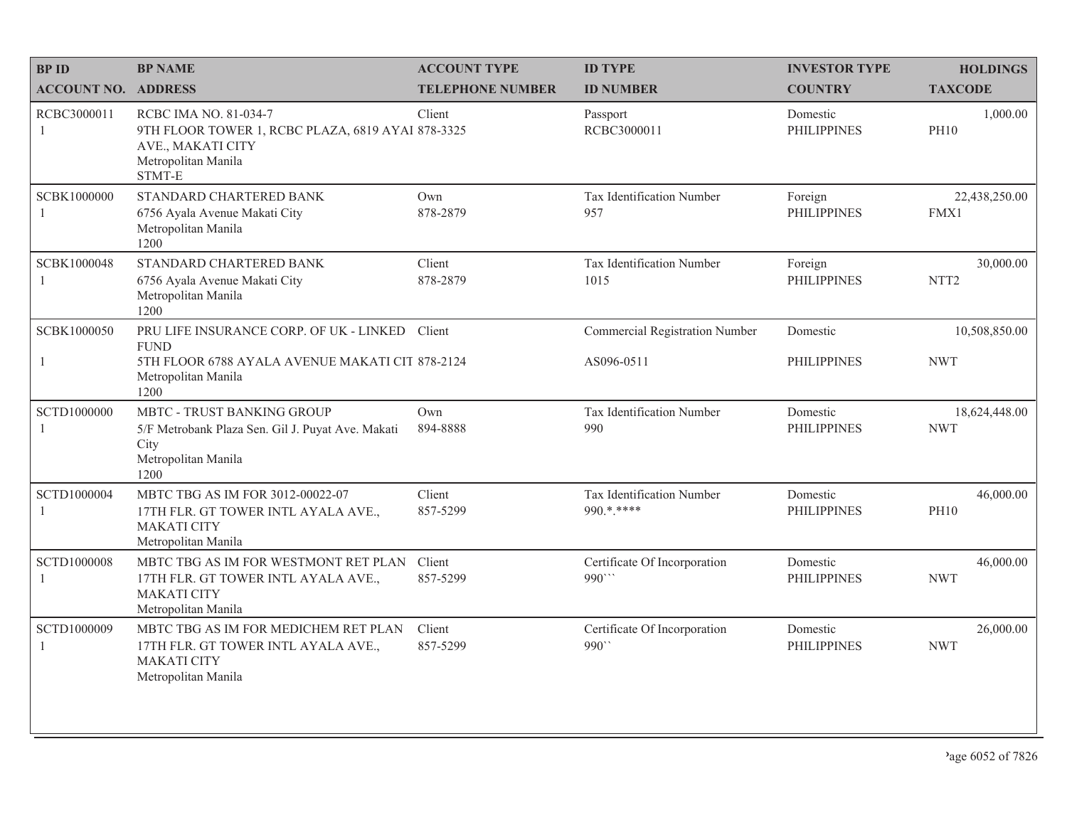| <b>BPID</b>                        | <b>BP NAME</b>                                                                                                                   | <b>ACCOUNT TYPE</b>     | <b>ID TYPE</b>                                       | <b>INVESTOR TYPE</b>           | <b>HOLDINGS</b>               |
|------------------------------------|----------------------------------------------------------------------------------------------------------------------------------|-------------------------|------------------------------------------------------|--------------------------------|-------------------------------|
| <b>ACCOUNT NO. ADDRESS</b>         |                                                                                                                                  | <b>TELEPHONE NUMBER</b> | <b>ID NUMBER</b>                                     | <b>COUNTRY</b>                 | <b>TAXCODE</b>                |
| RCBC3000011<br>$\mathbf{1}$        | RCBC IMA NO. 81-034-7<br>9TH FLOOR TOWER 1, RCBC PLAZA, 6819 AYAI 878-3325<br>AVE., MAKATI CITY<br>Metropolitan Manila<br>STMT-E | Client                  | Passport<br>RCBC3000011                              | Domestic<br><b>PHILIPPINES</b> | 1,000.00<br><b>PH10</b>       |
| SCBK1000000                        | STANDARD CHARTERED BANK<br>6756 Ayala Avenue Makati City<br>Metropolitan Manila<br>1200                                          | Own<br>878-2879         | Tax Identification Number<br>957                     | Foreign<br><b>PHILIPPINES</b>  | 22,438,250.00<br>FMX1         |
| SCBK1000048<br>1                   | STANDARD CHARTERED BANK<br>6756 Ayala Avenue Makati City<br>Metropolitan Manila<br>1200                                          | Client<br>878-2879      | Tax Identification Number<br>1015                    | Foreign<br><b>PHILIPPINES</b>  | 30,000.00<br>NTT <sub>2</sub> |
| SCBK1000050                        | PRU LIFE INSURANCE CORP. OF UK - LINKED Client<br><b>FUND</b>                                                                    |                         | <b>Commercial Registration Number</b>                | Domestic                       | 10,508,850.00                 |
| 1                                  | 5TH FLOOR 6788 AYALA AVENUE MAKATI CIT 878-2124<br>Metropolitan Manila<br>1200                                                   |                         | AS096-0511                                           | <b>PHILIPPINES</b>             | <b>NWT</b>                    |
| SCTD1000000                        | MBTC - TRUST BANKING GROUP<br>5/F Metrobank Plaza Sen. Gil J. Puyat Ave. Makati<br>City<br>Metropolitan Manila<br>1200           | Own<br>894-8888         | Tax Identification Number<br>990                     | Domestic<br><b>PHILIPPINES</b> | 18,624,448.00<br><b>NWT</b>   |
| SCTD1000004<br>1                   | MBTC TBG AS IM FOR 3012-00022-07<br>17TH FLR. GT TOWER INTL AYALA AVE.,<br><b>MAKATI CITY</b><br>Metropolitan Manila             | Client<br>857-5299      | Tax Identification Number<br>990.*.****              | Domestic<br><b>PHILIPPINES</b> | 46,000.00<br><b>PH10</b>      |
| <b>SCTD1000008</b><br>$\mathbf{1}$ | MBTC TBG AS IM FOR WESTMONT RET PLAN<br>17TH FLR. GT TOWER INTL AYALA AVE.,<br><b>MAKATI CITY</b><br>Metropolitan Manila         | Client<br>857-5299      | Certificate Of Incorporation<br>990                  | Domestic<br><b>PHILIPPINES</b> | 46,000.00<br><b>NWT</b>       |
| SCTD1000009<br>1                   | MBTC TBG AS IM FOR MEDICHEM RET PLAN<br>17TH FLR. GT TOWER INTL AYALA AVE.,<br><b>MAKATI CITY</b><br>Metropolitan Manila         | Client<br>857-5299      | Certificate Of Incorporation<br>$990^{\prime\prime}$ | Domestic<br><b>PHILIPPINES</b> | 26,000.00<br><b>NWT</b>       |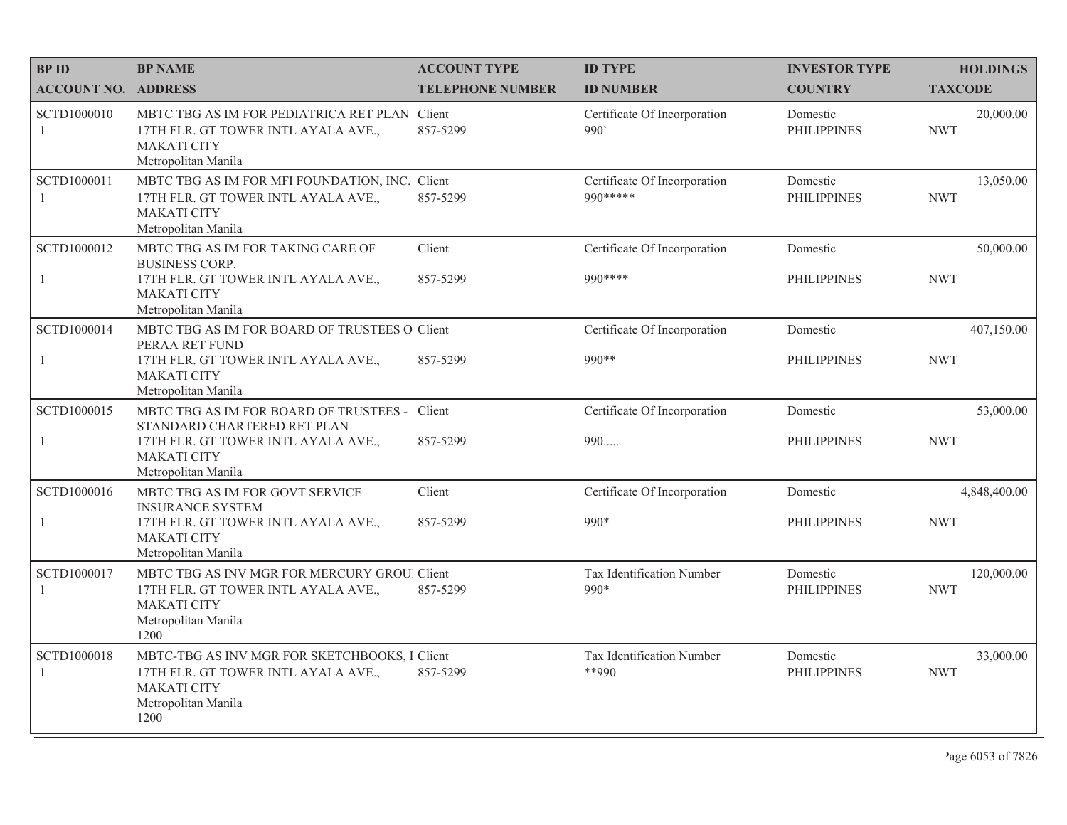| <b>BPID</b>                | <b>BP NAME</b>                                                                                                                            | <b>ACCOUNT TYPE</b>     | <b>ID TYPE</b>                            | <b>INVESTOR TYPE</b>           | <b>HOLDINGS</b>          |
|----------------------------|-------------------------------------------------------------------------------------------------------------------------------------------|-------------------------|-------------------------------------------|--------------------------------|--------------------------|
| <b>ACCOUNT NO. ADDRESS</b> |                                                                                                                                           | <b>TELEPHONE NUMBER</b> | <b>ID NUMBER</b>                          | <b>COUNTRY</b>                 | <b>TAXCODE</b>           |
| SCTD1000010<br>1           | MBTC TBG AS IM FOR PEDIATRICA RET PLAN Client<br>17TH FLR. GT TOWER INTL AYALA AVE.,<br><b>MAKATI CITY</b><br>Metropolitan Manila         | 857-5299                | Certificate Of Incorporation<br>990'      | Domestic<br><b>PHILIPPINES</b> | 20,000.00<br><b>NWT</b>  |
| SCTD1000011<br>-1          | MBTC TBG AS IM FOR MFI FOUNDATION, INC. Client<br>17TH FLR. GT TOWER INTL AYALA AVE.,<br><b>MAKATI CITY</b><br>Metropolitan Manila        | 857-5299                | Certificate Of Incorporation<br>990 ***** | Domestic<br><b>PHILIPPINES</b> | 13,050.00<br><b>NWT</b>  |
| SCTD1000012                | MBTC TBG AS IM FOR TAKING CARE OF<br><b>BUSINESS CORP.</b>                                                                                | Client                  | Certificate Of Incorporation              | Domestic                       | 50,000.00                |
| 1                          | 17TH FLR. GT TOWER INTL AYALA AVE.,<br><b>MAKATI CITY</b><br>Metropolitan Manila                                                          | 857-5299                | 990 ****                                  | <b>PHILIPPINES</b>             | <b>NWT</b>               |
| SCTD1000014                | MBTC TBG AS IM FOR BOARD OF TRUSTEES O Client<br>PERAA RET FUND                                                                           |                         | Certificate Of Incorporation              | Domestic                       | 407,150.00               |
| $\mathbf{1}$               | 17TH FLR. GT TOWER INTL AYALA AVE.,<br><b>MAKATI CITY</b><br>Metropolitan Manila                                                          | 857-5299                | 990**                                     | <b>PHILIPPINES</b>             | <b>NWT</b>               |
| SCTD1000015                | MBTC TBG AS IM FOR BOARD OF TRUSTEES - Client<br>STANDARD CHARTERED RET PLAN                                                              |                         | Certificate Of Incorporation              | Domestic                       | 53,000.00                |
| -1                         | 17TH FLR. GT TOWER INTL AYALA AVE.,<br><b>MAKATI CITY</b><br>Metropolitan Manila                                                          | 857-5299                | 990                                       | <b>PHILIPPINES</b>             | <b>NWT</b>               |
| SCTD1000016                | MBTC TBG AS IM FOR GOVT SERVICE<br><b>INSURANCE SYSTEM</b>                                                                                | Client                  | Certificate Of Incorporation              | Domestic                       | 4,848,400.00             |
| $\mathbf{1}$               | 17TH FLR. GT TOWER INTL AYALA AVE.,<br><b>MAKATI CITY</b><br>Metropolitan Manila                                                          | 857-5299                | $990*$                                    | <b>PHILIPPINES</b>             | <b>NWT</b>               |
| SCTD1000017<br>-1          | MBTC TBG AS INV MGR FOR MERCURY GROU. Client<br>17TH FLR. GT TOWER INTL AYALA AVE.,<br><b>MAKATI CITY</b><br>Metropolitan Manila<br>1200  | 857-5299                | Tax Identification Number<br>$990*$       | Domestic<br><b>PHILIPPINES</b> | 120,000.00<br><b>NWT</b> |
| SCTD1000018<br>1           | MBTC-TBG AS INV MGR FOR SKETCHBOOKS, I Client<br>17TH FLR. GT TOWER INTL AYALA AVE.,<br><b>MAKATI CITY</b><br>Metropolitan Manila<br>1200 | 857-5299                | Tax Identification Number<br>$*$ *990     | Domestic<br><b>PHILIPPINES</b> | 33,000.00<br><b>NWT</b>  |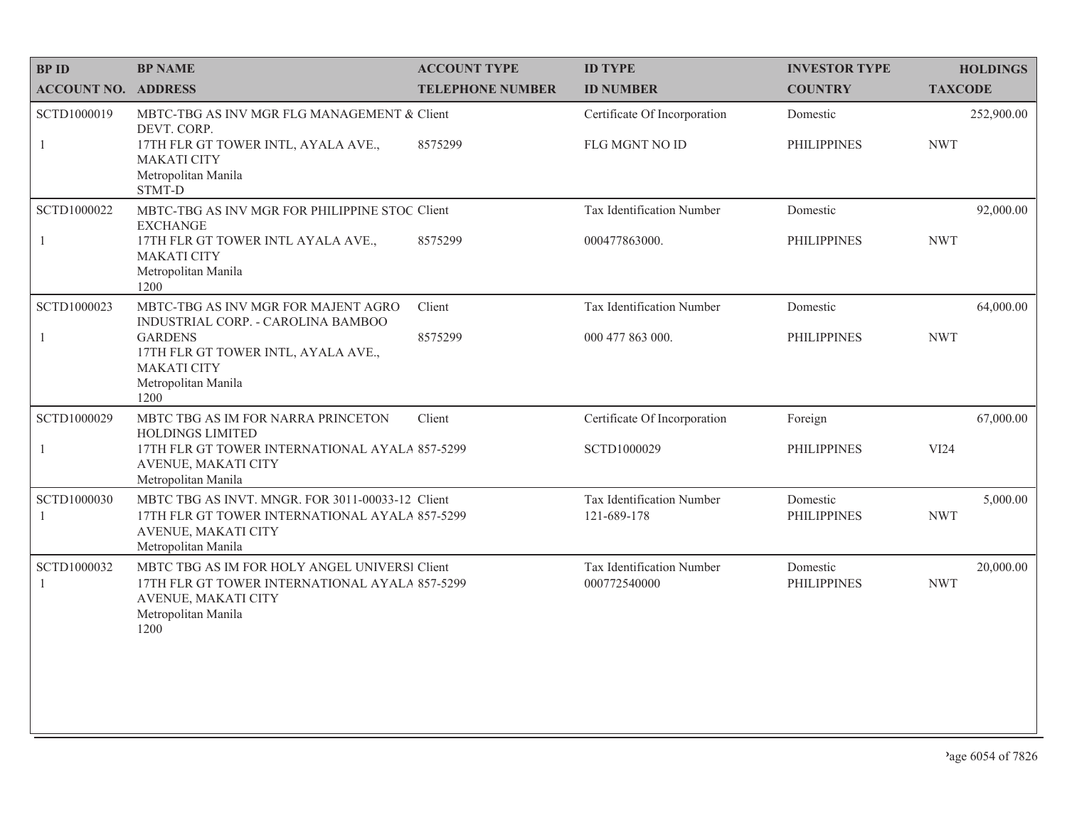| <b>BPID</b>                 | <b>BP NAME</b>                                                                                                                                        | <b>ACCOUNT TYPE</b>     | <b>ID TYPE</b>                                 | <b>INVESTOR TYPE</b>           | <b>HOLDINGS</b>          |
|-----------------------------|-------------------------------------------------------------------------------------------------------------------------------------------------------|-------------------------|------------------------------------------------|--------------------------------|--------------------------|
| <b>ACCOUNT NO. ADDRESS</b>  |                                                                                                                                                       | <b>TELEPHONE NUMBER</b> | <b>ID NUMBER</b>                               | <b>COUNTRY</b>                 | <b>TAXCODE</b>           |
| SCTD1000019<br>$\mathbf{1}$ | MBTC-TBG AS INV MGR FLG MANAGEMENT & Client<br>DEVT. CORP.<br>17TH FLR GT TOWER INTL, AYALA AVE.,                                                     | 8575299                 | Certificate Of Incorporation<br>FLG MGNT NO ID | Domestic<br><b>PHILIPPINES</b> | 252,900.00<br><b>NWT</b> |
|                             | <b>MAKATI CITY</b><br>Metropolitan Manila<br>STMT-D                                                                                                   |                         |                                                |                                |                          |
| SCTD1000022                 | MBTC-TBG AS INV MGR FOR PHILIPPINE STOC Client<br><b>EXCHANGE</b>                                                                                     |                         | Tax Identification Number                      | Domestic                       | 92,000.00                |
| 1                           | 17TH FLR GT TOWER INTL AYALA AVE.,<br><b>MAKATI CITY</b><br>Metropolitan Manila<br>1200                                                               | 8575299                 | 000477863000.                                  | <b>PHILIPPINES</b>             | <b>NWT</b>               |
| SCTD1000023                 | MBTC-TBG AS INV MGR FOR MAJENT AGRO<br>INDUSTRIAL CORP. - CAROLINA BAMBOO                                                                             | Client                  | Tax Identification Number                      | Domestic                       | 64,000.00                |
| $\mathbf{1}$                | <b>GARDENS</b><br>17TH FLR GT TOWER INTL, AYALA AVE.,<br><b>MAKATI CITY</b><br>Metropolitan Manila<br>1200                                            | 8575299                 | 000 477 863 000.                               | <b>PHILIPPINES</b>             | <b>NWT</b>               |
| SCTD1000029                 | MBTC TBG AS IM FOR NARRA PRINCETON<br><b>HOLDINGS LIMITED</b>                                                                                         | Client                  | Certificate Of Incorporation                   | Foreign                        | 67,000.00                |
| $\mathbf{1}$                | 17TH FLR GT TOWER INTERNATIONAL AYALA 857-5299<br>AVENUE, MAKATI CITY<br>Metropolitan Manila                                                          |                         | SCTD1000029                                    | <b>PHILIPPINES</b>             | VI24                     |
| SCTD1000030<br>1            | MBTC TBG AS INVT. MNGR. FOR 3011-00033-12 Client<br>17TH FLR GT TOWER INTERNATIONAL AYALA 857-5299<br>AVENUE, MAKATI CITY<br>Metropolitan Manila      |                         | Tax Identification Number<br>121-689-178       | Domestic<br><b>PHILIPPINES</b> | 5,000.00<br><b>NWT</b>   |
| SCTD1000032<br>1            | MBTC TBG AS IM FOR HOLY ANGEL UNIVERSI Client<br>17TH FLR GT TOWER INTERNATIONAL AYALA 857-5299<br>AVENUE, MAKATI CITY<br>Metropolitan Manila<br>1200 |                         | Tax Identification Number<br>000772540000      | Domestic<br><b>PHILIPPINES</b> | 20,000.00<br><b>NWT</b>  |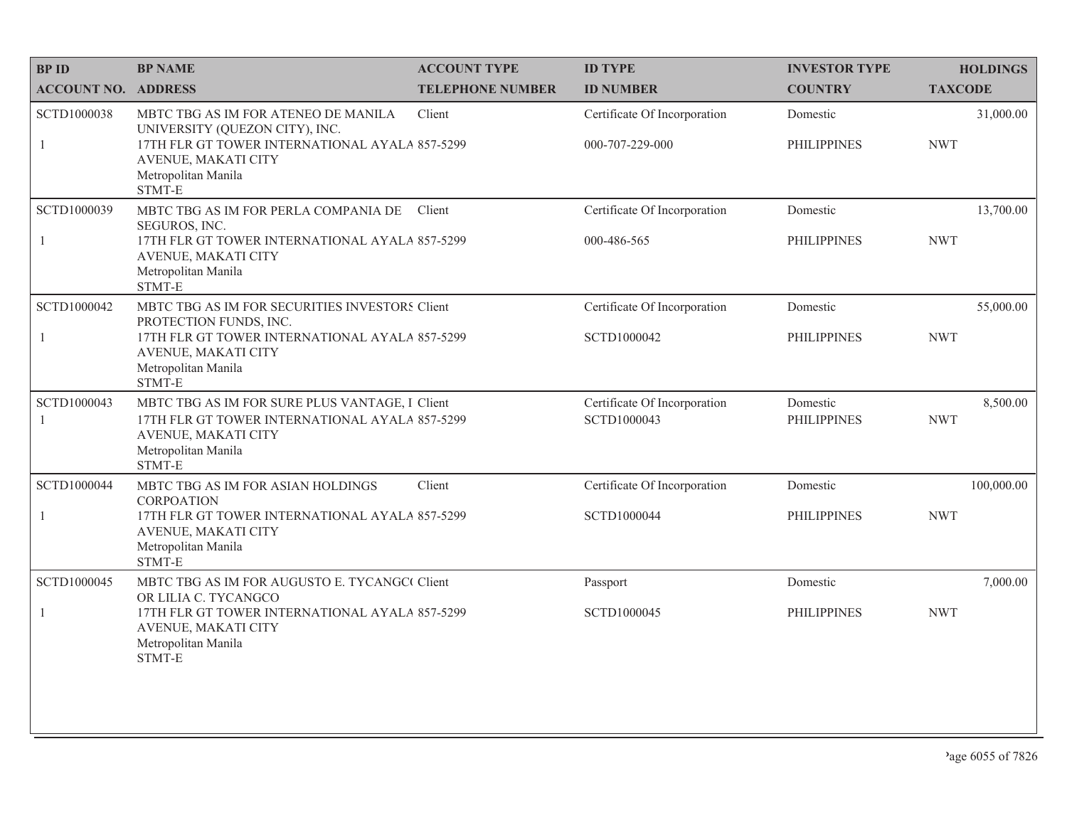| <b>BPID</b>                 | <b>BP NAME</b>                                                                                                                                                                     | <b>ACCOUNT TYPE</b>     | <b>ID TYPE</b>                                  | <b>INVESTOR TYPE</b>           | <b>HOLDINGS</b>          |
|-----------------------------|------------------------------------------------------------------------------------------------------------------------------------------------------------------------------------|-------------------------|-------------------------------------------------|--------------------------------|--------------------------|
| <b>ACCOUNT NO. ADDRESS</b>  |                                                                                                                                                                                    | <b>TELEPHONE NUMBER</b> | <b>ID NUMBER</b>                                | <b>COUNTRY</b>                 | <b>TAXCODE</b>           |
| SCTD1000038<br>1            | MBTC TBG AS IM FOR ATENEO DE MANILA<br>UNIVERSITY (QUEZON CITY), INC.<br>17TH FLR GT TOWER INTERNATIONAL AYALA 857-5299<br>AVENUE, MAKATI CITY<br>Metropolitan Manila<br>STMT-E    | Client                  | Certificate Of Incorporation<br>000-707-229-000 | Domestic<br><b>PHILIPPINES</b> | 31,000.00<br><b>NWT</b>  |
| SCTD1000039<br>$\mathbf{1}$ | MBTC TBG AS IM FOR PERLA COMPANIA DE<br>SEGUROS, INC.<br>17TH FLR GT TOWER INTERNATIONAL AYALA 857-5299<br>AVENUE, MAKATI CITY<br>Metropolitan Manila<br>STMT-E                    | Client                  | Certificate Of Incorporation<br>000-486-565     | Domestic<br><b>PHILIPPINES</b> | 13,700.00<br><b>NWT</b>  |
| SCTD1000042<br>$\mathbf{1}$ | MBTC TBG AS IM FOR SECURITIES INVESTORS Client<br>PROTECTION FUNDS, INC.<br>17TH FLR GT TOWER INTERNATIONAL AYALA 857-5299<br>AVENUE, MAKATI CITY<br>Metropolitan Manila<br>STMT-E |                         | Certificate Of Incorporation<br>SCTD1000042     | Domestic<br><b>PHILIPPINES</b> | 55,000.00<br><b>NWT</b>  |
| SCTD1000043<br>1            | MBTC TBG AS IM FOR SURE PLUS VANTAGE, I Client<br>17TH FLR GT TOWER INTERNATIONAL AYALA 857-5299<br>AVENUE, MAKATI CITY<br>Metropolitan Manila<br>STMT-E                           |                         | Certificate Of Incorporation<br>SCTD1000043     | Domestic<br><b>PHILIPPINES</b> | 8,500.00<br><b>NWT</b>   |
| SCTD1000044<br>$\mathbf{1}$ | MBTC TBG AS IM FOR ASIAN HOLDINGS<br><b>CORPOATION</b><br>17TH FLR GT TOWER INTERNATIONAL AYALA 857-5299                                                                           | Client                  | Certificate Of Incorporation<br>SCTD1000044     | Domestic<br><b>PHILIPPINES</b> | 100,000.00<br><b>NWT</b> |
|                             | AVENUE, MAKATI CITY<br>Metropolitan Manila<br>STMT-E                                                                                                                               |                         |                                                 |                                |                          |
| SCTD1000045                 | MBTC TBG AS IM FOR AUGUSTO E. TYCANGC Client<br>OR LILIA C. TYCANGCO                                                                                                               |                         | Passport                                        | Domestic                       | 7,000.00                 |
| $\mathbf{1}$                | 17TH FLR GT TOWER INTERNATIONAL AYALA 857-5299<br>AVENUE, MAKATI CITY<br>Metropolitan Manila<br>STMT-E                                                                             |                         | SCTD1000045                                     | <b>PHILIPPINES</b>             | <b>NWT</b>               |
|                             |                                                                                                                                                                                    |                         |                                                 |                                |                          |